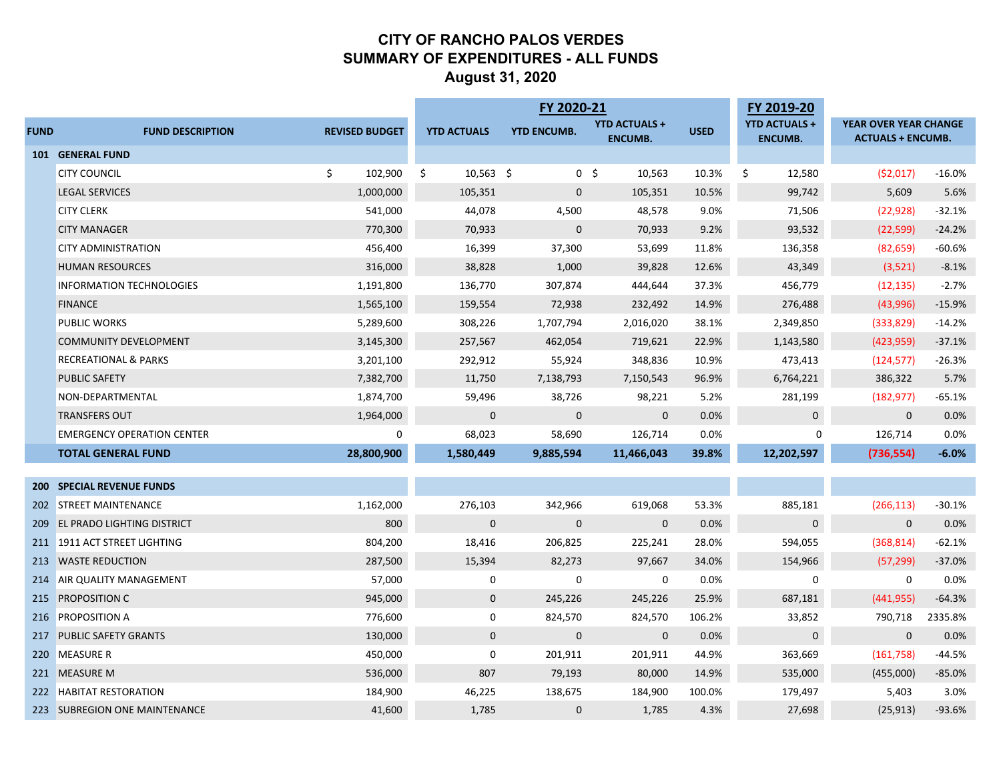### **CITY OF RANCHO PALOS VERDES SUMMARY OF EXPENDITURES - ALL FUNDS August 31, 2020**

|             |                                   |                       |                    | FY 2020-21         |                          |              | FY 2019-20           |                              |          |
|-------------|-----------------------------------|-----------------------|--------------------|--------------------|--------------------------|--------------|----------------------|------------------------------|----------|
| <b>FUND</b> | <b>FUND DESCRIPTION</b>           | <b>REVISED BUDGET</b> | <b>YTD ACTUALS</b> | <b>YTD ENCUMB.</b> | <b>YTD ACTUALS +</b>     | <b>USED</b>  | <b>YTD ACTUALS +</b> | <b>YEAR OVER YEAR CHANGE</b> |          |
|             | 101 GENERAL FUND                  |                       |                    |                    | <b>ENCUMB.</b>           |              | <b>ENCUMB.</b>       | <b>ACTUALS + ENCUMB.</b>     |          |
|             | <b>CITY COUNCIL</b>               | \$<br>102,900         | $10,563$ \$<br>\$  |                    | 0 <sup>5</sup><br>10,563 | 10.3%        | \$<br>12,580         | (52,017)                     | $-16.0%$ |
|             | <b>LEGAL SERVICES</b>             | 1,000,000             | 105,351            | $\mathbf{0}$       | 105,351                  | 10.5%        | 99,742               | 5,609                        | 5.6%     |
|             | <b>CITY CLERK</b>                 | 541,000               | 44,078             | 4,500              | 48,578                   | 9.0%         | 71,506               | (22, 928)                    | $-32.1%$ |
|             | <b>CITY MANAGER</b>               | 770,300               | 70,933             | $\mathbf{0}$       | 70,933                   | 9.2%         | 93,532               | (22, 599)                    | $-24.2%$ |
|             | <b>CITY ADMINISTRATION</b>        | 456,400               | 16,399             | 37,300             | 53,699                   | 11.8%        | 136,358              | (82, 659)                    | $-60.6%$ |
|             | <b>HUMAN RESOURCES</b>            | 316,000               | 38,828             | 1,000              | 39,828                   | 12.6%        | 43,349               | (3,521)                      | $-8.1%$  |
|             | <b>INFORMATION TECHNOLOGIES</b>   | 1,191,800             | 136,770            | 307,874            | 444,644                  | 37.3%        | 456,779              | (12, 135)                    | $-2.7%$  |
|             | <b>FINANCE</b>                    | 1,565,100             | 159,554            | 72,938             | 232,492                  | 14.9%        | 276,488              | (43,996)                     | $-15.9%$ |
|             | <b>PUBLIC WORKS</b>               | 5,289,600             | 308,226            | 1,707,794          | 2,016,020                | 38.1%        | 2,349,850            | (333, 829)                   | $-14.2%$ |
|             | <b>COMMUNITY DEVELOPMENT</b>      | 3,145,300             | 257,567            | 462,054            | 719,621                  | 22.9%        | 1,143,580            |                              | $-37.1%$ |
|             | <b>RECREATIONAL &amp; PARKS</b>   | 3,201,100             | 292,912            | 55,924             | 348,836                  | 10.9%        | 473,413              | (423, 959)<br>(124, 577)     | $-26.3%$ |
|             | <b>PUBLIC SAFETY</b>              |                       |                    |                    |                          | 96.9%        |                      |                              | 5.7%     |
|             |                                   | 7,382,700             | 11,750             | 7,138,793          | 7,150,543                |              | 6,764,221            | 386,322                      | $-65.1%$ |
|             | NON-DEPARTMENTAL                  | 1,874,700             | 59,496             | 38,726             | 98,221                   | 5.2%<br>0.0% | 281,199              | (182, 977)                   |          |
|             | <b>TRANSFERS OUT</b>              | 1,964,000             | $\overline{0}$     | $\mathbf 0$        | $\mathbf 0$              |              | $\mathbf 0$          | $\mathbf{0}$                 | 0.0%     |
|             | <b>EMERGENCY OPERATION CENTER</b> | $\mathbf{0}$          | 68,023             | 58,690             | 126,714                  | 0.0%         | $\Omega$             | 126,714                      | 0.0%     |
|             | <b>TOTAL GENERAL FUND</b>         | 28,800,900            | 1,580,449          | 9,885,594          | 11,466,043               | 39.8%        | 12,202,597           | (736, 554)                   | $-6.0%$  |
|             | <b>200 SPECIAL REVENUE FUNDS</b>  |                       |                    |                    |                          |              |                      |                              |          |
|             | 202 STREET MAINTENANCE            | 1,162,000             | 276,103            | 342,966            | 619,068                  | 53.3%        | 885,181              | (266, 113)                   | $-30.1%$ |
|             | 209 EL PRADO LIGHTING DISTRICT    | 800                   | $\mathbf 0$        | $\mathbf{0}$       | $\mathbf 0$              | 0.0%         | $\mathbf 0$          | $\mathbf{0}$                 | 0.0%     |
|             | 211 1911 ACT STREET LIGHTING      | 804,200               | 18,416             | 206,825            | 225,241                  | 28.0%        | 594,055              | (368, 814)                   | $-62.1%$ |
|             | 213 WASTE REDUCTION               | 287,500               | 15,394             | 82,273             | 97,667                   | 34.0%        | 154,966              | (57, 299)                    | $-37.0%$ |
|             | 214 AIR QUALITY MANAGEMENT        | 57,000                | 0                  | 0                  | 0                        | 0.0%         | $\mathbf 0$          | $\mathbf 0$                  | 0.0%     |
|             | 215 PROPOSITION C                 | 945,000               | $\mathbf 0$        | 245,226            | 245,226                  | 25.9%        | 687,181              | (441, 955)                   | $-64.3%$ |
|             | 216 PROPOSITION A                 | 776,600               | $\mathbf 0$        | 824,570            | 824,570                  | 106.2%       | 33,852               | 790,718                      | 2335.8%  |
|             | 217 PUBLIC SAFETY GRANTS          | 130,000               | $\overline{0}$     | $\mathbf 0$        | $\mathbf 0$              | 0.0%         | $\mathbf 0$          | $\mathbf{0}$                 | 0.0%     |
|             | 220 MEASURE R                     | 450,000               | $\mathbf 0$        | 201,911            | 201,911                  | 44.9%        | 363,669              | (161,758)                    | $-44.5%$ |
|             | 221 MEASURE M                     | 536,000               | 807                | 79,193             | 80,000                   | 14.9%        | 535,000              | (455,000)                    | $-85.0%$ |
|             | 222 HABITAT RESTORATION           | 184,900               | 46,225             | 138,675            | 184,900                  | 100.0%       | 179,497              | 5,403                        | 3.0%     |
|             | 223 SUBREGION ONE MAINTENANCE     | 41,600                | 1,785              | $\mathbf 0$        | 1,785                    | 4.3%         | 27,698               | (25, 913)                    | $-93.6%$ |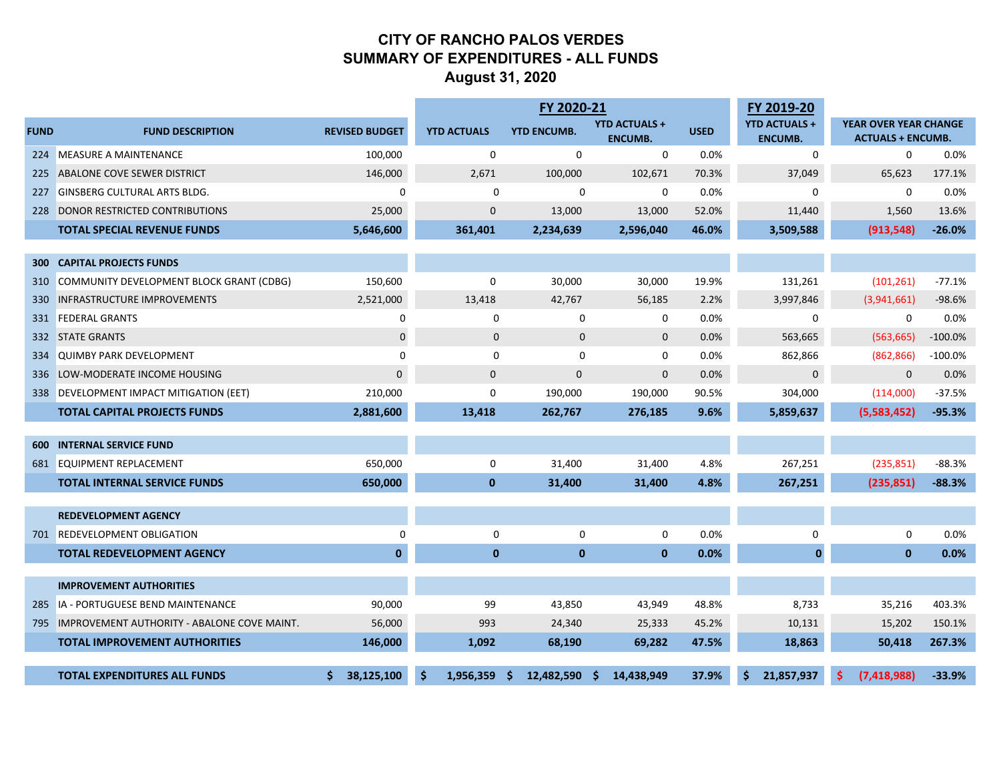### **CITY OF RANCHO PALOS VERDES SUMMARY OF EXPENDITURES - ALL FUNDS August 31, 2020**

|             |                                                 |                       |          |                    | FY 2020-21         |              |                                        |             | FY 2019-20                             |                                                   |           |
|-------------|-------------------------------------------------|-----------------------|----------|--------------------|--------------------|--------------|----------------------------------------|-------------|----------------------------------------|---------------------------------------------------|-----------|
| <b>FUND</b> | <b>FUND DESCRIPTION</b>                         | <b>REVISED BUDGET</b> |          | <b>YTD ACTUALS</b> | <b>YTD ENCUMB.</b> |              | <b>YTD ACTUALS +</b><br><b>ENCUMB.</b> | <b>USED</b> | <b>YTD ACTUALS +</b><br><b>ENCUMB.</b> | YEAR OVER YEAR CHANGE<br><b>ACTUALS + ENCUMB.</b> |           |
|             | 224 MEASURE A MAINTENANCE                       | 100,000               |          | 0                  | $\Omega$           |              | $\mathbf 0$                            | 0.0%        | 0                                      | $\Omega$                                          | 0.0%      |
|             | 225 ABALONE COVE SEWER DISTRICT                 | 146,000               |          | 2,671              | 100,000            |              | 102,671                                | 70.3%       | 37,049                                 | 65,623                                            | 177.1%    |
| 227         | <b>GINSBERG CULTURAL ARTS BLDG.</b>             | $\mathbf 0$           |          | 0                  |                    | 0            | 0                                      | 0.0%        | 0                                      | 0                                                 | 0.0%      |
| 228         | DONOR RESTRICTED CONTRIBUTIONS                  | 25,000                |          | $\mathbf{0}$       | 13,000             |              | 13,000                                 | 52.0%       | 11,440                                 | 1,560                                             | 13.6%     |
|             | <b>TOTAL SPECIAL REVENUE FUNDS</b>              | 5,646,600             |          | 361,401            | 2,234,639          |              | 2,596,040                              | 46.0%       | 3,509,588                              | (913, 548)                                        | $-26.0%$  |
|             |                                                 |                       |          |                    |                    |              |                                        |             |                                        |                                                   |           |
| 300         | <b>CAPITAL PROJECTS FUNDS</b>                   |                       |          |                    |                    |              |                                        |             |                                        |                                                   |           |
| 310         | COMMUNITY DEVELOPMENT BLOCK GRANT (CDBG)        | 150,600               |          | $\mathbf 0$        | 30,000             |              | 30,000                                 | 19.9%       | 131,261                                | (101, 261)                                        | $-77.1%$  |
|             | 330 INFRASTRUCTURE IMPROVEMENTS                 | 2,521,000             |          | 13,418             | 42,767             |              | 56,185                                 | 2.2%        | 3,997,846                              | (3,941,661)                                       | $-98.6%$  |
|             | 331 FEDERAL GRANTS                              | 0                     |          | 0                  |                    | 0            | 0                                      | 0.0%        | 0                                      | $\mathbf 0$                                       | 0.0%      |
|             | 332 STATE GRANTS                                | $\mathbf 0$           |          | 0                  |                    | $\mathbf 0$  | $\mathbf 0$                            | 0.0%        | 563,665                                | (563, 665)                                        | $-100.0%$ |
|             | 334 QUIMBY PARK DEVELOPMENT                     | $\mathbf 0$           |          | 0                  |                    | 0            | 0                                      | 0.0%        | 862,866                                | (862, 866)                                        | $-100.0%$ |
|             | 336 LOW-MODERATE INCOME HOUSING                 | $\mathbf 0$           |          | $\mathbf 0$        | $\mathbf{0}$       |              | $\mathbf 0$                            | 0.0%        | $\pmb{0}$                              | $\mathbf{0}$                                      | 0.0%      |
|             | 338 DEVELOPMENT IMPACT MITIGATION (EET)         | 210,000               |          | $\mathbf 0$        | 190,000            |              | 190,000                                | 90.5%       | 304,000                                | (114,000)                                         | $-37.5%$  |
|             | <b>TOTAL CAPITAL PROJECTS FUNDS</b>             | 2,881,600             |          | 13,418             | 262,767            |              | 276,185                                | 9.6%        | 5,859,637                              | (5,583,452)                                       | $-95.3%$  |
|             |                                                 |                       |          |                    |                    |              |                                        |             |                                        |                                                   |           |
| 600         | <b>INTERNAL SERVICE FUND</b>                    |                       |          |                    |                    |              |                                        |             |                                        |                                                   |           |
|             | 681 EQUIPMENT REPLACEMENT                       | 650,000               |          | 0                  | 31,400             |              | 31,400                                 | 4.8%        | 267,251                                | (235, 851)                                        | $-88.3%$  |
|             | <b>TOTAL INTERNAL SERVICE FUNDS</b>             | 650,000               |          | $\mathbf{0}$       | 31,400             |              | 31,400                                 | 4.8%        | 267,251                                | (235, 851)                                        | $-88.3%$  |
|             | <b>REDEVELOPMENT AGENCY</b>                     |                       |          |                    |                    |              |                                        |             |                                        |                                                   |           |
|             | 701 REDEVELOPMENT OBLIGATION                    | $\mathbf 0$           |          | 0                  |                    | $\mathbf 0$  | $\mathbf 0$                            | 0.0%        | 0                                      | $\mathbf 0$                                       | 0.0%      |
|             | <b>TOTAL REDEVELOPMENT AGENCY</b>               | $\mathbf{0}$          |          | $\bf{0}$           |                    | $\mathbf{0}$ | $\mathbf{0}$                           | 0.0%        | $\bf{0}$                               | $\mathbf{0}$                                      | 0.0%      |
|             |                                                 |                       |          |                    |                    |              |                                        |             |                                        |                                                   |           |
|             | <b>IMPROVEMENT AUTHORITIES</b>                  |                       |          |                    |                    |              |                                        |             |                                        |                                                   |           |
| 285         | IA - PORTUGUESE BEND MAINTENANCE                | 90,000                |          | 99                 | 43,850             |              | 43,949                                 | 48.8%       | 8,733                                  | 35,216                                            | 403.3%    |
|             | 795 IMPROVEMENT AUTHORITY - ABALONE COVE MAINT. | 56,000                |          | 993                | 24,340             |              | 25,333                                 | 45.2%       | 10,131                                 | 15,202                                            | 150.1%    |
|             | <b>TOTAL IMPROVEMENT AUTHORITIES</b>            | 146,000               |          | 1,092              | 68,190             |              | 69,282                                 | 47.5%       | 18,863                                 | 50,418                                            | 267.3%    |
|             | <b>TOTAL EXPENDITURES ALL FUNDS</b>             | 38,125,100            | <b>S</b> | 1,956,359          | 12,482,590<br>-S   | -S           | 14,438,949                             | 37.9%       | 21,857,937                             | (7, 418, 988)                                     | $-33.9%$  |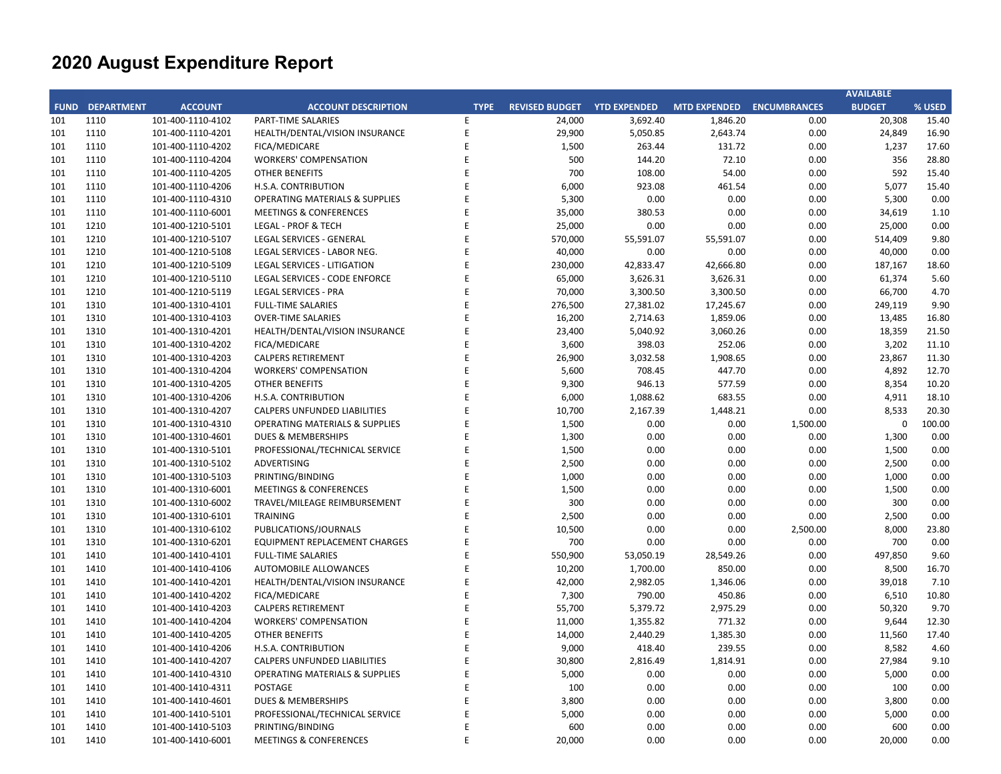|     |                        |                   |                                           |             |                       |                     |                           |          | <b>AVAILABLE</b> |        |
|-----|------------------------|-------------------|-------------------------------------------|-------------|-----------------------|---------------------|---------------------------|----------|------------------|--------|
|     | <b>FUND DEPARTMENT</b> | <b>ACCOUNT</b>    | <b>ACCOUNT DESCRIPTION</b>                | <b>TYPE</b> | <b>REVISED BUDGET</b> | <b>YTD EXPENDED</b> | MTD EXPENDED ENCUMBRANCES |          | <b>BUDGET</b>    | % USED |
| 101 | 1110                   | 101-400-1110-4102 | PART-TIME SALARIES                        | E           | 24,000                | 3,692.40            | 1,846.20                  | 0.00     | 20,308           | 15.40  |
| 101 | 1110                   | 101-400-1110-4201 | HEALTH/DENTAL/VISION INSURANCE            | E           | 29,900                | 5,050.85            | 2,643.74                  | 0.00     | 24,849           | 16.90  |
| 101 | 1110                   | 101-400-1110-4202 | FICA/MEDICARE                             | E           | 1,500                 | 263.44              | 131.72                    | 0.00     | 1,237            | 17.60  |
| 101 | 1110                   | 101-400-1110-4204 | <b>WORKERS' COMPENSATION</b>              | E           | 500                   | 144.20              | 72.10                     | 0.00     | 356              | 28.80  |
| 101 | 1110                   | 101-400-1110-4205 | <b>OTHER BENEFITS</b>                     | E           | 700                   | 108.00              | 54.00                     | 0.00     | 592              | 15.40  |
| 101 | 1110                   | 101-400-1110-4206 | H.S.A. CONTRIBUTION                       | E           | 6,000                 | 923.08              | 461.54                    | 0.00     | 5,077            | 15.40  |
| 101 | 1110                   | 101-400-1110-4310 | <b>OPERATING MATERIALS &amp; SUPPLIES</b> | E           | 5,300                 | 0.00                | 0.00                      | 0.00     | 5,300            | 0.00   |
| 101 | 1110                   | 101-400-1110-6001 | <b>MEETINGS &amp; CONFERENCES</b>         | E           | 35,000                | 380.53              | 0.00                      | 0.00     | 34,619           | 1.10   |
| 101 | 1210                   | 101-400-1210-5101 | <b>LEGAL - PROF &amp; TECH</b>            | E           | 25,000                | 0.00                | 0.00                      | 0.00     | 25,000           | 0.00   |
| 101 | 1210                   | 101-400-1210-5107 | LEGAL SERVICES - GENERAL                  | E           | 570,000               | 55,591.07           | 55,591.07                 | 0.00     | 514,409          | 9.80   |
| 101 | 1210                   | 101-400-1210-5108 | LEGAL SERVICES - LABOR NEG.               | E           | 40,000                | 0.00                | 0.00                      | 0.00     | 40,000           | 0.00   |
| 101 | 1210                   | 101-400-1210-5109 | <b>LEGAL SERVICES - LITIGATION</b>        | E           | 230,000               | 42,833.47           | 42,666.80                 | 0.00     | 187,167          | 18.60  |
| 101 | 1210                   | 101-400-1210-5110 | LEGAL SERVICES - CODE ENFORCE             | E           | 65,000                | 3,626.31            | 3,626.31                  | 0.00     | 61,374           | 5.60   |
| 101 | 1210                   | 101-400-1210-5119 | <b>LEGAL SERVICES - PRA</b>               | E           | 70,000                | 3,300.50            | 3,300.50                  | 0.00     | 66,700           | 4.70   |
| 101 | 1310                   | 101-400-1310-4101 | <b>FULL-TIME SALARIES</b>                 | E           | 276,500               | 27,381.02           | 17,245.67                 | 0.00     | 249,119          | 9.90   |
| 101 | 1310                   | 101-400-1310-4103 | <b>OVER-TIME SALARIES</b>                 | E           | 16,200                | 2,714.63            | 1,859.06                  | 0.00     | 13,485           | 16.80  |
| 101 | 1310                   | 101-400-1310-4201 | HEALTH/DENTAL/VISION INSURANCE            | E           | 23,400                | 5,040.92            | 3,060.26                  | 0.00     | 18,359           | 21.50  |
| 101 | 1310                   | 101-400-1310-4202 | FICA/MEDICARE                             | E           | 3,600                 | 398.03              | 252.06                    | 0.00     | 3,202            | 11.10  |
| 101 | 1310                   | 101-400-1310-4203 | <b>CALPERS RETIREMENT</b>                 | E           | 26,900                | 3,032.58            | 1,908.65                  | 0.00     | 23,867           | 11.30  |
| 101 | 1310                   | 101-400-1310-4204 | <b>WORKERS' COMPENSATION</b>              | E           | 5,600                 | 708.45              | 447.70                    | 0.00     | 4,892            | 12.70  |
| 101 | 1310                   | 101-400-1310-4205 | <b>OTHER BENEFITS</b>                     | E           | 9,300                 | 946.13              | 577.59                    | 0.00     | 8,354            | 10.20  |
| 101 | 1310                   | 101-400-1310-4206 | H.S.A. CONTRIBUTION                       | E           | 6,000                 | 1,088.62            | 683.55                    | 0.00     | 4,911            | 18.10  |
| 101 | 1310                   | 101-400-1310-4207 | CALPERS UNFUNDED LIABILITIES              | E           | 10,700                | 2,167.39            | 1,448.21                  | 0.00     | 8,533            | 20.30  |
| 101 | 1310                   | 101-400-1310-4310 | <b>OPERATING MATERIALS &amp; SUPPLIES</b> | E           | 1,500                 | 0.00                | 0.00                      | 1,500.00 | $\mathbf 0$      | 100.00 |
| 101 | 1310                   | 101-400-1310-4601 | <b>DUES &amp; MEMBERSHIPS</b>             | E           | 1,300                 | 0.00                | 0.00                      | 0.00     | 1,300            | 0.00   |
| 101 | 1310                   | 101-400-1310-5101 | PROFESSIONAL/TECHNICAL SERVICE            | E           | 1,500                 | 0.00                | 0.00                      | 0.00     | 1,500            | 0.00   |
| 101 | 1310                   | 101-400-1310-5102 | ADVERTISING                               | E           | 2,500                 | 0.00                | 0.00                      | 0.00     | 2,500            | 0.00   |
| 101 | 1310                   | 101-400-1310-5103 | PRINTING/BINDING                          | E           | 1,000                 | 0.00                | 0.00                      | 0.00     | 1,000            | 0.00   |
| 101 | 1310                   | 101-400-1310-6001 | <b>MEETINGS &amp; CONFERENCES</b>         | E           | 1,500                 | 0.00                | 0.00                      | 0.00     | 1,500            | 0.00   |
| 101 | 1310                   | 101-400-1310-6002 | TRAVEL/MILEAGE REIMBURSEMENT              | E           | 300                   | 0.00                | 0.00                      | 0.00     | 300              | 0.00   |
| 101 | 1310                   | 101-400-1310-6101 | <b>TRAINING</b>                           | E           | 2,500                 | 0.00                | 0.00                      | 0.00     | 2,500            | 0.00   |
| 101 | 1310                   | 101-400-1310-6102 | PUBLICATIONS/JOURNALS                     | E           | 10,500                | 0.00                | 0.00                      | 2,500.00 | 8,000            | 23.80  |
| 101 | 1310                   | 101-400-1310-6201 | <b>EQUIPMENT REPLACEMENT CHARGES</b>      | E           | 700                   | 0.00                | 0.00                      | 0.00     | 700              | 0.00   |
| 101 | 1410                   | 101-400-1410-4101 | <b>FULL-TIME SALARIES</b>                 | E           | 550,900               | 53,050.19           | 28,549.26                 | 0.00     | 497,850          | 9.60   |
| 101 | 1410                   | 101-400-1410-4106 | AUTOMOBILE ALLOWANCES                     | E           | 10,200                | 1,700.00            | 850.00                    | 0.00     | 8,500            | 16.70  |
| 101 | 1410                   | 101-400-1410-4201 | HEALTH/DENTAL/VISION INSURANCE            | E           | 42,000                | 2,982.05            | 1,346.06                  | 0.00     | 39,018           | 7.10   |
| 101 | 1410                   | 101-400-1410-4202 | <b>FICA/MEDICARE</b>                      | E           | 7,300                 | 790.00              | 450.86                    | 0.00     | 6,510            | 10.80  |
| 101 | 1410                   | 101-400-1410-4203 | <b>CALPERS RETIREMENT</b>                 | E           | 55,700                | 5,379.72            | 2,975.29                  | 0.00     | 50,320           | 9.70   |
| 101 | 1410                   | 101-400-1410-4204 | <b>WORKERS' COMPENSATION</b>              | E           | 11,000                | 1,355.82            | 771.32                    | 0.00     | 9,644            | 12.30  |
| 101 | 1410                   | 101-400-1410-4205 | <b>OTHER BENEFITS</b>                     | E           | 14,000                | 2,440.29            | 1,385.30                  | 0.00     | 11,560           | 17.40  |
| 101 | 1410                   | 101-400-1410-4206 | H.S.A. CONTRIBUTION                       | E           | 9,000                 | 418.40              | 239.55                    | 0.00     | 8,582            | 4.60   |
| 101 | 1410                   | 101-400-1410-4207 | <b>CALPERS UNFUNDED LIABILITIES</b>       | E           | 30,800                | 2,816.49            | 1,814.91                  | 0.00     | 27,984           | 9.10   |
| 101 | 1410                   | 101-400-1410-4310 | <b>OPERATING MATERIALS &amp; SUPPLIES</b> | E           | 5,000                 | 0.00                | 0.00                      | 0.00     | 5,000            | 0.00   |
| 101 | 1410                   | 101-400-1410-4311 | POSTAGE                                   | E           | 100                   | 0.00                | 0.00                      | 0.00     | 100              | 0.00   |
| 101 | 1410                   | 101-400-1410-4601 | DUES & MEMBERSHIPS                        | E           | 3,800                 | 0.00                | 0.00                      | 0.00     | 3,800            | 0.00   |
| 101 | 1410                   | 101-400-1410-5101 | PROFESSIONAL/TECHNICAL SERVICE            | E           | 5,000                 | 0.00                | 0.00                      | 0.00     | 5,000            | 0.00   |
| 101 | 1410                   | 101-400-1410-5103 | PRINTING/BINDING                          | E           | 600                   | 0.00                | 0.00                      | 0.00     | 600              | 0.00   |
| 101 | 1410                   | 101-400-1410-6001 | <b>MEETINGS &amp; CONFERENCES</b>         | E           | 20,000                | 0.00                | 0.00                      | 0.00     | 20,000           | 0.00   |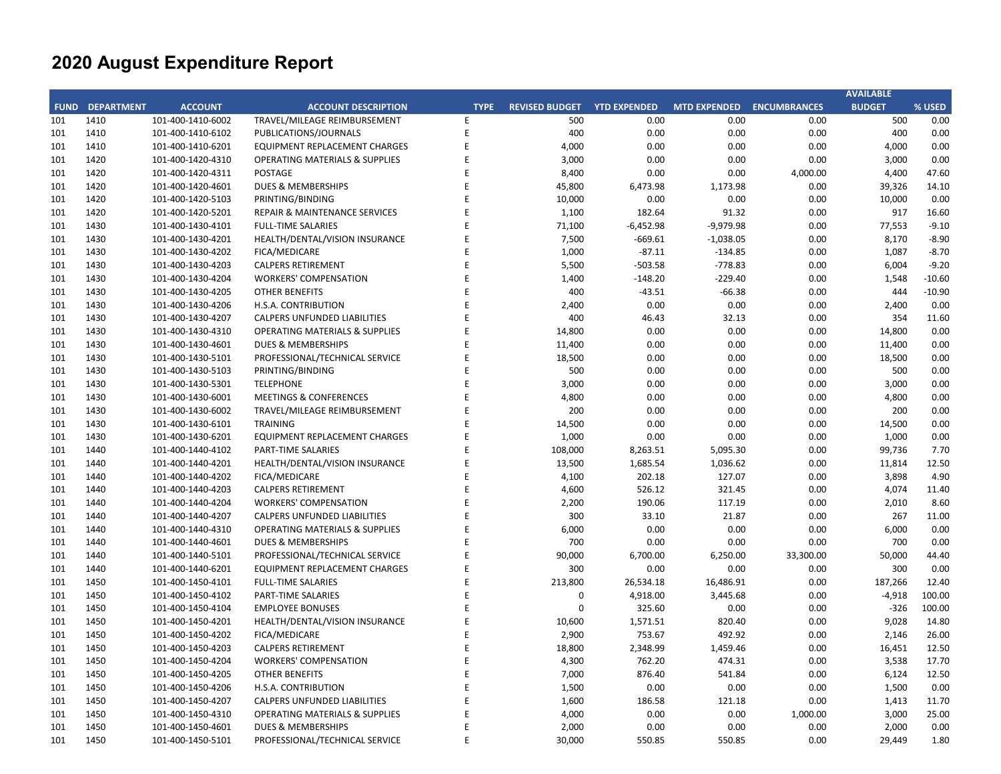|     |                        |                   |                                           |             |                       |                     |                           |           | <b>AVAILABLE</b> |          |
|-----|------------------------|-------------------|-------------------------------------------|-------------|-----------------------|---------------------|---------------------------|-----------|------------------|----------|
|     | <b>FUND DEPARTMENT</b> | <b>ACCOUNT</b>    | <b>ACCOUNT DESCRIPTION</b>                | <b>TYPE</b> | <b>REVISED BUDGET</b> | <b>YTD EXPENDED</b> | MTD EXPENDED ENCUMBRANCES |           | <b>BUDGET</b>    | % USED   |
| 101 | 1410                   | 101-400-1410-6002 | TRAVEL/MILEAGE REIMBURSEMENT              | Ε           | 500                   | 0.00                | 0.00                      | 0.00      | 500              | 0.00     |
| 101 | 1410                   | 101-400-1410-6102 | PUBLICATIONS/JOURNALS                     | E           | 400                   | 0.00                | 0.00                      | 0.00      | 400              | 0.00     |
| 101 | 1410                   | 101-400-1410-6201 | <b>EQUIPMENT REPLACEMENT CHARGES</b>      | E           | 4,000                 | 0.00                | 0.00                      | 0.00      | 4,000            | 0.00     |
| 101 | 1420                   | 101-400-1420-4310 | <b>OPERATING MATERIALS &amp; SUPPLIES</b> | E           | 3,000                 | 0.00                | 0.00                      | 0.00      | 3,000            | 0.00     |
| 101 | 1420                   | 101-400-1420-4311 | <b>POSTAGE</b>                            | E           | 8,400                 | 0.00                | 0.00                      | 4,000.00  | 4,400            | 47.60    |
| 101 | 1420                   | 101-400-1420-4601 | <b>DUES &amp; MEMBERSHIPS</b>             | E           | 45,800                | 6,473.98            | 1,173.98                  | 0.00      | 39,326           | 14.10    |
| 101 | 1420                   | 101-400-1420-5103 | PRINTING/BINDING                          | E           | 10,000                | 0.00                | 0.00                      | 0.00      | 10,000           | 0.00     |
| 101 | 1420                   | 101-400-1420-5201 | REPAIR & MAINTENANCE SERVICES             | E           | 1,100                 | 182.64              | 91.32                     | 0.00      | 917              | 16.60    |
| 101 | 1430                   | 101-400-1430-4101 | <b>FULL-TIME SALARIES</b>                 | E           | 71,100                | $-6,452.98$         | $-9,979.98$               | 0.00      | 77,553           | $-9.10$  |
| 101 | 1430                   | 101-400-1430-4201 | HEALTH/DENTAL/VISION INSURANCE            | E           | 7,500                 | $-669.61$           | $-1,038.05$               | 0.00      | 8,170            | $-8.90$  |
| 101 | 1430                   | 101-400-1430-4202 | FICA/MEDICARE                             | E           | 1,000                 | $-87.11$            | $-134.85$                 | 0.00      | 1,087            | $-8.70$  |
| 101 | 1430                   | 101-400-1430-4203 | <b>CALPERS RETIREMENT</b>                 | E           | 5,500                 | $-503.58$           | $-778.83$                 | 0.00      | 6,004            | $-9.20$  |
| 101 | 1430                   | 101-400-1430-4204 | <b>WORKERS' COMPENSATION</b>              | E           | 1,400                 | $-148.20$           | $-229.40$                 | 0.00      | 1,548            | $-10.60$ |
| 101 | 1430                   | 101-400-1430-4205 | <b>OTHER BENEFITS</b>                     | E           | 400                   | $-43.51$            | $-66.38$                  | 0.00      | 444              | $-10.90$ |
| 101 | 1430                   | 101-400-1430-4206 | H.S.A. CONTRIBUTION                       | E           | 2,400                 | 0.00                | 0.00                      | 0.00      | 2,400            | 0.00     |
| 101 | 1430                   | 101-400-1430-4207 | CALPERS UNFUNDED LIABILITIES              | E           | 400                   | 46.43               | 32.13                     | 0.00      | 354              | 11.60    |
| 101 | 1430                   | 101-400-1430-4310 | <b>OPERATING MATERIALS &amp; SUPPLIES</b> | E           | 14,800                | 0.00                | 0.00                      | 0.00      | 14,800           | 0.00     |
| 101 | 1430                   | 101-400-1430-4601 | DUES & MEMBERSHIPS                        | E           | 11,400                | 0.00                | 0.00                      | 0.00      | 11,400           | 0.00     |
| 101 | 1430                   | 101-400-1430-5101 | PROFESSIONAL/TECHNICAL SERVICE            | E           | 18,500                | 0.00                | 0.00                      | 0.00      | 18,500           | 0.00     |
| 101 | 1430                   | 101-400-1430-5103 | PRINTING/BINDING                          | E           | 500                   | 0.00                | 0.00                      | 0.00      | 500              | 0.00     |
| 101 | 1430                   | 101-400-1430-5301 | <b>TELEPHONE</b>                          | E           | 3,000                 | 0.00                | 0.00                      | 0.00      | 3,000            | 0.00     |
| 101 | 1430                   | 101-400-1430-6001 | <b>MEETINGS &amp; CONFERENCES</b>         | E           | 4,800                 | 0.00                | 0.00                      | 0.00      | 4,800            | 0.00     |
| 101 | 1430                   | 101-400-1430-6002 | TRAVEL/MILEAGE REIMBURSEMENT              | E           | 200                   | 0.00                | 0.00                      | 0.00      | 200              | 0.00     |
| 101 | 1430                   | 101-400-1430-6101 | TRAINING                                  | E           | 14,500                | 0.00                | 0.00                      | 0.00      | 14,500           | 0.00     |
| 101 | 1430                   | 101-400-1430-6201 | EQUIPMENT REPLACEMENT CHARGES             | E           | 1,000                 | 0.00                | 0.00                      | 0.00      | 1,000            | 0.00     |
| 101 | 1440                   | 101-400-1440-4102 | PART-TIME SALARIES                        | E           | 108,000               | 8,263.51            | 5,095.30                  | 0.00      | 99,736           | 7.70     |
| 101 | 1440                   | 101-400-1440-4201 |                                           | E           | 13,500                | 1,685.54            |                           |           |                  | 12.50    |
|     |                        |                   | HEALTH/DENTAL/VISION INSURANCE            | E           |                       | 202.18              | 1,036.62                  | 0.00      | 11,814<br>3,898  | 4.90     |
| 101 | 1440                   | 101-400-1440-4202 | <b>FICA/MEDICARE</b>                      | E           | 4,100                 |                     | 127.07                    | 0.00      |                  |          |
| 101 | 1440                   | 101-400-1440-4203 | <b>CALPERS RETIREMENT</b>                 |             | 4,600                 | 526.12              | 321.45                    | 0.00      | 4,074            | 11.40    |
| 101 | 1440                   | 101-400-1440-4204 | <b>WORKERS' COMPENSATION</b>              | E           | 2,200                 | 190.06              | 117.19                    | 0.00      | 2,010            | 8.60     |
| 101 | 1440                   | 101-400-1440-4207 | CALPERS UNFUNDED LIABILITIES              | E           | 300                   | 33.10               | 21.87                     | 0.00      | 267              | 11.00    |
| 101 | 1440                   | 101-400-1440-4310 | <b>OPERATING MATERIALS &amp; SUPPLIES</b> | E           | 6,000                 | 0.00                | 0.00                      | 0.00      | 6,000            | 0.00     |
| 101 | 1440                   | 101-400-1440-4601 | <b>DUES &amp; MEMBERSHIPS</b>             | E           | 700                   | 0.00                | 0.00                      | 0.00      | 700              | 0.00     |
| 101 | 1440                   | 101-400-1440-5101 | PROFESSIONAL/TECHNICAL SERVICE            | E           | 90,000                | 6,700.00            | 6,250.00                  | 33,300.00 | 50,000           | 44.40    |
| 101 | 1440                   | 101-400-1440-6201 | EQUIPMENT REPLACEMENT CHARGES             | E           | 300                   | 0.00                | 0.00                      | 0.00      | 300              | 0.00     |
| 101 | 1450                   | 101-400-1450-4101 | <b>FULL-TIME SALARIES</b>                 | E           | 213,800               | 26,534.18           | 16,486.91                 | 0.00      | 187,266          | 12.40    |
| 101 | 1450                   | 101-400-1450-4102 | <b>PART-TIME SALARIES</b>                 | E           | $\pmb{0}$             | 4,918.00            | 3,445.68                  | 0.00      | $-4,918$         | 100.00   |
| 101 | 1450                   | 101-400-1450-4104 | <b>EMPLOYEE BONUSES</b>                   | E           | $\mathbf 0$           | 325.60              | 0.00                      | 0.00      | $-326$           | 100.00   |
| 101 | 1450                   | 101-400-1450-4201 | HEALTH/DENTAL/VISION INSURANCE            | E           | 10,600                | 1,571.51            | 820.40                    | 0.00      | 9,028            | 14.80    |
| 101 | 1450                   | 101-400-1450-4202 | <b>FICA/MEDICARE</b>                      | E           | 2,900                 | 753.67              | 492.92                    | 0.00      | 2,146            | 26.00    |
| 101 | 1450                   | 101-400-1450-4203 | <b>CALPERS RETIREMENT</b>                 | E           | 18,800                | 2,348.99            | 1,459.46                  | 0.00      | 16,451           | 12.50    |
| 101 | 1450                   | 101-400-1450-4204 | <b>WORKERS' COMPENSATION</b>              | E           | 4,300                 | 762.20              | 474.31                    | 0.00      | 3,538            | 17.70    |
| 101 | 1450                   | 101-400-1450-4205 | <b>OTHER BENEFITS</b>                     | E           | 7,000                 | 876.40              | 541.84                    | 0.00      | 6,124            | 12.50    |
| 101 | 1450                   | 101-400-1450-4206 | H.S.A. CONTRIBUTION                       | E           | 1,500                 | 0.00                | 0.00                      | 0.00      | 1,500            | 0.00     |
| 101 | 1450                   | 101-400-1450-4207 | <b>CALPERS UNFUNDED LIABILITIES</b>       | E           | 1,600                 | 186.58              | 121.18                    | 0.00      | 1,413            | 11.70    |
| 101 | 1450                   | 101-400-1450-4310 | <b>OPERATING MATERIALS &amp; SUPPLIES</b> | E           | 4,000                 | 0.00                | 0.00                      | 1,000.00  | 3,000            | 25.00    |
| 101 | 1450                   | 101-400-1450-4601 | DUES & MEMBERSHIPS                        | E           | 2,000                 | 0.00                | 0.00                      | 0.00      | 2,000            | 0.00     |
| 101 | 1450                   | 101-400-1450-5101 | PROFESSIONAL/TECHNICAL SERVICE            | F           | 30,000                | 550.85              | 550.85                    | 0.00      | 29,449           | 1.80     |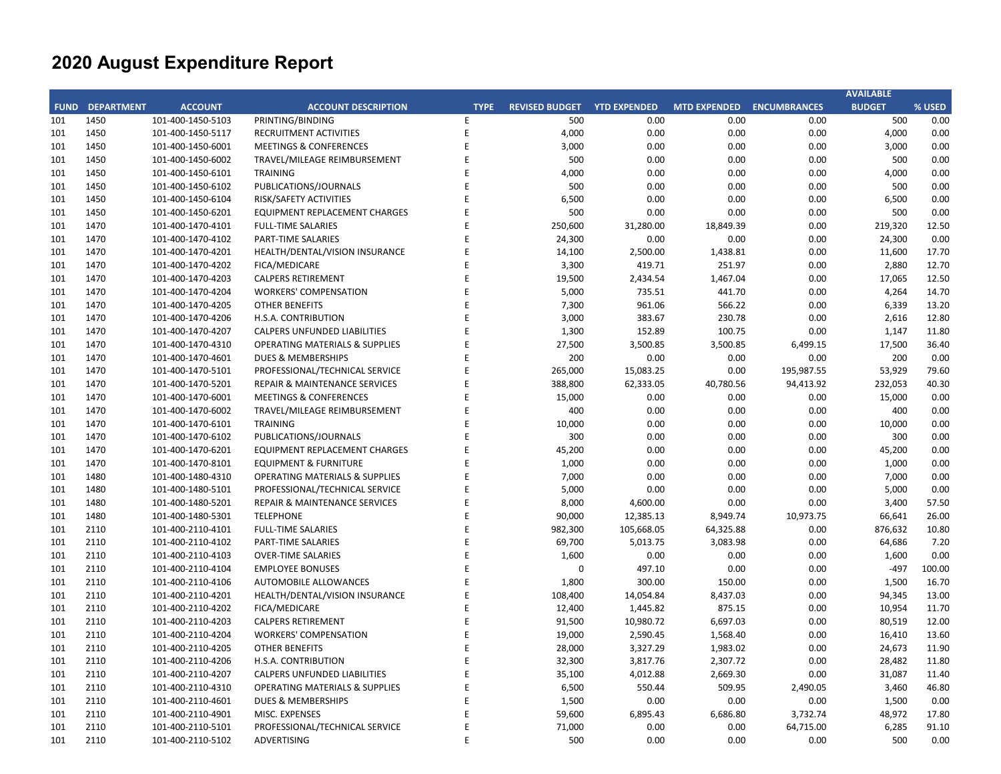|     |                        |                   |                                           |             |                       |                     |                           |            | <b>AVAILABLE</b> |        |
|-----|------------------------|-------------------|-------------------------------------------|-------------|-----------------------|---------------------|---------------------------|------------|------------------|--------|
|     | <b>FUND DEPARTMENT</b> | <b>ACCOUNT</b>    | <b>ACCOUNT DESCRIPTION</b>                | <b>TYPE</b> | <b>REVISED BUDGET</b> | <b>YTD EXPENDED</b> | MTD EXPENDED ENCUMBRANCES |            | <b>BUDGET</b>    | % USED |
| 101 | 1450                   | 101-400-1450-5103 | PRINTING/BINDING                          | E           | 500                   | 0.00                | 0.00                      | 0.00       | 500              | 0.00   |
| 101 | 1450                   | 101-400-1450-5117 | <b>RECRUITMENT ACTIVITIES</b>             | E           | 4,000                 | 0.00                | 0.00                      | 0.00       | 4,000            | 0.00   |
| 101 | 1450                   | 101-400-1450-6001 | <b>MEETINGS &amp; CONFERENCES</b>         | E           | 3,000                 | 0.00                | 0.00                      | 0.00       | 3,000            | 0.00   |
| 101 | 1450                   | 101-400-1450-6002 | TRAVEL/MILEAGE REIMBURSEMENT              | E           | 500                   | 0.00                | 0.00                      | 0.00       | 500              | 0.00   |
| 101 | 1450                   | 101-400-1450-6101 | <b>TRAINING</b>                           | E           | 4,000                 | 0.00                | 0.00                      | 0.00       | 4,000            | 0.00   |
| 101 | 1450                   | 101-400-1450-6102 | PUBLICATIONS/JOURNALS                     | E           | 500                   | 0.00                | 0.00                      | 0.00       | 500              | 0.00   |
| 101 | 1450                   | 101-400-1450-6104 | RISK/SAFETY ACTIVITIES                    | E           | 6,500                 | 0.00                | 0.00                      | 0.00       | 6,500            | 0.00   |
| 101 | 1450                   | 101-400-1450-6201 | <b>EQUIPMENT REPLACEMENT CHARGES</b>      | E           | 500                   | 0.00                | 0.00                      | 0.00       | 500              | 0.00   |
| 101 | 1470                   | 101-400-1470-4101 | <b>FULL-TIME SALARIES</b>                 | E           | 250,600               | 31,280.00           | 18,849.39                 | 0.00       | 219,320          | 12.50  |
| 101 | 1470                   | 101-400-1470-4102 | PART-TIME SALARIES                        | E           | 24,300                | 0.00                | 0.00                      | 0.00       | 24,300           | 0.00   |
| 101 | 1470                   | 101-400-1470-4201 | HEALTH/DENTAL/VISION INSURANCE            | E           | 14,100                | 2,500.00            | 1,438.81                  | 0.00       | 11,600           | 17.70  |
| 101 | 1470                   | 101-400-1470-4202 | <b>FICA/MEDICARE</b>                      | E           | 3,300                 | 419.71              | 251.97                    | 0.00       | 2,880            | 12.70  |
| 101 | 1470                   | 101-400-1470-4203 | <b>CALPERS RETIREMENT</b>                 | E           | 19,500                | 2,434.54            | 1,467.04                  | 0.00       | 17,065           | 12.50  |
| 101 | 1470                   | 101-400-1470-4204 | <b>WORKERS' COMPENSATION</b>              | E           | 5,000                 | 735.51              | 441.70                    | 0.00       | 4,264            | 14.70  |
| 101 | 1470                   | 101-400-1470-4205 | <b>OTHER BENEFITS</b>                     | F           | 7,300                 | 961.06              | 566.22                    | 0.00       | 6,339            | 13.20  |
| 101 | 1470                   | 101-400-1470-4206 | H.S.A. CONTRIBUTION                       | E           | 3,000                 | 383.67              | 230.78                    | 0.00       | 2,616            | 12.80  |
| 101 | 1470                   | 101-400-1470-4207 | CALPERS UNFUNDED LIABILITIES              | E           | 1,300                 | 152.89              | 100.75                    | 0.00       | 1,147            | 11.80  |
| 101 | 1470                   | 101-400-1470-4310 | <b>OPERATING MATERIALS &amp; SUPPLIES</b> | E           | 27,500                | 3,500.85            | 3,500.85                  | 6,499.15   | 17,500           | 36.40  |
| 101 | 1470                   | 101-400-1470-4601 | <b>DUES &amp; MEMBERSHIPS</b>             | E           | 200                   | 0.00                | 0.00                      | 0.00       | 200              | 0.00   |
| 101 | 1470                   | 101-400-1470-5101 | PROFESSIONAL/TECHNICAL SERVICE            | E           | 265,000               | 15,083.25           | 0.00                      | 195,987.55 | 53,929           | 79.60  |
| 101 | 1470                   | 101-400-1470-5201 | REPAIR & MAINTENANCE SERVICES             | E           | 388,800               | 62,333.05           | 40,780.56                 | 94,413.92  | 232,053          | 40.30  |
| 101 | 1470                   | 101-400-1470-6001 | <b>MEETINGS &amp; CONFERENCES</b>         | E           | 15,000                | 0.00                | 0.00                      | 0.00       | 15,000           | 0.00   |
| 101 | 1470                   | 101-400-1470-6002 | TRAVEL/MILEAGE REIMBURSEMENT              | E           | 400                   | 0.00                | 0.00                      | 0.00       | 400              | 0.00   |
| 101 | 1470                   | 101-400-1470-6101 | <b>TRAINING</b>                           | E           | 10,000                | 0.00                | 0.00                      | 0.00       | 10,000           | 0.00   |
| 101 | 1470                   | 101-400-1470-6102 | PUBLICATIONS/JOURNALS                     | E           | 300                   | 0.00                | 0.00                      | 0.00       | 300              | 0.00   |
| 101 | 1470                   | 101-400-1470-6201 | <b>EQUIPMENT REPLACEMENT CHARGES</b>      | E           | 45,200                | 0.00                | 0.00                      | 0.00       | 45,200           | 0.00   |
| 101 | 1470                   | 101-400-1470-8101 | <b>EQUIPMENT &amp; FURNITURE</b>          | E           | 1,000                 | 0.00                | 0.00                      | 0.00       | 1,000            | 0.00   |
| 101 | 1480                   | 101-400-1480-4310 | <b>OPERATING MATERIALS &amp; SUPPLIES</b> | E           | 7,000                 | 0.00                | 0.00                      | 0.00       | 7,000            | 0.00   |
| 101 | 1480                   | 101-400-1480-5101 | PROFESSIONAL/TECHNICAL SERVICE            | E           | 5,000                 | 0.00                | 0.00                      | 0.00       | 5,000            | 0.00   |
| 101 | 1480                   | 101-400-1480-5201 | REPAIR & MAINTENANCE SERVICES             | E           | 8,000                 | 4,600.00            | 0.00                      | 0.00       | 3,400            | 57.50  |
| 101 | 1480                   | 101-400-1480-5301 | <b>TELEPHONE</b>                          | E           | 90,000                | 12,385.13           | 8,949.74                  | 10,973.75  | 66,641           | 26.00  |
| 101 | 2110                   | 101-400-2110-4101 | <b>FULL-TIME SALARIES</b>                 | E           | 982,300               | 105,668.05          | 64,325.88                 | 0.00       | 876,632          | 10.80  |
| 101 | 2110                   | 101-400-2110-4102 | PART-TIME SALARIES                        | E           | 69,700                | 5,013.75            | 3,083.98                  | 0.00       | 64,686           | 7.20   |
| 101 | 2110                   | 101-400-2110-4103 | <b>OVER-TIME SALARIES</b>                 | E           | 1,600                 | 0.00                | 0.00                      | 0.00       | 1,600            | 0.00   |
| 101 | 2110                   | 101-400-2110-4104 | <b>EMPLOYEE BONUSES</b>                   | E           | $\Omega$              | 497.10              | 0.00                      | 0.00       | $-497$           | 100.00 |
| 101 | 2110                   | 101-400-2110-4106 | <b>AUTOMOBILE ALLOWANCES</b>              | E           | 1,800                 | 300.00              | 150.00                    | 0.00       | 1,500            | 16.70  |
| 101 | 2110                   | 101-400-2110-4201 | HEALTH/DENTAL/VISION INSURANCE            | E           | 108,400               | 14,054.84           | 8,437.03                  | 0.00       | 94,345           | 13.00  |
| 101 | 2110                   | 101-400-2110-4202 | <b>FICA/MEDICARE</b>                      | E           | 12,400                | 1,445.82            | 875.15                    | 0.00       | 10,954           | 11.70  |
| 101 | 2110                   | 101-400-2110-4203 | <b>CALPERS RETIREMENT</b>                 | E           | 91,500                | 10,980.72           | 6,697.03                  | 0.00       | 80,519           | 12.00  |
| 101 | 2110                   | 101-400-2110-4204 | <b>WORKERS' COMPENSATION</b>              | E           | 19,000                | 2,590.45            | 1,568.40                  | 0.00       | 16,410           | 13.60  |
| 101 | 2110                   | 101-400-2110-4205 | <b>OTHER BENEFITS</b>                     | E           | 28,000                | 3,327.29            | 1,983.02                  | 0.00       | 24,673           | 11.90  |
| 101 | 2110                   | 101-400-2110-4206 | H.S.A. CONTRIBUTION                       | E           | 32,300                | 3,817.76            | 2,307.72                  | 0.00       | 28,482           | 11.80  |
| 101 | 2110                   | 101-400-2110-4207 | CALPERS UNFUNDED LIABILITIES              | E           | 35,100                | 4,012.88            | 2,669.30                  | 0.00       | 31,087           | 11.40  |
| 101 | 2110                   | 101-400-2110-4310 | <b>OPERATING MATERIALS &amp; SUPPLIES</b> | E           | 6,500                 | 550.44              | 509.95                    | 2,490.05   | 3,460            | 46.80  |
| 101 | 2110                   | 101-400-2110-4601 | <b>DUES &amp; MEMBERSHIPS</b>             | E           | 1,500                 | 0.00                | 0.00                      | 0.00       | 1,500            | 0.00   |
| 101 | 2110                   | 101-400-2110-4901 | MISC. EXPENSES                            | E           | 59,600                | 6,895.43            | 6,686.80                  | 3,732.74   | 48,972           | 17.80  |
| 101 | 2110                   | 101-400-2110-5101 | PROFESSIONAL/TECHNICAL SERVICE            | E           | 71,000                | 0.00                | 0.00                      | 64,715.00  | 6,285            | 91.10  |
| 101 | 2110                   | 101-400-2110-5102 | <b>ADVERTISING</b>                        | E           | 500                   | 0.00                | 0.00                      | 0.00       | 500              | 0.00   |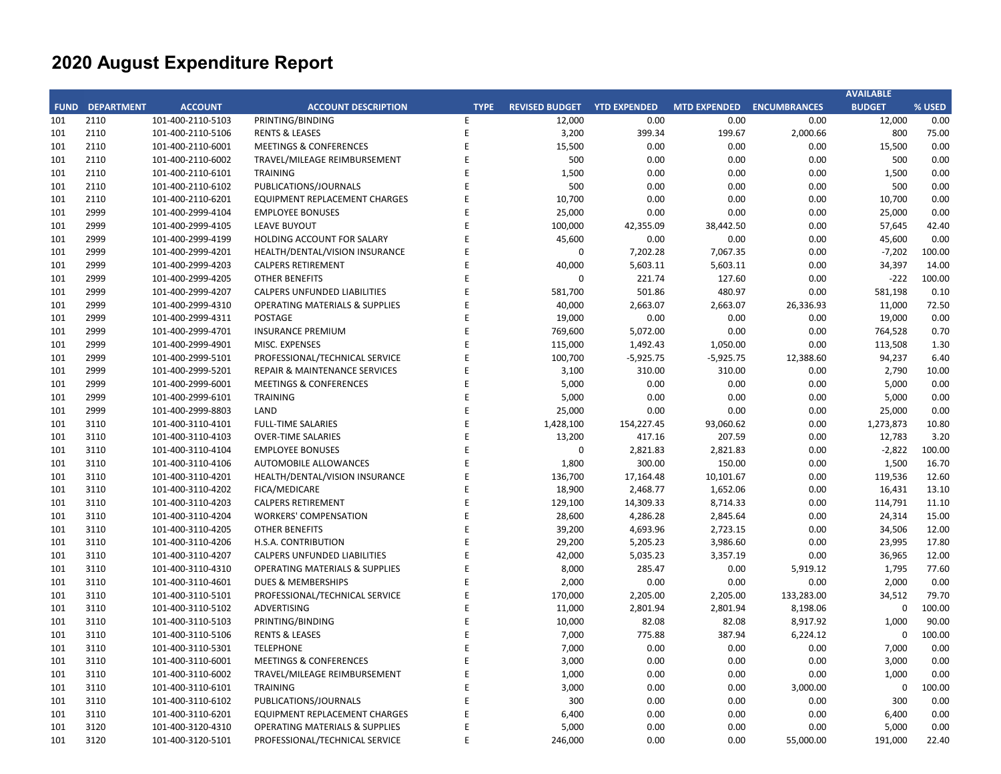| <b>FUND DEPARTMENT</b><br><b>ACCOUNT</b><br><b>ACCOUNT DESCRIPTION</b><br><b>REVISED BUDGET YTD EXPENDED</b><br>MTD EXPENDED ENCUMBRANCES<br><b>BUDGET</b><br>% USED<br><b>TYPE</b><br>2110<br>101-400-2110-5103<br>PRINTING/BINDING<br>E<br>12,000<br>0.00<br>0.00<br>0.00<br>12,000<br>0.00<br>101<br>2110<br>E<br>3,200<br>199.67<br>2,000.66<br>800<br>75.00<br>101<br>101-400-2110-5106<br><b>RENTS &amp; LEASES</b><br>399.34<br>101<br>2110<br>E<br>15,500<br>0.00<br>0.00<br>0.00<br>15,500<br>0.00<br>101-400-2110-6001<br><b>MEETINGS &amp; CONFERENCES</b><br>500<br>0.00<br>0.00<br>101<br>2110<br>101-400-2110-6002<br>E<br>0.00<br>0.00<br>500<br>TRAVEL/MILEAGE REIMBURSEMENT<br>2110<br>E<br>1,500<br>0.00<br>0.00<br>0.00<br>1,500<br>0.00<br>101<br>101-400-2110-6101<br><b>TRAINING</b><br>2110<br>PUBLICATIONS/JOURNALS<br>E<br>500<br>0.00<br>0.00<br>0.00<br>500<br>0.00<br>101<br>101-400-2110-6102<br>2110<br>E<br>10,700<br>0.00<br>0.00<br>0.00<br>10,700<br>0.00<br>101<br>101-400-2110-6201<br><b>EQUIPMENT REPLACEMENT CHARGES</b><br>2999<br>E<br>25,000<br>0.00<br>0.00<br>25,000<br>0.00<br>101<br>101-400-2999-4104<br><b>EMPLOYEE BONUSES</b><br>0.00<br>2999<br>101-400-2999-4105<br><b>LEAVE BUYOUT</b><br>F<br>100,000<br>42,355.09<br>38,442.50<br>0.00<br>57,645<br>42.40<br>101<br>0.00<br>101<br>2999<br>101-400-2999-4199<br>E<br>45,600<br>0.00<br>0.00<br>45,600<br>0.00<br>HOLDING ACCOUNT FOR SALARY<br>2999<br>101-400-2999-4201<br>HEALTH/DENTAL/VISION INSURANCE<br>E<br>$\Omega$<br>7,202.28<br>7,067.35<br>0.00<br>$-7,202$<br>100.00<br>101<br>2999<br>E<br>40,000<br>5,603.11<br>5,603.11<br>0.00<br>34,397<br>14.00<br>101<br>101-400-2999-4203<br><b>CALPERS RETIREMENT</b><br>2999<br>E<br>$\Omega$<br>221.74<br>127.60<br>0.00<br>$-222$<br>100.00<br>101<br>101-400-2999-4205<br><b>OTHER BENEFITS</b><br>2999<br>E<br>581,700<br>501.86<br>480.97<br>0.10<br>101<br>101-400-2999-4207<br><b>CALPERS UNFUNDED LIABILITIES</b><br>0.00<br>581,198<br>2999<br>E<br>11,000<br>72.50<br>101-400-2999-4310<br><b>OPERATING MATERIALS &amp; SUPPLIES</b><br>40,000<br>2,663.07<br>2,663.07<br>26,336.93<br>101<br>101<br>2999<br>101-400-2999-4311<br>E<br>19,000<br>0.00<br>0.00<br>0.00<br>19,000<br>0.00<br><b>POSTAGE</b><br>2999<br>101-400-2999-4701<br><b>INSURANCE PREMIUM</b><br>E<br>769,600<br>5,072.00<br>0.00<br>0.00<br>764,528<br>0.70<br>101<br>2999<br>MISC. EXPENSES<br>E<br>115,000<br>1,492.43<br>0.00<br>1.30<br>101<br>101-400-2999-4901<br>1,050.00<br>113,508<br>2999<br>E<br>100,700<br>$-5,925.75$<br>$-5,925.75$<br>12,388.60<br>94,237<br>6.40<br>101<br>101-400-2999-5101<br>PROFESSIONAL/TECHNICAL SERVICE<br>2999<br>E<br>3,100<br>310.00<br>310.00<br>0.00<br>2,790<br>10.00<br>101<br>101-400-2999-5201<br>REPAIR & MAINTENANCE SERVICES<br>2999<br>E<br>5,000<br>0.00<br>0.00<br>101<br>101-400-2999-6001<br><b>MEETINGS &amp; CONFERENCES</b><br>0.00<br>0.00<br>5,000<br>101<br>2999<br>101-400-2999-6101<br><b>TRAINING</b><br>E<br>5,000<br>0.00<br>0.00<br>0.00<br>5,000<br>0.00<br>2999<br>101-400-2999-8803<br>LAND<br>E<br>25,000<br>0.00<br>0.00<br>0.00<br>25,000<br>0.00<br>101<br>3110<br>E<br>1,428,100<br>154,227.45<br>0.00<br>1,273,873<br>10.80<br>101<br>101-400-3110-4101<br><b>FULL-TIME SALARIES</b><br>93,060.62<br>3110<br>E<br>13,200<br>417.16<br>207.59<br>0.00<br>12,783<br>3.20<br>101<br>101-400-3110-4103<br><b>OVER-TIME SALARIES</b><br>3110<br>E<br>0<br>2,821.83<br>2,821.83<br>$-2,822$<br>100.00<br>101<br>101-400-3110-4104<br><b>EMPLOYEE BONUSES</b><br>0.00<br>E<br>1,800<br>300.00<br>150.00<br>1,500<br>16.70<br>101<br>3110<br>101-400-3110-4106<br><b>AUTOMOBILE ALLOWANCES</b><br>0.00<br>101<br>3110<br>101-400-3110-4201<br>HEALTH/DENTAL/VISION INSURANCE<br>E<br>136,700<br>17,164.48<br>10,101.67<br>0.00<br>119,536<br>12.60<br>101<br>3110<br>E<br>18,900<br>2,468.77<br>1,652.06<br>0.00<br>16,431<br>13.10<br>101-400-3110-4202<br>FICA/MEDICARE<br>3110<br>E<br>129,100<br>14,309.33<br>0.00<br>114,791<br>11.10<br>101<br>101-400-3110-4203<br><b>CALPERS RETIREMENT</b><br>8,714.33<br>3110<br>E<br>28,600<br>4,286.28<br>0.00<br>15.00<br>101<br>101-400-3110-4204<br><b>WORKERS' COMPENSATION</b><br>2,845.64<br>24,314<br>3110<br>E<br>39,200<br>4,693.96<br>34,506<br>12.00<br>101<br>101-400-3110-4205<br><b>OTHER BENEFITS</b><br>2,723.15<br>0.00<br>29,200<br>5,205.23<br>23,995<br>17.80<br>101<br>3110<br>101-400-3110-4206<br>H.S.A. CONTRIBUTION<br>E<br>3,986.60<br>0.00<br>E<br>42,000<br>5,035.23<br>12.00<br>101<br>3110<br>101-400-3110-4207<br>3,357.19<br>0.00<br>36,965<br><b>CALPERS UNFUNDED LIABILITIES</b><br>101<br>3110<br>E<br>8,000<br>285.47<br>0.00<br>5,919.12<br>1,795<br>77.60<br>101-400-3110-4310<br><b>OPERATING MATERIALS &amp; SUPPLIES</b><br>3110<br>E<br>2,000<br>0.00<br>0.00<br>0.00<br>2,000<br>0.00<br>101<br>101-400-3110-4601<br><b>DUES &amp; MEMBERSHIPS</b><br>3110<br>PROFESSIONAL/TECHNICAL SERVICE<br>E<br>170,000<br>2,205.00<br>133,283.00<br>34,512<br>79.70<br>101<br>101-400-3110-5101<br>2,205.00<br>3110<br>E<br>11,000<br>2,801.94<br>8,198.06<br>$\mathbf 0$<br>100.00<br>101<br>101-400-3110-5102<br>ADVERTISING<br>2,801.94<br>E<br>10,000<br>82.08<br>8,917.92<br>90.00<br>101<br>3110<br>101-400-3110-5103<br>PRINTING/BINDING<br>82.08<br>1,000<br>E<br>7,000<br>775.88<br>387.94<br>6,224.12<br>100.00<br>101<br>3110<br>101-400-3110-5106<br><b>RENTS &amp; LEASES</b><br>0<br>101<br>3110<br><b>TELEPHONE</b><br>E<br>7,000<br>0.00<br>0.00<br>0.00<br>7,000<br>0.00<br>101-400-3110-5301<br>101<br>3110<br>E<br>3,000<br>0.00<br>0.00<br>0.00<br>3,000<br>0.00<br>101-400-3110-6001<br><b>MEETINGS &amp; CONFERENCES</b><br>3110<br>E<br>1,000<br>0.00<br>0.00<br>0.00<br>1,000<br>0.00<br>101<br>101-400-3110-6002<br>TRAVEL/MILEAGE REIMBURSEMENT<br>3110<br>E<br>3,000<br>0.00<br>0.00<br>3,000.00<br>$\mathbf 0$<br>100.00<br>101<br>101-400-3110-6101<br><b>TRAINING</b><br>3110<br>PUBLICATIONS/JOURNALS<br>300<br>0.00<br>0.00<br>0.00<br>300<br>0.00<br>101<br>101-400-3110-6102<br>E<br>E<br>0.00<br>0.00<br>0.00<br>101<br>3110<br>101-400-3110-6201<br><b>EQUIPMENT REPLACEMENT CHARGES</b><br>6,400<br>0.00<br>6,400<br>101<br>3120<br>E<br>5,000<br>0.00<br>0.00<br>0.00<br>5,000<br>0.00<br>101-400-3120-4310<br><b>OPERATING MATERIALS &amp; SUPPLIES</b><br>246,000<br>101<br>3120<br>101-400-3120-5101<br>PROFESSIONAL/TECHNICAL SERVICE<br>E<br>0.00<br>0.00<br>55,000.00<br>191,000<br>22.40 |  |  |  |  | <b>AVAILABLE</b> |  |
|---------------------------------------------------------------------------------------------------------------------------------------------------------------------------------------------------------------------------------------------------------------------------------------------------------------------------------------------------------------------------------------------------------------------------------------------------------------------------------------------------------------------------------------------------------------------------------------------------------------------------------------------------------------------------------------------------------------------------------------------------------------------------------------------------------------------------------------------------------------------------------------------------------------------------------------------------------------------------------------------------------------------------------------------------------------------------------------------------------------------------------------------------------------------------------------------------------------------------------------------------------------------------------------------------------------------------------------------------------------------------------------------------------------------------------------------------------------------------------------------------------------------------------------------------------------------------------------------------------------------------------------------------------------------------------------------------------------------------------------------------------------------------------------------------------------------------------------------------------------------------------------------------------------------------------------------------------------------------------------------------------------------------------------------------------------------------------------------------------------------------------------------------------------------------------------------------------------------------------------------------------------------------------------------------------------------------------------------------------------------------------------------------------------------------------------------------------------------------------------------------------------------------------------------------------------------------------------------------------------------------------------------------------------------------------------------------------------------------------------------------------------------------------------------------------------------------------------------------------------------------------------------------------------------------------------------------------------------------------------------------------------------------------------------------------------------------------------------------------------------------------------------------------------------------------------------------------------------------------------------------------------------------------------------------------------------------------------------------------------------------------------------------------------------------------------------------------------------------------------------------------------------------------------------------------------------------------------------------------------------------------------------------------------------------------------------------------------------------------------------------------------------------------------------------------------------------------------------------------------------------------------------------------------------------------------------------------------------------------------------------------------------------------------------------------------------------------------------------------------------------------------------------------------------------------------------------------------------------------------------------------------------------------------------------------------------------------------------------------------------------------------------------------------------------------------------------------------------------------------------------------------------------------------------------------------------------------------------------------------------------------------------------------------------------------------------------------------------------------------------------------------------------------------------------------------------------------------------------------------------------------------------------------------------------------------------------------------------------------------------------------------------------------------------------------------------------------------------------------------------------------------------------------------------------------------------------------------------------------------------------------------------------------------------------------------------------------------------------------------------------------------------------------------------------------------------------------------------------------------------------------------------------------------------------------------------------------------------------------------------------------------------------------------------------------------------------------------------------------------------------------------------------------------------------------------------------------------------------------------------------------------------------------------------------------------------------------------------------------------------------------------------------------------------------------------------------------------------------------------------------------------------------------------------------------------------------------------------------------------------------------------------------------------------------------------------------------------------------------------------------------------------------------------------------------------------------------------------------------------------------------------------------------------|--|--|--|--|------------------|--|
|                                                                                                                                                                                                                                                                                                                                                                                                                                                                                                                                                                                                                                                                                                                                                                                                                                                                                                                                                                                                                                                                                                                                                                                                                                                                                                                                                                                                                                                                                                                                                                                                                                                                                                                                                                                                                                                                                                                                                                                                                                                                                                                                                                                                                                                                                                                                                                                                                                                                                                                                                                                                                                                                                                                                                                                                                                                                                                                                                                                                                                                                                                                                                                                                                                                                                                                                                                                                                                                                                                                                                                                                                                                                                                                                                                                                                                                                                                                                                                                                                                                                                                                                                                                                                                                                                                                                                                                                                                                                                                                                                                                                                                                                                                                                                                                                                                                                                                                                                                                                                                                                                                                                                                                                                                                                                                                                                                                                                                                                                                                                                                                                                                                                                                                                                                                                                                                                                                                                                                                                                                                                                                                                                                                                                                                                                                                                                                                                                                                                                                                                       |  |  |  |  |                  |  |
|                                                                                                                                                                                                                                                                                                                                                                                                                                                                                                                                                                                                                                                                                                                                                                                                                                                                                                                                                                                                                                                                                                                                                                                                                                                                                                                                                                                                                                                                                                                                                                                                                                                                                                                                                                                                                                                                                                                                                                                                                                                                                                                                                                                                                                                                                                                                                                                                                                                                                                                                                                                                                                                                                                                                                                                                                                                                                                                                                                                                                                                                                                                                                                                                                                                                                                                                                                                                                                                                                                                                                                                                                                                                                                                                                                                                                                                                                                                                                                                                                                                                                                                                                                                                                                                                                                                                                                                                                                                                                                                                                                                                                                                                                                                                                                                                                                                                                                                                                                                                                                                                                                                                                                                                                                                                                                                                                                                                                                                                                                                                                                                                                                                                                                                                                                                                                                                                                                                                                                                                                                                                                                                                                                                                                                                                                                                                                                                                                                                                                                                                       |  |  |  |  |                  |  |
|                                                                                                                                                                                                                                                                                                                                                                                                                                                                                                                                                                                                                                                                                                                                                                                                                                                                                                                                                                                                                                                                                                                                                                                                                                                                                                                                                                                                                                                                                                                                                                                                                                                                                                                                                                                                                                                                                                                                                                                                                                                                                                                                                                                                                                                                                                                                                                                                                                                                                                                                                                                                                                                                                                                                                                                                                                                                                                                                                                                                                                                                                                                                                                                                                                                                                                                                                                                                                                                                                                                                                                                                                                                                                                                                                                                                                                                                                                                                                                                                                                                                                                                                                                                                                                                                                                                                                                                                                                                                                                                                                                                                                                                                                                                                                                                                                                                                                                                                                                                                                                                                                                                                                                                                                                                                                                                                                                                                                                                                                                                                                                                                                                                                                                                                                                                                                                                                                                                                                                                                                                                                                                                                                                                                                                                                                                                                                                                                                                                                                                                                       |  |  |  |  |                  |  |
|                                                                                                                                                                                                                                                                                                                                                                                                                                                                                                                                                                                                                                                                                                                                                                                                                                                                                                                                                                                                                                                                                                                                                                                                                                                                                                                                                                                                                                                                                                                                                                                                                                                                                                                                                                                                                                                                                                                                                                                                                                                                                                                                                                                                                                                                                                                                                                                                                                                                                                                                                                                                                                                                                                                                                                                                                                                                                                                                                                                                                                                                                                                                                                                                                                                                                                                                                                                                                                                                                                                                                                                                                                                                                                                                                                                                                                                                                                                                                                                                                                                                                                                                                                                                                                                                                                                                                                                                                                                                                                                                                                                                                                                                                                                                                                                                                                                                                                                                                                                                                                                                                                                                                                                                                                                                                                                                                                                                                                                                                                                                                                                                                                                                                                                                                                                                                                                                                                                                                                                                                                                                                                                                                                                                                                                                                                                                                                                                                                                                                                                                       |  |  |  |  |                  |  |
|                                                                                                                                                                                                                                                                                                                                                                                                                                                                                                                                                                                                                                                                                                                                                                                                                                                                                                                                                                                                                                                                                                                                                                                                                                                                                                                                                                                                                                                                                                                                                                                                                                                                                                                                                                                                                                                                                                                                                                                                                                                                                                                                                                                                                                                                                                                                                                                                                                                                                                                                                                                                                                                                                                                                                                                                                                                                                                                                                                                                                                                                                                                                                                                                                                                                                                                                                                                                                                                                                                                                                                                                                                                                                                                                                                                                                                                                                                                                                                                                                                                                                                                                                                                                                                                                                                                                                                                                                                                                                                                                                                                                                                                                                                                                                                                                                                                                                                                                                                                                                                                                                                                                                                                                                                                                                                                                                                                                                                                                                                                                                                                                                                                                                                                                                                                                                                                                                                                                                                                                                                                                                                                                                                                                                                                                                                                                                                                                                                                                                                                                       |  |  |  |  |                  |  |
|                                                                                                                                                                                                                                                                                                                                                                                                                                                                                                                                                                                                                                                                                                                                                                                                                                                                                                                                                                                                                                                                                                                                                                                                                                                                                                                                                                                                                                                                                                                                                                                                                                                                                                                                                                                                                                                                                                                                                                                                                                                                                                                                                                                                                                                                                                                                                                                                                                                                                                                                                                                                                                                                                                                                                                                                                                                                                                                                                                                                                                                                                                                                                                                                                                                                                                                                                                                                                                                                                                                                                                                                                                                                                                                                                                                                                                                                                                                                                                                                                                                                                                                                                                                                                                                                                                                                                                                                                                                                                                                                                                                                                                                                                                                                                                                                                                                                                                                                                                                                                                                                                                                                                                                                                                                                                                                                                                                                                                                                                                                                                                                                                                                                                                                                                                                                                                                                                                                                                                                                                                                                                                                                                                                                                                                                                                                                                                                                                                                                                                                                       |  |  |  |  |                  |  |
|                                                                                                                                                                                                                                                                                                                                                                                                                                                                                                                                                                                                                                                                                                                                                                                                                                                                                                                                                                                                                                                                                                                                                                                                                                                                                                                                                                                                                                                                                                                                                                                                                                                                                                                                                                                                                                                                                                                                                                                                                                                                                                                                                                                                                                                                                                                                                                                                                                                                                                                                                                                                                                                                                                                                                                                                                                                                                                                                                                                                                                                                                                                                                                                                                                                                                                                                                                                                                                                                                                                                                                                                                                                                                                                                                                                                                                                                                                                                                                                                                                                                                                                                                                                                                                                                                                                                                                                                                                                                                                                                                                                                                                                                                                                                                                                                                                                                                                                                                                                                                                                                                                                                                                                                                                                                                                                                                                                                                                                                                                                                                                                                                                                                                                                                                                                                                                                                                                                                                                                                                                                                                                                                                                                                                                                                                                                                                                                                                                                                                                                                       |  |  |  |  |                  |  |
|                                                                                                                                                                                                                                                                                                                                                                                                                                                                                                                                                                                                                                                                                                                                                                                                                                                                                                                                                                                                                                                                                                                                                                                                                                                                                                                                                                                                                                                                                                                                                                                                                                                                                                                                                                                                                                                                                                                                                                                                                                                                                                                                                                                                                                                                                                                                                                                                                                                                                                                                                                                                                                                                                                                                                                                                                                                                                                                                                                                                                                                                                                                                                                                                                                                                                                                                                                                                                                                                                                                                                                                                                                                                                                                                                                                                                                                                                                                                                                                                                                                                                                                                                                                                                                                                                                                                                                                                                                                                                                                                                                                                                                                                                                                                                                                                                                                                                                                                                                                                                                                                                                                                                                                                                                                                                                                                                                                                                                                                                                                                                                                                                                                                                                                                                                                                                                                                                                                                                                                                                                                                                                                                                                                                                                                                                                                                                                                                                                                                                                                                       |  |  |  |  |                  |  |
|                                                                                                                                                                                                                                                                                                                                                                                                                                                                                                                                                                                                                                                                                                                                                                                                                                                                                                                                                                                                                                                                                                                                                                                                                                                                                                                                                                                                                                                                                                                                                                                                                                                                                                                                                                                                                                                                                                                                                                                                                                                                                                                                                                                                                                                                                                                                                                                                                                                                                                                                                                                                                                                                                                                                                                                                                                                                                                                                                                                                                                                                                                                                                                                                                                                                                                                                                                                                                                                                                                                                                                                                                                                                                                                                                                                                                                                                                                                                                                                                                                                                                                                                                                                                                                                                                                                                                                                                                                                                                                                                                                                                                                                                                                                                                                                                                                                                                                                                                                                                                                                                                                                                                                                                                                                                                                                                                                                                                                                                                                                                                                                                                                                                                                                                                                                                                                                                                                                                                                                                                                                                                                                                                                                                                                                                                                                                                                                                                                                                                                                                       |  |  |  |  |                  |  |
|                                                                                                                                                                                                                                                                                                                                                                                                                                                                                                                                                                                                                                                                                                                                                                                                                                                                                                                                                                                                                                                                                                                                                                                                                                                                                                                                                                                                                                                                                                                                                                                                                                                                                                                                                                                                                                                                                                                                                                                                                                                                                                                                                                                                                                                                                                                                                                                                                                                                                                                                                                                                                                                                                                                                                                                                                                                                                                                                                                                                                                                                                                                                                                                                                                                                                                                                                                                                                                                                                                                                                                                                                                                                                                                                                                                                                                                                                                                                                                                                                                                                                                                                                                                                                                                                                                                                                                                                                                                                                                                                                                                                                                                                                                                                                                                                                                                                                                                                                                                                                                                                                                                                                                                                                                                                                                                                                                                                                                                                                                                                                                                                                                                                                                                                                                                                                                                                                                                                                                                                                                                                                                                                                                                                                                                                                                                                                                                                                                                                                                                                       |  |  |  |  |                  |  |
|                                                                                                                                                                                                                                                                                                                                                                                                                                                                                                                                                                                                                                                                                                                                                                                                                                                                                                                                                                                                                                                                                                                                                                                                                                                                                                                                                                                                                                                                                                                                                                                                                                                                                                                                                                                                                                                                                                                                                                                                                                                                                                                                                                                                                                                                                                                                                                                                                                                                                                                                                                                                                                                                                                                                                                                                                                                                                                                                                                                                                                                                                                                                                                                                                                                                                                                                                                                                                                                                                                                                                                                                                                                                                                                                                                                                                                                                                                                                                                                                                                                                                                                                                                                                                                                                                                                                                                                                                                                                                                                                                                                                                                                                                                                                                                                                                                                                                                                                                                                                                                                                                                                                                                                                                                                                                                                                                                                                                                                                                                                                                                                                                                                                                                                                                                                                                                                                                                                                                                                                                                                                                                                                                                                                                                                                                                                                                                                                                                                                                                                                       |  |  |  |  |                  |  |
|                                                                                                                                                                                                                                                                                                                                                                                                                                                                                                                                                                                                                                                                                                                                                                                                                                                                                                                                                                                                                                                                                                                                                                                                                                                                                                                                                                                                                                                                                                                                                                                                                                                                                                                                                                                                                                                                                                                                                                                                                                                                                                                                                                                                                                                                                                                                                                                                                                                                                                                                                                                                                                                                                                                                                                                                                                                                                                                                                                                                                                                                                                                                                                                                                                                                                                                                                                                                                                                                                                                                                                                                                                                                                                                                                                                                                                                                                                                                                                                                                                                                                                                                                                                                                                                                                                                                                                                                                                                                                                                                                                                                                                                                                                                                                                                                                                                                                                                                                                                                                                                                                                                                                                                                                                                                                                                                                                                                                                                                                                                                                                                                                                                                                                                                                                                                                                                                                                                                                                                                                                                                                                                                                                                                                                                                                                                                                                                                                                                                                                                                       |  |  |  |  |                  |  |
|                                                                                                                                                                                                                                                                                                                                                                                                                                                                                                                                                                                                                                                                                                                                                                                                                                                                                                                                                                                                                                                                                                                                                                                                                                                                                                                                                                                                                                                                                                                                                                                                                                                                                                                                                                                                                                                                                                                                                                                                                                                                                                                                                                                                                                                                                                                                                                                                                                                                                                                                                                                                                                                                                                                                                                                                                                                                                                                                                                                                                                                                                                                                                                                                                                                                                                                                                                                                                                                                                                                                                                                                                                                                                                                                                                                                                                                                                                                                                                                                                                                                                                                                                                                                                                                                                                                                                                                                                                                                                                                                                                                                                                                                                                                                                                                                                                                                                                                                                                                                                                                                                                                                                                                                                                                                                                                                                                                                                                                                                                                                                                                                                                                                                                                                                                                                                                                                                                                                                                                                                                                                                                                                                                                                                                                                                                                                                                                                                                                                                                                                       |  |  |  |  |                  |  |
|                                                                                                                                                                                                                                                                                                                                                                                                                                                                                                                                                                                                                                                                                                                                                                                                                                                                                                                                                                                                                                                                                                                                                                                                                                                                                                                                                                                                                                                                                                                                                                                                                                                                                                                                                                                                                                                                                                                                                                                                                                                                                                                                                                                                                                                                                                                                                                                                                                                                                                                                                                                                                                                                                                                                                                                                                                                                                                                                                                                                                                                                                                                                                                                                                                                                                                                                                                                                                                                                                                                                                                                                                                                                                                                                                                                                                                                                                                                                                                                                                                                                                                                                                                                                                                                                                                                                                                                                                                                                                                                                                                                                                                                                                                                                                                                                                                                                                                                                                                                                                                                                                                                                                                                                                                                                                                                                                                                                                                                                                                                                                                                                                                                                                                                                                                                                                                                                                                                                                                                                                                                                                                                                                                                                                                                                                                                                                                                                                                                                                                                                       |  |  |  |  |                  |  |
|                                                                                                                                                                                                                                                                                                                                                                                                                                                                                                                                                                                                                                                                                                                                                                                                                                                                                                                                                                                                                                                                                                                                                                                                                                                                                                                                                                                                                                                                                                                                                                                                                                                                                                                                                                                                                                                                                                                                                                                                                                                                                                                                                                                                                                                                                                                                                                                                                                                                                                                                                                                                                                                                                                                                                                                                                                                                                                                                                                                                                                                                                                                                                                                                                                                                                                                                                                                                                                                                                                                                                                                                                                                                                                                                                                                                                                                                                                                                                                                                                                                                                                                                                                                                                                                                                                                                                                                                                                                                                                                                                                                                                                                                                                                                                                                                                                                                                                                                                                                                                                                                                                                                                                                                                                                                                                                                                                                                                                                                                                                                                                                                                                                                                                                                                                                                                                                                                                                                                                                                                                                                                                                                                                                                                                                                                                                                                                                                                                                                                                                                       |  |  |  |  |                  |  |
|                                                                                                                                                                                                                                                                                                                                                                                                                                                                                                                                                                                                                                                                                                                                                                                                                                                                                                                                                                                                                                                                                                                                                                                                                                                                                                                                                                                                                                                                                                                                                                                                                                                                                                                                                                                                                                                                                                                                                                                                                                                                                                                                                                                                                                                                                                                                                                                                                                                                                                                                                                                                                                                                                                                                                                                                                                                                                                                                                                                                                                                                                                                                                                                                                                                                                                                                                                                                                                                                                                                                                                                                                                                                                                                                                                                                                                                                                                                                                                                                                                                                                                                                                                                                                                                                                                                                                                                                                                                                                                                                                                                                                                                                                                                                                                                                                                                                                                                                                                                                                                                                                                                                                                                                                                                                                                                                                                                                                                                                                                                                                                                                                                                                                                                                                                                                                                                                                                                                                                                                                                                                                                                                                                                                                                                                                                                                                                                                                                                                                                                                       |  |  |  |  |                  |  |
|                                                                                                                                                                                                                                                                                                                                                                                                                                                                                                                                                                                                                                                                                                                                                                                                                                                                                                                                                                                                                                                                                                                                                                                                                                                                                                                                                                                                                                                                                                                                                                                                                                                                                                                                                                                                                                                                                                                                                                                                                                                                                                                                                                                                                                                                                                                                                                                                                                                                                                                                                                                                                                                                                                                                                                                                                                                                                                                                                                                                                                                                                                                                                                                                                                                                                                                                                                                                                                                                                                                                                                                                                                                                                                                                                                                                                                                                                                                                                                                                                                                                                                                                                                                                                                                                                                                                                                                                                                                                                                                                                                                                                                                                                                                                                                                                                                                                                                                                                                                                                                                                                                                                                                                                                                                                                                                                                                                                                                                                                                                                                                                                                                                                                                                                                                                                                                                                                                                                                                                                                                                                                                                                                                                                                                                                                                                                                                                                                                                                                                                                       |  |  |  |  |                  |  |
|                                                                                                                                                                                                                                                                                                                                                                                                                                                                                                                                                                                                                                                                                                                                                                                                                                                                                                                                                                                                                                                                                                                                                                                                                                                                                                                                                                                                                                                                                                                                                                                                                                                                                                                                                                                                                                                                                                                                                                                                                                                                                                                                                                                                                                                                                                                                                                                                                                                                                                                                                                                                                                                                                                                                                                                                                                                                                                                                                                                                                                                                                                                                                                                                                                                                                                                                                                                                                                                                                                                                                                                                                                                                                                                                                                                                                                                                                                                                                                                                                                                                                                                                                                                                                                                                                                                                                                                                                                                                                                                                                                                                                                                                                                                                                                                                                                                                                                                                                                                                                                                                                                                                                                                                                                                                                                                                                                                                                                                                                                                                                                                                                                                                                                                                                                                                                                                                                                                                                                                                                                                                                                                                                                                                                                                                                                                                                                                                                                                                                                                                       |  |  |  |  |                  |  |
|                                                                                                                                                                                                                                                                                                                                                                                                                                                                                                                                                                                                                                                                                                                                                                                                                                                                                                                                                                                                                                                                                                                                                                                                                                                                                                                                                                                                                                                                                                                                                                                                                                                                                                                                                                                                                                                                                                                                                                                                                                                                                                                                                                                                                                                                                                                                                                                                                                                                                                                                                                                                                                                                                                                                                                                                                                                                                                                                                                                                                                                                                                                                                                                                                                                                                                                                                                                                                                                                                                                                                                                                                                                                                                                                                                                                                                                                                                                                                                                                                                                                                                                                                                                                                                                                                                                                                                                                                                                                                                                                                                                                                                                                                                                                                                                                                                                                                                                                                                                                                                                                                                                                                                                                                                                                                                                                                                                                                                                                                                                                                                                                                                                                                                                                                                                                                                                                                                                                                                                                                                                                                                                                                                                                                                                                                                                                                                                                                                                                                                                                       |  |  |  |  |                  |  |
|                                                                                                                                                                                                                                                                                                                                                                                                                                                                                                                                                                                                                                                                                                                                                                                                                                                                                                                                                                                                                                                                                                                                                                                                                                                                                                                                                                                                                                                                                                                                                                                                                                                                                                                                                                                                                                                                                                                                                                                                                                                                                                                                                                                                                                                                                                                                                                                                                                                                                                                                                                                                                                                                                                                                                                                                                                                                                                                                                                                                                                                                                                                                                                                                                                                                                                                                                                                                                                                                                                                                                                                                                                                                                                                                                                                                                                                                                                                                                                                                                                                                                                                                                                                                                                                                                                                                                                                                                                                                                                                                                                                                                                                                                                                                                                                                                                                                                                                                                                                                                                                                                                                                                                                                                                                                                                                                                                                                                                                                                                                                                                                                                                                                                                                                                                                                                                                                                                                                                                                                                                                                                                                                                                                                                                                                                                                                                                                                                                                                                                                                       |  |  |  |  |                  |  |
|                                                                                                                                                                                                                                                                                                                                                                                                                                                                                                                                                                                                                                                                                                                                                                                                                                                                                                                                                                                                                                                                                                                                                                                                                                                                                                                                                                                                                                                                                                                                                                                                                                                                                                                                                                                                                                                                                                                                                                                                                                                                                                                                                                                                                                                                                                                                                                                                                                                                                                                                                                                                                                                                                                                                                                                                                                                                                                                                                                                                                                                                                                                                                                                                                                                                                                                                                                                                                                                                                                                                                                                                                                                                                                                                                                                                                                                                                                                                                                                                                                                                                                                                                                                                                                                                                                                                                                                                                                                                                                                                                                                                                                                                                                                                                                                                                                                                                                                                                                                                                                                                                                                                                                                                                                                                                                                                                                                                                                                                                                                                                                                                                                                                                                                                                                                                                                                                                                                                                                                                                                                                                                                                                                                                                                                                                                                                                                                                                                                                                                                                       |  |  |  |  |                  |  |
|                                                                                                                                                                                                                                                                                                                                                                                                                                                                                                                                                                                                                                                                                                                                                                                                                                                                                                                                                                                                                                                                                                                                                                                                                                                                                                                                                                                                                                                                                                                                                                                                                                                                                                                                                                                                                                                                                                                                                                                                                                                                                                                                                                                                                                                                                                                                                                                                                                                                                                                                                                                                                                                                                                                                                                                                                                                                                                                                                                                                                                                                                                                                                                                                                                                                                                                                                                                                                                                                                                                                                                                                                                                                                                                                                                                                                                                                                                                                                                                                                                                                                                                                                                                                                                                                                                                                                                                                                                                                                                                                                                                                                                                                                                                                                                                                                                                                                                                                                                                                                                                                                                                                                                                                                                                                                                                                                                                                                                                                                                                                                                                                                                                                                                                                                                                                                                                                                                                                                                                                                                                                                                                                                                                                                                                                                                                                                                                                                                                                                                                                       |  |  |  |  |                  |  |
|                                                                                                                                                                                                                                                                                                                                                                                                                                                                                                                                                                                                                                                                                                                                                                                                                                                                                                                                                                                                                                                                                                                                                                                                                                                                                                                                                                                                                                                                                                                                                                                                                                                                                                                                                                                                                                                                                                                                                                                                                                                                                                                                                                                                                                                                                                                                                                                                                                                                                                                                                                                                                                                                                                                                                                                                                                                                                                                                                                                                                                                                                                                                                                                                                                                                                                                                                                                                                                                                                                                                                                                                                                                                                                                                                                                                                                                                                                                                                                                                                                                                                                                                                                                                                                                                                                                                                                                                                                                                                                                                                                                                                                                                                                                                                                                                                                                                                                                                                                                                                                                                                                                                                                                                                                                                                                                                                                                                                                                                                                                                                                                                                                                                                                                                                                                                                                                                                                                                                                                                                                                                                                                                                                                                                                                                                                                                                                                                                                                                                                                                       |  |  |  |  |                  |  |
|                                                                                                                                                                                                                                                                                                                                                                                                                                                                                                                                                                                                                                                                                                                                                                                                                                                                                                                                                                                                                                                                                                                                                                                                                                                                                                                                                                                                                                                                                                                                                                                                                                                                                                                                                                                                                                                                                                                                                                                                                                                                                                                                                                                                                                                                                                                                                                                                                                                                                                                                                                                                                                                                                                                                                                                                                                                                                                                                                                                                                                                                                                                                                                                                                                                                                                                                                                                                                                                                                                                                                                                                                                                                                                                                                                                                                                                                                                                                                                                                                                                                                                                                                                                                                                                                                                                                                                                                                                                                                                                                                                                                                                                                                                                                                                                                                                                                                                                                                                                                                                                                                                                                                                                                                                                                                                                                                                                                                                                                                                                                                                                                                                                                                                                                                                                                                                                                                                                                                                                                                                                                                                                                                                                                                                                                                                                                                                                                                                                                                                                                       |  |  |  |  |                  |  |
|                                                                                                                                                                                                                                                                                                                                                                                                                                                                                                                                                                                                                                                                                                                                                                                                                                                                                                                                                                                                                                                                                                                                                                                                                                                                                                                                                                                                                                                                                                                                                                                                                                                                                                                                                                                                                                                                                                                                                                                                                                                                                                                                                                                                                                                                                                                                                                                                                                                                                                                                                                                                                                                                                                                                                                                                                                                                                                                                                                                                                                                                                                                                                                                                                                                                                                                                                                                                                                                                                                                                                                                                                                                                                                                                                                                                                                                                                                                                                                                                                                                                                                                                                                                                                                                                                                                                                                                                                                                                                                                                                                                                                                                                                                                                                                                                                                                                                                                                                                                                                                                                                                                                                                                                                                                                                                                                                                                                                                                                                                                                                                                                                                                                                                                                                                                                                                                                                                                                                                                                                                                                                                                                                                                                                                                                                                                                                                                                                                                                                                                                       |  |  |  |  |                  |  |
|                                                                                                                                                                                                                                                                                                                                                                                                                                                                                                                                                                                                                                                                                                                                                                                                                                                                                                                                                                                                                                                                                                                                                                                                                                                                                                                                                                                                                                                                                                                                                                                                                                                                                                                                                                                                                                                                                                                                                                                                                                                                                                                                                                                                                                                                                                                                                                                                                                                                                                                                                                                                                                                                                                                                                                                                                                                                                                                                                                                                                                                                                                                                                                                                                                                                                                                                                                                                                                                                                                                                                                                                                                                                                                                                                                                                                                                                                                                                                                                                                                                                                                                                                                                                                                                                                                                                                                                                                                                                                                                                                                                                                                                                                                                                                                                                                                                                                                                                                                                                                                                                                                                                                                                                                                                                                                                                                                                                                                                                                                                                                                                                                                                                                                                                                                                                                                                                                                                                                                                                                                                                                                                                                                                                                                                                                                                                                                                                                                                                                                                                       |  |  |  |  |                  |  |
|                                                                                                                                                                                                                                                                                                                                                                                                                                                                                                                                                                                                                                                                                                                                                                                                                                                                                                                                                                                                                                                                                                                                                                                                                                                                                                                                                                                                                                                                                                                                                                                                                                                                                                                                                                                                                                                                                                                                                                                                                                                                                                                                                                                                                                                                                                                                                                                                                                                                                                                                                                                                                                                                                                                                                                                                                                                                                                                                                                                                                                                                                                                                                                                                                                                                                                                                                                                                                                                                                                                                                                                                                                                                                                                                                                                                                                                                                                                                                                                                                                                                                                                                                                                                                                                                                                                                                                                                                                                                                                                                                                                                                                                                                                                                                                                                                                                                                                                                                                                                                                                                                                                                                                                                                                                                                                                                                                                                                                                                                                                                                                                                                                                                                                                                                                                                                                                                                                                                                                                                                                                                                                                                                                                                                                                                                                                                                                                                                                                                                                                                       |  |  |  |  |                  |  |
|                                                                                                                                                                                                                                                                                                                                                                                                                                                                                                                                                                                                                                                                                                                                                                                                                                                                                                                                                                                                                                                                                                                                                                                                                                                                                                                                                                                                                                                                                                                                                                                                                                                                                                                                                                                                                                                                                                                                                                                                                                                                                                                                                                                                                                                                                                                                                                                                                                                                                                                                                                                                                                                                                                                                                                                                                                                                                                                                                                                                                                                                                                                                                                                                                                                                                                                                                                                                                                                                                                                                                                                                                                                                                                                                                                                                                                                                                                                                                                                                                                                                                                                                                                                                                                                                                                                                                                                                                                                                                                                                                                                                                                                                                                                                                                                                                                                                                                                                                                                                                                                                                                                                                                                                                                                                                                                                                                                                                                                                                                                                                                                                                                                                                                                                                                                                                                                                                                                                                                                                                                                                                                                                                                                                                                                                                                                                                                                                                                                                                                                                       |  |  |  |  |                  |  |
|                                                                                                                                                                                                                                                                                                                                                                                                                                                                                                                                                                                                                                                                                                                                                                                                                                                                                                                                                                                                                                                                                                                                                                                                                                                                                                                                                                                                                                                                                                                                                                                                                                                                                                                                                                                                                                                                                                                                                                                                                                                                                                                                                                                                                                                                                                                                                                                                                                                                                                                                                                                                                                                                                                                                                                                                                                                                                                                                                                                                                                                                                                                                                                                                                                                                                                                                                                                                                                                                                                                                                                                                                                                                                                                                                                                                                                                                                                                                                                                                                                                                                                                                                                                                                                                                                                                                                                                                                                                                                                                                                                                                                                                                                                                                                                                                                                                                                                                                                                                                                                                                                                                                                                                                                                                                                                                                                                                                                                                                                                                                                                                                                                                                                                                                                                                                                                                                                                                                                                                                                                                                                                                                                                                                                                                                                                                                                                                                                                                                                                                                       |  |  |  |  |                  |  |
|                                                                                                                                                                                                                                                                                                                                                                                                                                                                                                                                                                                                                                                                                                                                                                                                                                                                                                                                                                                                                                                                                                                                                                                                                                                                                                                                                                                                                                                                                                                                                                                                                                                                                                                                                                                                                                                                                                                                                                                                                                                                                                                                                                                                                                                                                                                                                                                                                                                                                                                                                                                                                                                                                                                                                                                                                                                                                                                                                                                                                                                                                                                                                                                                                                                                                                                                                                                                                                                                                                                                                                                                                                                                                                                                                                                                                                                                                                                                                                                                                                                                                                                                                                                                                                                                                                                                                                                                                                                                                                                                                                                                                                                                                                                                                                                                                                                                                                                                                                                                                                                                                                                                                                                                                                                                                                                                                                                                                                                                                                                                                                                                                                                                                                                                                                                                                                                                                                                                                                                                                                                                                                                                                                                                                                                                                                                                                                                                                                                                                                                                       |  |  |  |  |                  |  |
|                                                                                                                                                                                                                                                                                                                                                                                                                                                                                                                                                                                                                                                                                                                                                                                                                                                                                                                                                                                                                                                                                                                                                                                                                                                                                                                                                                                                                                                                                                                                                                                                                                                                                                                                                                                                                                                                                                                                                                                                                                                                                                                                                                                                                                                                                                                                                                                                                                                                                                                                                                                                                                                                                                                                                                                                                                                                                                                                                                                                                                                                                                                                                                                                                                                                                                                                                                                                                                                                                                                                                                                                                                                                                                                                                                                                                                                                                                                                                                                                                                                                                                                                                                                                                                                                                                                                                                                                                                                                                                                                                                                                                                                                                                                                                                                                                                                                                                                                                                                                                                                                                                                                                                                                                                                                                                                                                                                                                                                                                                                                                                                                                                                                                                                                                                                                                                                                                                                                                                                                                                                                                                                                                                                                                                                                                                                                                                                                                                                                                                                                       |  |  |  |  |                  |  |
|                                                                                                                                                                                                                                                                                                                                                                                                                                                                                                                                                                                                                                                                                                                                                                                                                                                                                                                                                                                                                                                                                                                                                                                                                                                                                                                                                                                                                                                                                                                                                                                                                                                                                                                                                                                                                                                                                                                                                                                                                                                                                                                                                                                                                                                                                                                                                                                                                                                                                                                                                                                                                                                                                                                                                                                                                                                                                                                                                                                                                                                                                                                                                                                                                                                                                                                                                                                                                                                                                                                                                                                                                                                                                                                                                                                                                                                                                                                                                                                                                                                                                                                                                                                                                                                                                                                                                                                                                                                                                                                                                                                                                                                                                                                                                                                                                                                                                                                                                                                                                                                                                                                                                                                                                                                                                                                                                                                                                                                                                                                                                                                                                                                                                                                                                                                                                                                                                                                                                                                                                                                                                                                                                                                                                                                                                                                                                                                                                                                                                                                                       |  |  |  |  |                  |  |
|                                                                                                                                                                                                                                                                                                                                                                                                                                                                                                                                                                                                                                                                                                                                                                                                                                                                                                                                                                                                                                                                                                                                                                                                                                                                                                                                                                                                                                                                                                                                                                                                                                                                                                                                                                                                                                                                                                                                                                                                                                                                                                                                                                                                                                                                                                                                                                                                                                                                                                                                                                                                                                                                                                                                                                                                                                                                                                                                                                                                                                                                                                                                                                                                                                                                                                                                                                                                                                                                                                                                                                                                                                                                                                                                                                                                                                                                                                                                                                                                                                                                                                                                                                                                                                                                                                                                                                                                                                                                                                                                                                                                                                                                                                                                                                                                                                                                                                                                                                                                                                                                                                                                                                                                                                                                                                                                                                                                                                                                                                                                                                                                                                                                                                                                                                                                                                                                                                                                                                                                                                                                                                                                                                                                                                                                                                                                                                                                                                                                                                                                       |  |  |  |  |                  |  |
|                                                                                                                                                                                                                                                                                                                                                                                                                                                                                                                                                                                                                                                                                                                                                                                                                                                                                                                                                                                                                                                                                                                                                                                                                                                                                                                                                                                                                                                                                                                                                                                                                                                                                                                                                                                                                                                                                                                                                                                                                                                                                                                                                                                                                                                                                                                                                                                                                                                                                                                                                                                                                                                                                                                                                                                                                                                                                                                                                                                                                                                                                                                                                                                                                                                                                                                                                                                                                                                                                                                                                                                                                                                                                                                                                                                                                                                                                                                                                                                                                                                                                                                                                                                                                                                                                                                                                                                                                                                                                                                                                                                                                                                                                                                                                                                                                                                                                                                                                                                                                                                                                                                                                                                                                                                                                                                                                                                                                                                                                                                                                                                                                                                                                                                                                                                                                                                                                                                                                                                                                                                                                                                                                                                                                                                                                                                                                                                                                                                                                                                                       |  |  |  |  |                  |  |
|                                                                                                                                                                                                                                                                                                                                                                                                                                                                                                                                                                                                                                                                                                                                                                                                                                                                                                                                                                                                                                                                                                                                                                                                                                                                                                                                                                                                                                                                                                                                                                                                                                                                                                                                                                                                                                                                                                                                                                                                                                                                                                                                                                                                                                                                                                                                                                                                                                                                                                                                                                                                                                                                                                                                                                                                                                                                                                                                                                                                                                                                                                                                                                                                                                                                                                                                                                                                                                                                                                                                                                                                                                                                                                                                                                                                                                                                                                                                                                                                                                                                                                                                                                                                                                                                                                                                                                                                                                                                                                                                                                                                                                                                                                                                                                                                                                                                                                                                                                                                                                                                                                                                                                                                                                                                                                                                                                                                                                                                                                                                                                                                                                                                                                                                                                                                                                                                                                                                                                                                                                                                                                                                                                                                                                                                                                                                                                                                                                                                                                                                       |  |  |  |  |                  |  |
|                                                                                                                                                                                                                                                                                                                                                                                                                                                                                                                                                                                                                                                                                                                                                                                                                                                                                                                                                                                                                                                                                                                                                                                                                                                                                                                                                                                                                                                                                                                                                                                                                                                                                                                                                                                                                                                                                                                                                                                                                                                                                                                                                                                                                                                                                                                                                                                                                                                                                                                                                                                                                                                                                                                                                                                                                                                                                                                                                                                                                                                                                                                                                                                                                                                                                                                                                                                                                                                                                                                                                                                                                                                                                                                                                                                                                                                                                                                                                                                                                                                                                                                                                                                                                                                                                                                                                                                                                                                                                                                                                                                                                                                                                                                                                                                                                                                                                                                                                                                                                                                                                                                                                                                                                                                                                                                                                                                                                                                                                                                                                                                                                                                                                                                                                                                                                                                                                                                                                                                                                                                                                                                                                                                                                                                                                                                                                                                                                                                                                                                                       |  |  |  |  |                  |  |
|                                                                                                                                                                                                                                                                                                                                                                                                                                                                                                                                                                                                                                                                                                                                                                                                                                                                                                                                                                                                                                                                                                                                                                                                                                                                                                                                                                                                                                                                                                                                                                                                                                                                                                                                                                                                                                                                                                                                                                                                                                                                                                                                                                                                                                                                                                                                                                                                                                                                                                                                                                                                                                                                                                                                                                                                                                                                                                                                                                                                                                                                                                                                                                                                                                                                                                                                                                                                                                                                                                                                                                                                                                                                                                                                                                                                                                                                                                                                                                                                                                                                                                                                                                                                                                                                                                                                                                                                                                                                                                                                                                                                                                                                                                                                                                                                                                                                                                                                                                                                                                                                                                                                                                                                                                                                                                                                                                                                                                                                                                                                                                                                                                                                                                                                                                                                                                                                                                                                                                                                                                                                                                                                                                                                                                                                                                                                                                                                                                                                                                                                       |  |  |  |  |                  |  |
|                                                                                                                                                                                                                                                                                                                                                                                                                                                                                                                                                                                                                                                                                                                                                                                                                                                                                                                                                                                                                                                                                                                                                                                                                                                                                                                                                                                                                                                                                                                                                                                                                                                                                                                                                                                                                                                                                                                                                                                                                                                                                                                                                                                                                                                                                                                                                                                                                                                                                                                                                                                                                                                                                                                                                                                                                                                                                                                                                                                                                                                                                                                                                                                                                                                                                                                                                                                                                                                                                                                                                                                                                                                                                                                                                                                                                                                                                                                                                                                                                                                                                                                                                                                                                                                                                                                                                                                                                                                                                                                                                                                                                                                                                                                                                                                                                                                                                                                                                                                                                                                                                                                                                                                                                                                                                                                                                                                                                                                                                                                                                                                                                                                                                                                                                                                                                                                                                                                                                                                                                                                                                                                                                                                                                                                                                                                                                                                                                                                                                                                                       |  |  |  |  |                  |  |
|                                                                                                                                                                                                                                                                                                                                                                                                                                                                                                                                                                                                                                                                                                                                                                                                                                                                                                                                                                                                                                                                                                                                                                                                                                                                                                                                                                                                                                                                                                                                                                                                                                                                                                                                                                                                                                                                                                                                                                                                                                                                                                                                                                                                                                                                                                                                                                                                                                                                                                                                                                                                                                                                                                                                                                                                                                                                                                                                                                                                                                                                                                                                                                                                                                                                                                                                                                                                                                                                                                                                                                                                                                                                                                                                                                                                                                                                                                                                                                                                                                                                                                                                                                                                                                                                                                                                                                                                                                                                                                                                                                                                                                                                                                                                                                                                                                                                                                                                                                                                                                                                                                                                                                                                                                                                                                                                                                                                                                                                                                                                                                                                                                                                                                                                                                                                                                                                                                                                                                                                                                                                                                                                                                                                                                                                                                                                                                                                                                                                                                                                       |  |  |  |  |                  |  |
|                                                                                                                                                                                                                                                                                                                                                                                                                                                                                                                                                                                                                                                                                                                                                                                                                                                                                                                                                                                                                                                                                                                                                                                                                                                                                                                                                                                                                                                                                                                                                                                                                                                                                                                                                                                                                                                                                                                                                                                                                                                                                                                                                                                                                                                                                                                                                                                                                                                                                                                                                                                                                                                                                                                                                                                                                                                                                                                                                                                                                                                                                                                                                                                                                                                                                                                                                                                                                                                                                                                                                                                                                                                                                                                                                                                                                                                                                                                                                                                                                                                                                                                                                                                                                                                                                                                                                                                                                                                                                                                                                                                                                                                                                                                                                                                                                                                                                                                                                                                                                                                                                                                                                                                                                                                                                                                                                                                                                                                                                                                                                                                                                                                                                                                                                                                                                                                                                                                                                                                                                                                                                                                                                                                                                                                                                                                                                                                                                                                                                                                                       |  |  |  |  |                  |  |
|                                                                                                                                                                                                                                                                                                                                                                                                                                                                                                                                                                                                                                                                                                                                                                                                                                                                                                                                                                                                                                                                                                                                                                                                                                                                                                                                                                                                                                                                                                                                                                                                                                                                                                                                                                                                                                                                                                                                                                                                                                                                                                                                                                                                                                                                                                                                                                                                                                                                                                                                                                                                                                                                                                                                                                                                                                                                                                                                                                                                                                                                                                                                                                                                                                                                                                                                                                                                                                                                                                                                                                                                                                                                                                                                                                                                                                                                                                                                                                                                                                                                                                                                                                                                                                                                                                                                                                                                                                                                                                                                                                                                                                                                                                                                                                                                                                                                                                                                                                                                                                                                                                                                                                                                                                                                                                                                                                                                                                                                                                                                                                                                                                                                                                                                                                                                                                                                                                                                                                                                                                                                                                                                                                                                                                                                                                                                                                                                                                                                                                                                       |  |  |  |  |                  |  |
|                                                                                                                                                                                                                                                                                                                                                                                                                                                                                                                                                                                                                                                                                                                                                                                                                                                                                                                                                                                                                                                                                                                                                                                                                                                                                                                                                                                                                                                                                                                                                                                                                                                                                                                                                                                                                                                                                                                                                                                                                                                                                                                                                                                                                                                                                                                                                                                                                                                                                                                                                                                                                                                                                                                                                                                                                                                                                                                                                                                                                                                                                                                                                                                                                                                                                                                                                                                                                                                                                                                                                                                                                                                                                                                                                                                                                                                                                                                                                                                                                                                                                                                                                                                                                                                                                                                                                                                                                                                                                                                                                                                                                                                                                                                                                                                                                                                                                                                                                                                                                                                                                                                                                                                                                                                                                                                                                                                                                                                                                                                                                                                                                                                                                                                                                                                                                                                                                                                                                                                                                                                                                                                                                                                                                                                                                                                                                                                                                                                                                                                                       |  |  |  |  |                  |  |
|                                                                                                                                                                                                                                                                                                                                                                                                                                                                                                                                                                                                                                                                                                                                                                                                                                                                                                                                                                                                                                                                                                                                                                                                                                                                                                                                                                                                                                                                                                                                                                                                                                                                                                                                                                                                                                                                                                                                                                                                                                                                                                                                                                                                                                                                                                                                                                                                                                                                                                                                                                                                                                                                                                                                                                                                                                                                                                                                                                                                                                                                                                                                                                                                                                                                                                                                                                                                                                                                                                                                                                                                                                                                                                                                                                                                                                                                                                                                                                                                                                                                                                                                                                                                                                                                                                                                                                                                                                                                                                                                                                                                                                                                                                                                                                                                                                                                                                                                                                                                                                                                                                                                                                                                                                                                                                                                                                                                                                                                                                                                                                                                                                                                                                                                                                                                                                                                                                                                                                                                                                                                                                                                                                                                                                                                                                                                                                                                                                                                                                                                       |  |  |  |  |                  |  |
|                                                                                                                                                                                                                                                                                                                                                                                                                                                                                                                                                                                                                                                                                                                                                                                                                                                                                                                                                                                                                                                                                                                                                                                                                                                                                                                                                                                                                                                                                                                                                                                                                                                                                                                                                                                                                                                                                                                                                                                                                                                                                                                                                                                                                                                                                                                                                                                                                                                                                                                                                                                                                                                                                                                                                                                                                                                                                                                                                                                                                                                                                                                                                                                                                                                                                                                                                                                                                                                                                                                                                                                                                                                                                                                                                                                                                                                                                                                                                                                                                                                                                                                                                                                                                                                                                                                                                                                                                                                                                                                                                                                                                                                                                                                                                                                                                                                                                                                                                                                                                                                                                                                                                                                                                                                                                                                                                                                                                                                                                                                                                                                                                                                                                                                                                                                                                                                                                                                                                                                                                                                                                                                                                                                                                                                                                                                                                                                                                                                                                                                                       |  |  |  |  |                  |  |
|                                                                                                                                                                                                                                                                                                                                                                                                                                                                                                                                                                                                                                                                                                                                                                                                                                                                                                                                                                                                                                                                                                                                                                                                                                                                                                                                                                                                                                                                                                                                                                                                                                                                                                                                                                                                                                                                                                                                                                                                                                                                                                                                                                                                                                                                                                                                                                                                                                                                                                                                                                                                                                                                                                                                                                                                                                                                                                                                                                                                                                                                                                                                                                                                                                                                                                                                                                                                                                                                                                                                                                                                                                                                                                                                                                                                                                                                                                                                                                                                                                                                                                                                                                                                                                                                                                                                                                                                                                                                                                                                                                                                                                                                                                                                                                                                                                                                                                                                                                                                                                                                                                                                                                                                                                                                                                                                                                                                                                                                                                                                                                                                                                                                                                                                                                                                                                                                                                                                                                                                                                                                                                                                                                                                                                                                                                                                                                                                                                                                                                                                       |  |  |  |  |                  |  |
|                                                                                                                                                                                                                                                                                                                                                                                                                                                                                                                                                                                                                                                                                                                                                                                                                                                                                                                                                                                                                                                                                                                                                                                                                                                                                                                                                                                                                                                                                                                                                                                                                                                                                                                                                                                                                                                                                                                                                                                                                                                                                                                                                                                                                                                                                                                                                                                                                                                                                                                                                                                                                                                                                                                                                                                                                                                                                                                                                                                                                                                                                                                                                                                                                                                                                                                                                                                                                                                                                                                                                                                                                                                                                                                                                                                                                                                                                                                                                                                                                                                                                                                                                                                                                                                                                                                                                                                                                                                                                                                                                                                                                                                                                                                                                                                                                                                                                                                                                                                                                                                                                                                                                                                                                                                                                                                                                                                                                                                                                                                                                                                                                                                                                                                                                                                                                                                                                                                                                                                                                                                                                                                                                                                                                                                                                                                                                                                                                                                                                                                                       |  |  |  |  |                  |  |
|                                                                                                                                                                                                                                                                                                                                                                                                                                                                                                                                                                                                                                                                                                                                                                                                                                                                                                                                                                                                                                                                                                                                                                                                                                                                                                                                                                                                                                                                                                                                                                                                                                                                                                                                                                                                                                                                                                                                                                                                                                                                                                                                                                                                                                                                                                                                                                                                                                                                                                                                                                                                                                                                                                                                                                                                                                                                                                                                                                                                                                                                                                                                                                                                                                                                                                                                                                                                                                                                                                                                                                                                                                                                                                                                                                                                                                                                                                                                                                                                                                                                                                                                                                                                                                                                                                                                                                                                                                                                                                                                                                                                                                                                                                                                                                                                                                                                                                                                                                                                                                                                                                                                                                                                                                                                                                                                                                                                                                                                                                                                                                                                                                                                                                                                                                                                                                                                                                                                                                                                                                                                                                                                                                                                                                                                                                                                                                                                                                                                                                                                       |  |  |  |  |                  |  |
|                                                                                                                                                                                                                                                                                                                                                                                                                                                                                                                                                                                                                                                                                                                                                                                                                                                                                                                                                                                                                                                                                                                                                                                                                                                                                                                                                                                                                                                                                                                                                                                                                                                                                                                                                                                                                                                                                                                                                                                                                                                                                                                                                                                                                                                                                                                                                                                                                                                                                                                                                                                                                                                                                                                                                                                                                                                                                                                                                                                                                                                                                                                                                                                                                                                                                                                                                                                                                                                                                                                                                                                                                                                                                                                                                                                                                                                                                                                                                                                                                                                                                                                                                                                                                                                                                                                                                                                                                                                                                                                                                                                                                                                                                                                                                                                                                                                                                                                                                                                                                                                                                                                                                                                                                                                                                                                                                                                                                                                                                                                                                                                                                                                                                                                                                                                                                                                                                                                                                                                                                                                                                                                                                                                                                                                                                                                                                                                                                                                                                                                                       |  |  |  |  |                  |  |
|                                                                                                                                                                                                                                                                                                                                                                                                                                                                                                                                                                                                                                                                                                                                                                                                                                                                                                                                                                                                                                                                                                                                                                                                                                                                                                                                                                                                                                                                                                                                                                                                                                                                                                                                                                                                                                                                                                                                                                                                                                                                                                                                                                                                                                                                                                                                                                                                                                                                                                                                                                                                                                                                                                                                                                                                                                                                                                                                                                                                                                                                                                                                                                                                                                                                                                                                                                                                                                                                                                                                                                                                                                                                                                                                                                                                                                                                                                                                                                                                                                                                                                                                                                                                                                                                                                                                                                                                                                                                                                                                                                                                                                                                                                                                                                                                                                                                                                                                                                                                                                                                                                                                                                                                                                                                                                                                                                                                                                                                                                                                                                                                                                                                                                                                                                                                                                                                                                                                                                                                                                                                                                                                                                                                                                                                                                                                                                                                                                                                                                                                       |  |  |  |  |                  |  |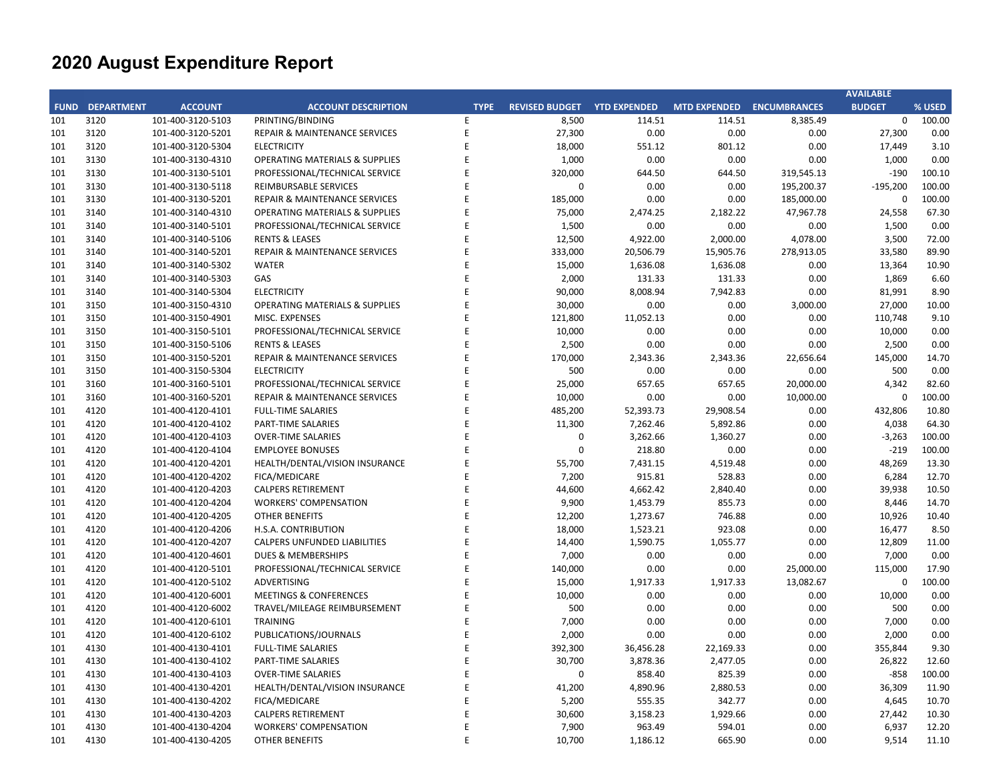|     |                        |                   |                                           |             |                             |           |                           |            | <b>AVAILABLE</b> |        |
|-----|------------------------|-------------------|-------------------------------------------|-------------|-----------------------------|-----------|---------------------------|------------|------------------|--------|
|     | <b>FUND DEPARTMENT</b> | <b>ACCOUNT</b>    | <b>ACCOUNT DESCRIPTION</b>                | <b>TYPE</b> | REVISED BUDGET YTD EXPENDED |           | MTD EXPENDED ENCUMBRANCES |            | <b>BUDGET</b>    | % USED |
| 101 | 3120                   | 101-400-3120-5103 | PRINTING/BINDING                          | E           | 8,500                       | 114.51    | 114.51                    | 8,385.49   | $\mathbf 0$      | 100.00 |
| 101 | 3120                   | 101-400-3120-5201 | REPAIR & MAINTENANCE SERVICES             | $\mathsf E$ | 27,300                      | 0.00      | 0.00                      | $0.00\,$   | 27,300           | 0.00   |
| 101 | 3120                   | 101-400-3120-5304 | <b>ELECTRICITY</b>                        | E           | 18,000                      | 551.12    | 801.12                    | 0.00       | 17,449           | 3.10   |
| 101 | 3130                   | 101-400-3130-4310 | <b>OPERATING MATERIALS &amp; SUPPLIES</b> | E           | 1,000                       | 0.00      | 0.00                      | 0.00       | 1,000            | 0.00   |
| 101 | 3130                   | 101-400-3130-5101 | PROFESSIONAL/TECHNICAL SERVICE            | E           | 320,000                     | 644.50    | 644.50                    | 319,545.13 | $-190$           | 100.10 |
| 101 | 3130                   | 101-400-3130-5118 | REIMBURSABLE SERVICES                     | E           | $\pmb{0}$                   | 0.00      | 0.00                      | 195,200.37 | $-195,200$       | 100.00 |
| 101 | 3130                   | 101-400-3130-5201 | REPAIR & MAINTENANCE SERVICES             | E           | 185,000                     | 0.00      | 0.00                      | 185,000.00 | $\mathbf 0$      | 100.00 |
| 101 | 3140                   | 101-400-3140-4310 | <b>OPERATING MATERIALS &amp; SUPPLIES</b> | E           | 75,000                      | 2,474.25  | 2,182.22                  | 47,967.78  | 24,558           | 67.30  |
| 101 | 3140                   | 101-400-3140-5101 | PROFESSIONAL/TECHNICAL SERVICE            | F           | 1,500                       | 0.00      | 0.00                      | 0.00       | 1,500            | 0.00   |
| 101 | 3140                   | 101-400-3140-5106 | <b>RENTS &amp; LEASES</b>                 | E           | 12,500                      | 4,922.00  | 2,000.00                  | 4,078.00   | 3,500            | 72.00  |
| 101 | 3140                   | 101-400-3140-5201 | <b>REPAIR &amp; MAINTENANCE SERVICES</b>  | E           | 333,000                     | 20,506.79 | 15,905.76                 | 278,913.05 | 33,580           | 89.90  |
| 101 | 3140                   | 101-400-3140-5302 | <b>WATER</b>                              | E           | 15,000                      | 1,636.08  | 1,636.08                  | 0.00       | 13,364           | 10.90  |
| 101 | 3140                   | 101-400-3140-5303 | GAS                                       | E           | 2,000                       | 131.33    | 131.33                    | 0.00       | 1,869            | 6.60   |
| 101 | 3140                   | 101-400-3140-5304 | <b>ELECTRICITY</b>                        | E           | 90,000                      | 8,008.94  | 7,942.83                  | 0.00       | 81,991           | 8.90   |
| 101 | 3150                   | 101-400-3150-4310 | <b>OPERATING MATERIALS &amp; SUPPLIES</b> | F           | 30,000                      | 0.00      | 0.00                      | 3,000.00   | 27,000           | 10.00  |
| 101 | 3150                   | 101-400-3150-4901 | MISC. EXPENSES                            | E           | 121,800                     | 11,052.13 | 0.00                      | 0.00       | 110,748          | 9.10   |
| 101 | 3150                   | 101-400-3150-5101 | PROFESSIONAL/TECHNICAL SERVICE            | E           | 10,000                      | 0.00      | 0.00                      | 0.00       | 10,000           | 0.00   |
| 101 | 3150                   | 101-400-3150-5106 | <b>RENTS &amp; LEASES</b>                 | E           | 2,500                       | 0.00      | 0.00                      | 0.00       | 2,500            | 0.00   |
| 101 | 3150                   | 101-400-3150-5201 | <b>REPAIR &amp; MAINTENANCE SERVICES</b>  | E           | 170,000                     | 2,343.36  | 2,343.36                  | 22,656.64  | 145,000          | 14.70  |
| 101 | 3150                   | 101-400-3150-5304 | <b>ELECTRICITY</b>                        | E           | 500                         | 0.00      | 0.00                      | 0.00       | 500              | 0.00   |
| 101 | 3160                   | 101-400-3160-5101 | PROFESSIONAL/TECHNICAL SERVICE            | E           | 25,000                      | 657.65    | 657.65                    | 20,000.00  | 4,342            | 82.60  |
| 101 | 3160                   | 101-400-3160-5201 | REPAIR & MAINTENANCE SERVICES             | E           | 10,000                      | 0.00      | 0.00                      | 10,000.00  | $\mathbf 0$      | 100.00 |
| 101 | 4120                   | 101-400-4120-4101 | <b>FULL-TIME SALARIES</b>                 | E           | 485,200                     | 52,393.73 | 29,908.54                 | 0.00       | 432,806          | 10.80  |
| 101 | 4120                   | 101-400-4120-4102 | <b>PART-TIME SALARIES</b>                 | E           | 11,300                      | 7,262.46  | 5,892.86                  | 0.00       | 4,038            | 64.30  |
| 101 | 4120                   | 101-400-4120-4103 | <b>OVER-TIME SALARIES</b>                 | E           | $\pmb{0}$                   | 3,262.66  | 1,360.27                  | 0.00       | $-3,263$         | 100.00 |
| 101 | 4120                   | 101-400-4120-4104 | <b>EMPLOYEE BONUSES</b>                   | E           | $\mathbf 0$                 | 218.80    | 0.00                      | 0.00       | $-219$           | 100.00 |
| 101 | 4120                   | 101-400-4120-4201 | HEALTH/DENTAL/VISION INSURANCE            | E           | 55,700                      | 7,431.15  | 4,519.48                  | 0.00       | 48,269           | 13.30  |
| 101 | 4120                   | 101-400-4120-4202 | FICA/MEDICARE                             | E           | 7,200                       | 915.81    | 528.83                    | 0.00       | 6,284            | 12.70  |
| 101 | 4120                   | 101-400-4120-4203 | <b>CALPERS RETIREMENT</b>                 | E           | 44,600                      | 4,662.42  | 2,840.40                  | 0.00       | 39,938           | 10.50  |
| 101 | 4120                   | 101-400-4120-4204 | <b>WORKERS' COMPENSATION</b>              | E           | 9,900                       | 1,453.79  | 855.73                    | 0.00       | 8,446            | 14.70  |
| 101 | 4120                   | 101-400-4120-4205 | <b>OTHER BENEFITS</b>                     | E           | 12,200                      | 1,273.67  | 746.88                    | 0.00       | 10,926           | 10.40  |
| 101 | 4120                   | 101-400-4120-4206 | H.S.A. CONTRIBUTION                       | E           | 18,000                      | 1,523.21  | 923.08                    | 0.00       | 16,477           | 8.50   |
| 101 | 4120                   | 101-400-4120-4207 | CALPERS UNFUNDED LIABILITIES              | E           | 14,400                      | 1,590.75  | 1,055.77                  | 0.00       | 12,809           | 11.00  |
| 101 | 4120                   | 101-400-4120-4601 | <b>DUES &amp; MEMBERSHIPS</b>             | E           | 7,000                       | 0.00      | 0.00                      | 0.00       | 7,000            | 0.00   |
| 101 | 4120                   | 101-400-4120-5101 | PROFESSIONAL/TECHNICAL SERVICE            | E           | 140,000                     | 0.00      | 0.00                      | 25,000.00  | 115,000          | 17.90  |
| 101 | 4120                   | 101-400-4120-5102 | <b>ADVERTISING</b>                        | E           | 15,000                      | 1,917.33  | 1,917.33                  | 13,082.67  | $\mathbf 0$      | 100.00 |
| 101 | 4120                   | 101-400-4120-6001 | <b>MEETINGS &amp; CONFERENCES</b>         | E           | 10,000                      | 0.00      | 0.00                      | 0.00       | 10,000           | 0.00   |
| 101 | 4120                   | 101-400-4120-6002 | TRAVEL/MILEAGE REIMBURSEMENT              | E           | 500                         | 0.00      | 0.00                      | 0.00       | 500              | 0.00   |
| 101 | 4120                   | 101-400-4120-6101 | <b>TRAINING</b>                           | E           | 7,000                       | 0.00      | 0.00                      | 0.00       | 7,000            | 0.00   |
| 101 | 4120                   | 101-400-4120-6102 | PUBLICATIONS/JOURNALS                     | E           | 2,000                       | 0.00      | 0.00                      | 0.00       | 2,000            | 0.00   |
| 101 | 4130                   | 101-400-4130-4101 | <b>FULL-TIME SALARIES</b>                 | E           | 392,300                     | 36,456.28 | 22,169.33                 | 0.00       | 355,844          | 9.30   |
| 101 | 4130                   | 101-400-4130-4102 | PART-TIME SALARIES                        | E           | 30,700                      | 3,878.36  | 2,477.05                  | 0.00       | 26,822           | 12.60  |
| 101 | 4130                   | 101-400-4130-4103 | <b>OVER-TIME SALARIES</b>                 | E           | $\pmb{0}$                   | 858.40    | 825.39                    | 0.00       | $-858$           | 100.00 |
| 101 | 4130                   | 101-400-4130-4201 | HEALTH/DENTAL/VISION INSURANCE            | E           | 41,200                      | 4,890.96  | 2,880.53                  | 0.00       | 36,309           | 11.90  |
| 101 | 4130                   | 101-400-4130-4202 | <b>FICA/MEDICARE</b>                      | E           | 5,200                       | 555.35    | 342.77                    | 0.00       | 4,645            | 10.70  |
| 101 | 4130                   | 101-400-4130-4203 | <b>CALPERS RETIREMENT</b>                 | E           | 30,600                      | 3,158.23  | 1,929.66                  | 0.00       | 27,442           | 10.30  |
| 101 | 4130                   | 101-400-4130-4204 | <b>WORKERS' COMPENSATION</b>              | E           | 7,900                       | 963.49    | 594.01                    | 0.00       | 6,937            | 12.20  |
| 101 | 4130                   | 101-400-4130-4205 | OTHER BENEFITS                            | E           | 10,700                      | 1,186.12  | 665.90                    | 0.00       | 9,514            | 11.10  |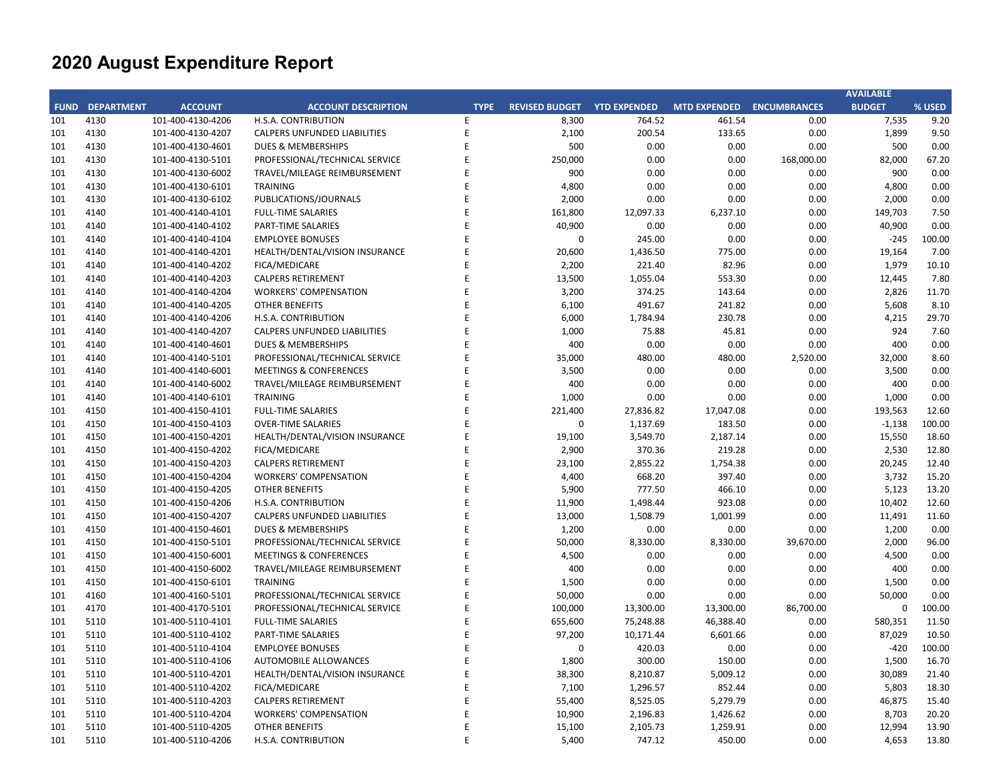|     |                        |                   |                                     |             |                       |                     |                           |            | <b>AVAILABLE</b> |        |
|-----|------------------------|-------------------|-------------------------------------|-------------|-----------------------|---------------------|---------------------------|------------|------------------|--------|
|     | <b>FUND DEPARTMENT</b> | <b>ACCOUNT</b>    | <b>ACCOUNT DESCRIPTION</b>          | <b>TYPE</b> | <b>REVISED BUDGET</b> | <b>YTD EXPENDED</b> | MTD EXPENDED ENCUMBRANCES |            | <b>BUDGET</b>    | % USED |
| 101 | 4130                   | 101-400-4130-4206 | H.S.A. CONTRIBUTION                 | E           | 8,300                 | 764.52              | 461.54                    | 0.00       | 7,535            | 9.20   |
| 101 | 4130                   | 101-400-4130-4207 | CALPERS UNFUNDED LIABILITIES        | E           | 2,100                 | 200.54              | 133.65                    | 0.00       | 1,899            | 9.50   |
| 101 | 4130                   | 101-400-4130-4601 | DUES & MEMBERSHIPS                  | E           | 500                   | 0.00                | 0.00                      | 0.00       | 500              | 0.00   |
| 101 | 4130                   | 101-400-4130-5101 | PROFESSIONAL/TECHNICAL SERVICE      | E           | 250,000               | 0.00                | 0.00                      | 168,000.00 | 82,000           | 67.20  |
| 101 | 4130                   | 101-400-4130-6002 | TRAVEL/MILEAGE REIMBURSEMENT        | E           | 900                   | 0.00                | 0.00                      | 0.00       | 900              | 0.00   |
| 101 | 4130                   | 101-400-4130-6101 | <b>TRAINING</b>                     | E           | 4,800                 | 0.00                | 0.00                      | 0.00       | 4,800            | 0.00   |
| 101 | 4130                   | 101-400-4130-6102 | PUBLICATIONS/JOURNALS               | E           | 2,000                 | 0.00                | 0.00                      | 0.00       | 2,000            | 0.00   |
| 101 | 4140                   | 101-400-4140-4101 | <b>FULL-TIME SALARIES</b>           | E           | 161,800               | 12,097.33           | 6,237.10                  | 0.00       | 149,703          | 7.50   |
| 101 | 4140                   | 101-400-4140-4102 | PART-TIME SALARIES                  | E           | 40,900                | 0.00                | 0.00                      | 0.00       | 40,900           | 0.00   |
| 101 | 4140                   | 101-400-4140-4104 | <b>EMPLOYEE BONUSES</b>             | E           | 0                     | 245.00              | 0.00                      | 0.00       | $-245$           | 100.00 |
| 101 | 4140                   | 101-400-4140-4201 | HEALTH/DENTAL/VISION INSURANCE      | E           | 20,600                | 1,436.50            | 775.00                    | 0.00       | 19,164           | 7.00   |
| 101 | 4140                   | 101-400-4140-4202 | FICA/MEDICARE                       | E           | 2,200                 | 221.40              | 82.96                     | 0.00       | 1,979            | 10.10  |
| 101 | 4140                   | 101-400-4140-4203 | <b>CALPERS RETIREMENT</b>           | E           | 13,500                | 1,055.04            | 553.30                    | 0.00       | 12,445           | 7.80   |
| 101 | 4140                   | 101-400-4140-4204 | <b>WORKERS' COMPENSATION</b>        | E           | 3,200                 | 374.25              | 143.64                    | 0.00       | 2,826            | 11.70  |
| 101 | 4140                   | 101-400-4140-4205 | <b>OTHER BENEFITS</b>               | E           | 6,100                 | 491.67              | 241.82                    | 0.00       | 5,608            | 8.10   |
| 101 | 4140                   | 101-400-4140-4206 | H.S.A. CONTRIBUTION                 | E           | 6,000                 | 1,784.94            | 230.78                    | 0.00       | 4,215            | 29.70  |
| 101 | 4140                   | 101-400-4140-4207 | <b>CALPERS UNFUNDED LIABILITIES</b> | E           | 1,000                 | 75.88               | 45.81                     | 0.00       | 924              | 7.60   |
| 101 | 4140                   | 101-400-4140-4601 | <b>DUES &amp; MEMBERSHIPS</b>       | E           | 400                   | 0.00                | 0.00                      | 0.00       | 400              | 0.00   |
| 101 | 4140                   | 101-400-4140-5101 | PROFESSIONAL/TECHNICAL SERVICE      | E           | 35,000                | 480.00              | 480.00                    | 2,520.00   | 32,000           | 8.60   |
| 101 | 4140                   | 101-400-4140-6001 | <b>MEETINGS &amp; CONFERENCES</b>   | E           | 3,500                 | 0.00                | 0.00                      | 0.00       | 3,500            | 0.00   |
| 101 | 4140                   | 101-400-4140-6002 | TRAVEL/MILEAGE REIMBURSEMENT        | E           | 400                   | 0.00                | 0.00                      | 0.00       | 400              | 0.00   |
| 101 | 4140                   | 101-400-4140-6101 | <b>TRAINING</b>                     | E           | 1,000                 | 0.00                | 0.00                      | 0.00       | 1,000            | 0.00   |
| 101 | 4150                   | 101-400-4150-4101 | <b>FULL-TIME SALARIES</b>           | E           | 221,400               | 27,836.82           | 17,047.08                 | 0.00       | 193,563          | 12.60  |
| 101 | 4150                   | 101-400-4150-4103 | <b>OVER-TIME SALARIES</b>           | E           | $\pmb{0}$             | 1,137.69            | 183.50                    | 0.00       | $-1,138$         | 100.00 |
| 101 | 4150                   | 101-400-4150-4201 | HEALTH/DENTAL/VISION INSURANCE      | E           | 19,100                | 3,549.70            | 2,187.14                  | 0.00       | 15,550           | 18.60  |
| 101 | 4150                   | 101-400-4150-4202 | FICA/MEDICARE                       | E           | 2,900                 | 370.36              | 219.28                    | 0.00       | 2,530            | 12.80  |
| 101 | 4150                   | 101-400-4150-4203 | <b>CALPERS RETIREMENT</b>           | E           | 23,100                | 2,855.22            | 1,754.38                  | 0.00       | 20,245           | 12.40  |
| 101 | 4150                   | 101-400-4150-4204 | <b>WORKERS' COMPENSATION</b>        | E           | 4,400                 | 668.20              | 397.40                    | 0.00       | 3,732            | 15.20  |
| 101 | 4150                   | 101-400-4150-4205 | <b>OTHER BENEFITS</b>               | E           | 5,900                 | 777.50              | 466.10                    | 0.00       | 5,123            | 13.20  |
| 101 | 4150                   | 101-400-4150-4206 | H.S.A. CONTRIBUTION                 | E           | 11,900                | 1,498.44            | 923.08                    | 0.00       | 10,402           | 12.60  |
| 101 | 4150                   | 101-400-4150-4207 | <b>CALPERS UNFUNDED LIABILITIES</b> | E           | 13,000                | 1,508.79            | 1,001.99                  | 0.00       | 11,491           | 11.60  |
| 101 | 4150                   | 101-400-4150-4601 | <b>DUES &amp; MEMBERSHIPS</b>       | E           | 1,200                 | 0.00                | 0.00                      | 0.00       | 1,200            | 0.00   |
| 101 | 4150                   | 101-400-4150-5101 | PROFESSIONAL/TECHNICAL SERVICE      | E           | 50,000                | 8,330.00            | 8,330.00                  | 39,670.00  | 2,000            | 96.00  |
| 101 | 4150                   | 101-400-4150-6001 | <b>MEETINGS &amp; CONFERENCES</b>   | E           | 4,500                 | 0.00                | 0.00                      | 0.00       | 4,500            | 0.00   |
| 101 | 4150                   | 101-400-4150-6002 | TRAVEL/MILEAGE REIMBURSEMENT        | E           | 400                   | 0.00                | 0.00                      | 0.00       | 400              | 0.00   |
| 101 | 4150                   | 101-400-4150-6101 | <b>TRAINING</b>                     | E           | 1,500                 | 0.00                | 0.00                      | 0.00       | 1,500            | 0.00   |
| 101 | 4160                   | 101-400-4160-5101 | PROFESSIONAL/TECHNICAL SERVICE      | E           | 50,000                | 0.00                | 0.00                      | 0.00       | 50,000           | 0.00   |
| 101 | 4170                   | 101-400-4170-5101 | PROFESSIONAL/TECHNICAL SERVICE      | E           | 100,000               | 13,300.00           | 13,300.00                 | 86,700.00  | $\mathbf 0$      | 100.00 |
| 101 | 5110                   | 101-400-5110-4101 | <b>FULL-TIME SALARIES</b>           | E           | 655,600               | 75,248.88           | 46,388.40                 | 0.00       | 580,351          | 11.50  |
| 101 | 5110                   | 101-400-5110-4102 | <b>PART-TIME SALARIES</b>           | E           | 97,200                | 10,171.44           | 6,601.66                  | 0.00       | 87,029           | 10.50  |
| 101 | 5110                   | 101-400-5110-4104 | <b>EMPLOYEE BONUSES</b>             | E           | $\Omega$              | 420.03              | 0.00                      | 0.00       | $-420$           | 100.00 |
| 101 | 5110                   | 101-400-5110-4106 | <b>AUTOMOBILE ALLOWANCES</b>        | E           | 1,800                 | 300.00              | 150.00                    | 0.00       | 1,500            | 16.70  |
| 101 | 5110                   | 101-400-5110-4201 | HEALTH/DENTAL/VISION INSURANCE      | E           | 38,300                | 8,210.87            | 5,009.12                  | 0.00       | 30,089           | 21.40  |
| 101 | 5110                   | 101-400-5110-4202 | <b>FICA/MEDICARE</b>                | E           | 7,100                 | 1,296.57            | 852.44                    | 0.00       | 5,803            | 18.30  |
| 101 | 5110                   | 101-400-5110-4203 | <b>CALPERS RETIREMENT</b>           | E           | 55,400                | 8,525.05            | 5,279.79                  | 0.00       | 46,875           | 15.40  |
| 101 | 5110                   | 101-400-5110-4204 | <b>WORKERS' COMPENSATION</b>        | E           | 10,900                | 2,196.83            | 1,426.62                  | 0.00       | 8,703            | 20.20  |
| 101 | 5110                   | 101-400-5110-4205 | <b>OTHER BENEFITS</b>               | E           | 15,100                | 2,105.73            | 1,259.91                  | 0.00       | 12,994           | 13.90  |
| 101 | 5110                   | 101-400-5110-4206 | H.S.A. CONTRIBUTION                 | E           | 5,400                 | 747.12              | 450.00                    | 0.00       | 4,653            | 13.80  |
|     |                        |                   |                                     |             |                       |                     |                           |            |                  |        |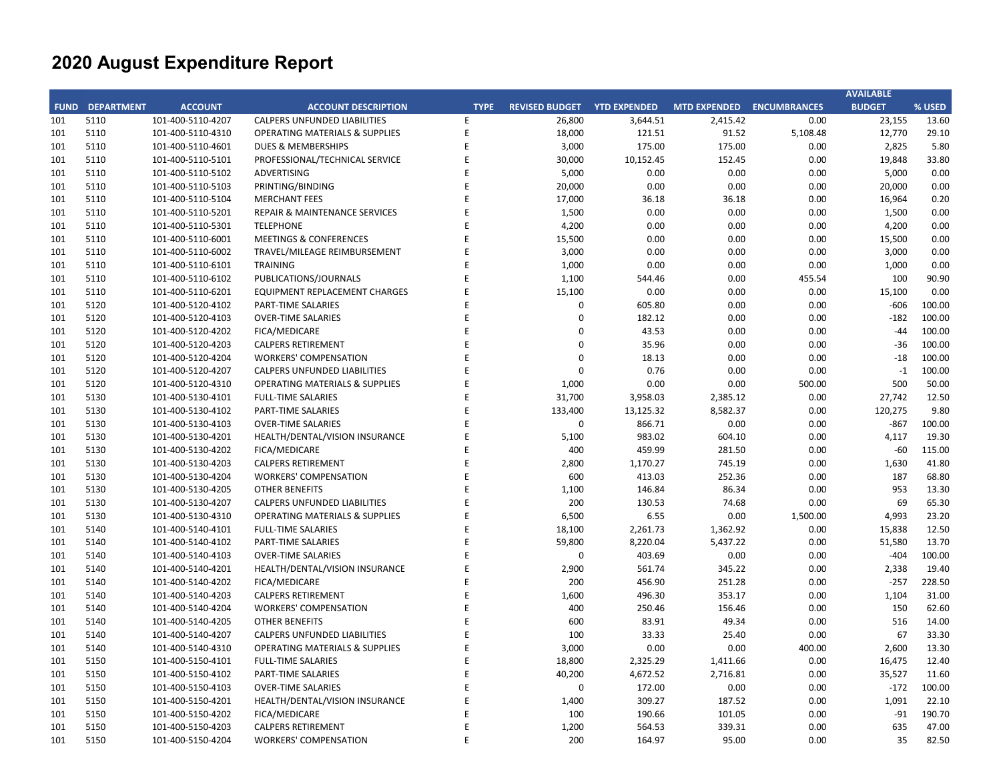|     |                        |                   |                                           |             |                       |                     |                           |          | <b>AVAILABLE</b> |        |
|-----|------------------------|-------------------|-------------------------------------------|-------------|-----------------------|---------------------|---------------------------|----------|------------------|--------|
|     | <b>FUND DEPARTMENT</b> | <b>ACCOUNT</b>    | <b>ACCOUNT DESCRIPTION</b>                | <b>TYPE</b> | <b>REVISED BUDGET</b> | <b>YTD EXPENDED</b> | MTD EXPENDED ENCUMBRANCES |          | <b>BUDGET</b>    | % USED |
| 101 | 5110                   | 101-400-5110-4207 | <b>CALPERS UNFUNDED LIABILITIES</b>       | E           | 26,800                | 3,644.51            | 2,415.42                  | 0.00     | 23,155           | 13.60  |
| 101 | 5110                   | 101-400-5110-4310 | <b>OPERATING MATERIALS &amp; SUPPLIES</b> | E           | 18,000                | 121.51              | 91.52                     | 5,108.48 | 12,770           | 29.10  |
| 101 | 5110                   | 101-400-5110-4601 | DUES & MEMBERSHIPS                        | E           | 3,000                 | 175.00              | 175.00                    | 0.00     | 2,825            | 5.80   |
| 101 | 5110                   | 101-400-5110-5101 | PROFESSIONAL/TECHNICAL SERVICE            | E           | 30,000                | 10,152.45           | 152.45                    | 0.00     | 19,848           | 33.80  |
| 101 | 5110                   | 101-400-5110-5102 | ADVERTISING                               | E           | 5,000                 | 0.00                | 0.00                      | 0.00     | 5,000            | 0.00   |
| 101 | 5110                   | 101-400-5110-5103 | PRINTING/BINDING                          | E           | 20,000                | 0.00                | 0.00                      | 0.00     | 20,000           | 0.00   |
| 101 | 5110                   | 101-400-5110-5104 | <b>MERCHANT FEES</b>                      | E           | 17,000                | 36.18               | 36.18                     | 0.00     | 16,964           | 0.20   |
| 101 | 5110                   | 101-400-5110-5201 | REPAIR & MAINTENANCE SERVICES             | E           | 1,500                 | 0.00                | 0.00                      | 0.00     | 1,500            | 0.00   |
| 101 | 5110                   | 101-400-5110-5301 | <b>TELEPHONE</b>                          | E           | 4,200                 | 0.00                | 0.00                      | 0.00     | 4,200            | 0.00   |
| 101 | 5110                   | 101-400-5110-6001 | <b>MEETINGS &amp; CONFERENCES</b>         | E           | 15,500                | 0.00                | 0.00                      | 0.00     | 15,500           | 0.00   |
| 101 | 5110                   | 101-400-5110-6002 | TRAVEL/MILEAGE REIMBURSEMENT              | E           | 3,000                 | 0.00                | 0.00                      | 0.00     | 3,000            | 0.00   |
| 101 | 5110                   | 101-400-5110-6101 | <b>TRAINING</b>                           | E           | 1,000                 | 0.00                | 0.00                      | 0.00     | 1,000            | 0.00   |
| 101 | 5110                   | 101-400-5110-6102 | PUBLICATIONS/JOURNALS                     | E           | 1,100                 | 544.46              | 0.00                      | 455.54   | 100              | 90.90  |
| 101 | 5110                   | 101-400-5110-6201 | <b>EQUIPMENT REPLACEMENT CHARGES</b>      | E           | 15,100                | 0.00                | 0.00                      | 0.00     | 15,100           | 0.00   |
| 101 | 5120                   | 101-400-5120-4102 | <b>PART-TIME SALARIES</b>                 | E           | 0                     | 605.80              | 0.00                      | 0.00     | $-606$           | 100.00 |
| 101 | 5120                   | 101-400-5120-4103 | <b>OVER-TIME SALARIES</b>                 | E           | 0                     | 182.12              | 0.00                      | 0.00     | $-182$           | 100.00 |
| 101 | 5120                   | 101-400-5120-4202 | FICA/MEDICARE                             | E           | 0                     | 43.53               | 0.00                      | 0.00     | $-44$            | 100.00 |
| 101 | 5120                   | 101-400-5120-4203 | <b>CALPERS RETIREMENT</b>                 | E           | 0                     | 35.96               | 0.00                      | 0.00     | $-36$            | 100.00 |
| 101 | 5120                   | 101-400-5120-4204 | <b>WORKERS' COMPENSATION</b>              | E           | 0                     | 18.13               | 0.00                      | 0.00     | $-18$            | 100.00 |
| 101 | 5120                   | 101-400-5120-4207 | <b>CALPERS UNFUNDED LIABILITIES</b>       | E           | $\mathbf 0$           | 0.76                | 0.00                      | 0.00     | $-1$             | 100.00 |
| 101 | 5120                   | 101-400-5120-4310 | <b>OPERATING MATERIALS &amp; SUPPLIES</b> | E           | 1,000                 | 0.00                | 0.00                      | 500.00   | 500              | 50.00  |
| 101 | 5130                   | 101-400-5130-4101 | <b>FULL-TIME SALARIES</b>                 | E           | 31,700                | 3,958.03            | 2,385.12                  | 0.00     | 27,742           | 12.50  |
| 101 | 5130                   | 101-400-5130-4102 | PART-TIME SALARIES                        | E           | 133,400               | 13,125.32           | 8,582.37                  | 0.00     | 120,275          | 9.80   |
| 101 | 5130                   | 101-400-5130-4103 | <b>OVER-TIME SALARIES</b>                 | E           | $\mathbf 0$           | 866.71              | 0.00                      | 0.00     | $-867$           | 100.00 |
| 101 | 5130                   | 101-400-5130-4201 | HEALTH/DENTAL/VISION INSURANCE            | E           | 5,100                 | 983.02              | 604.10                    | 0.00     | 4,117            | 19.30  |
| 101 | 5130                   | 101-400-5130-4202 | <b>FICA/MEDICARE</b>                      | E           | 400                   | 459.99              | 281.50                    | 0.00     | $-60$            | 115.00 |
| 101 | 5130                   | 101-400-5130-4203 | <b>CALPERS RETIREMENT</b>                 | E           | 2,800                 | 1,170.27            | 745.19                    | 0.00     | 1,630            | 41.80  |
| 101 | 5130                   | 101-400-5130-4204 | <b>WORKERS' COMPENSATION</b>              | E           | 600                   | 413.03              | 252.36                    | 0.00     | 187              | 68.80  |
| 101 | 5130                   | 101-400-5130-4205 | <b>OTHER BENEFITS</b>                     | E           | 1,100                 | 146.84              | 86.34                     | 0.00     | 953              | 13.30  |
| 101 | 5130                   | 101-400-5130-4207 | <b>CALPERS UNFUNDED LIABILITIES</b>       | E           | 200                   | 130.53              | 74.68                     | 0.00     | 69               | 65.30  |
| 101 | 5130                   | 101-400-5130-4310 | <b>OPERATING MATERIALS &amp; SUPPLIES</b> | E           | 6,500                 | 6.55                | 0.00                      | 1,500.00 | 4,993            | 23.20  |
| 101 | 5140                   | 101-400-5140-4101 | <b>FULL-TIME SALARIES</b>                 | E           | 18,100                | 2,261.73            | 1,362.92                  | 0.00     | 15,838           | 12.50  |
| 101 | 5140                   | 101-400-5140-4102 | PART-TIME SALARIES                        | E           | 59,800                | 8,220.04            | 5,437.22                  | 0.00     | 51,580           | 13.70  |
| 101 | 5140                   | 101-400-5140-4103 | <b>OVER-TIME SALARIES</b>                 | E           | $\mathbf 0$           | 403.69              | 0.00                      | 0.00     | $-404$           | 100.00 |
| 101 | 5140                   | 101-400-5140-4201 | HEALTH/DENTAL/VISION INSURANCE            | E           | 2,900                 | 561.74              | 345.22                    | 0.00     | 2,338            | 19.40  |
| 101 | 5140                   | 101-400-5140-4202 | <b>FICA/MEDICARE</b>                      | E           | 200                   | 456.90              | 251.28                    | 0.00     | $-257$           | 228.50 |
| 101 | 5140                   | 101-400-5140-4203 | <b>CALPERS RETIREMENT</b>                 | E           | 1,600                 | 496.30              | 353.17                    | 0.00     | 1,104            | 31.00  |
| 101 | 5140                   | 101-400-5140-4204 | <b>WORKERS' COMPENSATION</b>              | E           | 400                   | 250.46              | 156.46                    | 0.00     | 150              | 62.60  |
| 101 | 5140                   | 101-400-5140-4205 | <b>OTHER BENEFITS</b>                     | E           | 600                   | 83.91               | 49.34                     | 0.00     | 516              | 14.00  |
| 101 | 5140                   | 101-400-5140-4207 | <b>CALPERS UNFUNDED LIABILITIES</b>       | E           | 100                   | 33.33               | 25.40                     | 0.00     | 67               | 33.30  |
| 101 | 5140                   | 101-400-5140-4310 | <b>OPERATING MATERIALS &amp; SUPPLIES</b> | E           | 3,000                 | 0.00                | 0.00                      | 400.00   | 2,600            | 13.30  |
| 101 | 5150                   | 101-400-5150-4101 | <b>FULL-TIME SALARIES</b>                 | E           | 18,800                | 2,325.29            | 1,411.66                  | 0.00     | 16,475           | 12.40  |
| 101 | 5150                   | 101-400-5150-4102 | PART-TIME SALARIES                        | E           | 40,200                | 4,672.52            | 2,716.81                  | 0.00     | 35,527           | 11.60  |
| 101 | 5150                   | 101-400-5150-4103 | <b>OVER-TIME SALARIES</b>                 | E           | 0                     | 172.00              | 0.00                      | 0.00     | $-172$           | 100.00 |
| 101 | 5150                   | 101-400-5150-4201 | HEALTH/DENTAL/VISION INSURANCE            | E           | 1,400                 | 309.27              | 187.52                    | 0.00     | 1,091            | 22.10  |
| 101 | 5150                   | 101-400-5150-4202 | FICA/MEDICARE                             | E           | 100                   | 190.66              | 101.05                    | 0.00     | $-91$            | 190.70 |
| 101 | 5150                   | 101-400-5150-4203 | <b>CALPERS RETIREMENT</b>                 | E           | 1,200                 | 564.53              | 339.31                    | 0.00     | 635              | 47.00  |
| 101 | 5150                   | 101-400-5150-4204 | <b>WORKERS' COMPENSATION</b>              | E           | 200                   | 164.97              | 95.00                     | 0.00     | 35               | 82.50  |
|     |                        |                   |                                           |             |                       |                     |                           |          |                  |        |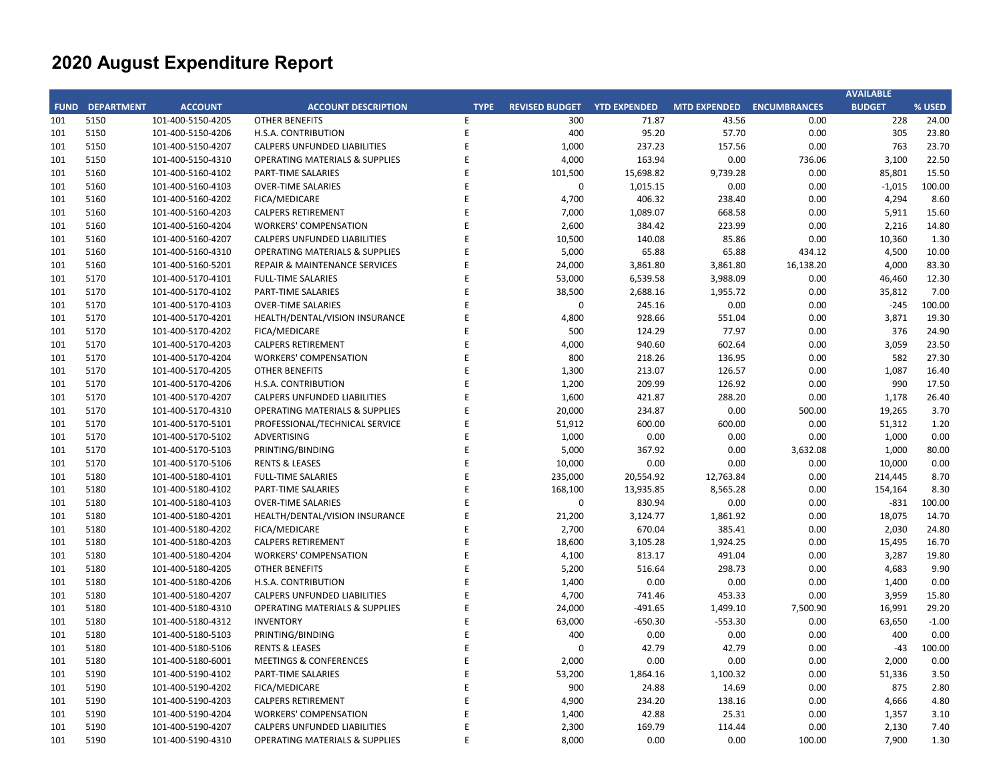|     |                        |                   |                                           |             |                       |                     |                           |           | <b>AVAILABLE</b> |         |
|-----|------------------------|-------------------|-------------------------------------------|-------------|-----------------------|---------------------|---------------------------|-----------|------------------|---------|
|     | <b>FUND DEPARTMENT</b> | <b>ACCOUNT</b>    | <b>ACCOUNT DESCRIPTION</b>                | <b>TYPE</b> | <b>REVISED BUDGET</b> | <b>YTD EXPENDED</b> | MTD EXPENDED ENCUMBRANCES |           | <b>BUDGET</b>    | % USED  |
| 101 | 5150                   | 101-400-5150-4205 | <b>OTHER BENEFITS</b>                     | E           | 300                   | 71.87               | 43.56                     | 0.00      | 228              | 24.00   |
| 101 | 5150                   | 101-400-5150-4206 | H.S.A. CONTRIBUTION                       | E           | 400                   | 95.20               | 57.70                     | 0.00      | 305              | 23.80   |
| 101 | 5150                   | 101-400-5150-4207 | CALPERS UNFUNDED LIABILITIES              | E           | 1,000                 | 237.23              | 157.56                    | 0.00      | 763              | 23.70   |
| 101 | 5150                   | 101-400-5150-4310 | <b>OPERATING MATERIALS &amp; SUPPLIES</b> | E           | 4,000                 | 163.94              | 0.00                      | 736.06    | 3,100            | 22.50   |
| 101 | 5160                   | 101-400-5160-4102 | PART-TIME SALARIES                        | E           | 101,500               | 15,698.82           | 9,739.28                  | 0.00      | 85,801           | 15.50   |
| 101 | 5160                   | 101-400-5160-4103 | <b>OVER-TIME SALARIES</b>                 | E           | 0                     | 1,015.15            | 0.00                      | 0.00      | $-1,015$         | 100.00  |
| 101 | 5160                   | 101-400-5160-4202 | <b>FICA/MEDICARE</b>                      | E           | 4,700                 | 406.32              | 238.40                    | 0.00      | 4,294            | 8.60    |
| 101 | 5160                   | 101-400-5160-4203 | <b>CALPERS RETIREMENT</b>                 | E           | 7,000                 | 1,089.07            | 668.58                    | 0.00      | 5,911            | 15.60   |
| 101 | 5160                   | 101-400-5160-4204 | <b>WORKERS' COMPENSATION</b>              | E           | 2,600                 | 384.42              | 223.99                    | 0.00      | 2,216            | 14.80   |
| 101 | 5160                   | 101-400-5160-4207 | CALPERS UNFUNDED LIABILITIES              | E           | 10,500                | 140.08              | 85.86                     | 0.00      | 10,360           | 1.30    |
| 101 | 5160                   | 101-400-5160-4310 | <b>OPERATING MATERIALS &amp; SUPPLIES</b> | E           | 5,000                 | 65.88               | 65.88                     | 434.12    | 4,500            | 10.00   |
| 101 | 5160                   | 101-400-5160-5201 | REPAIR & MAINTENANCE SERVICES             | E           | 24,000                | 3,861.80            | 3,861.80                  | 16,138.20 | 4,000            | 83.30   |
| 101 | 5170                   | 101-400-5170-4101 | <b>FULL-TIME SALARIES</b>                 | E           | 53,000                | 6,539.58            | 3,988.09                  | 0.00      | 46,460           | 12.30   |
| 101 | 5170                   | 101-400-5170-4102 | PART-TIME SALARIES                        | E           | 38,500                | 2,688.16            | 1,955.72                  | 0.00      | 35,812           | 7.00    |
| 101 | 5170                   | 101-400-5170-4103 | <b>OVER-TIME SALARIES</b>                 | E           | 0                     | 245.16              | 0.00                      | 0.00      | $-245$           | 100.00  |
| 101 | 5170                   | 101-400-5170-4201 | HEALTH/DENTAL/VISION INSURANCE            | E           | 4,800                 | 928.66              | 551.04                    | 0.00      | 3,871            | 19.30   |
| 101 | 5170                   | 101-400-5170-4202 | FICA/MEDICARE                             | E           | 500                   | 124.29              | 77.97                     | 0.00      | 376              | 24.90   |
| 101 | 5170                   | 101-400-5170-4203 | <b>CALPERS RETIREMENT</b>                 | E           | 4,000                 | 940.60              | 602.64                    | 0.00      | 3,059            | 23.50   |
| 101 | 5170                   | 101-400-5170-4204 | <b>WORKERS' COMPENSATION</b>              | E           | 800                   | 218.26              | 136.95                    | 0.00      | 582              | 27.30   |
| 101 | 5170                   | 101-400-5170-4205 | <b>OTHER BENEFITS</b>                     | E           | 1,300                 | 213.07              | 126.57                    | 0.00      | 1,087            | 16.40   |
| 101 | 5170                   | 101-400-5170-4206 | H.S.A. CONTRIBUTION                       | E           | 1,200                 | 209.99              | 126.92                    | 0.00      | 990              | 17.50   |
| 101 | 5170                   | 101-400-5170-4207 | CALPERS UNFUNDED LIABILITIES              | E           | 1,600                 | 421.87              | 288.20                    | 0.00      | 1,178            | 26.40   |
| 101 | 5170                   | 101-400-5170-4310 | <b>OPERATING MATERIALS &amp; SUPPLIES</b> | E           | 20,000                | 234.87              | 0.00                      | 500.00    | 19,265           | 3.70    |
| 101 | 5170                   | 101-400-5170-5101 | PROFESSIONAL/TECHNICAL SERVICE            | E           | 51,912                | 600.00              | 600.00                    | 0.00      | 51,312           | 1.20    |
| 101 | 5170                   | 101-400-5170-5102 | <b>ADVERTISING</b>                        | E           | 1,000                 | 0.00                | 0.00                      | 0.00      | 1,000            | 0.00    |
| 101 | 5170                   | 101-400-5170-5103 | PRINTING/BINDING                          | E           | 5,000                 | 367.92              | 0.00                      | 3,632.08  | 1,000            | 80.00   |
| 101 | 5170                   | 101-400-5170-5106 | <b>RENTS &amp; LEASES</b>                 | E           | 10,000                | 0.00                | 0.00                      | 0.00      | 10,000           | 0.00    |
| 101 | 5180                   | 101-400-5180-4101 | <b>FULL-TIME SALARIES</b>                 | E           | 235,000               | 20,554.92           | 12,763.84                 | 0.00      | 214,445          | 8.70    |
| 101 | 5180                   | 101-400-5180-4102 | PART-TIME SALARIES                        | E           | 168,100               | 13,935.85           | 8,565.28                  | 0.00      | 154,164          | 8.30    |
| 101 | 5180                   | 101-400-5180-4103 | <b>OVER-TIME SALARIES</b>                 | E           | $\mathbf 0$           | 830.94              | 0.00                      | 0.00      | $-831$           | 100.00  |
| 101 | 5180                   | 101-400-5180-4201 | HEALTH/DENTAL/VISION INSURANCE            | E           | 21,200                | 3,124.77            | 1,861.92                  | 0.00      | 18,075           | 14.70   |
| 101 | 5180                   | 101-400-5180-4202 | <b>FICA/MEDICARE</b>                      | E           | 2,700                 | 670.04              | 385.41                    | 0.00      | 2,030            | 24.80   |
| 101 | 5180                   | 101-400-5180-4203 | <b>CALPERS RETIREMENT</b>                 | E           | 18,600                | 3,105.28            | 1,924.25                  | 0.00      | 15,495           | 16.70   |
| 101 | 5180                   | 101-400-5180-4204 | <b>WORKERS' COMPENSATION</b>              | E           | 4,100                 | 813.17              | 491.04                    | 0.00      | 3,287            | 19.80   |
| 101 | 5180                   | 101-400-5180-4205 | <b>OTHER BENEFITS</b>                     | E           | 5,200                 | 516.64              | 298.73                    | 0.00      | 4,683            | 9.90    |
| 101 | 5180                   | 101-400-5180-4206 | H.S.A. CONTRIBUTION                       | E           | 1,400                 | 0.00                | 0.00                      | 0.00      | 1,400            | 0.00    |
| 101 | 5180                   | 101-400-5180-4207 | <b>CALPERS UNFUNDED LIABILITIES</b>       | E           | 4,700                 | 741.46              | 453.33                    | 0.00      | 3,959            | 15.80   |
| 101 | 5180                   | 101-400-5180-4310 | <b>OPERATING MATERIALS &amp; SUPPLIES</b> | E           | 24,000                | $-491.65$           | 1,499.10                  | 7,500.90  | 16,991           | 29.20   |
| 101 | 5180                   | 101-400-5180-4312 | <b>INVENTORY</b>                          | E           | 63,000                | $-650.30$           | $-553.30$                 | 0.00      | 63,650           | $-1.00$ |
| 101 | 5180                   | 101-400-5180-5103 | PRINTING/BINDING                          | E           | 400                   | 0.00                | 0.00                      | 0.00      | 400              | 0.00    |
| 101 | 5180                   | 101-400-5180-5106 | <b>RENTS &amp; LEASES</b>                 | E           | $\Omega$              | 42.79               | 42.79                     | 0.00      | $-43$            | 100.00  |
| 101 | 5180                   | 101-400-5180-6001 | <b>MEETINGS &amp; CONFERENCES</b>         | E           | 2,000                 | 0.00                | 0.00                      | 0.00      | 2,000            | 0.00    |
| 101 | 5190                   | 101-400-5190-4102 | PART-TIME SALARIES                        | E           | 53,200                | 1,864.16            | 1,100.32                  | 0.00      | 51,336           | 3.50    |
| 101 | 5190                   | 101-400-5190-4202 | <b>FICA/MEDICARE</b>                      | E           | 900                   | 24.88               | 14.69                     | 0.00      | 875              | 2.80    |
| 101 | 5190                   | 101-400-5190-4203 | <b>CALPERS RETIREMENT</b>                 | E           | 4,900                 | 234.20              | 138.16                    | 0.00      | 4,666            | 4.80    |
| 101 | 5190                   | 101-400-5190-4204 | <b>WORKERS' COMPENSATION</b>              | E           | 1,400                 | 42.88               | 25.31                     | 0.00      | 1,357            | 3.10    |
| 101 | 5190                   | 101-400-5190-4207 | CALPERS UNFUNDED LIABILITIES              | E           | 2,300                 | 169.79              | 114.44                    | 0.00      | 2,130            | 7.40    |
| 101 | 5190                   | 101-400-5190-4310 | <b>OPERATING MATERIALS &amp; SUPPLIES</b> | E           | 8,000                 | 0.00                | 0.00                      | 100.00    | 7,900            | 1.30    |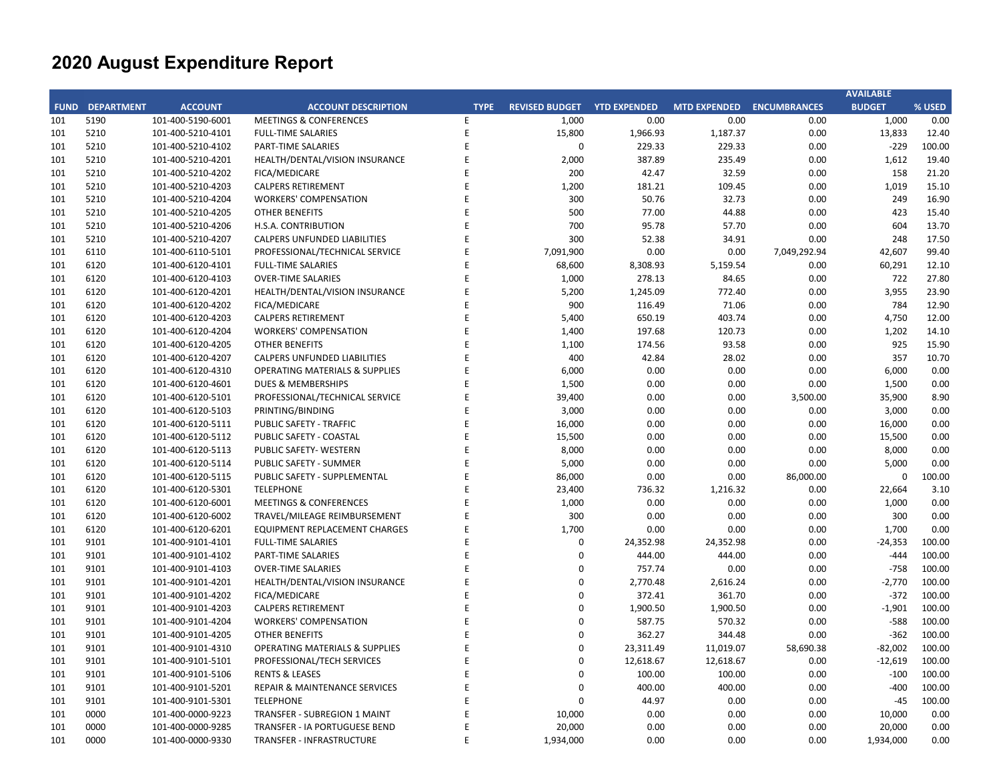|     |                        |                   |                                           |             |                       |                     |                           |              | <b>AVAILABLE</b> |        |
|-----|------------------------|-------------------|-------------------------------------------|-------------|-----------------------|---------------------|---------------------------|--------------|------------------|--------|
|     | <b>FUND DEPARTMENT</b> | <b>ACCOUNT</b>    | <b>ACCOUNT DESCRIPTION</b>                | <b>TYPE</b> | <b>REVISED BUDGET</b> | <b>YTD EXPENDED</b> | MTD EXPENDED ENCUMBRANCES |              | <b>BUDGET</b>    | % USED |
| 101 | 5190                   | 101-400-5190-6001 | <b>MEETINGS &amp; CONFERENCES</b>         | E.          | 1,000                 | 0.00                | 0.00                      | 0.00         | 1,000            | 0.00   |
| 101 | 5210                   | 101-400-5210-4101 | <b>FULL-TIME SALARIES</b>                 | E           | 15,800                | 1,966.93            | 1,187.37                  | 0.00         | 13,833           | 12.40  |
| 101 | 5210                   | 101-400-5210-4102 | PART-TIME SALARIES                        | E           | $\mathbf 0$           | 229.33              | 229.33                    | 0.00         | $-229$           | 100.00 |
| 101 | 5210                   | 101-400-5210-4201 | HEALTH/DENTAL/VISION INSURANCE            | E           | 2,000                 | 387.89              | 235.49                    | 0.00         | 1,612            | 19.40  |
| 101 | 5210                   | 101-400-5210-4202 | FICA/MEDICARE                             | E           | 200                   | 42.47               | 32.59                     | 0.00         | 158              | 21.20  |
| 101 | 5210                   | 101-400-5210-4203 | <b>CALPERS RETIREMENT</b>                 | E           | 1,200                 | 181.21              | 109.45                    | 0.00         | 1,019            | 15.10  |
| 101 | 5210                   | 101-400-5210-4204 | <b>WORKERS' COMPENSATION</b>              | E           | 300                   | 50.76               | 32.73                     | 0.00         | 249              | 16.90  |
| 101 | 5210                   | 101-400-5210-4205 | <b>OTHER BENEFITS</b>                     | E           | 500                   | 77.00               | 44.88                     | 0.00         | 423              | 15.40  |
| 101 | 5210                   | 101-400-5210-4206 | H.S.A. CONTRIBUTION                       | E           | 700                   | 95.78               | 57.70                     | 0.00         | 604              | 13.70  |
| 101 | 5210                   | 101-400-5210-4207 | CALPERS UNFUNDED LIABILITIES              | E           | 300                   | 52.38               | 34.91                     | 0.00         | 248              | 17.50  |
| 101 | 6110                   | 101-400-6110-5101 | PROFESSIONAL/TECHNICAL SERVICE            | E           | 7,091,900             | 0.00                | 0.00                      | 7,049,292.94 | 42,607           | 99.40  |
| 101 | 6120                   | 101-400-6120-4101 | <b>FULL-TIME SALARIES</b>                 | E           | 68,600                | 8,308.93            | 5,159.54                  | 0.00         | 60,291           | 12.10  |
| 101 | 6120                   | 101-400-6120-4103 | <b>OVER-TIME SALARIES</b>                 | E           | 1,000                 | 278.13              | 84.65                     | 0.00         | 722              | 27.80  |
| 101 | 6120                   | 101-400-6120-4201 | HEALTH/DENTAL/VISION INSURANCE            | E           | 5,200                 | 1,245.09            | 772.40                    | 0.00         | 3,955            | 23.90  |
| 101 | 6120                   | 101-400-6120-4202 | <b>FICA/MEDICARE</b>                      | E           | 900                   | 116.49              | 71.06                     | 0.00         | 784              | 12.90  |
| 101 | 6120                   | 101-400-6120-4203 | <b>CALPERS RETIREMENT</b>                 | E           | 5,400                 | 650.19              | 403.74                    | 0.00         | 4,750            | 12.00  |
| 101 | 6120                   | 101-400-6120-4204 | <b>WORKERS' COMPENSATION</b>              | E           | 1,400                 | 197.68              | 120.73                    | 0.00         | 1,202            | 14.10  |
| 101 | 6120                   | 101-400-6120-4205 | <b>OTHER BENEFITS</b>                     | E           | 1,100                 | 174.56              | 93.58                     | 0.00         | 925              | 15.90  |
| 101 | 6120                   | 101-400-6120-4207 | CALPERS UNFUNDED LIABILITIES              | E           | 400                   | 42.84               | 28.02                     | 0.00         | 357              | 10.70  |
| 101 | 6120                   | 101-400-6120-4310 | <b>OPERATING MATERIALS &amp; SUPPLIES</b> | E           | 6,000                 | 0.00                | 0.00                      | 0.00         | 6,000            | 0.00   |
| 101 | 6120                   | 101-400-6120-4601 | <b>DUES &amp; MEMBERSHIPS</b>             | E           | 1,500                 | 0.00                | 0.00                      | 0.00         | 1,500            | 0.00   |
| 101 | 6120                   | 101-400-6120-5101 | PROFESSIONAL/TECHNICAL SERVICE            | E           | 39,400                | 0.00                | 0.00                      | 3,500.00     | 35,900           | 8.90   |
| 101 | 6120                   | 101-400-6120-5103 | PRINTING/BINDING                          | E           | 3,000                 | 0.00                | 0.00                      | 0.00         | 3,000            | 0.00   |
| 101 | 6120                   | 101-400-6120-5111 | PUBLIC SAFETY - TRAFFIC                   | E           | 16,000                | 0.00                | 0.00                      | 0.00         | 16,000           | 0.00   |
| 101 | 6120                   | 101-400-6120-5112 | PUBLIC SAFETY - COASTAL                   | E           | 15,500                | 0.00                | 0.00                      | 0.00         | 15,500           | 0.00   |
| 101 | 6120                   | 101-400-6120-5113 | PUBLIC SAFETY- WESTERN                    | E           | 8,000                 | 0.00                | 0.00                      | 0.00         | 8,000            | 0.00   |
| 101 | 6120                   | 101-400-6120-5114 | PUBLIC SAFETY - SUMMER                    | E           | 5,000                 | 0.00                | 0.00                      | 0.00         | 5,000            | 0.00   |
| 101 | 6120                   | 101-400-6120-5115 | PUBLIC SAFETY - SUPPLEMENTAL              | E           | 86,000                | 0.00                | 0.00                      | 86,000.00    | $\mathbf{0}$     | 100.00 |
| 101 | 6120                   | 101-400-6120-5301 | <b>TELEPHONE</b>                          | F           | 23,400                | 736.32              | 1,216.32                  | 0.00         | 22,664           | 3.10   |
| 101 | 6120                   | 101-400-6120-6001 | <b>MEETINGS &amp; CONFERENCES</b>         | E           | 1,000                 | 0.00                | 0.00                      | 0.00         | 1,000            | 0.00   |
| 101 | 6120                   | 101-400-6120-6002 | TRAVEL/MILEAGE REIMBURSEMENT              | E           | 300                   | 0.00                | 0.00                      | 0.00         | 300              | 0.00   |
| 101 | 6120                   | 101-400-6120-6201 | <b>EQUIPMENT REPLACEMENT CHARGES</b>      | E           | 1,700                 | 0.00                | 0.00                      | 0.00         | 1,700            | 0.00   |
| 101 | 9101                   | 101-400-9101-4101 | <b>FULL-TIME SALARIES</b>                 | E           | $\pmb{0}$             | 24,352.98           | 24,352.98                 | 0.00         | $-24,353$        | 100.00 |
| 101 | 9101                   | 101-400-9101-4102 | PART-TIME SALARIES                        | E           | $\mathbf 0$           | 444.00              | 444.00                    | 0.00         | $-444$           | 100.00 |
| 101 | 9101                   | 101-400-9101-4103 | <b>OVER-TIME SALARIES</b>                 | E           | $\pmb{0}$             | 757.74              | 0.00                      | 0.00         | $-758$           | 100.00 |
| 101 | 9101                   | 101-400-9101-4201 | HEALTH/DENTAL/VISION INSURANCE            | E           | $\boldsymbol{0}$      | 2,770.48            | 2,616.24                  | 0.00         | $-2,770$         | 100.00 |
| 101 | 9101                   | 101-400-9101-4202 | FICA/MEDICARE                             | E           | $\mathbf 0$           | 372.41              | 361.70                    | 0.00         | $-372$           | 100.00 |
| 101 | 9101                   | 101-400-9101-4203 | <b>CALPERS RETIREMENT</b>                 | E           | $\mathbf 0$           | 1,900.50            | 1,900.50                  | 0.00         | $-1,901$         | 100.00 |
| 101 | 9101                   | 101-400-9101-4204 | <b>WORKERS' COMPENSATION</b>              | E           | $\mathbf 0$           | 587.75              | 570.32                    | 0.00         | $-588$           | 100.00 |
| 101 | 9101                   | 101-400-9101-4205 | <b>OTHER BENEFITS</b>                     | E           | $\mathbf 0$           | 362.27              | 344.48                    | 0.00         | $-362$           | 100.00 |
| 101 | 9101                   | 101-400-9101-4310 | <b>OPERATING MATERIALS &amp; SUPPLIES</b> | E           | $\boldsymbol{0}$      | 23,311.49           | 11,019.07                 | 58,690.38    | $-82,002$        | 100.00 |
| 101 | 9101                   | 101-400-9101-5101 | PROFESSIONAL/TECH SERVICES                | E           | $\mathbf 0$           | 12,618.67           | 12,618.67                 | 0.00         | $-12,619$        | 100.00 |
| 101 | 9101                   | 101-400-9101-5106 | <b>RENTS &amp; LEASES</b>                 | E           | $\mathbf 0$           | 100.00              | 100.00                    | 0.00         | $-100$           | 100.00 |
| 101 | 9101                   | 101-400-9101-5201 | REPAIR & MAINTENANCE SERVICES             | E           | $\mathbf 0$           | 400.00              | 400.00                    | 0.00         | $-400$           | 100.00 |
| 101 | 9101                   | 101-400-9101-5301 | <b>TELEPHONE</b>                          | E           | $\mathbf 0$           | 44.97               | 0.00                      | 0.00         | $-45$            | 100.00 |
| 101 | 0000                   | 101-400-0000-9223 | TRANSFER - SUBREGION 1 MAINT              | E           | 10,000                | 0.00                | 0.00                      | 0.00         | 10,000           | 0.00   |
| 101 | 0000                   | 101-400-0000-9285 | TRANSFER - IA PORTUGUESE BEND             | E           | 20,000                | 0.00                | 0.00                      | 0.00         | 20,000           | 0.00   |
| 101 | 0000                   | 101-400-0000-9330 | TRANSFER - INFRASTRUCTURE                 | E           | 1,934,000             | 0.00                | 0.00                      | 0.00         | 1,934,000        | 0.00   |
|     |                        |                   |                                           |             |                       |                     |                           |              |                  |        |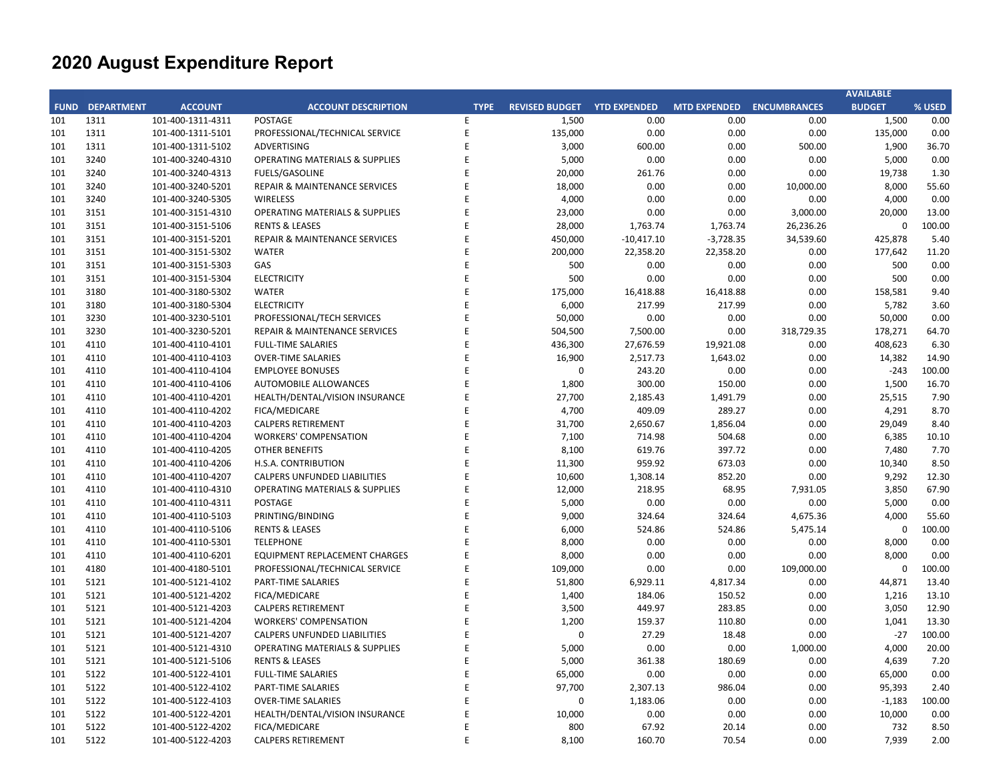|     |                        |                   |                                           |             |                             |              |                           |            | <b>AVAILABLE</b> |        |
|-----|------------------------|-------------------|-------------------------------------------|-------------|-----------------------------|--------------|---------------------------|------------|------------------|--------|
|     | <b>FUND DEPARTMENT</b> | <b>ACCOUNT</b>    | <b>ACCOUNT DESCRIPTION</b>                | <b>TYPE</b> | REVISED BUDGET YTD EXPENDED |              | MTD EXPENDED ENCUMBRANCES |            | <b>BUDGET</b>    | % USED |
| 101 | 1311                   | 101-400-1311-4311 | <b>POSTAGE</b>                            | E           | 1,500                       | 0.00         | 0.00                      | 0.00       | 1,500            | 0.00   |
| 101 | 1311                   | 101-400-1311-5101 | PROFESSIONAL/TECHNICAL SERVICE            | E           | 135,000                     | 0.00         | 0.00                      | 0.00       | 135,000          | 0.00   |
| 101 | 1311                   | 101-400-1311-5102 | <b>ADVERTISING</b>                        | E           | 3,000                       | 600.00       | 0.00                      | 500.00     | 1,900            | 36.70  |
| 101 | 3240                   | 101-400-3240-4310 | <b>OPERATING MATERIALS &amp; SUPPLIES</b> | E           | 5,000                       | 0.00         | 0.00                      | 0.00       | 5,000            | 0.00   |
| 101 | 3240                   | 101-400-3240-4313 | <b>FUELS/GASOLINE</b>                     | E           | 20,000                      | 261.76       | 0.00                      | 0.00       | 19,738           | 1.30   |
| 101 | 3240                   | 101-400-3240-5201 | REPAIR & MAINTENANCE SERVICES             | E           | 18,000                      | 0.00         | 0.00                      | 10,000.00  | 8,000            | 55.60  |
| 101 | 3240                   | 101-400-3240-5305 | WIRELESS                                  | E           | 4,000                       | 0.00         | 0.00                      | 0.00       | 4,000            | 0.00   |
| 101 | 3151                   | 101-400-3151-4310 | <b>OPERATING MATERIALS &amp; SUPPLIES</b> | E           | 23,000                      | 0.00         | 0.00                      | 3,000.00   | 20,000           | 13.00  |
| 101 | 3151                   | 101-400-3151-5106 | <b>RENTS &amp; LEASES</b>                 | E           | 28,000                      | 1,763.74     | 1,763.74                  | 26,236.26  | $\mathbf 0$      | 100.00 |
| 101 | 3151                   | 101-400-3151-5201 | REPAIR & MAINTENANCE SERVICES             | E           | 450,000                     | $-10,417.10$ | $-3,728.35$               | 34,539.60  | 425,878          | 5.40   |
| 101 | 3151                   | 101-400-3151-5302 | <b>WATER</b>                              | E           | 200,000                     | 22,358.20    | 22,358.20                 | 0.00       | 177,642          | 11.20  |
| 101 | 3151                   | 101-400-3151-5303 | GAS                                       | E           | 500                         | 0.00         | 0.00                      | 0.00       | 500              | 0.00   |
| 101 | 3151                   | 101-400-3151-5304 | <b>ELECTRICITY</b>                        | E           | 500                         | 0.00         | 0.00                      | 0.00       | 500              | 0.00   |
| 101 | 3180                   | 101-400-3180-5302 | <b>WATER</b>                              | E           | 175,000                     | 16,418.88    | 16,418.88                 | 0.00       | 158,581          | 9.40   |
| 101 | 3180                   | 101-400-3180-5304 | <b>ELECTRICITY</b>                        | E           | 6,000                       | 217.99       | 217.99                    | 0.00       | 5,782            | 3.60   |
| 101 | 3230                   | 101-400-3230-5101 | PROFESSIONAL/TECH SERVICES                | E           | 50,000                      | 0.00         | 0.00                      | 0.00       | 50,000           | 0.00   |
| 101 | 3230                   | 101-400-3230-5201 | REPAIR & MAINTENANCE SERVICES             | E           | 504,500                     | 7,500.00     | 0.00                      | 318,729.35 | 178,271          | 64.70  |
| 101 | 4110                   | 101-400-4110-4101 | <b>FULL-TIME SALARIES</b>                 | E           | 436,300                     | 27,676.59    | 19,921.08                 | 0.00       | 408,623          | 6.30   |
| 101 | 4110                   | 101-400-4110-4103 | <b>OVER-TIME SALARIES</b>                 | E           | 16,900                      | 2,517.73     | 1,643.02                  | 0.00       | 14,382           | 14.90  |
| 101 | 4110                   | 101-400-4110-4104 | <b>EMPLOYEE BONUSES</b>                   | E           | $\mathbf 0$                 | 243.20       | 0.00                      | 0.00       | $-243$           | 100.00 |
| 101 | 4110                   | 101-400-4110-4106 | <b>AUTOMOBILE ALLOWANCES</b>              | E           | 1,800                       | 300.00       | 150.00                    | 0.00       | 1,500            | 16.70  |
| 101 | 4110                   | 101-400-4110-4201 | HEALTH/DENTAL/VISION INSURANCE            | E           | 27,700                      | 2,185.43     | 1,491.79                  | 0.00       | 25,515           | 7.90   |
| 101 | 4110                   | 101-400-4110-4202 | <b>FICA/MEDICARE</b>                      | E           | 4,700                       | 409.09       | 289.27                    | 0.00       | 4,291            | 8.70   |
| 101 | 4110                   | 101-400-4110-4203 | <b>CALPERS RETIREMENT</b>                 | E           | 31,700                      | 2,650.67     | 1,856.04                  | 0.00       | 29,049           | 8.40   |
| 101 | 4110                   | 101-400-4110-4204 | <b>WORKERS' COMPENSATION</b>              | E           | 7,100                       | 714.98       | 504.68                    | 0.00       | 6,385            | 10.10  |
| 101 | 4110                   | 101-400-4110-4205 | <b>OTHER BENEFITS</b>                     | E           | 8,100                       | 619.76       | 397.72                    | 0.00       | 7,480            | 7.70   |
| 101 | 4110                   | 101-400-4110-4206 | H.S.A. CONTRIBUTION                       | E           | 11,300                      | 959.92       | 673.03                    | 0.00       | 10,340           | 8.50   |
| 101 | 4110                   | 101-400-4110-4207 | <b>CALPERS UNFUNDED LIABILITIES</b>       | E           | 10,600                      | 1,308.14     | 852.20                    | 0.00       | 9,292            | 12.30  |
| 101 | 4110                   | 101-400-4110-4310 | <b>OPERATING MATERIALS &amp; SUPPLIES</b> | E           | 12,000                      | 218.95       | 68.95                     | 7,931.05   | 3,850            | 67.90  |
| 101 | 4110                   | 101-400-4110-4311 | <b>POSTAGE</b>                            | E           | 5,000                       | 0.00         | 0.00                      | 0.00       | 5,000            | 0.00   |
| 101 | 4110                   | 101-400-4110-5103 | PRINTING/BINDING                          | E           | 9,000                       | 324.64       | 324.64                    | 4,675.36   | 4,000            | 55.60  |
| 101 | 4110                   | 101-400-4110-5106 | <b>RENTS &amp; LEASES</b>                 | E           | 6,000                       | 524.86       | 524.86                    | 5,475.14   | $\mathbf 0$      | 100.00 |
| 101 | 4110                   | 101-400-4110-5301 | <b>TELEPHONE</b>                          | E           | 8,000                       | 0.00         | 0.00                      | 0.00       | 8,000            | 0.00   |
| 101 | 4110                   | 101-400-4110-6201 | <b>EQUIPMENT REPLACEMENT CHARGES</b>      | E           | 8,000                       | 0.00         | 0.00                      | 0.00       | 8,000            | 0.00   |
| 101 | 4180                   | 101-400-4180-5101 | PROFESSIONAL/TECHNICAL SERVICE            | E           | 109,000                     | 0.00         | 0.00                      | 109,000.00 | $\mathbf 0$      | 100.00 |
| 101 | 5121                   | 101-400-5121-4102 | PART-TIME SALARIES                        | E           | 51,800                      | 6,929.11     | 4,817.34                  | 0.00       | 44,871           | 13.40  |
| 101 | 5121                   | 101-400-5121-4202 | <b>FICA/MEDICARE</b>                      | E           | 1,400                       | 184.06       | 150.52                    | 0.00       | 1,216            | 13.10  |
| 101 | 5121                   | 101-400-5121-4203 | <b>CALPERS RETIREMENT</b>                 | E           | 3,500                       | 449.97       | 283.85                    | 0.00       | 3,050            | 12.90  |
| 101 | 5121                   | 101-400-5121-4204 | <b>WORKERS' COMPENSATION</b>              | E           | 1,200                       | 159.37       | 110.80                    | 0.00       | 1,041            | 13.30  |
| 101 | 5121                   | 101-400-5121-4207 | <b>CALPERS UNFUNDED LIABILITIES</b>       | E           | $\mathbf 0$                 | 27.29        | 18.48                     | 0.00       | $-27$            | 100.00 |
| 101 | 5121                   | 101-400-5121-4310 | <b>OPERATING MATERIALS &amp; SUPPLIES</b> | E           | 5,000                       | 0.00         | 0.00                      | 1,000.00   | 4,000            | 20.00  |
| 101 | 5121                   | 101-400-5121-5106 | <b>RENTS &amp; LEASES</b>                 | E           | 5,000                       | 361.38       | 180.69                    | 0.00       | 4,639            | 7.20   |
| 101 | 5122                   | 101-400-5122-4101 | <b>FULL-TIME SALARIES</b>                 | E           | 65,000                      | 0.00         | 0.00                      | 0.00       | 65,000           | 0.00   |
| 101 | 5122                   | 101-400-5122-4102 | PART-TIME SALARIES                        | E           | 97,700                      | 2,307.13     | 986.04                    | 0.00       | 95,393           | 2.40   |
| 101 | 5122                   | 101-400-5122-4103 | <b>OVER-TIME SALARIES</b>                 | E           | $\mathbf 0$                 | 1,183.06     | 0.00                      | 0.00       | $-1,183$         | 100.00 |
| 101 | 5122                   | 101-400-5122-4201 | HEALTH/DENTAL/VISION INSURANCE            | E           | 10,000                      | 0.00         | 0.00                      | 0.00       | 10,000           | 0.00   |
| 101 | 5122                   | 101-400-5122-4202 | FICA/MEDICARE                             | E           | 800                         | 67.92        | 20.14                     | 0.00       | 732              | 8.50   |
| 101 | 5122                   | 101-400-5122-4203 | <b>CALPERS RETIREMENT</b>                 | F           | 8,100                       | 160.70       | 70.54                     | 0.00       | 7,939            | 2.00   |
|     |                        |                   |                                           |             |                             |              |                           |            |                  |        |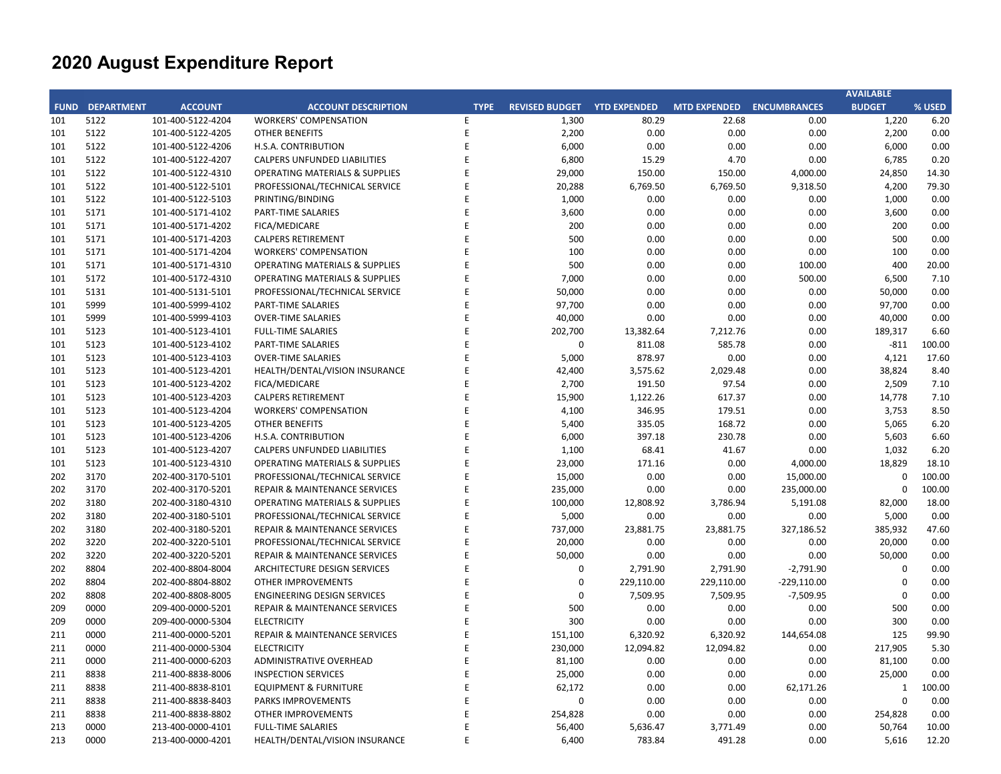|     |                        |                   |                                           |             |                       |                     |                           |               | <b>AVAILABLE</b> |        |
|-----|------------------------|-------------------|-------------------------------------------|-------------|-----------------------|---------------------|---------------------------|---------------|------------------|--------|
|     | <b>FUND DEPARTMENT</b> | <b>ACCOUNT</b>    | <b>ACCOUNT DESCRIPTION</b>                | <b>TYPE</b> | <b>REVISED BUDGET</b> | <b>YTD EXPENDED</b> | MTD EXPENDED ENCUMBRANCES |               | <b>BUDGET</b>    | % USED |
| 101 | 5122                   | 101-400-5122-4204 | <b>WORKERS' COMPENSATION</b>              | E.          | 1,300                 | 80.29               | 22.68                     | 0.00          | 1,220            | 6.20   |
| 101 | 5122                   | 101-400-5122-4205 | <b>OTHER BENEFITS</b>                     | E           | 2,200                 | 0.00                | 0.00                      | 0.00          | 2,200            | 0.00   |
| 101 | 5122                   | 101-400-5122-4206 | H.S.A. CONTRIBUTION                       | E           | 6,000                 | 0.00                | 0.00                      | 0.00          | 6,000            | 0.00   |
| 101 | 5122                   | 101-400-5122-4207 | CALPERS UNFUNDED LIABILITIES              | E           | 6,800                 | 15.29               | 4.70                      | 0.00          | 6,785            | 0.20   |
| 101 | 5122                   | 101-400-5122-4310 | <b>OPERATING MATERIALS &amp; SUPPLIES</b> | E           | 29,000                | 150.00              | 150.00                    | 4,000.00      | 24,850           | 14.30  |
| 101 | 5122                   | 101-400-5122-5101 | PROFESSIONAL/TECHNICAL SERVICE            | E           | 20,288                | 6,769.50            | 6,769.50                  | 9,318.50      | 4,200            | 79.30  |
| 101 | 5122                   | 101-400-5122-5103 | PRINTING/BINDING                          | E           | 1,000                 | 0.00                | 0.00                      | 0.00          | 1,000            | 0.00   |
| 101 | 5171                   | 101-400-5171-4102 | PART-TIME SALARIES                        | E           | 3,600                 | 0.00                | 0.00                      | 0.00          | 3,600            | 0.00   |
| 101 | 5171                   | 101-400-5171-4202 | FICA/MEDICARE                             | E           | 200                   | 0.00                | 0.00                      | 0.00          | 200              | 0.00   |
| 101 | 5171                   | 101-400-5171-4203 | <b>CALPERS RETIREMENT</b>                 | E           | 500                   | 0.00                | 0.00                      | 0.00          | 500              | 0.00   |
| 101 | 5171                   | 101-400-5171-4204 | <b>WORKERS' COMPENSATION</b>              | E           | 100                   | 0.00                | 0.00                      | 0.00          | 100              | 0.00   |
| 101 | 5171                   | 101-400-5171-4310 | <b>OPERATING MATERIALS &amp; SUPPLIES</b> | E           | 500                   | 0.00                | 0.00                      | 100.00        | 400              | 20.00  |
| 101 | 5172                   | 101-400-5172-4310 | <b>OPERATING MATERIALS &amp; SUPPLIES</b> | E           | 7,000                 | 0.00                | 0.00                      | 500.00        | 6,500            | 7.10   |
| 101 | 5131                   | 101-400-5131-5101 | PROFESSIONAL/TECHNICAL SERVICE            | E           | 50,000                | 0.00                | 0.00                      | 0.00          | 50,000           | 0.00   |
| 101 | 5999                   | 101-400-5999-4102 | PART-TIME SALARIES                        | E           | 97,700                | 0.00                | 0.00                      | 0.00          | 97,700           | 0.00   |
| 101 | 5999                   | 101-400-5999-4103 | <b>OVER-TIME SALARIES</b>                 | E           | 40,000                | 0.00                | 0.00                      | 0.00          | 40,000           | 0.00   |
| 101 | 5123                   | 101-400-5123-4101 | <b>FULL-TIME SALARIES</b>                 | E           | 202,700               | 13,382.64           | 7,212.76                  | 0.00          | 189,317          | 6.60   |
| 101 | 5123                   | 101-400-5123-4102 | PART-TIME SALARIES                        | E           | $\mathbf 0$           | 811.08              | 585.78                    | 0.00          | $-811$           | 100.00 |
| 101 | 5123                   | 101-400-5123-4103 | <b>OVER-TIME SALARIES</b>                 | E           | 5,000                 | 878.97              | 0.00                      | 0.00          | 4,121            | 17.60  |
| 101 | 5123                   | 101-400-5123-4201 | HEALTH/DENTAL/VISION INSURANCE            | E           | 42,400                | 3,575.62            | 2,029.48                  | 0.00          | 38,824           | 8.40   |
| 101 | 5123                   | 101-400-5123-4202 | FICA/MEDICARE                             | E           | 2,700                 | 191.50              | 97.54                     | 0.00          | 2,509            | 7.10   |
| 101 | 5123                   | 101-400-5123-4203 | <b>CALPERS RETIREMENT</b>                 | E           | 15,900                | 1,122.26            | 617.37                    | 0.00          | 14,778           | 7.10   |
| 101 | 5123                   | 101-400-5123-4204 | <b>WORKERS' COMPENSATION</b>              | E           | 4,100                 | 346.95              | 179.51                    | 0.00          | 3,753            | 8.50   |
| 101 | 5123                   | 101-400-5123-4205 | <b>OTHER BENEFITS</b>                     | E           | 5,400                 | 335.05              | 168.72                    | 0.00          | 5,065            | 6.20   |
| 101 | 5123                   | 101-400-5123-4206 | H.S.A. CONTRIBUTION                       | E           | 6,000                 | 397.18              | 230.78                    | 0.00          | 5,603            | 6.60   |
| 101 | 5123                   | 101-400-5123-4207 | CALPERS UNFUNDED LIABILITIES              | E           | 1,100                 | 68.41               | 41.67                     | 0.00          | 1,032            | 6.20   |
| 101 | 5123                   | 101-400-5123-4310 | <b>OPERATING MATERIALS &amp; SUPPLIES</b> | E           | 23,000                | 171.16              | 0.00                      | 4,000.00      | 18,829           | 18.10  |
| 202 | 3170                   | 202-400-3170-5101 | PROFESSIONAL/TECHNICAL SERVICE            | E           | 15,000                | 0.00                | 0.00                      | 15,000.00     | $\Omega$         | 100.00 |
| 202 | 3170                   | 202-400-3170-5201 | REPAIR & MAINTENANCE SERVICES             | E           | 235,000               | 0.00                | 0.00                      | 235,000.00    | $\Omega$         | 100.00 |
| 202 | 3180                   | 202-400-3180-4310 | <b>OPERATING MATERIALS &amp; SUPPLIES</b> | E           | 100,000               | 12,808.92           | 3,786.94                  | 5,191.08      | 82,000           | 18.00  |
| 202 | 3180                   | 202-400-3180-5101 | PROFESSIONAL/TECHNICAL SERVICE            | E           | 5,000                 | 0.00                | 0.00                      | 0.00          | 5,000            | 0.00   |
| 202 | 3180                   | 202-400-3180-5201 | REPAIR & MAINTENANCE SERVICES             | E           | 737,000               | 23,881.75           | 23,881.75                 | 327,186.52    | 385,932          | 47.60  |
| 202 | 3220                   | 202-400-3220-5101 | PROFESSIONAL/TECHNICAL SERVICE            | E           | 20,000                | 0.00                | 0.00                      | 0.00          | 20,000           | 0.00   |
| 202 | 3220                   | 202-400-3220-5201 | <b>REPAIR &amp; MAINTENANCE SERVICES</b>  | E           | 50,000                | 0.00                | 0.00                      | 0.00          | 50,000           | 0.00   |
| 202 | 8804                   | 202-400-8804-8004 | ARCHITECTURE DESIGN SERVICES              | E           | $\mathbf 0$           | 2,791.90            | 2,791.90                  | $-2,791.90$   | $\Omega$         | 0.00   |
| 202 | 8804                   | 202-400-8804-8802 | <b>OTHER IMPROVEMENTS</b>                 | E           | $\mathbf 0$           | 229,110.00          | 229,110.00                | $-229,110.00$ | $\mathbf 0$      | 0.00   |
| 202 | 8808                   | 202-400-8808-8005 | <b>ENGINEERING DESIGN SERVICES</b>        | E           | $\mathbf 0$           | 7,509.95            | 7,509.95                  | $-7,509.95$   | $\mathbf 0$      | 0.00   |
| 209 | 0000                   | 209-400-0000-5201 | REPAIR & MAINTENANCE SERVICES             | E           | 500                   | 0.00                | 0.00                      | 0.00          | 500              | 0.00   |
| 209 | 0000                   | 209-400-0000-5304 | <b>ELECTRICITY</b>                        | E           | 300                   | 0.00                | 0.00                      | 0.00          | 300              | 0.00   |
| 211 | 0000                   | 211-400-0000-5201 | <b>REPAIR &amp; MAINTENANCE SERVICES</b>  | E           | 151,100               | 6,320.92            | 6,320.92                  | 144,654.08    | 125              | 99.90  |
| 211 | 0000                   | 211-400-0000-5304 | <b>ELECTRICITY</b>                        | E           | 230,000               | 12,094.82           | 12,094.82                 | 0.00          | 217,905          | 5.30   |
| 211 | 0000                   | 211-400-0000-6203 | ADMINISTRATIVE OVERHEAD                   | E           | 81,100                | 0.00                | 0.00                      | 0.00          | 81,100           | 0.00   |
| 211 | 8838                   | 211-400-8838-8006 | <b>INSPECTION SERVICES</b>                | E           | 25,000                | 0.00                | 0.00                      | 0.00          | 25,000           | 0.00   |
| 211 | 8838                   | 211-400-8838-8101 | <b>EQUIPMENT &amp; FURNITURE</b>          | E           | 62,172                | 0.00                | 0.00                      | 62,171.26     | $\mathbf{1}$     | 100.00 |
| 211 | 8838                   | 211-400-8838-8403 | PARKS IMPROVEMENTS                        | E           | 0                     | 0.00                | 0.00                      | 0.00          | $\Omega$         | 0.00   |
| 211 | 8838                   | 211-400-8838-8802 | <b>OTHER IMPROVEMENTS</b>                 | E           | 254,828               | 0.00                | 0.00                      | 0.00          | 254,828          | 0.00   |
| 213 | 0000                   | 213-400-0000-4101 | <b>FULL-TIME SALARIES</b>                 | E           | 56,400                | 5,636.47            | 3,771.49                  | 0.00          | 50,764           | 10.00  |
| 213 | 0000                   | 213-400-0000-4201 | HEALTH/DENTAL/VISION INSURANCE            | E           | 6,400                 | 783.84              | 491.28                    | 0.00          | 5,616            | 12.20  |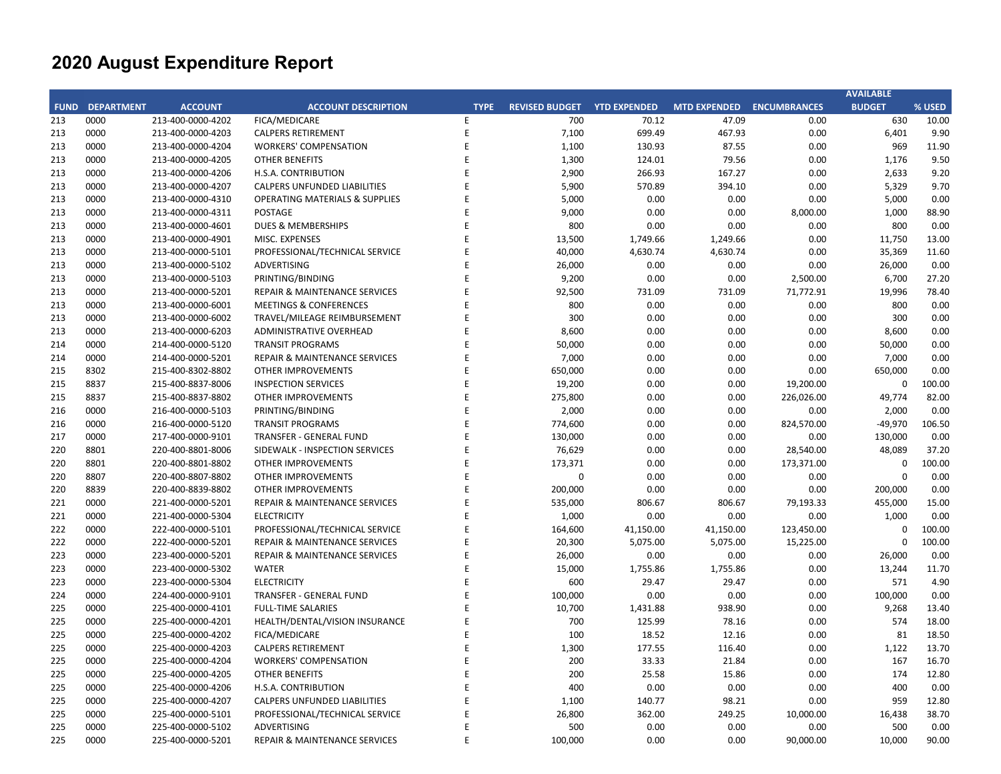| <b>FUND DEPARTMENT</b><br><b>ACCOUNT</b><br><b>ACCOUNT DESCRIPTION</b><br><b>REVISED BUDGET</b><br><b>YTD EXPENDED</b><br>MTD EXPENDED ENCUMBRANCES<br><b>BUDGET</b><br>% USED<br><b>TYPE</b><br>0000<br>213-400-0000-4202<br>FICA/MEDICARE<br>700<br>70.12<br>47.09<br>0.00<br>630<br>10.00<br>E<br>0000<br>E<br>7,100<br>699.49<br>0.00<br>6,401<br>9.90<br>213-400-0000-4203<br><b>CALPERS RETIREMENT</b><br>467.93<br>E<br>0000<br>213-400-0000-4204<br><b>WORKERS' COMPENSATION</b><br>1,100<br>130.93<br>87.55<br>0.00<br>969<br>11.90<br>9.50<br>0000<br>213-400-0000-4205<br>E<br>1,300<br>124.01<br>79.56<br>0.00<br>1,176<br><b>OTHER BENEFITS</b><br>0000<br>E<br>2,900<br>266.93<br>167.27<br>0.00<br>2,633<br>9.20<br>213-400-0000-4206<br>H.S.A. CONTRIBUTION<br>0000<br>E<br>5,900<br>570.89<br>394.10<br>0.00<br>5,329<br>9.70<br>213-400-0000-4207<br>CALPERS UNFUNDED LIABILITIES<br>0000<br>E<br>5,000<br>0.00<br>0.00<br>0.00<br>5,000<br>0.00<br>213-400-0000-4310<br><b>OPERATING MATERIALS &amp; SUPPLIES</b><br>0000<br>E<br>9,000<br>0.00<br>0.00<br>8,000.00<br>1,000<br>88.90<br>213-400-0000-4311<br>POSTAGE<br>0000<br>800<br>0.00<br>800<br>213-400-0000-4601<br>DUES & MEMBERSHIPS<br>F<br>0.00<br>0.00<br>0.00<br>0000<br>213-400-0000-4901<br>E<br>13,500<br>1,749.66<br>1,249.66<br>0.00<br>11,750<br>13.00<br>MISC. EXPENSES<br>0000<br>PROFESSIONAL/TECHNICAL SERVICE<br>E<br>40,000<br>4,630.74<br>4,630.74<br>0.00<br>35,369<br>11.60<br>213<br>213-400-0000-5101<br>0000<br>E<br>26,000<br>0.00<br>0.00<br>0.00<br>26,000<br>0.00<br>213-400-0000-5102<br>ADVERTISING<br>0000<br>PRINTING/BINDING<br>E<br>9,200<br>0.00<br>0.00<br>2,500.00<br>6,700<br>27.20<br>213-400-0000-5103<br>0000<br>E<br>92,500<br>731.09<br>71,772.91<br>19,996<br>78.40<br>213-400-0000-5201<br>REPAIR & MAINTENANCE SERVICES<br>731.09<br>0000<br>800<br>0.00<br>0.00<br>800<br>213-400-0000-6001<br><b>MEETINGS &amp; CONFERENCES</b><br>E<br>0.00<br>0.00<br>213<br>300<br>0.00<br>0000<br>213-400-0000-6002<br>E<br>0.00<br>0.00<br>0.00<br>300<br>TRAVEL/MILEAGE REIMBURSEMENT<br>0000<br>E<br>8,600<br>0.00<br>0.00<br>0.00<br>8,600<br>0.00<br>213-400-0000-6203<br>ADMINISTRATIVE OVERHEAD<br>0000<br>214-400-0000-5120<br>E<br>50,000<br>0.00<br>0.00<br>0.00<br>50,000<br>0.00<br><b>TRANSIT PROGRAMS</b><br>0000<br>E<br>7,000<br>0.00<br>0.00<br>0.00<br>7,000<br>0.00<br>214<br>214-400-0000-5201<br>REPAIR & MAINTENANCE SERVICES<br>8302<br>E<br>650,000<br>0.00<br>0.00<br>0.00<br>650,000<br>0.00<br>215-400-8302-8802<br><b>OTHER IMPROVEMENTS</b><br>8837<br>E<br>19,200<br>$\mathbf 0$<br>100.00<br>215-400-8837-8006<br><b>INSPECTION SERVICES</b><br>0.00<br>0.00<br>19,200.00<br>215<br>82.00<br>215<br>8837<br>215-400-8837-8802<br>OTHER IMPROVEMENTS<br>E<br>275,800<br>0.00<br>0.00<br>226,026.00<br>49,774<br>0000<br>PRINTING/BINDING<br>E<br>2,000<br>0.00<br>0.00<br>0.00<br>2,000<br>0.00<br>216<br>216-400-0000-5103<br>0000<br>E<br>774,600<br>0.00<br>0.00<br>824,570.00<br>$-49,970$<br>106.50<br>216<br>216-400-0000-5120<br><b>TRANSIT PROGRAMS</b><br>0000<br>217-400-0000-9101<br>E<br>130,000<br>0.00<br>0.00<br>0.00<br>130,000<br>0.00<br>217<br>TRANSFER - GENERAL FUND<br>8801<br>E<br>76,629<br>0.00<br>0.00<br>48,089<br>37.20<br>220<br>220-400-8801-8006<br>SIDEWALK - INSPECTION SERVICES<br>28,540.00<br>8801<br>E<br>100.00<br>220-400-8801-8802<br><b>OTHER IMPROVEMENTS</b><br>173,371<br>0.00<br>0.00<br>173,371.00<br>0<br>220<br>0.00<br>220<br>8807<br>220-400-8807-8802<br>OTHER IMPROVEMENTS<br>E<br>0<br>0.00<br>0.00<br>0.00<br>$\mathbf 0$<br>220<br>8839<br>220-400-8839-8802<br>E<br>200,000<br>0.00<br>0.00<br>0.00<br>200,000<br>0.00<br>OTHER IMPROVEMENTS<br>221<br>0000<br>221-400-0000-5201<br>E<br>535,000<br>806.67<br>79,193.33<br>455,000<br>15.00<br>REPAIR & MAINTENANCE SERVICES<br>806.67<br>221<br>0000<br><b>ELECTRICITY</b><br>E<br>1,000<br>0.00<br>0.00<br>0.00<br>1,000<br>0.00<br>221-400-0000-5304<br>222<br>0000<br>E<br>164,600<br>123,450.00<br>$\mathbf 0$<br>100.00<br>222-400-0000-5101<br>PROFESSIONAL/TECHNICAL SERVICE<br>41,150.00<br>41,150.00<br>0000<br>E<br>5,075.00<br>5,075.00<br>15,225.00<br>100.00<br>222<br>222-400-0000-5201<br>REPAIR & MAINTENANCE SERVICES<br>20,300<br>$\Omega$<br>0000<br>E<br>26,000<br>0.00<br>0.00<br>0.00<br>223<br>223-400-0000-5201<br>REPAIR & MAINTENANCE SERVICES<br>0.00<br>26,000<br>223<br>0000<br>223-400-0000-5302<br><b>WATER</b><br>E<br>15,000<br>1,755.86<br>1,755.86<br>0.00<br>13,244<br>11.70<br>223<br>0000<br>E<br>600<br>29.47<br>29.47<br>0.00<br>571<br>4.90<br>223-400-0000-5304<br><b>ELECTRICITY</b><br>0000<br>E<br>100,000<br>0.00<br>0.00<br>0.00<br>100,000<br>0.00<br>224<br>224-400-0000-9101<br>TRANSFER - GENERAL FUND<br>0000<br>E<br>10,700<br>938.90<br>0.00<br>9,268<br>13.40<br>225<br>225-400-0000-4101<br><b>FULL-TIME SALARIES</b><br>1,431.88<br>0000<br>E<br>700<br>125.99<br>0.00<br>574<br>18.00<br>225<br>225-400-0000-4201<br>HEALTH/DENTAL/VISION INSURANCE<br>78.16<br>0000<br>E<br>100<br>18.52<br>0.00<br>81<br>18.50<br>225<br>225-400-0000-4202<br>FICA/MEDICARE<br>12.16<br>225<br>0000<br>225-400-0000-4203<br><b>CALPERS RETIREMENT</b><br>E<br>1,300<br>177.55<br>116.40<br>0.00<br>1,122<br>13.70<br>225<br>0000<br>225-400-0000-4204<br><b>WORKERS' COMPENSATION</b><br>E<br>200<br>33.33<br>0.00<br>167<br>16.70<br>21.84<br>225<br>0000<br>E<br>200<br>25.58<br>15.86<br>0.00<br>174<br>12.80<br>225-400-0000-4205<br><b>OTHER BENEFITS</b><br>0000<br>E<br>400<br>0.00<br>0.00<br>0.00<br>400<br>0.00<br>225<br>225-400-0000-4206<br>H.S.A. CONTRIBUTION<br>0000<br>E<br>98.21<br>0.00<br>959<br>12.80<br>225<br>225-400-0000-4207<br>CALPERS UNFUNDED LIABILITIES<br>1,100<br>140.77<br>0000<br>26,800<br>362.00<br>38.70<br>225<br>225-400-0000-5101<br>PROFESSIONAL/TECHNICAL SERVICE<br>E<br>249.25<br>10,000.00<br>16,438<br>225<br>0000<br>225-400-0000-5102<br><b>ADVERTISING</b><br>E<br>500<br>0.00<br>0.00<br>0.00<br>500<br>0.00<br>225<br>0000<br>225-400-0000-5201<br>E<br>100,000<br>0.00<br>0.00<br>90,000.00<br>10,000<br>90.00<br>REPAIR & MAINTENANCE SERVICES |     |  |  |  |  | <b>AVAILABLE</b> |  |
|--------------------------------------------------------------------------------------------------------------------------------------------------------------------------------------------------------------------------------------------------------------------------------------------------------------------------------------------------------------------------------------------------------------------------------------------------------------------------------------------------------------------------------------------------------------------------------------------------------------------------------------------------------------------------------------------------------------------------------------------------------------------------------------------------------------------------------------------------------------------------------------------------------------------------------------------------------------------------------------------------------------------------------------------------------------------------------------------------------------------------------------------------------------------------------------------------------------------------------------------------------------------------------------------------------------------------------------------------------------------------------------------------------------------------------------------------------------------------------------------------------------------------------------------------------------------------------------------------------------------------------------------------------------------------------------------------------------------------------------------------------------------------------------------------------------------------------------------------------------------------------------------------------------------------------------------------------------------------------------------------------------------------------------------------------------------------------------------------------------------------------------------------------------------------------------------------------------------------------------------------------------------------------------------------------------------------------------------------------------------------------------------------------------------------------------------------------------------------------------------------------------------------------------------------------------------------------------------------------------------------------------------------------------------------------------------------------------------------------------------------------------------------------------------------------------------------------------------------------------------------------------------------------------------------------------------------------------------------------------------------------------------------------------------------------------------------------------------------------------------------------------------------------------------------------------------------------------------------------------------------------------------------------------------------------------------------------------------------------------------------------------------------------------------------------------------------------------------------------------------------------------------------------------------------------------------------------------------------------------------------------------------------------------------------------------------------------------------------------------------------------------------------------------------------------------------------------------------------------------------------------------------------------------------------------------------------------------------------------------------------------------------------------------------------------------------------------------------------------------------------------------------------------------------------------------------------------------------------------------------------------------------------------------------------------------------------------------------------------------------------------------------------------------------------------------------------------------------------------------------------------------------------------------------------------------------------------------------------------------------------------------------------------------------------------------------------------------------------------------------------------------------------------------------------------------------------------------------------------------------------------------------------------------------------------------------------------------------------------------------------------------------------------------------------------------------------------------------------------------------------------------------------------------------------------------------------------------------------------------------------------------------------------------------------------------------------------------------------------------------------------------------------------------------------------------------------------------------------------------------------------------------------------------------------------------------------------------------------------------------------------------------------------------------------------------------------------------------------------------------------------------------------------------------------------------------------------------------------------------------------------------------------------------------------------------------------------------------------------------------------------------------------------------------------------------------------------------------------------------------------------------------------------------------------------------------------------|-----|--|--|--|--|------------------|--|
|                                                                                                                                                                                                                                                                                                                                                                                                                                                                                                                                                                                                                                                                                                                                                                                                                                                                                                                                                                                                                                                                                                                                                                                                                                                                                                                                                                                                                                                                                                                                                                                                                                                                                                                                                                                                                                                                                                                                                                                                                                                                                                                                                                                                                                                                                                                                                                                                                                                                                                                                                                                                                                                                                                                                                                                                                                                                                                                                                                                                                                                                                                                                                                                                                                                                                                                                                                                                                                                                                                                                                                                                                                                                                                                                                                                                                                                                                                                                                                                                                                                                                                                                                                                                                                                                                                                                                                                                                                                                                                                                                                                                                                                                                                                                                                                                                                                                                                                                                                                                                                                                                                                                                                                                                                                                                                                                                                                                                                                                                                                                                                                                                                                                                                                                                                                                                                                                                                                                                                                                                                                                                                                                                                                                        |     |  |  |  |  |                  |  |
|                                                                                                                                                                                                                                                                                                                                                                                                                                                                                                                                                                                                                                                                                                                                                                                                                                                                                                                                                                                                                                                                                                                                                                                                                                                                                                                                                                                                                                                                                                                                                                                                                                                                                                                                                                                                                                                                                                                                                                                                                                                                                                                                                                                                                                                                                                                                                                                                                                                                                                                                                                                                                                                                                                                                                                                                                                                                                                                                                                                                                                                                                                                                                                                                                                                                                                                                                                                                                                                                                                                                                                                                                                                                                                                                                                                                                                                                                                                                                                                                                                                                                                                                                                                                                                                                                                                                                                                                                                                                                                                                                                                                                                                                                                                                                                                                                                                                                                                                                                                                                                                                                                                                                                                                                                                                                                                                                                                                                                                                                                                                                                                                                                                                                                                                                                                                                                                                                                                                                                                                                                                                                                                                                                                                        | 213 |  |  |  |  |                  |  |
|                                                                                                                                                                                                                                                                                                                                                                                                                                                                                                                                                                                                                                                                                                                                                                                                                                                                                                                                                                                                                                                                                                                                                                                                                                                                                                                                                                                                                                                                                                                                                                                                                                                                                                                                                                                                                                                                                                                                                                                                                                                                                                                                                                                                                                                                                                                                                                                                                                                                                                                                                                                                                                                                                                                                                                                                                                                                                                                                                                                                                                                                                                                                                                                                                                                                                                                                                                                                                                                                                                                                                                                                                                                                                                                                                                                                                                                                                                                                                                                                                                                                                                                                                                                                                                                                                                                                                                                                                                                                                                                                                                                                                                                                                                                                                                                                                                                                                                                                                                                                                                                                                                                                                                                                                                                                                                                                                                                                                                                                                                                                                                                                                                                                                                                                                                                                                                                                                                                                                                                                                                                                                                                                                                                                        | 213 |  |  |  |  |                  |  |
|                                                                                                                                                                                                                                                                                                                                                                                                                                                                                                                                                                                                                                                                                                                                                                                                                                                                                                                                                                                                                                                                                                                                                                                                                                                                                                                                                                                                                                                                                                                                                                                                                                                                                                                                                                                                                                                                                                                                                                                                                                                                                                                                                                                                                                                                                                                                                                                                                                                                                                                                                                                                                                                                                                                                                                                                                                                                                                                                                                                                                                                                                                                                                                                                                                                                                                                                                                                                                                                                                                                                                                                                                                                                                                                                                                                                                                                                                                                                                                                                                                                                                                                                                                                                                                                                                                                                                                                                                                                                                                                                                                                                                                                                                                                                                                                                                                                                                                                                                                                                                                                                                                                                                                                                                                                                                                                                                                                                                                                                                                                                                                                                                                                                                                                                                                                                                                                                                                                                                                                                                                                                                                                                                                                                        | 213 |  |  |  |  |                  |  |
|                                                                                                                                                                                                                                                                                                                                                                                                                                                                                                                                                                                                                                                                                                                                                                                                                                                                                                                                                                                                                                                                                                                                                                                                                                                                                                                                                                                                                                                                                                                                                                                                                                                                                                                                                                                                                                                                                                                                                                                                                                                                                                                                                                                                                                                                                                                                                                                                                                                                                                                                                                                                                                                                                                                                                                                                                                                                                                                                                                                                                                                                                                                                                                                                                                                                                                                                                                                                                                                                                                                                                                                                                                                                                                                                                                                                                                                                                                                                                                                                                                                                                                                                                                                                                                                                                                                                                                                                                                                                                                                                                                                                                                                                                                                                                                                                                                                                                                                                                                                                                                                                                                                                                                                                                                                                                                                                                                                                                                                                                                                                                                                                                                                                                                                                                                                                                                                                                                                                                                                                                                                                                                                                                                                                        | 213 |  |  |  |  |                  |  |
|                                                                                                                                                                                                                                                                                                                                                                                                                                                                                                                                                                                                                                                                                                                                                                                                                                                                                                                                                                                                                                                                                                                                                                                                                                                                                                                                                                                                                                                                                                                                                                                                                                                                                                                                                                                                                                                                                                                                                                                                                                                                                                                                                                                                                                                                                                                                                                                                                                                                                                                                                                                                                                                                                                                                                                                                                                                                                                                                                                                                                                                                                                                                                                                                                                                                                                                                                                                                                                                                                                                                                                                                                                                                                                                                                                                                                                                                                                                                                                                                                                                                                                                                                                                                                                                                                                                                                                                                                                                                                                                                                                                                                                                                                                                                                                                                                                                                                                                                                                                                                                                                                                                                                                                                                                                                                                                                                                                                                                                                                                                                                                                                                                                                                                                                                                                                                                                                                                                                                                                                                                                                                                                                                                                                        | 213 |  |  |  |  |                  |  |
|                                                                                                                                                                                                                                                                                                                                                                                                                                                                                                                                                                                                                                                                                                                                                                                                                                                                                                                                                                                                                                                                                                                                                                                                                                                                                                                                                                                                                                                                                                                                                                                                                                                                                                                                                                                                                                                                                                                                                                                                                                                                                                                                                                                                                                                                                                                                                                                                                                                                                                                                                                                                                                                                                                                                                                                                                                                                                                                                                                                                                                                                                                                                                                                                                                                                                                                                                                                                                                                                                                                                                                                                                                                                                                                                                                                                                                                                                                                                                                                                                                                                                                                                                                                                                                                                                                                                                                                                                                                                                                                                                                                                                                                                                                                                                                                                                                                                                                                                                                                                                                                                                                                                                                                                                                                                                                                                                                                                                                                                                                                                                                                                                                                                                                                                                                                                                                                                                                                                                                                                                                                                                                                                                                                                        | 213 |  |  |  |  |                  |  |
|                                                                                                                                                                                                                                                                                                                                                                                                                                                                                                                                                                                                                                                                                                                                                                                                                                                                                                                                                                                                                                                                                                                                                                                                                                                                                                                                                                                                                                                                                                                                                                                                                                                                                                                                                                                                                                                                                                                                                                                                                                                                                                                                                                                                                                                                                                                                                                                                                                                                                                                                                                                                                                                                                                                                                                                                                                                                                                                                                                                                                                                                                                                                                                                                                                                                                                                                                                                                                                                                                                                                                                                                                                                                                                                                                                                                                                                                                                                                                                                                                                                                                                                                                                                                                                                                                                                                                                                                                                                                                                                                                                                                                                                                                                                                                                                                                                                                                                                                                                                                                                                                                                                                                                                                                                                                                                                                                                                                                                                                                                                                                                                                                                                                                                                                                                                                                                                                                                                                                                                                                                                                                                                                                                                                        | 213 |  |  |  |  |                  |  |
|                                                                                                                                                                                                                                                                                                                                                                                                                                                                                                                                                                                                                                                                                                                                                                                                                                                                                                                                                                                                                                                                                                                                                                                                                                                                                                                                                                                                                                                                                                                                                                                                                                                                                                                                                                                                                                                                                                                                                                                                                                                                                                                                                                                                                                                                                                                                                                                                                                                                                                                                                                                                                                                                                                                                                                                                                                                                                                                                                                                                                                                                                                                                                                                                                                                                                                                                                                                                                                                                                                                                                                                                                                                                                                                                                                                                                                                                                                                                                                                                                                                                                                                                                                                                                                                                                                                                                                                                                                                                                                                                                                                                                                                                                                                                                                                                                                                                                                                                                                                                                                                                                                                                                                                                                                                                                                                                                                                                                                                                                                                                                                                                                                                                                                                                                                                                                                                                                                                                                                                                                                                                                                                                                                                                        | 213 |  |  |  |  |                  |  |
|                                                                                                                                                                                                                                                                                                                                                                                                                                                                                                                                                                                                                                                                                                                                                                                                                                                                                                                                                                                                                                                                                                                                                                                                                                                                                                                                                                                                                                                                                                                                                                                                                                                                                                                                                                                                                                                                                                                                                                                                                                                                                                                                                                                                                                                                                                                                                                                                                                                                                                                                                                                                                                                                                                                                                                                                                                                                                                                                                                                                                                                                                                                                                                                                                                                                                                                                                                                                                                                                                                                                                                                                                                                                                                                                                                                                                                                                                                                                                                                                                                                                                                                                                                                                                                                                                                                                                                                                                                                                                                                                                                                                                                                                                                                                                                                                                                                                                                                                                                                                                                                                                                                                                                                                                                                                                                                                                                                                                                                                                                                                                                                                                                                                                                                                                                                                                                                                                                                                                                                                                                                                                                                                                                                                        | 213 |  |  |  |  |                  |  |
|                                                                                                                                                                                                                                                                                                                                                                                                                                                                                                                                                                                                                                                                                                                                                                                                                                                                                                                                                                                                                                                                                                                                                                                                                                                                                                                                                                                                                                                                                                                                                                                                                                                                                                                                                                                                                                                                                                                                                                                                                                                                                                                                                                                                                                                                                                                                                                                                                                                                                                                                                                                                                                                                                                                                                                                                                                                                                                                                                                                                                                                                                                                                                                                                                                                                                                                                                                                                                                                                                                                                                                                                                                                                                                                                                                                                                                                                                                                                                                                                                                                                                                                                                                                                                                                                                                                                                                                                                                                                                                                                                                                                                                                                                                                                                                                                                                                                                                                                                                                                                                                                                                                                                                                                                                                                                                                                                                                                                                                                                                                                                                                                                                                                                                                                                                                                                                                                                                                                                                                                                                                                                                                                                                                                        | 213 |  |  |  |  |                  |  |
|                                                                                                                                                                                                                                                                                                                                                                                                                                                                                                                                                                                                                                                                                                                                                                                                                                                                                                                                                                                                                                                                                                                                                                                                                                                                                                                                                                                                                                                                                                                                                                                                                                                                                                                                                                                                                                                                                                                                                                                                                                                                                                                                                                                                                                                                                                                                                                                                                                                                                                                                                                                                                                                                                                                                                                                                                                                                                                                                                                                                                                                                                                                                                                                                                                                                                                                                                                                                                                                                                                                                                                                                                                                                                                                                                                                                                                                                                                                                                                                                                                                                                                                                                                                                                                                                                                                                                                                                                                                                                                                                                                                                                                                                                                                                                                                                                                                                                                                                                                                                                                                                                                                                                                                                                                                                                                                                                                                                                                                                                                                                                                                                                                                                                                                                                                                                                                                                                                                                                                                                                                                                                                                                                                                                        |     |  |  |  |  |                  |  |
|                                                                                                                                                                                                                                                                                                                                                                                                                                                                                                                                                                                                                                                                                                                                                                                                                                                                                                                                                                                                                                                                                                                                                                                                                                                                                                                                                                                                                                                                                                                                                                                                                                                                                                                                                                                                                                                                                                                                                                                                                                                                                                                                                                                                                                                                                                                                                                                                                                                                                                                                                                                                                                                                                                                                                                                                                                                                                                                                                                                                                                                                                                                                                                                                                                                                                                                                                                                                                                                                                                                                                                                                                                                                                                                                                                                                                                                                                                                                                                                                                                                                                                                                                                                                                                                                                                                                                                                                                                                                                                                                                                                                                                                                                                                                                                                                                                                                                                                                                                                                                                                                                                                                                                                                                                                                                                                                                                                                                                                                                                                                                                                                                                                                                                                                                                                                                                                                                                                                                                                                                                                                                                                                                                                                        | 213 |  |  |  |  |                  |  |
|                                                                                                                                                                                                                                                                                                                                                                                                                                                                                                                                                                                                                                                                                                                                                                                                                                                                                                                                                                                                                                                                                                                                                                                                                                                                                                                                                                                                                                                                                                                                                                                                                                                                                                                                                                                                                                                                                                                                                                                                                                                                                                                                                                                                                                                                                                                                                                                                                                                                                                                                                                                                                                                                                                                                                                                                                                                                                                                                                                                                                                                                                                                                                                                                                                                                                                                                                                                                                                                                                                                                                                                                                                                                                                                                                                                                                                                                                                                                                                                                                                                                                                                                                                                                                                                                                                                                                                                                                                                                                                                                                                                                                                                                                                                                                                                                                                                                                                                                                                                                                                                                                                                                                                                                                                                                                                                                                                                                                                                                                                                                                                                                                                                                                                                                                                                                                                                                                                                                                                                                                                                                                                                                                                                                        | 213 |  |  |  |  |                  |  |
|                                                                                                                                                                                                                                                                                                                                                                                                                                                                                                                                                                                                                                                                                                                                                                                                                                                                                                                                                                                                                                                                                                                                                                                                                                                                                                                                                                                                                                                                                                                                                                                                                                                                                                                                                                                                                                                                                                                                                                                                                                                                                                                                                                                                                                                                                                                                                                                                                                                                                                                                                                                                                                                                                                                                                                                                                                                                                                                                                                                                                                                                                                                                                                                                                                                                                                                                                                                                                                                                                                                                                                                                                                                                                                                                                                                                                                                                                                                                                                                                                                                                                                                                                                                                                                                                                                                                                                                                                                                                                                                                                                                                                                                                                                                                                                                                                                                                                                                                                                                                                                                                                                                                                                                                                                                                                                                                                                                                                                                                                                                                                                                                                                                                                                                                                                                                                                                                                                                                                                                                                                                                                                                                                                                                        | 213 |  |  |  |  |                  |  |
|                                                                                                                                                                                                                                                                                                                                                                                                                                                                                                                                                                                                                                                                                                                                                                                                                                                                                                                                                                                                                                                                                                                                                                                                                                                                                                                                                                                                                                                                                                                                                                                                                                                                                                                                                                                                                                                                                                                                                                                                                                                                                                                                                                                                                                                                                                                                                                                                                                                                                                                                                                                                                                                                                                                                                                                                                                                                                                                                                                                                                                                                                                                                                                                                                                                                                                                                                                                                                                                                                                                                                                                                                                                                                                                                                                                                                                                                                                                                                                                                                                                                                                                                                                                                                                                                                                                                                                                                                                                                                                                                                                                                                                                                                                                                                                                                                                                                                                                                                                                                                                                                                                                                                                                                                                                                                                                                                                                                                                                                                                                                                                                                                                                                                                                                                                                                                                                                                                                                                                                                                                                                                                                                                                                                        |     |  |  |  |  |                  |  |
|                                                                                                                                                                                                                                                                                                                                                                                                                                                                                                                                                                                                                                                                                                                                                                                                                                                                                                                                                                                                                                                                                                                                                                                                                                                                                                                                                                                                                                                                                                                                                                                                                                                                                                                                                                                                                                                                                                                                                                                                                                                                                                                                                                                                                                                                                                                                                                                                                                                                                                                                                                                                                                                                                                                                                                                                                                                                                                                                                                                                                                                                                                                                                                                                                                                                                                                                                                                                                                                                                                                                                                                                                                                                                                                                                                                                                                                                                                                                                                                                                                                                                                                                                                                                                                                                                                                                                                                                                                                                                                                                                                                                                                                                                                                                                                                                                                                                                                                                                                                                                                                                                                                                                                                                                                                                                                                                                                                                                                                                                                                                                                                                                                                                                                                                                                                                                                                                                                                                                                                                                                                                                                                                                                                                        | 213 |  |  |  |  |                  |  |
|                                                                                                                                                                                                                                                                                                                                                                                                                                                                                                                                                                                                                                                                                                                                                                                                                                                                                                                                                                                                                                                                                                                                                                                                                                                                                                                                                                                                                                                                                                                                                                                                                                                                                                                                                                                                                                                                                                                                                                                                                                                                                                                                                                                                                                                                                                                                                                                                                                                                                                                                                                                                                                                                                                                                                                                                                                                                                                                                                                                                                                                                                                                                                                                                                                                                                                                                                                                                                                                                                                                                                                                                                                                                                                                                                                                                                                                                                                                                                                                                                                                                                                                                                                                                                                                                                                                                                                                                                                                                                                                                                                                                                                                                                                                                                                                                                                                                                                                                                                                                                                                                                                                                                                                                                                                                                                                                                                                                                                                                                                                                                                                                                                                                                                                                                                                                                                                                                                                                                                                                                                                                                                                                                                                                        | 213 |  |  |  |  |                  |  |
|                                                                                                                                                                                                                                                                                                                                                                                                                                                                                                                                                                                                                                                                                                                                                                                                                                                                                                                                                                                                                                                                                                                                                                                                                                                                                                                                                                                                                                                                                                                                                                                                                                                                                                                                                                                                                                                                                                                                                                                                                                                                                                                                                                                                                                                                                                                                                                                                                                                                                                                                                                                                                                                                                                                                                                                                                                                                                                                                                                                                                                                                                                                                                                                                                                                                                                                                                                                                                                                                                                                                                                                                                                                                                                                                                                                                                                                                                                                                                                                                                                                                                                                                                                                                                                                                                                                                                                                                                                                                                                                                                                                                                                                                                                                                                                                                                                                                                                                                                                                                                                                                                                                                                                                                                                                                                                                                                                                                                                                                                                                                                                                                                                                                                                                                                                                                                                                                                                                                                                                                                                                                                                                                                                                                        | 214 |  |  |  |  |                  |  |
|                                                                                                                                                                                                                                                                                                                                                                                                                                                                                                                                                                                                                                                                                                                                                                                                                                                                                                                                                                                                                                                                                                                                                                                                                                                                                                                                                                                                                                                                                                                                                                                                                                                                                                                                                                                                                                                                                                                                                                                                                                                                                                                                                                                                                                                                                                                                                                                                                                                                                                                                                                                                                                                                                                                                                                                                                                                                                                                                                                                                                                                                                                                                                                                                                                                                                                                                                                                                                                                                                                                                                                                                                                                                                                                                                                                                                                                                                                                                                                                                                                                                                                                                                                                                                                                                                                                                                                                                                                                                                                                                                                                                                                                                                                                                                                                                                                                                                                                                                                                                                                                                                                                                                                                                                                                                                                                                                                                                                                                                                                                                                                                                                                                                                                                                                                                                                                                                                                                                                                                                                                                                                                                                                                                                        |     |  |  |  |  |                  |  |
|                                                                                                                                                                                                                                                                                                                                                                                                                                                                                                                                                                                                                                                                                                                                                                                                                                                                                                                                                                                                                                                                                                                                                                                                                                                                                                                                                                                                                                                                                                                                                                                                                                                                                                                                                                                                                                                                                                                                                                                                                                                                                                                                                                                                                                                                                                                                                                                                                                                                                                                                                                                                                                                                                                                                                                                                                                                                                                                                                                                                                                                                                                                                                                                                                                                                                                                                                                                                                                                                                                                                                                                                                                                                                                                                                                                                                                                                                                                                                                                                                                                                                                                                                                                                                                                                                                                                                                                                                                                                                                                                                                                                                                                                                                                                                                                                                                                                                                                                                                                                                                                                                                                                                                                                                                                                                                                                                                                                                                                                                                                                                                                                                                                                                                                                                                                                                                                                                                                                                                                                                                                                                                                                                                                                        | 215 |  |  |  |  |                  |  |
|                                                                                                                                                                                                                                                                                                                                                                                                                                                                                                                                                                                                                                                                                                                                                                                                                                                                                                                                                                                                                                                                                                                                                                                                                                                                                                                                                                                                                                                                                                                                                                                                                                                                                                                                                                                                                                                                                                                                                                                                                                                                                                                                                                                                                                                                                                                                                                                                                                                                                                                                                                                                                                                                                                                                                                                                                                                                                                                                                                                                                                                                                                                                                                                                                                                                                                                                                                                                                                                                                                                                                                                                                                                                                                                                                                                                                                                                                                                                                                                                                                                                                                                                                                                                                                                                                                                                                                                                                                                                                                                                                                                                                                                                                                                                                                                                                                                                                                                                                                                                                                                                                                                                                                                                                                                                                                                                                                                                                                                                                                                                                                                                                                                                                                                                                                                                                                                                                                                                                                                                                                                                                                                                                                                                        |     |  |  |  |  |                  |  |
|                                                                                                                                                                                                                                                                                                                                                                                                                                                                                                                                                                                                                                                                                                                                                                                                                                                                                                                                                                                                                                                                                                                                                                                                                                                                                                                                                                                                                                                                                                                                                                                                                                                                                                                                                                                                                                                                                                                                                                                                                                                                                                                                                                                                                                                                                                                                                                                                                                                                                                                                                                                                                                                                                                                                                                                                                                                                                                                                                                                                                                                                                                                                                                                                                                                                                                                                                                                                                                                                                                                                                                                                                                                                                                                                                                                                                                                                                                                                                                                                                                                                                                                                                                                                                                                                                                                                                                                                                                                                                                                                                                                                                                                                                                                                                                                                                                                                                                                                                                                                                                                                                                                                                                                                                                                                                                                                                                                                                                                                                                                                                                                                                                                                                                                                                                                                                                                                                                                                                                                                                                                                                                                                                                                                        |     |  |  |  |  |                  |  |
|                                                                                                                                                                                                                                                                                                                                                                                                                                                                                                                                                                                                                                                                                                                                                                                                                                                                                                                                                                                                                                                                                                                                                                                                                                                                                                                                                                                                                                                                                                                                                                                                                                                                                                                                                                                                                                                                                                                                                                                                                                                                                                                                                                                                                                                                                                                                                                                                                                                                                                                                                                                                                                                                                                                                                                                                                                                                                                                                                                                                                                                                                                                                                                                                                                                                                                                                                                                                                                                                                                                                                                                                                                                                                                                                                                                                                                                                                                                                                                                                                                                                                                                                                                                                                                                                                                                                                                                                                                                                                                                                                                                                                                                                                                                                                                                                                                                                                                                                                                                                                                                                                                                                                                                                                                                                                                                                                                                                                                                                                                                                                                                                                                                                                                                                                                                                                                                                                                                                                                                                                                                                                                                                                                                                        |     |  |  |  |  |                  |  |
|                                                                                                                                                                                                                                                                                                                                                                                                                                                                                                                                                                                                                                                                                                                                                                                                                                                                                                                                                                                                                                                                                                                                                                                                                                                                                                                                                                                                                                                                                                                                                                                                                                                                                                                                                                                                                                                                                                                                                                                                                                                                                                                                                                                                                                                                                                                                                                                                                                                                                                                                                                                                                                                                                                                                                                                                                                                                                                                                                                                                                                                                                                                                                                                                                                                                                                                                                                                                                                                                                                                                                                                                                                                                                                                                                                                                                                                                                                                                                                                                                                                                                                                                                                                                                                                                                                                                                                                                                                                                                                                                                                                                                                                                                                                                                                                                                                                                                                                                                                                                                                                                                                                                                                                                                                                                                                                                                                                                                                                                                                                                                                                                                                                                                                                                                                                                                                                                                                                                                                                                                                                                                                                                                                                                        |     |  |  |  |  |                  |  |
|                                                                                                                                                                                                                                                                                                                                                                                                                                                                                                                                                                                                                                                                                                                                                                                                                                                                                                                                                                                                                                                                                                                                                                                                                                                                                                                                                                                                                                                                                                                                                                                                                                                                                                                                                                                                                                                                                                                                                                                                                                                                                                                                                                                                                                                                                                                                                                                                                                                                                                                                                                                                                                                                                                                                                                                                                                                                                                                                                                                                                                                                                                                                                                                                                                                                                                                                                                                                                                                                                                                                                                                                                                                                                                                                                                                                                                                                                                                                                                                                                                                                                                                                                                                                                                                                                                                                                                                                                                                                                                                                                                                                                                                                                                                                                                                                                                                                                                                                                                                                                                                                                                                                                                                                                                                                                                                                                                                                                                                                                                                                                                                                                                                                                                                                                                                                                                                                                                                                                                                                                                                                                                                                                                                                        |     |  |  |  |  |                  |  |
|                                                                                                                                                                                                                                                                                                                                                                                                                                                                                                                                                                                                                                                                                                                                                                                                                                                                                                                                                                                                                                                                                                                                                                                                                                                                                                                                                                                                                                                                                                                                                                                                                                                                                                                                                                                                                                                                                                                                                                                                                                                                                                                                                                                                                                                                                                                                                                                                                                                                                                                                                                                                                                                                                                                                                                                                                                                                                                                                                                                                                                                                                                                                                                                                                                                                                                                                                                                                                                                                                                                                                                                                                                                                                                                                                                                                                                                                                                                                                                                                                                                                                                                                                                                                                                                                                                                                                                                                                                                                                                                                                                                                                                                                                                                                                                                                                                                                                                                                                                                                                                                                                                                                                                                                                                                                                                                                                                                                                                                                                                                                                                                                                                                                                                                                                                                                                                                                                                                                                                                                                                                                                                                                                                                                        |     |  |  |  |  |                  |  |
|                                                                                                                                                                                                                                                                                                                                                                                                                                                                                                                                                                                                                                                                                                                                                                                                                                                                                                                                                                                                                                                                                                                                                                                                                                                                                                                                                                                                                                                                                                                                                                                                                                                                                                                                                                                                                                                                                                                                                                                                                                                                                                                                                                                                                                                                                                                                                                                                                                                                                                                                                                                                                                                                                                                                                                                                                                                                                                                                                                                                                                                                                                                                                                                                                                                                                                                                                                                                                                                                                                                                                                                                                                                                                                                                                                                                                                                                                                                                                                                                                                                                                                                                                                                                                                                                                                                                                                                                                                                                                                                                                                                                                                                                                                                                                                                                                                                                                                                                                                                                                                                                                                                                                                                                                                                                                                                                                                                                                                                                                                                                                                                                                                                                                                                                                                                                                                                                                                                                                                                                                                                                                                                                                                                                        |     |  |  |  |  |                  |  |
|                                                                                                                                                                                                                                                                                                                                                                                                                                                                                                                                                                                                                                                                                                                                                                                                                                                                                                                                                                                                                                                                                                                                                                                                                                                                                                                                                                                                                                                                                                                                                                                                                                                                                                                                                                                                                                                                                                                                                                                                                                                                                                                                                                                                                                                                                                                                                                                                                                                                                                                                                                                                                                                                                                                                                                                                                                                                                                                                                                                                                                                                                                                                                                                                                                                                                                                                                                                                                                                                                                                                                                                                                                                                                                                                                                                                                                                                                                                                                                                                                                                                                                                                                                                                                                                                                                                                                                                                                                                                                                                                                                                                                                                                                                                                                                                                                                                                                                                                                                                                                                                                                                                                                                                                                                                                                                                                                                                                                                                                                                                                                                                                                                                                                                                                                                                                                                                                                                                                                                                                                                                                                                                                                                                                        |     |  |  |  |  |                  |  |
|                                                                                                                                                                                                                                                                                                                                                                                                                                                                                                                                                                                                                                                                                                                                                                                                                                                                                                                                                                                                                                                                                                                                                                                                                                                                                                                                                                                                                                                                                                                                                                                                                                                                                                                                                                                                                                                                                                                                                                                                                                                                                                                                                                                                                                                                                                                                                                                                                                                                                                                                                                                                                                                                                                                                                                                                                                                                                                                                                                                                                                                                                                                                                                                                                                                                                                                                                                                                                                                                                                                                                                                                                                                                                                                                                                                                                                                                                                                                                                                                                                                                                                                                                                                                                                                                                                                                                                                                                                                                                                                                                                                                                                                                                                                                                                                                                                                                                                                                                                                                                                                                                                                                                                                                                                                                                                                                                                                                                                                                                                                                                                                                                                                                                                                                                                                                                                                                                                                                                                                                                                                                                                                                                                                                        |     |  |  |  |  |                  |  |
|                                                                                                                                                                                                                                                                                                                                                                                                                                                                                                                                                                                                                                                                                                                                                                                                                                                                                                                                                                                                                                                                                                                                                                                                                                                                                                                                                                                                                                                                                                                                                                                                                                                                                                                                                                                                                                                                                                                                                                                                                                                                                                                                                                                                                                                                                                                                                                                                                                                                                                                                                                                                                                                                                                                                                                                                                                                                                                                                                                                                                                                                                                                                                                                                                                                                                                                                                                                                                                                                                                                                                                                                                                                                                                                                                                                                                                                                                                                                                                                                                                                                                                                                                                                                                                                                                                                                                                                                                                                                                                                                                                                                                                                                                                                                                                                                                                                                                                                                                                                                                                                                                                                                                                                                                                                                                                                                                                                                                                                                                                                                                                                                                                                                                                                                                                                                                                                                                                                                                                                                                                                                                                                                                                                                        |     |  |  |  |  |                  |  |
|                                                                                                                                                                                                                                                                                                                                                                                                                                                                                                                                                                                                                                                                                                                                                                                                                                                                                                                                                                                                                                                                                                                                                                                                                                                                                                                                                                                                                                                                                                                                                                                                                                                                                                                                                                                                                                                                                                                                                                                                                                                                                                                                                                                                                                                                                                                                                                                                                                                                                                                                                                                                                                                                                                                                                                                                                                                                                                                                                                                                                                                                                                                                                                                                                                                                                                                                                                                                                                                                                                                                                                                                                                                                                                                                                                                                                                                                                                                                                                                                                                                                                                                                                                                                                                                                                                                                                                                                                                                                                                                                                                                                                                                                                                                                                                                                                                                                                                                                                                                                                                                                                                                                                                                                                                                                                                                                                                                                                                                                                                                                                                                                                                                                                                                                                                                                                                                                                                                                                                                                                                                                                                                                                                                                        |     |  |  |  |  |                  |  |
|                                                                                                                                                                                                                                                                                                                                                                                                                                                                                                                                                                                                                                                                                                                                                                                                                                                                                                                                                                                                                                                                                                                                                                                                                                                                                                                                                                                                                                                                                                                                                                                                                                                                                                                                                                                                                                                                                                                                                                                                                                                                                                                                                                                                                                                                                                                                                                                                                                                                                                                                                                                                                                                                                                                                                                                                                                                                                                                                                                                                                                                                                                                                                                                                                                                                                                                                                                                                                                                                                                                                                                                                                                                                                                                                                                                                                                                                                                                                                                                                                                                                                                                                                                                                                                                                                                                                                                                                                                                                                                                                                                                                                                                                                                                                                                                                                                                                                                                                                                                                                                                                                                                                                                                                                                                                                                                                                                                                                                                                                                                                                                                                                                                                                                                                                                                                                                                                                                                                                                                                                                                                                                                                                                                                        |     |  |  |  |  |                  |  |
|                                                                                                                                                                                                                                                                                                                                                                                                                                                                                                                                                                                                                                                                                                                                                                                                                                                                                                                                                                                                                                                                                                                                                                                                                                                                                                                                                                                                                                                                                                                                                                                                                                                                                                                                                                                                                                                                                                                                                                                                                                                                                                                                                                                                                                                                                                                                                                                                                                                                                                                                                                                                                                                                                                                                                                                                                                                                                                                                                                                                                                                                                                                                                                                                                                                                                                                                                                                                                                                                                                                                                                                                                                                                                                                                                                                                                                                                                                                                                                                                                                                                                                                                                                                                                                                                                                                                                                                                                                                                                                                                                                                                                                                                                                                                                                                                                                                                                                                                                                                                                                                                                                                                                                                                                                                                                                                                                                                                                                                                                                                                                                                                                                                                                                                                                                                                                                                                                                                                                                                                                                                                                                                                                                                                        |     |  |  |  |  |                  |  |
|                                                                                                                                                                                                                                                                                                                                                                                                                                                                                                                                                                                                                                                                                                                                                                                                                                                                                                                                                                                                                                                                                                                                                                                                                                                                                                                                                                                                                                                                                                                                                                                                                                                                                                                                                                                                                                                                                                                                                                                                                                                                                                                                                                                                                                                                                                                                                                                                                                                                                                                                                                                                                                                                                                                                                                                                                                                                                                                                                                                                                                                                                                                                                                                                                                                                                                                                                                                                                                                                                                                                                                                                                                                                                                                                                                                                                                                                                                                                                                                                                                                                                                                                                                                                                                                                                                                                                                                                                                                                                                                                                                                                                                                                                                                                                                                                                                                                                                                                                                                                                                                                                                                                                                                                                                                                                                                                                                                                                                                                                                                                                                                                                                                                                                                                                                                                                                                                                                                                                                                                                                                                                                                                                                                                        |     |  |  |  |  |                  |  |
|                                                                                                                                                                                                                                                                                                                                                                                                                                                                                                                                                                                                                                                                                                                                                                                                                                                                                                                                                                                                                                                                                                                                                                                                                                                                                                                                                                                                                                                                                                                                                                                                                                                                                                                                                                                                                                                                                                                                                                                                                                                                                                                                                                                                                                                                                                                                                                                                                                                                                                                                                                                                                                                                                                                                                                                                                                                                                                                                                                                                                                                                                                                                                                                                                                                                                                                                                                                                                                                                                                                                                                                                                                                                                                                                                                                                                                                                                                                                                                                                                                                                                                                                                                                                                                                                                                                                                                                                                                                                                                                                                                                                                                                                                                                                                                                                                                                                                                                                                                                                                                                                                                                                                                                                                                                                                                                                                                                                                                                                                                                                                                                                                                                                                                                                                                                                                                                                                                                                                                                                                                                                                                                                                                                                        |     |  |  |  |  |                  |  |
|                                                                                                                                                                                                                                                                                                                                                                                                                                                                                                                                                                                                                                                                                                                                                                                                                                                                                                                                                                                                                                                                                                                                                                                                                                                                                                                                                                                                                                                                                                                                                                                                                                                                                                                                                                                                                                                                                                                                                                                                                                                                                                                                                                                                                                                                                                                                                                                                                                                                                                                                                                                                                                                                                                                                                                                                                                                                                                                                                                                                                                                                                                                                                                                                                                                                                                                                                                                                                                                                                                                                                                                                                                                                                                                                                                                                                                                                                                                                                                                                                                                                                                                                                                                                                                                                                                                                                                                                                                                                                                                                                                                                                                                                                                                                                                                                                                                                                                                                                                                                                                                                                                                                                                                                                                                                                                                                                                                                                                                                                                                                                                                                                                                                                                                                                                                                                                                                                                                                                                                                                                                                                                                                                                                                        |     |  |  |  |  |                  |  |
|                                                                                                                                                                                                                                                                                                                                                                                                                                                                                                                                                                                                                                                                                                                                                                                                                                                                                                                                                                                                                                                                                                                                                                                                                                                                                                                                                                                                                                                                                                                                                                                                                                                                                                                                                                                                                                                                                                                                                                                                                                                                                                                                                                                                                                                                                                                                                                                                                                                                                                                                                                                                                                                                                                                                                                                                                                                                                                                                                                                                                                                                                                                                                                                                                                                                                                                                                                                                                                                                                                                                                                                                                                                                                                                                                                                                                                                                                                                                                                                                                                                                                                                                                                                                                                                                                                                                                                                                                                                                                                                                                                                                                                                                                                                                                                                                                                                                                                                                                                                                                                                                                                                                                                                                                                                                                                                                                                                                                                                                                                                                                                                                                                                                                                                                                                                                                                                                                                                                                                                                                                                                                                                                                                                                        |     |  |  |  |  |                  |  |
|                                                                                                                                                                                                                                                                                                                                                                                                                                                                                                                                                                                                                                                                                                                                                                                                                                                                                                                                                                                                                                                                                                                                                                                                                                                                                                                                                                                                                                                                                                                                                                                                                                                                                                                                                                                                                                                                                                                                                                                                                                                                                                                                                                                                                                                                                                                                                                                                                                                                                                                                                                                                                                                                                                                                                                                                                                                                                                                                                                                                                                                                                                                                                                                                                                                                                                                                                                                                                                                                                                                                                                                                                                                                                                                                                                                                                                                                                                                                                                                                                                                                                                                                                                                                                                                                                                                                                                                                                                                                                                                                                                                                                                                                                                                                                                                                                                                                                                                                                                                                                                                                                                                                                                                                                                                                                                                                                                                                                                                                                                                                                                                                                                                                                                                                                                                                                                                                                                                                                                                                                                                                                                                                                                                                        |     |  |  |  |  |                  |  |
|                                                                                                                                                                                                                                                                                                                                                                                                                                                                                                                                                                                                                                                                                                                                                                                                                                                                                                                                                                                                                                                                                                                                                                                                                                                                                                                                                                                                                                                                                                                                                                                                                                                                                                                                                                                                                                                                                                                                                                                                                                                                                                                                                                                                                                                                                                                                                                                                                                                                                                                                                                                                                                                                                                                                                                                                                                                                                                                                                                                                                                                                                                                                                                                                                                                                                                                                                                                                                                                                                                                                                                                                                                                                                                                                                                                                                                                                                                                                                                                                                                                                                                                                                                                                                                                                                                                                                                                                                                                                                                                                                                                                                                                                                                                                                                                                                                                                                                                                                                                                                                                                                                                                                                                                                                                                                                                                                                                                                                                                                                                                                                                                                                                                                                                                                                                                                                                                                                                                                                                                                                                                                                                                                                                                        |     |  |  |  |  |                  |  |
|                                                                                                                                                                                                                                                                                                                                                                                                                                                                                                                                                                                                                                                                                                                                                                                                                                                                                                                                                                                                                                                                                                                                                                                                                                                                                                                                                                                                                                                                                                                                                                                                                                                                                                                                                                                                                                                                                                                                                                                                                                                                                                                                                                                                                                                                                                                                                                                                                                                                                                                                                                                                                                                                                                                                                                                                                                                                                                                                                                                                                                                                                                                                                                                                                                                                                                                                                                                                                                                                                                                                                                                                                                                                                                                                                                                                                                                                                                                                                                                                                                                                                                                                                                                                                                                                                                                                                                                                                                                                                                                                                                                                                                                                                                                                                                                                                                                                                                                                                                                                                                                                                                                                                                                                                                                                                                                                                                                                                                                                                                                                                                                                                                                                                                                                                                                                                                                                                                                                                                                                                                                                                                                                                                                                        |     |  |  |  |  |                  |  |
|                                                                                                                                                                                                                                                                                                                                                                                                                                                                                                                                                                                                                                                                                                                                                                                                                                                                                                                                                                                                                                                                                                                                                                                                                                                                                                                                                                                                                                                                                                                                                                                                                                                                                                                                                                                                                                                                                                                                                                                                                                                                                                                                                                                                                                                                                                                                                                                                                                                                                                                                                                                                                                                                                                                                                                                                                                                                                                                                                                                                                                                                                                                                                                                                                                                                                                                                                                                                                                                                                                                                                                                                                                                                                                                                                                                                                                                                                                                                                                                                                                                                                                                                                                                                                                                                                                                                                                                                                                                                                                                                                                                                                                                                                                                                                                                                                                                                                                                                                                                                                                                                                                                                                                                                                                                                                                                                                                                                                                                                                                                                                                                                                                                                                                                                                                                                                                                                                                                                                                                                                                                                                                                                                                                                        |     |  |  |  |  |                  |  |
|                                                                                                                                                                                                                                                                                                                                                                                                                                                                                                                                                                                                                                                                                                                                                                                                                                                                                                                                                                                                                                                                                                                                                                                                                                                                                                                                                                                                                                                                                                                                                                                                                                                                                                                                                                                                                                                                                                                                                                                                                                                                                                                                                                                                                                                                                                                                                                                                                                                                                                                                                                                                                                                                                                                                                                                                                                                                                                                                                                                                                                                                                                                                                                                                                                                                                                                                                                                                                                                                                                                                                                                                                                                                                                                                                                                                                                                                                                                                                                                                                                                                                                                                                                                                                                                                                                                                                                                                                                                                                                                                                                                                                                                                                                                                                                                                                                                                                                                                                                                                                                                                                                                                                                                                                                                                                                                                                                                                                                                                                                                                                                                                                                                                                                                                                                                                                                                                                                                                                                                                                                                                                                                                                                                                        |     |  |  |  |  |                  |  |
|                                                                                                                                                                                                                                                                                                                                                                                                                                                                                                                                                                                                                                                                                                                                                                                                                                                                                                                                                                                                                                                                                                                                                                                                                                                                                                                                                                                                                                                                                                                                                                                                                                                                                                                                                                                                                                                                                                                                                                                                                                                                                                                                                                                                                                                                                                                                                                                                                                                                                                                                                                                                                                                                                                                                                                                                                                                                                                                                                                                                                                                                                                                                                                                                                                                                                                                                                                                                                                                                                                                                                                                                                                                                                                                                                                                                                                                                                                                                                                                                                                                                                                                                                                                                                                                                                                                                                                                                                                                                                                                                                                                                                                                                                                                                                                                                                                                                                                                                                                                                                                                                                                                                                                                                                                                                                                                                                                                                                                                                                                                                                                                                                                                                                                                                                                                                                                                                                                                                                                                                                                                                                                                                                                                                        |     |  |  |  |  |                  |  |
|                                                                                                                                                                                                                                                                                                                                                                                                                                                                                                                                                                                                                                                                                                                                                                                                                                                                                                                                                                                                                                                                                                                                                                                                                                                                                                                                                                                                                                                                                                                                                                                                                                                                                                                                                                                                                                                                                                                                                                                                                                                                                                                                                                                                                                                                                                                                                                                                                                                                                                                                                                                                                                                                                                                                                                                                                                                                                                                                                                                                                                                                                                                                                                                                                                                                                                                                                                                                                                                                                                                                                                                                                                                                                                                                                                                                                                                                                                                                                                                                                                                                                                                                                                                                                                                                                                                                                                                                                                                                                                                                                                                                                                                                                                                                                                                                                                                                                                                                                                                                                                                                                                                                                                                                                                                                                                                                                                                                                                                                                                                                                                                                                                                                                                                                                                                                                                                                                                                                                                                                                                                                                                                                                                                                        |     |  |  |  |  |                  |  |
|                                                                                                                                                                                                                                                                                                                                                                                                                                                                                                                                                                                                                                                                                                                                                                                                                                                                                                                                                                                                                                                                                                                                                                                                                                                                                                                                                                                                                                                                                                                                                                                                                                                                                                                                                                                                                                                                                                                                                                                                                                                                                                                                                                                                                                                                                                                                                                                                                                                                                                                                                                                                                                                                                                                                                                                                                                                                                                                                                                                                                                                                                                                                                                                                                                                                                                                                                                                                                                                                                                                                                                                                                                                                                                                                                                                                                                                                                                                                                                                                                                                                                                                                                                                                                                                                                                                                                                                                                                                                                                                                                                                                                                                                                                                                                                                                                                                                                                                                                                                                                                                                                                                                                                                                                                                                                                                                                                                                                                                                                                                                                                                                                                                                                                                                                                                                                                                                                                                                                                                                                                                                                                                                                                                                        |     |  |  |  |  |                  |  |
|                                                                                                                                                                                                                                                                                                                                                                                                                                                                                                                                                                                                                                                                                                                                                                                                                                                                                                                                                                                                                                                                                                                                                                                                                                                                                                                                                                                                                                                                                                                                                                                                                                                                                                                                                                                                                                                                                                                                                                                                                                                                                                                                                                                                                                                                                                                                                                                                                                                                                                                                                                                                                                                                                                                                                                                                                                                                                                                                                                                                                                                                                                                                                                                                                                                                                                                                                                                                                                                                                                                                                                                                                                                                                                                                                                                                                                                                                                                                                                                                                                                                                                                                                                                                                                                                                                                                                                                                                                                                                                                                                                                                                                                                                                                                                                                                                                                                                                                                                                                                                                                                                                                                                                                                                                                                                                                                                                                                                                                                                                                                                                                                                                                                                                                                                                                                                                                                                                                                                                                                                                                                                                                                                                                                        |     |  |  |  |  |                  |  |
|                                                                                                                                                                                                                                                                                                                                                                                                                                                                                                                                                                                                                                                                                                                                                                                                                                                                                                                                                                                                                                                                                                                                                                                                                                                                                                                                                                                                                                                                                                                                                                                                                                                                                                                                                                                                                                                                                                                                                                                                                                                                                                                                                                                                                                                                                                                                                                                                                                                                                                                                                                                                                                                                                                                                                                                                                                                                                                                                                                                                                                                                                                                                                                                                                                                                                                                                                                                                                                                                                                                                                                                                                                                                                                                                                                                                                                                                                                                                                                                                                                                                                                                                                                                                                                                                                                                                                                                                                                                                                                                                                                                                                                                                                                                                                                                                                                                                                                                                                                                                                                                                                                                                                                                                                                                                                                                                                                                                                                                                                                                                                                                                                                                                                                                                                                                                                                                                                                                                                                                                                                                                                                                                                                                                        |     |  |  |  |  |                  |  |
|                                                                                                                                                                                                                                                                                                                                                                                                                                                                                                                                                                                                                                                                                                                                                                                                                                                                                                                                                                                                                                                                                                                                                                                                                                                                                                                                                                                                                                                                                                                                                                                                                                                                                                                                                                                                                                                                                                                                                                                                                                                                                                                                                                                                                                                                                                                                                                                                                                                                                                                                                                                                                                                                                                                                                                                                                                                                                                                                                                                                                                                                                                                                                                                                                                                                                                                                                                                                                                                                                                                                                                                                                                                                                                                                                                                                                                                                                                                                                                                                                                                                                                                                                                                                                                                                                                                                                                                                                                                                                                                                                                                                                                                                                                                                                                                                                                                                                                                                                                                                                                                                                                                                                                                                                                                                                                                                                                                                                                                                                                                                                                                                                                                                                                                                                                                                                                                                                                                                                                                                                                                                                                                                                                                                        |     |  |  |  |  |                  |  |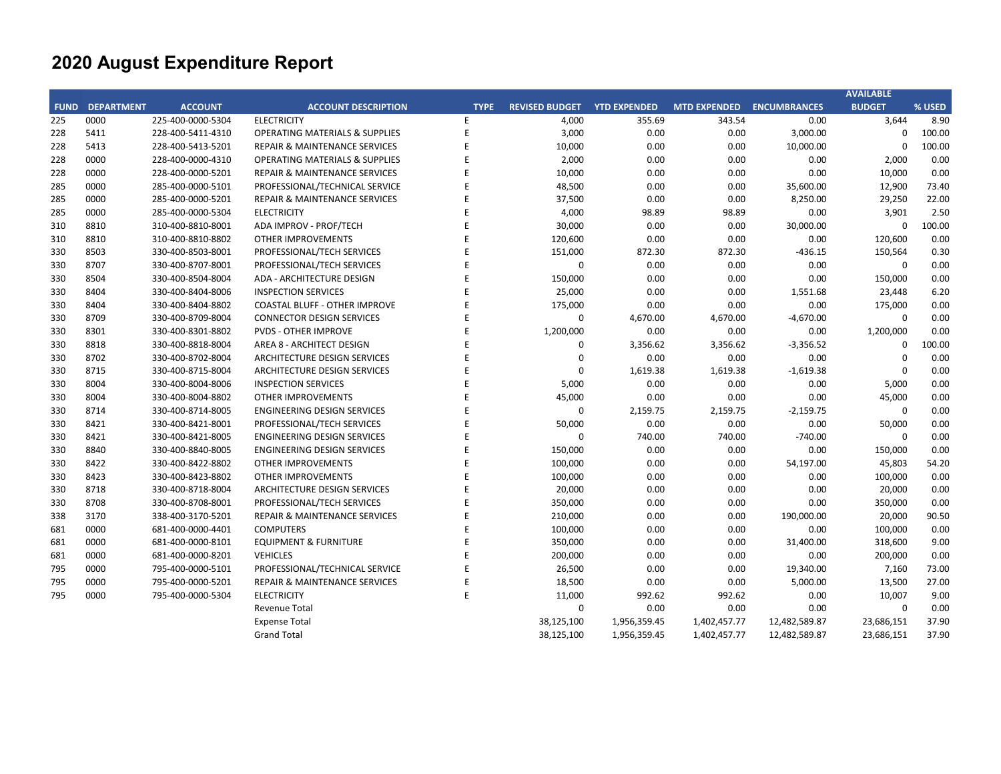|             |                   |                   |                                           |             |                       |                     |                     |                     | <b>AVAILABLE</b> |        |
|-------------|-------------------|-------------------|-------------------------------------------|-------------|-----------------------|---------------------|---------------------|---------------------|------------------|--------|
| <b>FUND</b> | <b>DEPARTMENT</b> | <b>ACCOUNT</b>    | <b>ACCOUNT DESCRIPTION</b>                | <b>TYPE</b> | <b>REVISED BUDGET</b> | <b>YTD EXPENDED</b> | <b>MTD EXPENDED</b> | <b>ENCUMBRANCES</b> | <b>BUDGET</b>    | % USED |
| 225         | 0000              | 225-400-0000-5304 | <b>ELECTRICITY</b>                        | E           | 4,000                 | 355.69              | 343.54              | 0.00                | 3,644            | 8.90   |
| 228         | 5411              | 228-400-5411-4310 | <b>OPERATING MATERIALS &amp; SUPPLIES</b> | E           | 3,000                 | 0.00                | 0.00                | 3,000.00            | $\Omega$         | 100.00 |
| 228         | 5413              | 228-400-5413-5201 | <b>REPAIR &amp; MAINTENANCE SERVICES</b>  | E           | 10,000                | 0.00                | 0.00                | 10,000.00           | $\Omega$         | 100.00 |
| 228         | 0000              | 228-400-0000-4310 | <b>OPERATING MATERIALS &amp; SUPPLIES</b> | F           | 2,000                 | 0.00                | 0.00                | 0.00                | 2,000            | 0.00   |
| 228         | 0000              | 228-400-0000-5201 | REPAIR & MAINTENANCE SERVICES             | F           | 10,000                | 0.00                | 0.00                | 0.00                | 10,000           | 0.00   |
| 285         | 0000              | 285-400-0000-5101 | PROFESSIONAL/TECHNICAL SERVICE            |             | 48,500                | 0.00                | 0.00                | 35,600.00           | 12,900           | 73.40  |
| 285         | 0000              | 285-400-0000-5201 | REPAIR & MAINTENANCE SERVICES             | E           | 37,500                | 0.00                | 0.00                | 8,250.00            | 29,250           | 22.00  |
| 285         | 0000              | 285-400-0000-5304 | <b>ELECTRICITY</b>                        |             | 4,000                 | 98.89               | 98.89               | 0.00                | 3,901            | 2.50   |
| 310         | 8810              | 310-400-8810-8001 | ADA IMPROV - PROF/TECH                    |             | 30,000                | 0.00                | 0.00                | 30,000.00           | $\Omega$         | 100.00 |
| 310         | 8810              | 310-400-8810-8802 | <b>OTHER IMPROVEMENTS</b>                 | E           | 120,600               | 0.00                | 0.00                | 0.00                | 120,600          | 0.00   |
| 330         | 8503              | 330-400-8503-8001 | PROFESSIONAL/TECH SERVICES                | E           | 151,000               | 872.30              | 872.30              | $-436.15$           | 150,564          | 0.30   |
| 330         | 8707              | 330-400-8707-8001 | PROFESSIONAL/TECH SERVICES                | E           | $\mathbf 0$           | 0.00                | 0.00                | 0.00                | $\mathbf 0$      | 0.00   |
| 330         | 8504              | 330-400-8504-8004 | ADA - ARCHITECTURE DESIGN                 | F           | 150,000               | 0.00                | 0.00                | 0.00                | 150,000          | 0.00   |
| 330         | 8404              | 330-400-8404-8006 | <b>INSPECTION SERVICES</b>                | F           | 25,000                | 0.00                | 0.00                | 1,551.68            | 23,448           | 6.20   |
| 330         | 8404              | 330-400-8404-8802 | <b>COASTAL BLUFF - OTHER IMPROVE</b>      | F           | 175,000               | 0.00                | 0.00                | 0.00                | 175,000          | 0.00   |
| 330         | 8709              | 330-400-8709-8004 | <b>CONNECTOR DESIGN SERVICES</b>          | E           | 0                     | 4,670.00            | 4,670.00            | $-4,670.00$         | $\mathbf 0$      | 0.00   |
| 330         | 8301              | 330-400-8301-8802 | <b>PVDS - OTHER IMPROVE</b>               |             | 1,200,000             | 0.00                | 0.00                | 0.00                | 1,200,000        | 0.00   |
| 330         | 8818              | 330-400-8818-8004 | AREA 8 - ARCHITECT DESIGN                 |             | $\mathbf 0$           | 3,356.62            | 3,356.62            | $-3,356.52$         | $\Omega$         | 100.00 |
| 330         | 8702              | 330-400-8702-8004 | ARCHITECTURE DESIGN SERVICES              | F           | $\mathbf 0$           | 0.00                | 0.00                | 0.00                | $\Omega$         | 0.00   |
| 330         | 8715              | 330-400-8715-8004 | ARCHITECTURE DESIGN SERVICES              | E           | $\mathbf 0$           | 1,619.38            | 1,619.38            | $-1,619.38$         | $\mathbf 0$      | 0.00   |
| 330         | 8004              | 330-400-8004-8006 | <b>INSPECTION SERVICES</b>                |             | 5,000                 | 0.00                | 0.00                | 0.00                | 5,000            | 0.00   |
| 330         | 8004              | 330-400-8004-8802 | OTHER IMPROVEMENTS                        |             | 45,000                | 0.00                | 0.00                | 0.00                | 45,000           | 0.00   |
| 330         | 8714              | 330-400-8714-8005 | <b>ENGINEERING DESIGN SERVICES</b>        | F           | $\Omega$              | 2,159.75            | 2,159.75            | $-2,159.75$         | $\Omega$         | 0.00   |
| 330         | 8421              | 330-400-8421-8001 | PROFESSIONAL/TECH SERVICES                | E           | 50,000                | 0.00                | 0.00                | 0.00                | 50,000           | 0.00   |
| 330         | 8421              | 330-400-8421-8005 | <b>ENGINEERING DESIGN SERVICES</b>        | E           | 0                     | 740.00              | 740.00              | $-740.00$           | $\mathbf 0$      | 0.00   |
| 330         | 8840              | 330-400-8840-8005 | <b>ENGINEERING DESIGN SERVICES</b>        | F           | 150,000               | 0.00                | 0.00                | 0.00                | 150,000          | 0.00   |
| 330         | 8422              | 330-400-8422-8802 | <b>OTHER IMPROVEMENTS</b>                 | F           | 100,000               | 0.00                | 0.00                | 54,197.00           | 45,803           | 54.20  |
| 330         | 8423              | 330-400-8423-8802 | <b>OTHER IMPROVEMENTS</b>                 | F           | 100,000               | 0.00                | 0.00                | 0.00                | 100,000          | 0.00   |
| 330         | 8718              | 330-400-8718-8004 | ARCHITECTURE DESIGN SERVICES              | E           | 20,000                | 0.00                | 0.00                | 0.00                | 20,000           | 0.00   |
| 330         | 8708              | 330-400-8708-8001 | PROFESSIONAL/TECH SERVICES                | E           | 350,000               | 0.00                | 0.00                | 0.00                | 350,000          | 0.00   |
| 338         | 3170              | 338-400-3170-5201 | REPAIR & MAINTENANCE SERVICES             | E           | 210,000               | 0.00                | 0.00                | 190,000.00          | 20,000           | 90.50  |
| 681         | 0000              | 681-400-0000-4401 | <b>COMPUTERS</b>                          | F           | 100,000               | 0.00                | 0.00                | 0.00                | 100,000          | 0.00   |
| 681         | 0000              | 681-400-0000-8101 | <b>EQUIPMENT &amp; FURNITURE</b>          | F           | 350,000               | 0.00                | 0.00                | 31,400.00           | 318,600          | 9.00   |
| 681         | 0000              | 681-400-0000-8201 | <b>VEHICLES</b>                           | F           | 200,000               | 0.00                | 0.00                | 0.00                | 200,000          | 0.00   |
| 795         | 0000              | 795-400-0000-5101 | PROFESSIONAL/TECHNICAL SERVICE            |             | 26,500                | 0.00                | 0.00                | 19,340.00           | 7,160            | 73.00  |
| 795         | 0000              | 795-400-0000-5201 | <b>REPAIR &amp; MAINTENANCE SERVICES</b>  | E           | 18,500                | 0.00                | 0.00                | 5,000.00            | 13,500           | 27.00  |
| 795         | 0000              | 795-400-0000-5304 | <b>ELECTRICITY</b>                        | E           | 11,000                | 992.62              | 992.62              | 0.00                | 10,007           | 9.00   |
|             |                   |                   | <b>Revenue Total</b>                      |             | $\Omega$              | 0.00                | 0.00                | 0.00                | $\mathbf 0$      | 0.00   |
|             |                   |                   | <b>Expense Total</b>                      |             | 38,125,100            | 1,956,359.45        | 1,402,457.77        | 12,482,589.87       | 23,686,151       | 37.90  |
|             |                   |                   | <b>Grand Total</b>                        |             | 38,125,100            | 1,956,359.45        | 1,402,457.77        | 12,482,589.87       | 23,686,151       | 37.90  |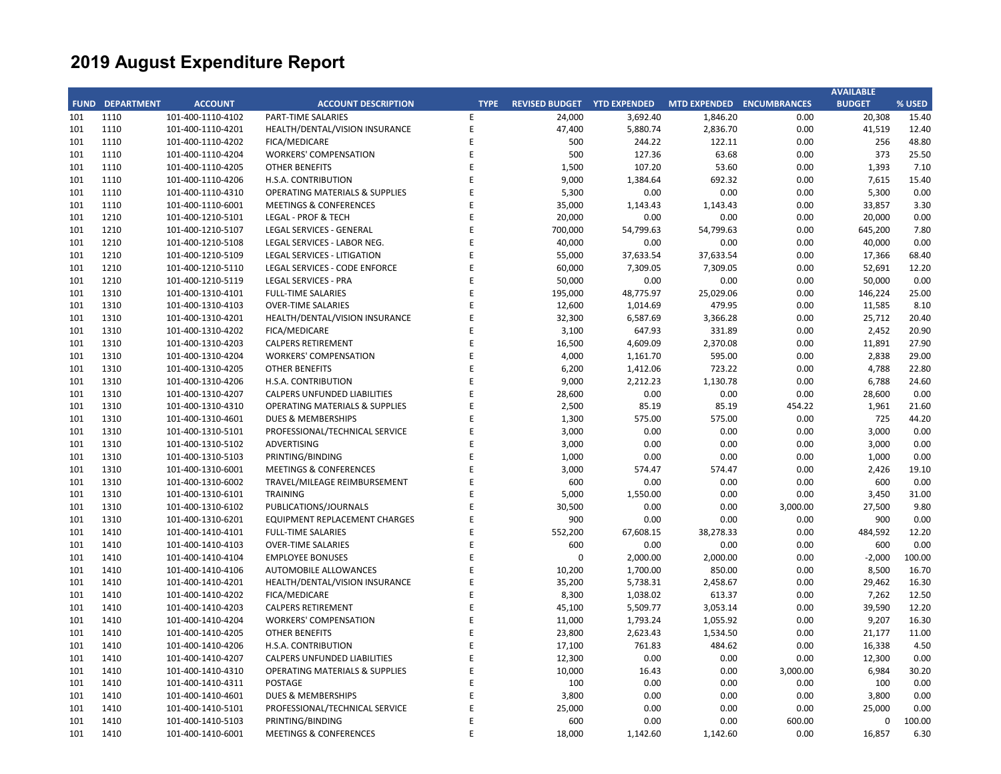|     |                        |                   |                                           |             |                                    |           |                           |          | <b>AVAILABLE</b> |        |
|-----|------------------------|-------------------|-------------------------------------------|-------------|------------------------------------|-----------|---------------------------|----------|------------------|--------|
|     | <b>FUND DEPARTMENT</b> | <b>ACCOUNT</b>    | <b>ACCOUNT DESCRIPTION</b>                | <b>TYPE</b> | <b>REVISED BUDGET YTD EXPENDED</b> |           | MTD EXPENDED ENCUMBRANCES |          | <b>BUDGET</b>    | % USED |
| 101 | 1110                   | 101-400-1110-4102 | PART-TIME SALARIES                        | E           | 24,000                             | 3,692.40  | 1,846.20                  | 0.00     | 20,308           | 15.40  |
| 101 | 1110                   | 101-400-1110-4201 | HEALTH/DENTAL/VISION INSURANCE            | E           | 47,400                             | 5,880.74  | 2,836.70                  | 0.00     | 41,519           | 12.40  |
| 101 | 1110                   | 101-400-1110-4202 | FICA/MEDICARE                             | F           | 500                                | 244.22    | 122.11                    | 0.00     | 256              | 48.80  |
| 101 | 1110                   | 101-400-1110-4204 | <b>WORKERS' COMPENSATION</b>              | E           | 500                                | 127.36    | 63.68                     | 0.00     | 373              | 25.50  |
| 101 | 1110                   | 101-400-1110-4205 | <b>OTHER BENEFITS</b>                     | E           | 1,500                              | 107.20    | 53.60                     | 0.00     | 1,393            | 7.10   |
| 101 | 1110                   | 101-400-1110-4206 | H.S.A. CONTRIBUTION                       | E           | 9,000                              | 1,384.64  | 692.32                    | 0.00     | 7,615            | 15.40  |
| 101 | 1110                   | 101-400-1110-4310 | <b>OPERATING MATERIALS &amp; SUPPLIES</b> | E           | 5,300                              | 0.00      | 0.00                      | 0.00     | 5,300            | 0.00   |
| 101 | 1110                   | 101-400-1110-6001 | <b>MEETINGS &amp; CONFERENCES</b>         | E           | 35,000                             | 1,143.43  | 1,143.43                  | 0.00     | 33,857           | 3.30   |
| 101 | 1210                   | 101-400-1210-5101 | <b>LEGAL - PROF &amp; TECH</b>            | E           | 20,000                             | 0.00      | 0.00                      | 0.00     | 20,000           | 0.00   |
| 101 | 1210                   | 101-400-1210-5107 | LEGAL SERVICES - GENERAL                  | F           | 700,000                            | 54,799.63 | 54,799.63                 | 0.00     | 645,200          | 7.80   |
| 101 | 1210                   | 101-400-1210-5108 | LEGAL SERVICES - LABOR NEG.               | F           | 40,000                             | 0.00      | 0.00                      | 0.00     | 40,000           | 0.00   |
| 101 | 1210                   | 101-400-1210-5109 | <b>LEGAL SERVICES - LITIGATION</b>        | E           | 55,000                             | 37,633.54 | 37,633.54                 | 0.00     | 17,366           | 68.40  |
| 101 | 1210                   | 101-400-1210-5110 | LEGAL SERVICES - CODE ENFORCE             | E           | 60,000                             | 7,309.05  | 7,309.05                  | 0.00     | 52,691           | 12.20  |
| 101 | 1210                   | 101-400-1210-5119 | <b>LEGAL SERVICES - PRA</b>               | E           | 50,000                             | 0.00      | 0.00                      | 0.00     | 50,000           | 0.00   |
| 101 | 1310                   | 101-400-1310-4101 | <b>FULL-TIME SALARIES</b>                 | E           | 195,000                            | 48,775.97 | 25,029.06                 | 0.00     | 146,224          | 25.00  |
| 101 | 1310                   | 101-400-1310-4103 | <b>OVER-TIME SALARIES</b>                 | E           | 12,600                             | 1,014.69  | 479.95                    | 0.00     | 11,585           | 8.10   |
| 101 | 1310                   | 101-400-1310-4201 | HEALTH/DENTAL/VISION INSURANCE            | E           | 32,300                             | 6,587.69  | 3,366.28                  | 0.00     | 25,712           | 20.40  |
| 101 | 1310                   | 101-400-1310-4202 | FICA/MEDICARE                             | E           | 3,100                              | 647.93    | 331.89                    | 0.00     | 2,452            | 20.90  |
| 101 | 1310                   | 101-400-1310-4203 | <b>CALPERS RETIREMENT</b>                 | E           | 16,500                             | 4,609.09  | 2,370.08                  | 0.00     | 11,891           | 27.90  |
| 101 | 1310                   | 101-400-1310-4204 | <b>WORKERS' COMPENSATION</b>              | F           | 4,000                              | 1,161.70  | 595.00                    | 0.00     | 2,838            | 29.00  |
| 101 | 1310                   | 101-400-1310-4205 | <b>OTHER BENEFITS</b>                     | F           | 6,200                              | 1,412.06  | 723.22                    | 0.00     | 4,788            | 22.80  |
| 101 | 1310                   | 101-400-1310-4206 | H.S.A. CONTRIBUTION                       | E           | 9,000                              | 2,212.23  | 1,130.78                  | 0.00     | 6,788            | 24.60  |
| 101 | 1310                   | 101-400-1310-4207 | <b>CALPERS UNFUNDED LIABILITIES</b>       | E           | 28,600                             | 0.00      | 0.00                      | 0.00     | 28,600           | 0.00   |
| 101 | 1310                   | 101-400-1310-4310 | <b>OPERATING MATERIALS &amp; SUPPLIES</b> | F           | 2,500                              | 85.19     | 85.19                     | 454.22   | 1,961            | 21.60  |
| 101 | 1310                   | 101-400-1310-4601 | <b>DUES &amp; MEMBERSHIPS</b>             | E           | 1,300                              | 575.00    | 575.00                    | 0.00     | 725              | 44.20  |
| 101 | 1310                   | 101-400-1310-5101 | PROFESSIONAL/TECHNICAL SERVICE            | E           | 3,000                              | 0.00      | 0.00                      | 0.00     | 3,000            | 0.00   |
| 101 | 1310                   | 101-400-1310-5102 | <b>ADVERTISING</b>                        | E           | 3,000                              | 0.00      | 0.00                      | 0.00     | 3,000            | 0.00   |
| 101 | 1310                   | 101-400-1310-5103 | PRINTING/BINDING                          | F           | 1,000                              | 0.00      | 0.00                      | 0.00     | 1,000            | 0.00   |
| 101 | 1310                   | 101-400-1310-6001 | <b>MEETINGS &amp; CONFERENCES</b>         | E           | 3,000                              | 574.47    | 574.47                    | 0.00     | 2,426            | 19.10  |
| 101 | 1310                   | 101-400-1310-6002 | TRAVEL/MILEAGE REIMBURSEMENT              | E           | 600                                | 0.00      | 0.00                      | 0.00     | 600              | 0.00   |
| 101 | 1310                   | 101-400-1310-6101 | <b>TRAINING</b>                           | E           | 5,000                              | 1,550.00  | 0.00                      | 0.00     | 3,450            | 31.00  |
| 101 | 1310                   | 101-400-1310-6102 | PUBLICATIONS/JOURNALS                     | F           | 30,500                             | 0.00      | 0.00                      | 3,000.00 | 27,500           | 9.80   |
| 101 | 1310                   | 101-400-1310-6201 | EQUIPMENT REPLACEMENT CHARGES             | E           | 900                                | 0.00      | 0.00                      | 0.00     | 900              | 0.00   |
| 101 | 1410                   | 101-400-1410-4101 | <b>FULL-TIME SALARIES</b>                 | F           | 552,200                            | 67,608.15 | 38,278.33                 | 0.00     | 484,592          | 12.20  |
| 101 | 1410                   | 101-400-1410-4103 | <b>OVER-TIME SALARIES</b>                 | E           | 600                                | 0.00      | 0.00                      | 0.00     | 600              | 0.00   |
| 101 | 1410                   | 101-400-1410-4104 | <b>EMPLOYEE BONUSES</b>                   | F           | $\Omega$                           | 2,000.00  | 2,000.00                  | 0.00     | $-2,000$         | 100.00 |
| 101 | 1410                   | 101-400-1410-4106 | <b>AUTOMOBILE ALLOWANCES</b>              | F           | 10,200                             | 1,700.00  | 850.00                    | 0.00     | 8,500            | 16.70  |
| 101 | 1410                   | 101-400-1410-4201 | HEALTH/DENTAL/VISION INSURANCE            | E           | 35,200                             | 5,738.31  | 2,458.67                  | 0.00     | 29,462           | 16.30  |
| 101 | 1410                   | 101-400-1410-4202 | FICA/MEDICARE                             | E           | 8,300                              | 1,038.02  | 613.37                    | 0.00     | 7,262            | 12.50  |
| 101 | 1410                   | 101-400-1410-4203 | <b>CALPERS RETIREMENT</b>                 | E           | 45,100                             | 5,509.77  | 3,053.14                  | 0.00     | 39,590           | 12.20  |
| 101 | 1410                   | 101-400-1410-4204 | <b>WORKERS' COMPENSATION</b>              | F           | 11,000                             | 1,793.24  | 1,055.92                  | 0.00     | 9,207            | 16.30  |
| 101 | 1410                   | 101-400-1410-4205 | <b>OTHER BENEFITS</b>                     | F           | 23,800                             | 2,623.43  | 1,534.50                  | 0.00     | 21,177           | 11.00  |
| 101 | 1410                   | 101-400-1410-4206 | H.S.A. CONTRIBUTION                       | E           | 17,100                             | 761.83    | 484.62                    | 0.00     | 16,338           | 4.50   |
| 101 | 1410                   | 101-400-1410-4207 | <b>CALPERS UNFUNDED LIABILITIES</b>       | E           | 12,300                             | 0.00      | 0.00                      | 0.00     | 12,300           | 0.00   |
| 101 | 1410                   | 101-400-1410-4310 | <b>OPERATING MATERIALS &amp; SUPPLIES</b> | E           | 10,000                             | 16.43     | 0.00                      | 3,000.00 | 6,984            | 30.20  |
| 101 | 1410                   | 101-400-1410-4311 | <b>POSTAGE</b>                            | F           | 100                                | 0.00      | 0.00                      | 0.00     | 100              | 0.00   |
| 101 | 1410                   | 101-400-1410-4601 | <b>DUES &amp; MEMBERSHIPS</b>             | E           | 3,800                              | 0.00      | 0.00                      | 0.00     | 3,800            | 0.00   |
| 101 | 1410                   | 101-400-1410-5101 | PROFESSIONAL/TECHNICAL SERVICE            | F           | 25,000                             | 0.00      | 0.00                      | 0.00     | 25,000           | 0.00   |
| 101 | 1410                   | 101-400-1410-5103 | PRINTING/BINDING                          | E           | 600                                | 0.00      | 0.00                      | 600.00   | $\mathbf 0$      | 100.00 |
| 101 | 1410                   | 101-400-1410-6001 | <b>MEETINGS &amp; CONFERENCES</b>         | E           | 18,000                             | 1,142.60  | 1,142.60                  | 0.00     | 16,857           | 6.30   |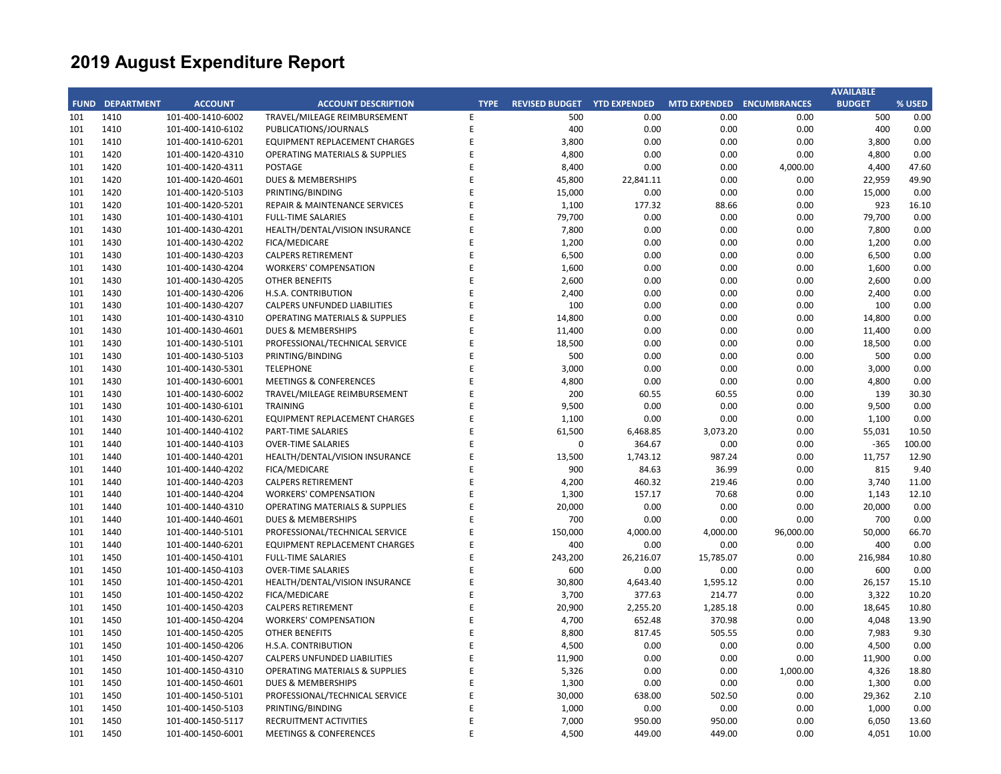| <b>FUND DEPARTMENT</b><br><b>ACCOUNT</b><br><b>ACCOUNT DESCRIPTION</b><br>REVISED BUDGET YTD EXPENDED<br>MTD EXPENDED ENCUMBRANCES<br><b>BUDGET</b><br>% USED<br><b>TYPE</b><br>1410<br>500<br>0.00<br>101<br>101-400-1410-6002<br>TRAVEL/MILEAGE REIMBURSEMENT<br>E<br>500<br>0.00<br>0.00<br>0.00<br>E<br>1410<br>PUBLICATIONS/JOURNALS<br>400<br>0.00<br>0.00<br>400<br>0.00<br>101<br>101-400-1410-6102<br>0.00<br>E<br>1410<br><b>EQUIPMENT REPLACEMENT CHARGES</b><br>3,800<br>0.00<br>0.00<br>0.00<br>3,800<br>0.00<br>101<br>101-400-1410-6201<br>1420<br>E<br>4,800<br>0.00<br>0.00<br>0.00<br>4,800<br>0.00<br>101<br>101-400-1420-4310<br><b>OPERATING MATERIALS &amp; SUPPLIES</b><br>101<br>1420<br>101-400-1420-4311<br><b>POSTAGE</b><br>E<br>8,400<br>0.00<br>0.00<br>4,000.00<br>4,400<br>47.60<br>F<br>101<br>1420<br>101-400-1420-4601<br>DUES & MEMBERSHIPS<br>45,800<br>22,841.11<br>0.00<br>0.00<br>22,959<br>49.90<br>E<br>1420<br>PRINTING/BINDING<br>15,000<br>0.00<br>0.00<br>0.00<br>15,000<br>0.00<br>101<br>101-400-1420-5103<br>1420<br>F<br>1,100<br>177.32<br>0.00<br>923<br>101<br>101-400-1420-5201<br>REPAIR & MAINTENANCE SERVICES<br>88.66<br>16.10<br>0.00<br>0.00<br>101<br>1430<br>101-400-1430-4101<br><b>FULL-TIME SALARIES</b><br>E<br>79,700<br>0.00<br>0.00<br>79,700<br>F<br>0.00<br>101<br>1430<br>101-400-1430-4201<br>HEALTH/DENTAL/VISION INSURANCE<br>7,800<br>0.00<br>0.00<br>0.00<br>7,800<br>E<br>1430<br>1,200<br>0.00<br>0.00<br>1,200<br>0.00<br>101<br>101-400-1430-4202<br>FICA/MEDICARE<br>0.00<br>F<br>6,500<br>0.00<br>0.00<br>0.00<br>101<br>1430<br>101-400-1430-4203<br><b>CALPERS RETIREMENT</b><br>0.00<br>6,500<br>101<br>1430<br>101-400-1430-4204<br><b>WORKERS' COMPENSATION</b><br>E<br>1,600<br>0.00<br>0.00<br>0.00<br>1,600<br>0.00<br>0.00<br>0.00<br>101<br>1430<br>101-400-1430-4205<br><b>OTHER BENEFITS</b><br>E<br>2,600<br>0.00<br>0.00<br>2,600<br>E<br>2,400<br>0.00<br>0.00<br>101<br>1430<br>101-400-1430-4206<br>H.S.A. CONTRIBUTION<br>0.00<br>0.00<br>2,400<br>E<br>100<br>101<br>1430<br>101-400-1430-4207<br><b>CALPERS UNFUNDED LIABILITIES</b><br>0.00<br>0.00<br>0.00<br>100<br>0.00<br>1430<br>E<br>14,800<br>0.00<br>0.00<br>0.00<br>14,800<br>0.00<br>101<br>101-400-1430-4310<br><b>OPERATING MATERIALS &amp; SUPPLIES</b><br>11,400<br>0.00<br>0.00<br>101<br>1430<br>101-400-1430-4601<br>DUES & MEMBERSHIPS<br>E<br>0.00<br>0.00<br>11,400<br>1430<br>101-400-1430-5101<br>PROFESSIONAL/TECHNICAL SERVICE<br>F<br>18,500<br>0.00<br>0.00<br>0.00<br>18,500<br>0.00<br>101<br>E<br>500<br>500<br>101<br>1430<br>101-400-1430-5103<br>PRINTING/BINDING<br>0.00<br>0.00<br>0.00<br>0.00<br>1430<br><b>TELEPHONE</b><br>E<br>3,000<br>0.00<br>0.00<br>0.00<br>3,000<br>0.00<br>101<br>101-400-1430-5301<br>0.00<br>101<br>1430<br>101-400-1430-6001<br><b>MEETINGS &amp; CONFERENCES</b><br>E<br>4,800<br>0.00<br>0.00<br>4,800<br>0.00<br>E<br>200<br>60.55<br>0.00<br>139<br>30.30<br>101<br>1430<br>101-400-1430-6002<br>TRAVEL/MILEAGE REIMBURSEMENT<br>60.55<br>E<br>1430<br><b>TRAINING</b><br>9,500<br>0.00<br>9,500<br>0.00<br>101<br>101-400-1430-6101<br>0.00<br>0.00<br>1430<br>E<br>0.00<br>0.00<br>1,100<br>0.00<br>101<br>101-400-1430-6201<br>EQUIPMENT REPLACEMENT CHARGES<br>1,100<br>0.00<br>101<br>1440<br>101-400-1440-4102<br>E<br>61,500<br>6,468.85<br>3,073.20<br>0.00<br>55,031<br>10.50<br>PART-TIME SALARIES<br>F<br>$\mathbf 0$<br>364.67<br>0.00<br>0.00<br>$-365$<br>100.00<br>101<br>1440<br>101-400-1440-4103<br><b>OVER-TIME SALARIES</b><br>F<br>12.90<br>1440<br>101-400-1440-4201<br>HEALTH/DENTAL/VISION INSURANCE<br>13,500<br>1,743.12<br>987.24<br>0.00<br>11,757<br>101<br>E<br>900<br>84.63<br>36.99<br>815<br>9.40<br>101<br>1440<br>101-400-1440-4202<br>FICA/MEDICARE<br>0.00<br>101<br>1440<br>101-400-1440-4203<br><b>CALPERS RETIREMENT</b><br>E<br>4,200<br>460.32<br>219.46<br>0.00<br>3,740<br>11.00<br>101<br>1440<br>101-400-1440-4204<br><b>WORKERS' COMPENSATION</b><br>E<br>1,300<br>157.17<br>70.68<br>0.00<br>1,143<br>12.10<br>0.00<br>101<br>1440<br>101-400-1440-4310<br><b>OPERATING MATERIALS &amp; SUPPLIES</b><br>E<br>20,000<br>0.00<br>0.00<br>0.00<br>20,000<br>E<br>700<br>1440<br>101-400-1440-4601<br><b>DUES &amp; MEMBERSHIPS</b><br>700<br>0.00<br>0.00<br>0.00<br>0.00<br>101<br>E<br>150,000<br>50,000<br>101<br>1440<br>PROFESSIONAL/TECHNICAL SERVICE<br>4,000.00<br>4,000.00<br>96,000.00<br>66.70<br>101-400-1440-5101<br>400<br>0.00<br>101<br>1440<br>101-400-1440-6201<br>EQUIPMENT REPLACEMENT CHARGES<br>E<br>400<br>0.00<br>0.00<br>0.00<br>E<br>1450<br>243,200<br>26,216.07<br>15,785.07<br>0.00<br>216,984<br>10.80<br>101<br>101-400-1450-4101<br><b>FULL-TIME SALARIES</b><br>F<br>600<br>0.00<br>101<br>1450<br>101-400-1450-4103<br><b>OVER-TIME SALARIES</b><br>600<br>0.00<br>0.00<br>0.00<br>101<br>1450<br>E<br>30,800<br>1,595.12<br>0.00<br>26,157<br>15.10<br>101-400-1450-4201<br>HEALTH/DENTAL/VISION INSURANCE<br>4,643.40<br>1450<br>FICA/MEDICARE<br>F<br>3,700<br>214.77<br>0.00<br>3,322<br>10.20<br>101<br>101-400-1450-4202<br>377.63<br>1450<br>E<br>20,900<br>1,285.18<br>0.00<br>18,645<br>10.80<br>101<br>101-400-1450-4203<br><b>CALPERS RETIREMENT</b><br>2,255.20<br>F<br>4,700<br>13.90<br>101<br>1450<br>101-400-1450-4204<br><b>WORKERS' COMPENSATION</b><br>652.48<br>370.98<br>0.00<br>4,048<br>1450<br>E<br>8,800<br>7,983<br>9.30<br>101<br>101-400-1450-4205<br><b>OTHER BENEFITS</b><br>817.45<br>505.55<br>0.00<br>1450<br>E<br>4,500<br>0.00<br>0.00<br>4,500<br>0.00<br>101<br>101-400-1450-4206<br>H.S.A. CONTRIBUTION<br>0.00<br>101<br>1450<br>101-400-1450-4207<br><b>CALPERS UNFUNDED LIABILITIES</b><br>E<br>11,900<br>0.00<br>0.00<br>0.00<br>11,900<br>0.00<br>F<br>101<br>1450<br>101-400-1450-4310<br><b>OPERATING MATERIALS &amp; SUPPLIES</b><br>5,326<br>0.00<br>0.00<br>1,000.00<br>4,326<br>18.80<br>E<br>1,300<br>0.00<br>0.00<br>0.00<br>0.00<br>101<br>1450<br>101-400-1450-4601<br><b>DUES &amp; MEMBERSHIPS</b><br>1,300<br>1450<br>E<br>30,000<br>502.50<br>29,362<br>101<br>101-400-1450-5101<br>PROFESSIONAL/TECHNICAL SERVICE<br>638.00<br>0.00<br>2.10<br>1450<br>PRINTING/BINDING<br>E<br>1,000<br>0.00<br>0.00<br>0.00<br>1,000<br>0.00<br>101<br>101-400-1450-5103<br>1450<br>101-400-1450-5117<br>RECRUITMENT ACTIVITIES<br>F<br>7,000<br>950.00<br>950.00<br>0.00<br>6,050<br>13.60<br>101<br>101<br>F<br>4,500<br>449.00<br>449.00<br>4,051<br>10.00<br>1450<br>101-400-1450-6001<br><b>MEETINGS &amp; CONFERENCES</b><br>0.00 |  |  |  |  | <b>AVAILABLE</b> |  |
|------------------------------------------------------------------------------------------------------------------------------------------------------------------------------------------------------------------------------------------------------------------------------------------------------------------------------------------------------------------------------------------------------------------------------------------------------------------------------------------------------------------------------------------------------------------------------------------------------------------------------------------------------------------------------------------------------------------------------------------------------------------------------------------------------------------------------------------------------------------------------------------------------------------------------------------------------------------------------------------------------------------------------------------------------------------------------------------------------------------------------------------------------------------------------------------------------------------------------------------------------------------------------------------------------------------------------------------------------------------------------------------------------------------------------------------------------------------------------------------------------------------------------------------------------------------------------------------------------------------------------------------------------------------------------------------------------------------------------------------------------------------------------------------------------------------------------------------------------------------------------------------------------------------------------------------------------------------------------------------------------------------------------------------------------------------------------------------------------------------------------------------------------------------------------------------------------------------------------------------------------------------------------------------------------------------------------------------------------------------------------------------------------------------------------------------------------------------------------------------------------------------------------------------------------------------------------------------------------------------------------------------------------------------------------------------------------------------------------------------------------------------------------------------------------------------------------------------------------------------------------------------------------------------------------------------------------------------------------------------------------------------------------------------------------------------------------------------------------------------------------------------------------------------------------------------------------------------------------------------------------------------------------------------------------------------------------------------------------------------------------------------------------------------------------------------------------------------------------------------------------------------------------------------------------------------------------------------------------------------------------------------------------------------------------------------------------------------------------------------------------------------------------------------------------------------------------------------------------------------------------------------------------------------------------------------------------------------------------------------------------------------------------------------------------------------------------------------------------------------------------------------------------------------------------------------------------------------------------------------------------------------------------------------------------------------------------------------------------------------------------------------------------------------------------------------------------------------------------------------------------------------------------------------------------------------------------------------------------------------------------------------------------------------------------------------------------------------------------------------------------------------------------------------------------------------------------------------------------------------------------------------------------------------------------------------------------------------------------------------------------------------------------------------------------------------------------------------------------------------------------------------------------------------------------------------------------------------------------------------------------------------------------------------------------------------------------------------------------------------------------------------------------------------------------------------------------------------------------------------------------------------------------------------------------------------------------------------------------------------------------------------------------------------------------------------------------------------------------------------------------------------------------------------------------------------------------------------------------------------------------------------------------------------------------------------------------------------------------------------------------------------------------------------------------------------------------------------------------------------------------------------------------------------------------------------------------------------------------------------------------------------------------------------------------------------------------------------------------------------------------------------------------------------------------------------------------------------------------------------------------------------------------------------------------------------------------------------------|--|--|--|--|------------------|--|
|                                                                                                                                                                                                                                                                                                                                                                                                                                                                                                                                                                                                                                                                                                                                                                                                                                                                                                                                                                                                                                                                                                                                                                                                                                                                                                                                                                                                                                                                                                                                                                                                                                                                                                                                                                                                                                                                                                                                                                                                                                                                                                                                                                                                                                                                                                                                                                                                                                                                                                                                                                                                                                                                                                                                                                                                                                                                                                                                                                                                                                                                                                                                                                                                                                                                                                                                                                                                                                                                                                                                                                                                                                                                                                                                                                                                                                                                                                                                                                                                                                                                                                                                                                                                                                                                                                                                                                                                                                                                                                                                                                                                                                                                                                                                                                                                                                                                                                                                                                                                                                                                                                                                                                                                                                                                                                                                                                                                                                                                                                                                                                                                                                                                                                                                                                                                                                                                                                                                                                                                                                                                                                                                                                                                                                                                                                                                                                                                                                                                                                                                                                                                |  |  |  |  |                  |  |
|                                                                                                                                                                                                                                                                                                                                                                                                                                                                                                                                                                                                                                                                                                                                                                                                                                                                                                                                                                                                                                                                                                                                                                                                                                                                                                                                                                                                                                                                                                                                                                                                                                                                                                                                                                                                                                                                                                                                                                                                                                                                                                                                                                                                                                                                                                                                                                                                                                                                                                                                                                                                                                                                                                                                                                                                                                                                                                                                                                                                                                                                                                                                                                                                                                                                                                                                                                                                                                                                                                                                                                                                                                                                                                                                                                                                                                                                                                                                                                                                                                                                                                                                                                                                                                                                                                                                                                                                                                                                                                                                                                                                                                                                                                                                                                                                                                                                                                                                                                                                                                                                                                                                                                                                                                                                                                                                                                                                                                                                                                                                                                                                                                                                                                                                                                                                                                                                                                                                                                                                                                                                                                                                                                                                                                                                                                                                                                                                                                                                                                                                                                                                |  |  |  |  |                  |  |
|                                                                                                                                                                                                                                                                                                                                                                                                                                                                                                                                                                                                                                                                                                                                                                                                                                                                                                                                                                                                                                                                                                                                                                                                                                                                                                                                                                                                                                                                                                                                                                                                                                                                                                                                                                                                                                                                                                                                                                                                                                                                                                                                                                                                                                                                                                                                                                                                                                                                                                                                                                                                                                                                                                                                                                                                                                                                                                                                                                                                                                                                                                                                                                                                                                                                                                                                                                                                                                                                                                                                                                                                                                                                                                                                                                                                                                                                                                                                                                                                                                                                                                                                                                                                                                                                                                                                                                                                                                                                                                                                                                                                                                                                                                                                                                                                                                                                                                                                                                                                                                                                                                                                                                                                                                                                                                                                                                                                                                                                                                                                                                                                                                                                                                                                                                                                                                                                                                                                                                                                                                                                                                                                                                                                                                                                                                                                                                                                                                                                                                                                                                                                |  |  |  |  |                  |  |
|                                                                                                                                                                                                                                                                                                                                                                                                                                                                                                                                                                                                                                                                                                                                                                                                                                                                                                                                                                                                                                                                                                                                                                                                                                                                                                                                                                                                                                                                                                                                                                                                                                                                                                                                                                                                                                                                                                                                                                                                                                                                                                                                                                                                                                                                                                                                                                                                                                                                                                                                                                                                                                                                                                                                                                                                                                                                                                                                                                                                                                                                                                                                                                                                                                                                                                                                                                                                                                                                                                                                                                                                                                                                                                                                                                                                                                                                                                                                                                                                                                                                                                                                                                                                                                                                                                                                                                                                                                                                                                                                                                                                                                                                                                                                                                                                                                                                                                                                                                                                                                                                                                                                                                                                                                                                                                                                                                                                                                                                                                                                                                                                                                                                                                                                                                                                                                                                                                                                                                                                                                                                                                                                                                                                                                                                                                                                                                                                                                                                                                                                                                                                |  |  |  |  |                  |  |
|                                                                                                                                                                                                                                                                                                                                                                                                                                                                                                                                                                                                                                                                                                                                                                                                                                                                                                                                                                                                                                                                                                                                                                                                                                                                                                                                                                                                                                                                                                                                                                                                                                                                                                                                                                                                                                                                                                                                                                                                                                                                                                                                                                                                                                                                                                                                                                                                                                                                                                                                                                                                                                                                                                                                                                                                                                                                                                                                                                                                                                                                                                                                                                                                                                                                                                                                                                                                                                                                                                                                                                                                                                                                                                                                                                                                                                                                                                                                                                                                                                                                                                                                                                                                                                                                                                                                                                                                                                                                                                                                                                                                                                                                                                                                                                                                                                                                                                                                                                                                                                                                                                                                                                                                                                                                                                                                                                                                                                                                                                                                                                                                                                                                                                                                                                                                                                                                                                                                                                                                                                                                                                                                                                                                                                                                                                                                                                                                                                                                                                                                                                                                |  |  |  |  |                  |  |
|                                                                                                                                                                                                                                                                                                                                                                                                                                                                                                                                                                                                                                                                                                                                                                                                                                                                                                                                                                                                                                                                                                                                                                                                                                                                                                                                                                                                                                                                                                                                                                                                                                                                                                                                                                                                                                                                                                                                                                                                                                                                                                                                                                                                                                                                                                                                                                                                                                                                                                                                                                                                                                                                                                                                                                                                                                                                                                                                                                                                                                                                                                                                                                                                                                                                                                                                                                                                                                                                                                                                                                                                                                                                                                                                                                                                                                                                                                                                                                                                                                                                                                                                                                                                                                                                                                                                                                                                                                                                                                                                                                                                                                                                                                                                                                                                                                                                                                                                                                                                                                                                                                                                                                                                                                                                                                                                                                                                                                                                                                                                                                                                                                                                                                                                                                                                                                                                                                                                                                                                                                                                                                                                                                                                                                                                                                                                                                                                                                                                                                                                                                                                |  |  |  |  |                  |  |
|                                                                                                                                                                                                                                                                                                                                                                                                                                                                                                                                                                                                                                                                                                                                                                                                                                                                                                                                                                                                                                                                                                                                                                                                                                                                                                                                                                                                                                                                                                                                                                                                                                                                                                                                                                                                                                                                                                                                                                                                                                                                                                                                                                                                                                                                                                                                                                                                                                                                                                                                                                                                                                                                                                                                                                                                                                                                                                                                                                                                                                                                                                                                                                                                                                                                                                                                                                                                                                                                                                                                                                                                                                                                                                                                                                                                                                                                                                                                                                                                                                                                                                                                                                                                                                                                                                                                                                                                                                                                                                                                                                                                                                                                                                                                                                                                                                                                                                                                                                                                                                                                                                                                                                                                                                                                                                                                                                                                                                                                                                                                                                                                                                                                                                                                                                                                                                                                                                                                                                                                                                                                                                                                                                                                                                                                                                                                                                                                                                                                                                                                                                                                |  |  |  |  |                  |  |
|                                                                                                                                                                                                                                                                                                                                                                                                                                                                                                                                                                                                                                                                                                                                                                                                                                                                                                                                                                                                                                                                                                                                                                                                                                                                                                                                                                                                                                                                                                                                                                                                                                                                                                                                                                                                                                                                                                                                                                                                                                                                                                                                                                                                                                                                                                                                                                                                                                                                                                                                                                                                                                                                                                                                                                                                                                                                                                                                                                                                                                                                                                                                                                                                                                                                                                                                                                                                                                                                                                                                                                                                                                                                                                                                                                                                                                                                                                                                                                                                                                                                                                                                                                                                                                                                                                                                                                                                                                                                                                                                                                                                                                                                                                                                                                                                                                                                                                                                                                                                                                                                                                                                                                                                                                                                                                                                                                                                                                                                                                                                                                                                                                                                                                                                                                                                                                                                                                                                                                                                                                                                                                                                                                                                                                                                                                                                                                                                                                                                                                                                                                                                |  |  |  |  |                  |  |
|                                                                                                                                                                                                                                                                                                                                                                                                                                                                                                                                                                                                                                                                                                                                                                                                                                                                                                                                                                                                                                                                                                                                                                                                                                                                                                                                                                                                                                                                                                                                                                                                                                                                                                                                                                                                                                                                                                                                                                                                                                                                                                                                                                                                                                                                                                                                                                                                                                                                                                                                                                                                                                                                                                                                                                                                                                                                                                                                                                                                                                                                                                                                                                                                                                                                                                                                                                                                                                                                                                                                                                                                                                                                                                                                                                                                                                                                                                                                                                                                                                                                                                                                                                                                                                                                                                                                                                                                                                                                                                                                                                                                                                                                                                                                                                                                                                                                                                                                                                                                                                                                                                                                                                                                                                                                                                                                                                                                                                                                                                                                                                                                                                                                                                                                                                                                                                                                                                                                                                                                                                                                                                                                                                                                                                                                                                                                                                                                                                                                                                                                                                                                |  |  |  |  |                  |  |
|                                                                                                                                                                                                                                                                                                                                                                                                                                                                                                                                                                                                                                                                                                                                                                                                                                                                                                                                                                                                                                                                                                                                                                                                                                                                                                                                                                                                                                                                                                                                                                                                                                                                                                                                                                                                                                                                                                                                                                                                                                                                                                                                                                                                                                                                                                                                                                                                                                                                                                                                                                                                                                                                                                                                                                                                                                                                                                                                                                                                                                                                                                                                                                                                                                                                                                                                                                                                                                                                                                                                                                                                                                                                                                                                                                                                                                                                                                                                                                                                                                                                                                                                                                                                                                                                                                                                                                                                                                                                                                                                                                                                                                                                                                                                                                                                                                                                                                                                                                                                                                                                                                                                                                                                                                                                                                                                                                                                                                                                                                                                                                                                                                                                                                                                                                                                                                                                                                                                                                                                                                                                                                                                                                                                                                                                                                                                                                                                                                                                                                                                                                                                |  |  |  |  |                  |  |
|                                                                                                                                                                                                                                                                                                                                                                                                                                                                                                                                                                                                                                                                                                                                                                                                                                                                                                                                                                                                                                                                                                                                                                                                                                                                                                                                                                                                                                                                                                                                                                                                                                                                                                                                                                                                                                                                                                                                                                                                                                                                                                                                                                                                                                                                                                                                                                                                                                                                                                                                                                                                                                                                                                                                                                                                                                                                                                                                                                                                                                                                                                                                                                                                                                                                                                                                                                                                                                                                                                                                                                                                                                                                                                                                                                                                                                                                                                                                                                                                                                                                                                                                                                                                                                                                                                                                                                                                                                                                                                                                                                                                                                                                                                                                                                                                                                                                                                                                                                                                                                                                                                                                                                                                                                                                                                                                                                                                                                                                                                                                                                                                                                                                                                                                                                                                                                                                                                                                                                                                                                                                                                                                                                                                                                                                                                                                                                                                                                                                                                                                                                                                |  |  |  |  |                  |  |
|                                                                                                                                                                                                                                                                                                                                                                                                                                                                                                                                                                                                                                                                                                                                                                                                                                                                                                                                                                                                                                                                                                                                                                                                                                                                                                                                                                                                                                                                                                                                                                                                                                                                                                                                                                                                                                                                                                                                                                                                                                                                                                                                                                                                                                                                                                                                                                                                                                                                                                                                                                                                                                                                                                                                                                                                                                                                                                                                                                                                                                                                                                                                                                                                                                                                                                                                                                                                                                                                                                                                                                                                                                                                                                                                                                                                                                                                                                                                                                                                                                                                                                                                                                                                                                                                                                                                                                                                                                                                                                                                                                                                                                                                                                                                                                                                                                                                                                                                                                                                                                                                                                                                                                                                                                                                                                                                                                                                                                                                                                                                                                                                                                                                                                                                                                                                                                                                                                                                                                                                                                                                                                                                                                                                                                                                                                                                                                                                                                                                                                                                                                                                |  |  |  |  |                  |  |
|                                                                                                                                                                                                                                                                                                                                                                                                                                                                                                                                                                                                                                                                                                                                                                                                                                                                                                                                                                                                                                                                                                                                                                                                                                                                                                                                                                                                                                                                                                                                                                                                                                                                                                                                                                                                                                                                                                                                                                                                                                                                                                                                                                                                                                                                                                                                                                                                                                                                                                                                                                                                                                                                                                                                                                                                                                                                                                                                                                                                                                                                                                                                                                                                                                                                                                                                                                                                                                                                                                                                                                                                                                                                                                                                                                                                                                                                                                                                                                                                                                                                                                                                                                                                                                                                                                                                                                                                                                                                                                                                                                                                                                                                                                                                                                                                                                                                                                                                                                                                                                                                                                                                                                                                                                                                                                                                                                                                                                                                                                                                                                                                                                                                                                                                                                                                                                                                                                                                                                                                                                                                                                                                                                                                                                                                                                                                                                                                                                                                                                                                                                                                |  |  |  |  |                  |  |
|                                                                                                                                                                                                                                                                                                                                                                                                                                                                                                                                                                                                                                                                                                                                                                                                                                                                                                                                                                                                                                                                                                                                                                                                                                                                                                                                                                                                                                                                                                                                                                                                                                                                                                                                                                                                                                                                                                                                                                                                                                                                                                                                                                                                                                                                                                                                                                                                                                                                                                                                                                                                                                                                                                                                                                                                                                                                                                                                                                                                                                                                                                                                                                                                                                                                                                                                                                                                                                                                                                                                                                                                                                                                                                                                                                                                                                                                                                                                                                                                                                                                                                                                                                                                                                                                                                                                                                                                                                                                                                                                                                                                                                                                                                                                                                                                                                                                                                                                                                                                                                                                                                                                                                                                                                                                                                                                                                                                                                                                                                                                                                                                                                                                                                                                                                                                                                                                                                                                                                                                                                                                                                                                                                                                                                                                                                                                                                                                                                                                                                                                                                                                |  |  |  |  |                  |  |
|                                                                                                                                                                                                                                                                                                                                                                                                                                                                                                                                                                                                                                                                                                                                                                                                                                                                                                                                                                                                                                                                                                                                                                                                                                                                                                                                                                                                                                                                                                                                                                                                                                                                                                                                                                                                                                                                                                                                                                                                                                                                                                                                                                                                                                                                                                                                                                                                                                                                                                                                                                                                                                                                                                                                                                                                                                                                                                                                                                                                                                                                                                                                                                                                                                                                                                                                                                                                                                                                                                                                                                                                                                                                                                                                                                                                                                                                                                                                                                                                                                                                                                                                                                                                                                                                                                                                                                                                                                                                                                                                                                                                                                                                                                                                                                                                                                                                                                                                                                                                                                                                                                                                                                                                                                                                                                                                                                                                                                                                                                                                                                                                                                                                                                                                                                                                                                                                                                                                                                                                                                                                                                                                                                                                                                                                                                                                                                                                                                                                                                                                                                                                |  |  |  |  |                  |  |
|                                                                                                                                                                                                                                                                                                                                                                                                                                                                                                                                                                                                                                                                                                                                                                                                                                                                                                                                                                                                                                                                                                                                                                                                                                                                                                                                                                                                                                                                                                                                                                                                                                                                                                                                                                                                                                                                                                                                                                                                                                                                                                                                                                                                                                                                                                                                                                                                                                                                                                                                                                                                                                                                                                                                                                                                                                                                                                                                                                                                                                                                                                                                                                                                                                                                                                                                                                                                                                                                                                                                                                                                                                                                                                                                                                                                                                                                                                                                                                                                                                                                                                                                                                                                                                                                                                                                                                                                                                                                                                                                                                                                                                                                                                                                                                                                                                                                                                                                                                                                                                                                                                                                                                                                                                                                                                                                                                                                                                                                                                                                                                                                                                                                                                                                                                                                                                                                                                                                                                                                                                                                                                                                                                                                                                                                                                                                                                                                                                                                                                                                                                                                |  |  |  |  |                  |  |
|                                                                                                                                                                                                                                                                                                                                                                                                                                                                                                                                                                                                                                                                                                                                                                                                                                                                                                                                                                                                                                                                                                                                                                                                                                                                                                                                                                                                                                                                                                                                                                                                                                                                                                                                                                                                                                                                                                                                                                                                                                                                                                                                                                                                                                                                                                                                                                                                                                                                                                                                                                                                                                                                                                                                                                                                                                                                                                                                                                                                                                                                                                                                                                                                                                                                                                                                                                                                                                                                                                                                                                                                                                                                                                                                                                                                                                                                                                                                                                                                                                                                                                                                                                                                                                                                                                                                                                                                                                                                                                                                                                                                                                                                                                                                                                                                                                                                                                                                                                                                                                                                                                                                                                                                                                                                                                                                                                                                                                                                                                                                                                                                                                                                                                                                                                                                                                                                                                                                                                                                                                                                                                                                                                                                                                                                                                                                                                                                                                                                                                                                                                                                |  |  |  |  |                  |  |
|                                                                                                                                                                                                                                                                                                                                                                                                                                                                                                                                                                                                                                                                                                                                                                                                                                                                                                                                                                                                                                                                                                                                                                                                                                                                                                                                                                                                                                                                                                                                                                                                                                                                                                                                                                                                                                                                                                                                                                                                                                                                                                                                                                                                                                                                                                                                                                                                                                                                                                                                                                                                                                                                                                                                                                                                                                                                                                                                                                                                                                                                                                                                                                                                                                                                                                                                                                                                                                                                                                                                                                                                                                                                                                                                                                                                                                                                                                                                                                                                                                                                                                                                                                                                                                                                                                                                                                                                                                                                                                                                                                                                                                                                                                                                                                                                                                                                                                                                                                                                                                                                                                                                                                                                                                                                                                                                                                                                                                                                                                                                                                                                                                                                                                                                                                                                                                                                                                                                                                                                                                                                                                                                                                                                                                                                                                                                                                                                                                                                                                                                                                                                |  |  |  |  |                  |  |
|                                                                                                                                                                                                                                                                                                                                                                                                                                                                                                                                                                                                                                                                                                                                                                                                                                                                                                                                                                                                                                                                                                                                                                                                                                                                                                                                                                                                                                                                                                                                                                                                                                                                                                                                                                                                                                                                                                                                                                                                                                                                                                                                                                                                                                                                                                                                                                                                                                                                                                                                                                                                                                                                                                                                                                                                                                                                                                                                                                                                                                                                                                                                                                                                                                                                                                                                                                                                                                                                                                                                                                                                                                                                                                                                                                                                                                                                                                                                                                                                                                                                                                                                                                                                                                                                                                                                                                                                                                                                                                                                                                                                                                                                                                                                                                                                                                                                                                                                                                                                                                                                                                                                                                                                                                                                                                                                                                                                                                                                                                                                                                                                                                                                                                                                                                                                                                                                                                                                                                                                                                                                                                                                                                                                                                                                                                                                                                                                                                                                                                                                                                                                |  |  |  |  |                  |  |
|                                                                                                                                                                                                                                                                                                                                                                                                                                                                                                                                                                                                                                                                                                                                                                                                                                                                                                                                                                                                                                                                                                                                                                                                                                                                                                                                                                                                                                                                                                                                                                                                                                                                                                                                                                                                                                                                                                                                                                                                                                                                                                                                                                                                                                                                                                                                                                                                                                                                                                                                                                                                                                                                                                                                                                                                                                                                                                                                                                                                                                                                                                                                                                                                                                                                                                                                                                                                                                                                                                                                                                                                                                                                                                                                                                                                                                                                                                                                                                                                                                                                                                                                                                                                                                                                                                                                                                                                                                                                                                                                                                                                                                                                                                                                                                                                                                                                                                                                                                                                                                                                                                                                                                                                                                                                                                                                                                                                                                                                                                                                                                                                                                                                                                                                                                                                                                                                                                                                                                                                                                                                                                                                                                                                                                                                                                                                                                                                                                                                                                                                                                                                |  |  |  |  |                  |  |
|                                                                                                                                                                                                                                                                                                                                                                                                                                                                                                                                                                                                                                                                                                                                                                                                                                                                                                                                                                                                                                                                                                                                                                                                                                                                                                                                                                                                                                                                                                                                                                                                                                                                                                                                                                                                                                                                                                                                                                                                                                                                                                                                                                                                                                                                                                                                                                                                                                                                                                                                                                                                                                                                                                                                                                                                                                                                                                                                                                                                                                                                                                                                                                                                                                                                                                                                                                                                                                                                                                                                                                                                                                                                                                                                                                                                                                                                                                                                                                                                                                                                                                                                                                                                                                                                                                                                                                                                                                                                                                                                                                                                                                                                                                                                                                                                                                                                                                                                                                                                                                                                                                                                                                                                                                                                                                                                                                                                                                                                                                                                                                                                                                                                                                                                                                                                                                                                                                                                                                                                                                                                                                                                                                                                                                                                                                                                                                                                                                                                                                                                                                                                |  |  |  |  |                  |  |
|                                                                                                                                                                                                                                                                                                                                                                                                                                                                                                                                                                                                                                                                                                                                                                                                                                                                                                                                                                                                                                                                                                                                                                                                                                                                                                                                                                                                                                                                                                                                                                                                                                                                                                                                                                                                                                                                                                                                                                                                                                                                                                                                                                                                                                                                                                                                                                                                                                                                                                                                                                                                                                                                                                                                                                                                                                                                                                                                                                                                                                                                                                                                                                                                                                                                                                                                                                                                                                                                                                                                                                                                                                                                                                                                                                                                                                                                                                                                                                                                                                                                                                                                                                                                                                                                                                                                                                                                                                                                                                                                                                                                                                                                                                                                                                                                                                                                                                                                                                                                                                                                                                                                                                                                                                                                                                                                                                                                                                                                                                                                                                                                                                                                                                                                                                                                                                                                                                                                                                                                                                                                                                                                                                                                                                                                                                                                                                                                                                                                                                                                                                                                |  |  |  |  |                  |  |
|                                                                                                                                                                                                                                                                                                                                                                                                                                                                                                                                                                                                                                                                                                                                                                                                                                                                                                                                                                                                                                                                                                                                                                                                                                                                                                                                                                                                                                                                                                                                                                                                                                                                                                                                                                                                                                                                                                                                                                                                                                                                                                                                                                                                                                                                                                                                                                                                                                                                                                                                                                                                                                                                                                                                                                                                                                                                                                                                                                                                                                                                                                                                                                                                                                                                                                                                                                                                                                                                                                                                                                                                                                                                                                                                                                                                                                                                                                                                                                                                                                                                                                                                                                                                                                                                                                                                                                                                                                                                                                                                                                                                                                                                                                                                                                                                                                                                                                                                                                                                                                                                                                                                                                                                                                                                                                                                                                                                                                                                                                                                                                                                                                                                                                                                                                                                                                                                                                                                                                                                                                                                                                                                                                                                                                                                                                                                                                                                                                                                                                                                                                                                |  |  |  |  |                  |  |
|                                                                                                                                                                                                                                                                                                                                                                                                                                                                                                                                                                                                                                                                                                                                                                                                                                                                                                                                                                                                                                                                                                                                                                                                                                                                                                                                                                                                                                                                                                                                                                                                                                                                                                                                                                                                                                                                                                                                                                                                                                                                                                                                                                                                                                                                                                                                                                                                                                                                                                                                                                                                                                                                                                                                                                                                                                                                                                                                                                                                                                                                                                                                                                                                                                                                                                                                                                                                                                                                                                                                                                                                                                                                                                                                                                                                                                                                                                                                                                                                                                                                                                                                                                                                                                                                                                                                                                                                                                                                                                                                                                                                                                                                                                                                                                                                                                                                                                                                                                                                                                                                                                                                                                                                                                                                                                                                                                                                                                                                                                                                                                                                                                                                                                                                                                                                                                                                                                                                                                                                                                                                                                                                                                                                                                                                                                                                                                                                                                                                                                                                                                                                |  |  |  |  |                  |  |
|                                                                                                                                                                                                                                                                                                                                                                                                                                                                                                                                                                                                                                                                                                                                                                                                                                                                                                                                                                                                                                                                                                                                                                                                                                                                                                                                                                                                                                                                                                                                                                                                                                                                                                                                                                                                                                                                                                                                                                                                                                                                                                                                                                                                                                                                                                                                                                                                                                                                                                                                                                                                                                                                                                                                                                                                                                                                                                                                                                                                                                                                                                                                                                                                                                                                                                                                                                                                                                                                                                                                                                                                                                                                                                                                                                                                                                                                                                                                                                                                                                                                                                                                                                                                                                                                                                                                                                                                                                                                                                                                                                                                                                                                                                                                                                                                                                                                                                                                                                                                                                                                                                                                                                                                                                                                                                                                                                                                                                                                                                                                                                                                                                                                                                                                                                                                                                                                                                                                                                                                                                                                                                                                                                                                                                                                                                                                                                                                                                                                                                                                                                                                |  |  |  |  |                  |  |
|                                                                                                                                                                                                                                                                                                                                                                                                                                                                                                                                                                                                                                                                                                                                                                                                                                                                                                                                                                                                                                                                                                                                                                                                                                                                                                                                                                                                                                                                                                                                                                                                                                                                                                                                                                                                                                                                                                                                                                                                                                                                                                                                                                                                                                                                                                                                                                                                                                                                                                                                                                                                                                                                                                                                                                                                                                                                                                                                                                                                                                                                                                                                                                                                                                                                                                                                                                                                                                                                                                                                                                                                                                                                                                                                                                                                                                                                                                                                                                                                                                                                                                                                                                                                                                                                                                                                                                                                                                                                                                                                                                                                                                                                                                                                                                                                                                                                                                                                                                                                                                                                                                                                                                                                                                                                                                                                                                                                                                                                                                                                                                                                                                                                                                                                                                                                                                                                                                                                                                                                                                                                                                                                                                                                                                                                                                                                                                                                                                                                                                                                                                                                |  |  |  |  |                  |  |
|                                                                                                                                                                                                                                                                                                                                                                                                                                                                                                                                                                                                                                                                                                                                                                                                                                                                                                                                                                                                                                                                                                                                                                                                                                                                                                                                                                                                                                                                                                                                                                                                                                                                                                                                                                                                                                                                                                                                                                                                                                                                                                                                                                                                                                                                                                                                                                                                                                                                                                                                                                                                                                                                                                                                                                                                                                                                                                                                                                                                                                                                                                                                                                                                                                                                                                                                                                                                                                                                                                                                                                                                                                                                                                                                                                                                                                                                                                                                                                                                                                                                                                                                                                                                                                                                                                                                                                                                                                                                                                                                                                                                                                                                                                                                                                                                                                                                                                                                                                                                                                                                                                                                                                                                                                                                                                                                                                                                                                                                                                                                                                                                                                                                                                                                                                                                                                                                                                                                                                                                                                                                                                                                                                                                                                                                                                                                                                                                                                                                                                                                                                                                |  |  |  |  |                  |  |
|                                                                                                                                                                                                                                                                                                                                                                                                                                                                                                                                                                                                                                                                                                                                                                                                                                                                                                                                                                                                                                                                                                                                                                                                                                                                                                                                                                                                                                                                                                                                                                                                                                                                                                                                                                                                                                                                                                                                                                                                                                                                                                                                                                                                                                                                                                                                                                                                                                                                                                                                                                                                                                                                                                                                                                                                                                                                                                                                                                                                                                                                                                                                                                                                                                                                                                                                                                                                                                                                                                                                                                                                                                                                                                                                                                                                                                                                                                                                                                                                                                                                                                                                                                                                                                                                                                                                                                                                                                                                                                                                                                                                                                                                                                                                                                                                                                                                                                                                                                                                                                                                                                                                                                                                                                                                                                                                                                                                                                                                                                                                                                                                                                                                                                                                                                                                                                                                                                                                                                                                                                                                                                                                                                                                                                                                                                                                                                                                                                                                                                                                                                                                |  |  |  |  |                  |  |
|                                                                                                                                                                                                                                                                                                                                                                                                                                                                                                                                                                                                                                                                                                                                                                                                                                                                                                                                                                                                                                                                                                                                                                                                                                                                                                                                                                                                                                                                                                                                                                                                                                                                                                                                                                                                                                                                                                                                                                                                                                                                                                                                                                                                                                                                                                                                                                                                                                                                                                                                                                                                                                                                                                                                                                                                                                                                                                                                                                                                                                                                                                                                                                                                                                                                                                                                                                                                                                                                                                                                                                                                                                                                                                                                                                                                                                                                                                                                                                                                                                                                                                                                                                                                                                                                                                                                                                                                                                                                                                                                                                                                                                                                                                                                                                                                                                                                                                                                                                                                                                                                                                                                                                                                                                                                                                                                                                                                                                                                                                                                                                                                                                                                                                                                                                                                                                                                                                                                                                                                                                                                                                                                                                                                                                                                                                                                                                                                                                                                                                                                                                                                |  |  |  |  |                  |  |
|                                                                                                                                                                                                                                                                                                                                                                                                                                                                                                                                                                                                                                                                                                                                                                                                                                                                                                                                                                                                                                                                                                                                                                                                                                                                                                                                                                                                                                                                                                                                                                                                                                                                                                                                                                                                                                                                                                                                                                                                                                                                                                                                                                                                                                                                                                                                                                                                                                                                                                                                                                                                                                                                                                                                                                                                                                                                                                                                                                                                                                                                                                                                                                                                                                                                                                                                                                                                                                                                                                                                                                                                                                                                                                                                                                                                                                                                                                                                                                                                                                                                                                                                                                                                                                                                                                                                                                                                                                                                                                                                                                                                                                                                                                                                                                                                                                                                                                                                                                                                                                                                                                                                                                                                                                                                                                                                                                                                                                                                                                                                                                                                                                                                                                                                                                                                                                                                                                                                                                                                                                                                                                                                                                                                                                                                                                                                                                                                                                                                                                                                                                                                |  |  |  |  |                  |  |
|                                                                                                                                                                                                                                                                                                                                                                                                                                                                                                                                                                                                                                                                                                                                                                                                                                                                                                                                                                                                                                                                                                                                                                                                                                                                                                                                                                                                                                                                                                                                                                                                                                                                                                                                                                                                                                                                                                                                                                                                                                                                                                                                                                                                                                                                                                                                                                                                                                                                                                                                                                                                                                                                                                                                                                                                                                                                                                                                                                                                                                                                                                                                                                                                                                                                                                                                                                                                                                                                                                                                                                                                                                                                                                                                                                                                                                                                                                                                                                                                                                                                                                                                                                                                                                                                                                                                                                                                                                                                                                                                                                                                                                                                                                                                                                                                                                                                                                                                                                                                                                                                                                                                                                                                                                                                                                                                                                                                                                                                                                                                                                                                                                                                                                                                                                                                                                                                                                                                                                                                                                                                                                                                                                                                                                                                                                                                                                                                                                                                                                                                                                                                |  |  |  |  |                  |  |
|                                                                                                                                                                                                                                                                                                                                                                                                                                                                                                                                                                                                                                                                                                                                                                                                                                                                                                                                                                                                                                                                                                                                                                                                                                                                                                                                                                                                                                                                                                                                                                                                                                                                                                                                                                                                                                                                                                                                                                                                                                                                                                                                                                                                                                                                                                                                                                                                                                                                                                                                                                                                                                                                                                                                                                                                                                                                                                                                                                                                                                                                                                                                                                                                                                                                                                                                                                                                                                                                                                                                                                                                                                                                                                                                                                                                                                                                                                                                                                                                                                                                                                                                                                                                                                                                                                                                                                                                                                                                                                                                                                                                                                                                                                                                                                                                                                                                                                                                                                                                                                                                                                                                                                                                                                                                                                                                                                                                                                                                                                                                                                                                                                                                                                                                                                                                                                                                                                                                                                                                                                                                                                                                                                                                                                                                                                                                                                                                                                                                                                                                                                                                |  |  |  |  |                  |  |
|                                                                                                                                                                                                                                                                                                                                                                                                                                                                                                                                                                                                                                                                                                                                                                                                                                                                                                                                                                                                                                                                                                                                                                                                                                                                                                                                                                                                                                                                                                                                                                                                                                                                                                                                                                                                                                                                                                                                                                                                                                                                                                                                                                                                                                                                                                                                                                                                                                                                                                                                                                                                                                                                                                                                                                                                                                                                                                                                                                                                                                                                                                                                                                                                                                                                                                                                                                                                                                                                                                                                                                                                                                                                                                                                                                                                                                                                                                                                                                                                                                                                                                                                                                                                                                                                                                                                                                                                                                                                                                                                                                                                                                                                                                                                                                                                                                                                                                                                                                                                                                                                                                                                                                                                                                                                                                                                                                                                                                                                                                                                                                                                                                                                                                                                                                                                                                                                                                                                                                                                                                                                                                                                                                                                                                                                                                                                                                                                                                                                                                                                                                                                |  |  |  |  |                  |  |
|                                                                                                                                                                                                                                                                                                                                                                                                                                                                                                                                                                                                                                                                                                                                                                                                                                                                                                                                                                                                                                                                                                                                                                                                                                                                                                                                                                                                                                                                                                                                                                                                                                                                                                                                                                                                                                                                                                                                                                                                                                                                                                                                                                                                                                                                                                                                                                                                                                                                                                                                                                                                                                                                                                                                                                                                                                                                                                                                                                                                                                                                                                                                                                                                                                                                                                                                                                                                                                                                                                                                                                                                                                                                                                                                                                                                                                                                                                                                                                                                                                                                                                                                                                                                                                                                                                                                                                                                                                                                                                                                                                                                                                                                                                                                                                                                                                                                                                                                                                                                                                                                                                                                                                                                                                                                                                                                                                                                                                                                                                                                                                                                                                                                                                                                                                                                                                                                                                                                                                                                                                                                                                                                                                                                                                                                                                                                                                                                                                                                                                                                                                                                |  |  |  |  |                  |  |
|                                                                                                                                                                                                                                                                                                                                                                                                                                                                                                                                                                                                                                                                                                                                                                                                                                                                                                                                                                                                                                                                                                                                                                                                                                                                                                                                                                                                                                                                                                                                                                                                                                                                                                                                                                                                                                                                                                                                                                                                                                                                                                                                                                                                                                                                                                                                                                                                                                                                                                                                                                                                                                                                                                                                                                                                                                                                                                                                                                                                                                                                                                                                                                                                                                                                                                                                                                                                                                                                                                                                                                                                                                                                                                                                                                                                                                                                                                                                                                                                                                                                                                                                                                                                                                                                                                                                                                                                                                                                                                                                                                                                                                                                                                                                                                                                                                                                                                                                                                                                                                                                                                                                                                                                                                                                                                                                                                                                                                                                                                                                                                                                                                                                                                                                                                                                                                                                                                                                                                                                                                                                                                                                                                                                                                                                                                                                                                                                                                                                                                                                                                                                |  |  |  |  |                  |  |
|                                                                                                                                                                                                                                                                                                                                                                                                                                                                                                                                                                                                                                                                                                                                                                                                                                                                                                                                                                                                                                                                                                                                                                                                                                                                                                                                                                                                                                                                                                                                                                                                                                                                                                                                                                                                                                                                                                                                                                                                                                                                                                                                                                                                                                                                                                                                                                                                                                                                                                                                                                                                                                                                                                                                                                                                                                                                                                                                                                                                                                                                                                                                                                                                                                                                                                                                                                                                                                                                                                                                                                                                                                                                                                                                                                                                                                                                                                                                                                                                                                                                                                                                                                                                                                                                                                                                                                                                                                                                                                                                                                                                                                                                                                                                                                                                                                                                                                                                                                                                                                                                                                                                                                                                                                                                                                                                                                                                                                                                                                                                                                                                                                                                                                                                                                                                                                                                                                                                                                                                                                                                                                                                                                                                                                                                                                                                                                                                                                                                                                                                                                                                |  |  |  |  |                  |  |
|                                                                                                                                                                                                                                                                                                                                                                                                                                                                                                                                                                                                                                                                                                                                                                                                                                                                                                                                                                                                                                                                                                                                                                                                                                                                                                                                                                                                                                                                                                                                                                                                                                                                                                                                                                                                                                                                                                                                                                                                                                                                                                                                                                                                                                                                                                                                                                                                                                                                                                                                                                                                                                                                                                                                                                                                                                                                                                                                                                                                                                                                                                                                                                                                                                                                                                                                                                                                                                                                                                                                                                                                                                                                                                                                                                                                                                                                                                                                                                                                                                                                                                                                                                                                                                                                                                                                                                                                                                                                                                                                                                                                                                                                                                                                                                                                                                                                                                                                                                                                                                                                                                                                                                                                                                                                                                                                                                                                                                                                                                                                                                                                                                                                                                                                                                                                                                                                                                                                                                                                                                                                                                                                                                                                                                                                                                                                                                                                                                                                                                                                                                                                |  |  |  |  |                  |  |
|                                                                                                                                                                                                                                                                                                                                                                                                                                                                                                                                                                                                                                                                                                                                                                                                                                                                                                                                                                                                                                                                                                                                                                                                                                                                                                                                                                                                                                                                                                                                                                                                                                                                                                                                                                                                                                                                                                                                                                                                                                                                                                                                                                                                                                                                                                                                                                                                                                                                                                                                                                                                                                                                                                                                                                                                                                                                                                                                                                                                                                                                                                                                                                                                                                                                                                                                                                                                                                                                                                                                                                                                                                                                                                                                                                                                                                                                                                                                                                                                                                                                                                                                                                                                                                                                                                                                                                                                                                                                                                                                                                                                                                                                                                                                                                                                                                                                                                                                                                                                                                                                                                                                                                                                                                                                                                                                                                                                                                                                                                                                                                                                                                                                                                                                                                                                                                                                                                                                                                                                                                                                                                                                                                                                                                                                                                                                                                                                                                                                                                                                                                                                |  |  |  |  |                  |  |
|                                                                                                                                                                                                                                                                                                                                                                                                                                                                                                                                                                                                                                                                                                                                                                                                                                                                                                                                                                                                                                                                                                                                                                                                                                                                                                                                                                                                                                                                                                                                                                                                                                                                                                                                                                                                                                                                                                                                                                                                                                                                                                                                                                                                                                                                                                                                                                                                                                                                                                                                                                                                                                                                                                                                                                                                                                                                                                                                                                                                                                                                                                                                                                                                                                                                                                                                                                                                                                                                                                                                                                                                                                                                                                                                                                                                                                                                                                                                                                                                                                                                                                                                                                                                                                                                                                                                                                                                                                                                                                                                                                                                                                                                                                                                                                                                                                                                                                                                                                                                                                                                                                                                                                                                                                                                                                                                                                                                                                                                                                                                                                                                                                                                                                                                                                                                                                                                                                                                                                                                                                                                                                                                                                                                                                                                                                                                                                                                                                                                                                                                                                                                |  |  |  |  |                  |  |
|                                                                                                                                                                                                                                                                                                                                                                                                                                                                                                                                                                                                                                                                                                                                                                                                                                                                                                                                                                                                                                                                                                                                                                                                                                                                                                                                                                                                                                                                                                                                                                                                                                                                                                                                                                                                                                                                                                                                                                                                                                                                                                                                                                                                                                                                                                                                                                                                                                                                                                                                                                                                                                                                                                                                                                                                                                                                                                                                                                                                                                                                                                                                                                                                                                                                                                                                                                                                                                                                                                                                                                                                                                                                                                                                                                                                                                                                                                                                                                                                                                                                                                                                                                                                                                                                                                                                                                                                                                                                                                                                                                                                                                                                                                                                                                                                                                                                                                                                                                                                                                                                                                                                                                                                                                                                                                                                                                                                                                                                                                                                                                                                                                                                                                                                                                                                                                                                                                                                                                                                                                                                                                                                                                                                                                                                                                                                                                                                                                                                                                                                                                                                |  |  |  |  |                  |  |
|                                                                                                                                                                                                                                                                                                                                                                                                                                                                                                                                                                                                                                                                                                                                                                                                                                                                                                                                                                                                                                                                                                                                                                                                                                                                                                                                                                                                                                                                                                                                                                                                                                                                                                                                                                                                                                                                                                                                                                                                                                                                                                                                                                                                                                                                                                                                                                                                                                                                                                                                                                                                                                                                                                                                                                                                                                                                                                                                                                                                                                                                                                                                                                                                                                                                                                                                                                                                                                                                                                                                                                                                                                                                                                                                                                                                                                                                                                                                                                                                                                                                                                                                                                                                                                                                                                                                                                                                                                                                                                                                                                                                                                                                                                                                                                                                                                                                                                                                                                                                                                                                                                                                                                                                                                                                                                                                                                                                                                                                                                                                                                                                                                                                                                                                                                                                                                                                                                                                                                                                                                                                                                                                                                                                                                                                                                                                                                                                                                                                                                                                                                                                |  |  |  |  |                  |  |
|                                                                                                                                                                                                                                                                                                                                                                                                                                                                                                                                                                                                                                                                                                                                                                                                                                                                                                                                                                                                                                                                                                                                                                                                                                                                                                                                                                                                                                                                                                                                                                                                                                                                                                                                                                                                                                                                                                                                                                                                                                                                                                                                                                                                                                                                                                                                                                                                                                                                                                                                                                                                                                                                                                                                                                                                                                                                                                                                                                                                                                                                                                                                                                                                                                                                                                                                                                                                                                                                                                                                                                                                                                                                                                                                                                                                                                                                                                                                                                                                                                                                                                                                                                                                                                                                                                                                                                                                                                                                                                                                                                                                                                                                                                                                                                                                                                                                                                                                                                                                                                                                                                                                                                                                                                                                                                                                                                                                                                                                                                                                                                                                                                                                                                                                                                                                                                                                                                                                                                                                                                                                                                                                                                                                                                                                                                                                                                                                                                                                                                                                                                                                |  |  |  |  |                  |  |
|                                                                                                                                                                                                                                                                                                                                                                                                                                                                                                                                                                                                                                                                                                                                                                                                                                                                                                                                                                                                                                                                                                                                                                                                                                                                                                                                                                                                                                                                                                                                                                                                                                                                                                                                                                                                                                                                                                                                                                                                                                                                                                                                                                                                                                                                                                                                                                                                                                                                                                                                                                                                                                                                                                                                                                                                                                                                                                                                                                                                                                                                                                                                                                                                                                                                                                                                                                                                                                                                                                                                                                                                                                                                                                                                                                                                                                                                                                                                                                                                                                                                                                                                                                                                                                                                                                                                                                                                                                                                                                                                                                                                                                                                                                                                                                                                                                                                                                                                                                                                                                                                                                                                                                                                                                                                                                                                                                                                                                                                                                                                                                                                                                                                                                                                                                                                                                                                                                                                                                                                                                                                                                                                                                                                                                                                                                                                                                                                                                                                                                                                                                                                |  |  |  |  |                  |  |
|                                                                                                                                                                                                                                                                                                                                                                                                                                                                                                                                                                                                                                                                                                                                                                                                                                                                                                                                                                                                                                                                                                                                                                                                                                                                                                                                                                                                                                                                                                                                                                                                                                                                                                                                                                                                                                                                                                                                                                                                                                                                                                                                                                                                                                                                                                                                                                                                                                                                                                                                                                                                                                                                                                                                                                                                                                                                                                                                                                                                                                                                                                                                                                                                                                                                                                                                                                                                                                                                                                                                                                                                                                                                                                                                                                                                                                                                                                                                                                                                                                                                                                                                                                                                                                                                                                                                                                                                                                                                                                                                                                                                                                                                                                                                                                                                                                                                                                                                                                                                                                                                                                                                                                                                                                                                                                                                                                                                                                                                                                                                                                                                                                                                                                                                                                                                                                                                                                                                                                                                                                                                                                                                                                                                                                                                                                                                                                                                                                                                                                                                                                                                |  |  |  |  |                  |  |
|                                                                                                                                                                                                                                                                                                                                                                                                                                                                                                                                                                                                                                                                                                                                                                                                                                                                                                                                                                                                                                                                                                                                                                                                                                                                                                                                                                                                                                                                                                                                                                                                                                                                                                                                                                                                                                                                                                                                                                                                                                                                                                                                                                                                                                                                                                                                                                                                                                                                                                                                                                                                                                                                                                                                                                                                                                                                                                                                                                                                                                                                                                                                                                                                                                                                                                                                                                                                                                                                                                                                                                                                                                                                                                                                                                                                                                                                                                                                                                                                                                                                                                                                                                                                                                                                                                                                                                                                                                                                                                                                                                                                                                                                                                                                                                                                                                                                                                                                                                                                                                                                                                                                                                                                                                                                                                                                                                                                                                                                                                                                                                                                                                                                                                                                                                                                                                                                                                                                                                                                                                                                                                                                                                                                                                                                                                                                                                                                                                                                                                                                                                                                |  |  |  |  |                  |  |
|                                                                                                                                                                                                                                                                                                                                                                                                                                                                                                                                                                                                                                                                                                                                                                                                                                                                                                                                                                                                                                                                                                                                                                                                                                                                                                                                                                                                                                                                                                                                                                                                                                                                                                                                                                                                                                                                                                                                                                                                                                                                                                                                                                                                                                                                                                                                                                                                                                                                                                                                                                                                                                                                                                                                                                                                                                                                                                                                                                                                                                                                                                                                                                                                                                                                                                                                                                                                                                                                                                                                                                                                                                                                                                                                                                                                                                                                                                                                                                                                                                                                                                                                                                                                                                                                                                                                                                                                                                                                                                                                                                                                                                                                                                                                                                                                                                                                                                                                                                                                                                                                                                                                                                                                                                                                                                                                                                                                                                                                                                                                                                                                                                                                                                                                                                                                                                                                                                                                                                                                                                                                                                                                                                                                                                                                                                                                                                                                                                                                                                                                                                                                |  |  |  |  |                  |  |
|                                                                                                                                                                                                                                                                                                                                                                                                                                                                                                                                                                                                                                                                                                                                                                                                                                                                                                                                                                                                                                                                                                                                                                                                                                                                                                                                                                                                                                                                                                                                                                                                                                                                                                                                                                                                                                                                                                                                                                                                                                                                                                                                                                                                                                                                                                                                                                                                                                                                                                                                                                                                                                                                                                                                                                                                                                                                                                                                                                                                                                                                                                                                                                                                                                                                                                                                                                                                                                                                                                                                                                                                                                                                                                                                                                                                                                                                                                                                                                                                                                                                                                                                                                                                                                                                                                                                                                                                                                                                                                                                                                                                                                                                                                                                                                                                                                                                                                                                                                                                                                                                                                                                                                                                                                                                                                                                                                                                                                                                                                                                                                                                                                                                                                                                                                                                                                                                                                                                                                                                                                                                                                                                                                                                                                                                                                                                                                                                                                                                                                                                                                                                |  |  |  |  |                  |  |
|                                                                                                                                                                                                                                                                                                                                                                                                                                                                                                                                                                                                                                                                                                                                                                                                                                                                                                                                                                                                                                                                                                                                                                                                                                                                                                                                                                                                                                                                                                                                                                                                                                                                                                                                                                                                                                                                                                                                                                                                                                                                                                                                                                                                                                                                                                                                                                                                                                                                                                                                                                                                                                                                                                                                                                                                                                                                                                                                                                                                                                                                                                                                                                                                                                                                                                                                                                                                                                                                                                                                                                                                                                                                                                                                                                                                                                                                                                                                                                                                                                                                                                                                                                                                                                                                                                                                                                                                                                                                                                                                                                                                                                                                                                                                                                                                                                                                                                                                                                                                                                                                                                                                                                                                                                                                                                                                                                                                                                                                                                                                                                                                                                                                                                                                                                                                                                                                                                                                                                                                                                                                                                                                                                                                                                                                                                                                                                                                                                                                                                                                                                                                |  |  |  |  |                  |  |
|                                                                                                                                                                                                                                                                                                                                                                                                                                                                                                                                                                                                                                                                                                                                                                                                                                                                                                                                                                                                                                                                                                                                                                                                                                                                                                                                                                                                                                                                                                                                                                                                                                                                                                                                                                                                                                                                                                                                                                                                                                                                                                                                                                                                                                                                                                                                                                                                                                                                                                                                                                                                                                                                                                                                                                                                                                                                                                                                                                                                                                                                                                                                                                                                                                                                                                                                                                                                                                                                                                                                                                                                                                                                                                                                                                                                                                                                                                                                                                                                                                                                                                                                                                                                                                                                                                                                                                                                                                                                                                                                                                                                                                                                                                                                                                                                                                                                                                                                                                                                                                                                                                                                                                                                                                                                                                                                                                                                                                                                                                                                                                                                                                                                                                                                                                                                                                                                                                                                                                                                                                                                                                                                                                                                                                                                                                                                                                                                                                                                                                                                                                                                |  |  |  |  |                  |  |
|                                                                                                                                                                                                                                                                                                                                                                                                                                                                                                                                                                                                                                                                                                                                                                                                                                                                                                                                                                                                                                                                                                                                                                                                                                                                                                                                                                                                                                                                                                                                                                                                                                                                                                                                                                                                                                                                                                                                                                                                                                                                                                                                                                                                                                                                                                                                                                                                                                                                                                                                                                                                                                                                                                                                                                                                                                                                                                                                                                                                                                                                                                                                                                                                                                                                                                                                                                                                                                                                                                                                                                                                                                                                                                                                                                                                                                                                                                                                                                                                                                                                                                                                                                                                                                                                                                                                                                                                                                                                                                                                                                                                                                                                                                                                                                                                                                                                                                                                                                                                                                                                                                                                                                                                                                                                                                                                                                                                                                                                                                                                                                                                                                                                                                                                                                                                                                                                                                                                                                                                                                                                                                                                                                                                                                                                                                                                                                                                                                                                                                                                                                                                |  |  |  |  |                  |  |
|                                                                                                                                                                                                                                                                                                                                                                                                                                                                                                                                                                                                                                                                                                                                                                                                                                                                                                                                                                                                                                                                                                                                                                                                                                                                                                                                                                                                                                                                                                                                                                                                                                                                                                                                                                                                                                                                                                                                                                                                                                                                                                                                                                                                                                                                                                                                                                                                                                                                                                                                                                                                                                                                                                                                                                                                                                                                                                                                                                                                                                                                                                                                                                                                                                                                                                                                                                                                                                                                                                                                                                                                                                                                                                                                                                                                                                                                                                                                                                                                                                                                                                                                                                                                                                                                                                                                                                                                                                                                                                                                                                                                                                                                                                                                                                                                                                                                                                                                                                                                                                                                                                                                                                                                                                                                                                                                                                                                                                                                                                                                                                                                                                                                                                                                                                                                                                                                                                                                                                                                                                                                                                                                                                                                                                                                                                                                                                                                                                                                                                                                                                                                |  |  |  |  |                  |  |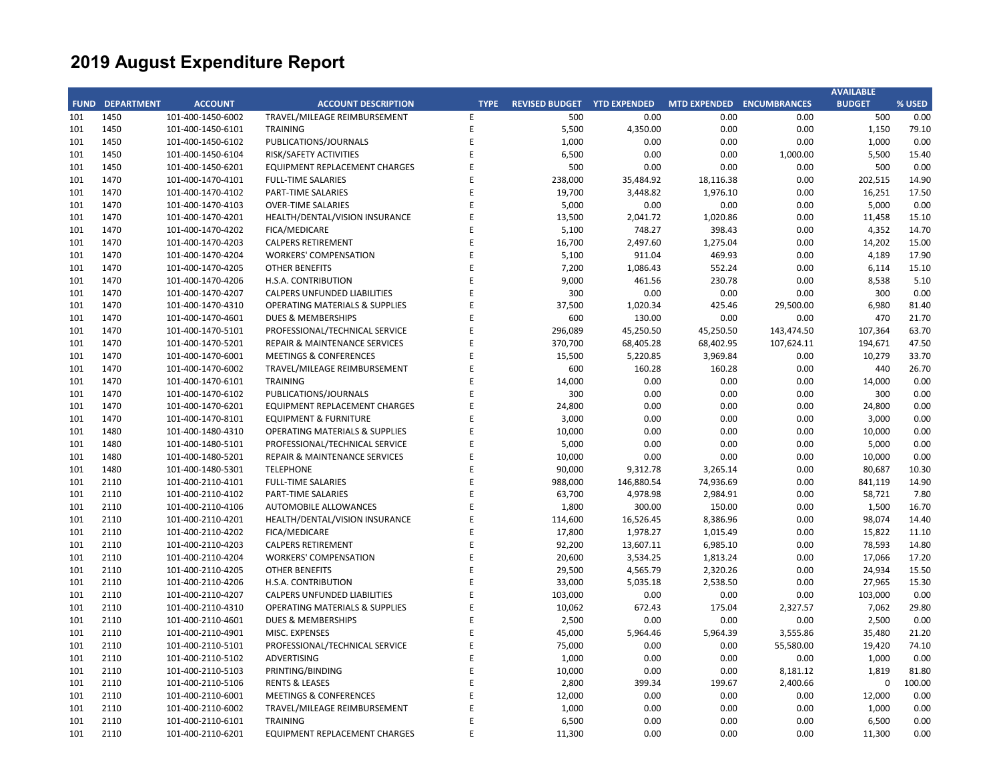|     |                        |                   |                                           |             |                                    |            |                     |                     | <b>AVAILABLE</b> |        |
|-----|------------------------|-------------------|-------------------------------------------|-------------|------------------------------------|------------|---------------------|---------------------|------------------|--------|
|     | <b>FUND DEPARTMENT</b> | <b>ACCOUNT</b>    | <b>ACCOUNT DESCRIPTION</b>                | <b>TYPE</b> | <b>REVISED BUDGET YTD EXPENDED</b> |            | <b>MTD EXPENDED</b> | <b>ENCUMBRANCES</b> | <b>BUDGET</b>    | % USED |
| 101 | 1450                   | 101-400-1450-6002 | TRAVEL/MILEAGE REIMBURSEMENT              | Е           | 500                                | 0.00       | 0.00                | 0.00                | 500              | 0.00   |
| 101 | 1450                   | 101-400-1450-6101 | <b>TRAINING</b>                           | E           | 5,500                              | 4,350.00   | 0.00                | 0.00                | 1,150            | 79.10  |
| 101 | 1450                   | 101-400-1450-6102 | PUBLICATIONS/JOURNALS                     | E           | 1,000                              | 0.00       | 0.00                | 0.00                | 1,000            | 0.00   |
| 101 | 1450                   | 101-400-1450-6104 | RISK/SAFETY ACTIVITIES                    | E           | 6,500                              | 0.00       | 0.00                | 1,000.00            | 5,500            | 15.40  |
| 101 | 1450                   | 101-400-1450-6201 | <b>EQUIPMENT REPLACEMENT CHARGES</b>      | E           | 500                                | 0.00       | 0.00                | 0.00                | 500              | 0.00   |
| 101 | 1470                   | 101-400-1470-4101 | <b>FULL-TIME SALARIES</b>                 | E           | 238,000                            | 35,484.92  | 18,116.38           | 0.00                | 202,515          | 14.90  |
| 101 | 1470                   | 101-400-1470-4102 | PART-TIME SALARIES                        | E           | 19,700                             | 3,448.82   | 1,976.10            | 0.00                | 16,251           | 17.50  |
| 101 | 1470                   | 101-400-1470-4103 | <b>OVER-TIME SALARIES</b>                 | F           | 5,000                              | 0.00       | 0.00                | 0.00                | 5,000            | 0.00   |
| 101 | 1470                   | 101-400-1470-4201 | HEALTH/DENTAL/VISION INSURANCE            | F           | 13,500                             | 2,041.72   | 1,020.86            | 0.00                | 11,458           | 15.10  |
| 101 | 1470                   | 101-400-1470-4202 | FICA/MEDICARE                             |             | 5,100                              | 748.27     | 398.43              | 0.00                | 4,352            | 14.70  |
| 101 | 1470                   | 101-400-1470-4203 | <b>CALPERS RETIREMENT</b>                 | E           | 16,700                             | 2,497.60   | 1,275.04            | 0.00                | 14,202           | 15.00  |
| 101 | 1470                   | 101-400-1470-4204 | <b>WORKERS' COMPENSATION</b>              | E           | 5,100                              | 911.04     | 469.93              | 0.00                | 4,189            | 17.90  |
| 101 | 1470                   | 101-400-1470-4205 | <b>OTHER BENEFITS</b>                     | F           | 7,200                              | 1,086.43   | 552.24              | 0.00                | 6,114            | 15.10  |
| 101 | 1470                   | 101-400-1470-4206 | H.S.A. CONTRIBUTION                       | E           | 9,000                              | 461.56     | 230.78              | 0.00                | 8,538            | 5.10   |
| 101 | 1470                   | 101-400-1470-4207 | <b>CALPERS UNFUNDED LIABILITIES</b>       | F           | 300                                | 0.00       | 0.00                | 0.00                | 300              | 0.00   |
| 101 | 1470                   | 101-400-1470-4310 | <b>OPERATING MATERIALS &amp; SUPPLIES</b> | E           | 37,500                             | 1,020.34   | 425.46              | 29,500.00           | 6,980            | 81.40  |
| 101 | 1470                   | 101-400-1470-4601 | <b>DUES &amp; MEMBERSHIPS</b>             | F           | 600                                | 130.00     | 0.00                | 0.00                | 470              | 21.70  |
| 101 | 1470                   | 101-400-1470-5101 | PROFESSIONAL/TECHNICAL SERVICE            | E           | 296,089                            | 45,250.50  | 45,250.50           | 143,474.50          | 107,364          | 63.70  |
| 101 | 1470                   | 101-400-1470-5201 | <b>REPAIR &amp; MAINTENANCE SERVICES</b>  | F           | 370,700                            | 68,405.28  | 68,402.95           | 107,624.11          | 194,671          | 47.50  |
| 101 | 1470                   | 101-400-1470-6001 | <b>MEETINGS &amp; CONFERENCES</b>         | E           | 15,500                             | 5,220.85   | 3,969.84            | 0.00                | 10,279           | 33.70  |
| 101 | 1470                   | 101-400-1470-6002 | TRAVEL/MILEAGE REIMBURSEMENT              | E           | 600                                | 160.28     | 160.28              | 0.00                | 440              | 26.70  |
| 101 | 1470                   | 101-400-1470-6101 | <b>TRAINING</b>                           | E           | 14,000                             | 0.00       | 0.00                | 0.00                | 14,000           | 0.00   |
| 101 | 1470                   | 101-400-1470-6102 | PUBLICATIONS/JOURNALS                     | E           | 300                                | 0.00       | 0.00                | 0.00                | 300              | 0.00   |
| 101 | 1470                   | 101-400-1470-6201 | EQUIPMENT REPLACEMENT CHARGES             | E           | 24,800                             | 0.00       | 0.00                | 0.00                | 24,800           | 0.00   |
| 101 | 1470                   | 101-400-1470-8101 | <b>EQUIPMENT &amp; FURNITURE</b>          | F           | 3,000                              | 0.00       | 0.00                | 0.00                | 3,000            | 0.00   |
| 101 | 1480                   | 101-400-1480-4310 | <b>OPERATING MATERIALS &amp; SUPPLIES</b> | E           | 10,000                             | 0.00       | 0.00                | 0.00                | 10,000           | 0.00   |
| 101 | 1480                   | 101-400-1480-5101 | PROFESSIONAL/TECHNICAL SERVICE            | E           | 5,000                              | 0.00       | 0.00                | 0.00                | 5,000            | 0.00   |
| 101 | 1480                   | 101-400-1480-5201 | REPAIR & MAINTENANCE SERVICES             |             | 10,000                             | 0.00       | 0.00                | 0.00                | 10,000           | 0.00   |
| 101 | 1480                   | 101-400-1480-5301 | <b>TELEPHONE</b>                          | F           | 90,000                             | 9,312.78   | 3,265.14            | 0.00                | 80,687           | 10.30  |
| 101 | 2110                   | 101-400-2110-4101 | <b>FULL-TIME SALARIES</b>                 | F           | 988,000                            | 146,880.54 | 74,936.69           | 0.00                | 841,119          | 14.90  |
| 101 | 2110                   | 101-400-2110-4102 | <b>PART-TIME SALARIES</b>                 | E           | 63,700                             | 4,978.98   | 2,984.91            | 0.00                | 58,721           | 7.80   |
| 101 | 2110                   | 101-400-2110-4106 | <b>AUTOMOBILE ALLOWANCES</b>              | E           | 1,800                              | 300.00     | 150.00              | 0.00                | 1,500            | 16.70  |
| 101 | 2110                   | 101-400-2110-4201 | HEALTH/DENTAL/VISION INSURANCE            | F           | 114,600                            | 16,526.45  | 8,386.96            | 0.00                | 98,074           | 14.40  |
| 101 | 2110                   | 101-400-2110-4202 | FICA/MEDICARE                             | F           | 17,800                             | 1,978.27   | 1,015.49            | 0.00                | 15,822           | 11.10  |
| 101 | 2110                   | 101-400-2110-4203 | <b>CALPERS RETIREMENT</b>                 |             | 92,200                             | 13,607.11  | 6,985.10            | 0.00                | 78,593           | 14.80  |
| 101 | 2110                   | 101-400-2110-4204 | <b>WORKERS' COMPENSATION</b>              |             | 20,600                             | 3,534.25   | 1,813.24            | 0.00                | 17,066           | 17.20  |
| 101 | 2110                   | 101-400-2110-4205 | OTHER BENEFITS                            | F           | 29,500                             | 4,565.79   | 2,320.26            | 0.00                | 24,934           | 15.50  |
| 101 | 2110                   | 101-400-2110-4206 | H.S.A. CONTRIBUTION                       | E           | 33,000                             | 5,035.18   | 2,538.50            | 0.00                | 27,965           | 15.30  |
| 101 | 2110                   | 101-400-2110-4207 | <b>CALPERS UNFUNDED LIABILITIES</b>       | F           | 103,000                            | 0.00       | 0.00                | 0.00                | 103,000          | 0.00   |
| 101 | 2110                   | 101-400-2110-4310 | <b>OPERATING MATERIALS &amp; SUPPLIES</b> |             | 10,062                             | 672.43     | 175.04              | 2,327.57            | 7,062            | 29.80  |
| 101 | 2110                   | 101-400-2110-4601 | <b>DUES &amp; MEMBERSHIPS</b>             | F           | 2,500                              | 0.00       | 0.00                | 0.00                | 2,500            | 0.00   |
| 101 | 2110                   | 101-400-2110-4901 | MISC. EXPENSES                            | F           | 45,000                             | 5,964.46   | 5,964.39            | 3,555.86            | 35,480           | 21.20  |
| 101 | 2110                   | 101-400-2110-5101 | PROFESSIONAL/TECHNICAL SERVICE            | F           | 75,000                             | 0.00       | 0.00                | 55,580.00           | 19,420           | 74.10  |
| 101 | 2110                   | 101-400-2110-5102 | <b>ADVERTISING</b>                        | F           |                                    | 0.00       | 0.00                | 0.00                | 1,000            | 0.00   |
| 101 | 2110                   | 101-400-2110-5103 | PRINTING/BINDING                          | F           | 1,000<br>10,000                    | 0.00       | 0.00                | 8,181.12            | 1,819            | 81.80  |
|     |                        |                   |                                           | F           |                                    |            |                     |                     |                  |        |
| 101 | 2110                   | 101-400-2110-5106 | <b>RENTS &amp; LEASES</b>                 | F           | 2,800                              | 399.34     | 199.67              | 2,400.66            | $\mathbf 0$      | 100.00 |
| 101 | 2110                   | 101-400-2110-6001 | <b>MEETINGS &amp; CONFERENCES</b>         | E           | 12,000                             | 0.00       | 0.00                | 0.00                | 12,000           | 0.00   |
| 101 | 2110                   | 101-400-2110-6002 | TRAVEL/MILEAGE REIMBURSEMENT              | F           | 1,000                              | 0.00       | 0.00                | 0.00                | 1,000            | 0.00   |
| 101 | 2110                   | 101-400-2110-6101 | <b>TRAINING</b>                           |             | 6,500                              | 0.00       | 0.00                | 0.00                | 6,500            | 0.00   |
| 101 | 2110                   | 101-400-2110-6201 | EQUIPMENT REPLACEMENT CHARGES             | F           | 11,300                             | 0.00       | 0.00                | 0.00                | 11,300           | 0.00   |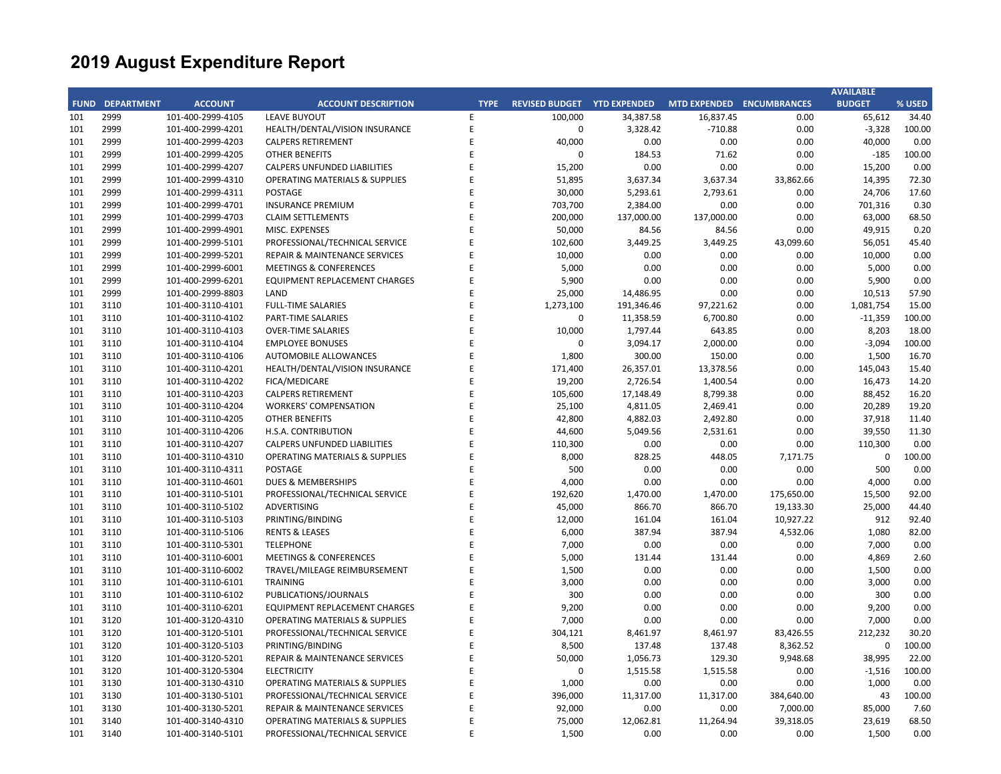|     |                        |                   |                                           |             |                             |            |                           |            | <b>AVAILABLE</b> |        |
|-----|------------------------|-------------------|-------------------------------------------|-------------|-----------------------------|------------|---------------------------|------------|------------------|--------|
|     | <b>FUND DEPARTMENT</b> | <b>ACCOUNT</b>    | <b>ACCOUNT DESCRIPTION</b>                | <b>TYPE</b> | REVISED BUDGET YTD EXPENDED |            | MTD EXPENDED ENCUMBRANCES |            | <b>BUDGET</b>    | % USED |
| 101 | 2999                   | 101-400-2999-4105 | <b>LEAVE BUYOUT</b>                       | E           | 100,000                     | 34,387.58  | 16,837.45                 | 0.00       | 65,612           | 34.40  |
| 101 | 2999                   | 101-400-2999-4201 | HEALTH/DENTAL/VISION INSURANCE            | E           | $\pmb{0}$                   | 3,328.42   | $-710.88$                 | 0.00       | $-3,328$         | 100.00 |
| 101 | 2999                   | 101-400-2999-4203 | <b>CALPERS RETIREMENT</b>                 | E           | 40,000                      | 0.00       | 0.00                      | 0.00       | 40,000           | 0.00   |
| 101 | 2999                   | 101-400-2999-4205 | OTHER BENEFITS                            | F           | $\mathbf 0$                 | 184.53     | 71.62                     | 0.00       | $-185$           | 100.00 |
| 101 | 2999                   | 101-400-2999-4207 | <b>CALPERS UNFUNDED LIABILITIES</b>       | E           | 15,200                      | 0.00       | 0.00                      | 0.00       | 15,200           | 0.00   |
| 101 | 2999                   | 101-400-2999-4310 | <b>OPERATING MATERIALS &amp; SUPPLIES</b> | F           | 51,895                      | 3,637.34   | 3,637.34                  | 33,862.66  | 14,395           | 72.30  |
| 101 | 2999                   | 101-400-2999-4311 | <b>POSTAGE</b>                            | E           | 30,000                      | 5,293.61   | 2,793.61                  | 0.00       | 24,706           | 17.60  |
| 101 | 2999                   | 101-400-2999-4701 | <b>INSURANCE PREMIUM</b>                  | F           | 703,700                     | 2,384.00   | 0.00                      | 0.00       | 701,316          | 0.30   |
| 101 | 2999                   | 101-400-2999-4703 | <b>CLAIM SETTLEMENTS</b>                  | E           | 200,000                     | 137,000.00 | 137,000.00                | 0.00       | 63,000           | 68.50  |
| 101 | 2999                   | 101-400-2999-4901 | MISC. EXPENSES                            | F           | 50,000                      | 84.56      | 84.56                     | 0.00       | 49,915           | 0.20   |
| 101 | 2999                   | 101-400-2999-5101 | PROFESSIONAL/TECHNICAL SERVICE            | F           | 102,600                     | 3,449.25   | 3,449.25                  | 43,099.60  | 56,051           | 45.40  |
| 101 | 2999                   | 101-400-2999-5201 | <b>REPAIR &amp; MAINTENANCE SERVICES</b>  | F           | 10,000                      | 0.00       | 0.00                      | 0.00       | 10,000           | 0.00   |
| 101 | 2999                   | 101-400-2999-6001 | <b>MEETINGS &amp; CONFERENCES</b>         | F           | 5,000                       | 0.00       | 0.00                      | 0.00       | 5,000            | 0.00   |
| 101 | 2999                   | 101-400-2999-6201 | <b>EQUIPMENT REPLACEMENT CHARGES</b>      | E           | 5,900                       | 0.00       | 0.00                      | 0.00       | 5,900            | 0.00   |
| 101 | 2999                   | 101-400-2999-8803 | LAND                                      | F           | 25,000                      | 14,486.95  | 0.00                      | 0.00       | 10,513           | 57.90  |
| 101 | 3110                   | 101-400-3110-4101 | <b>FULL-TIME SALARIES</b>                 | E           | 1,273,100                   | 191,346.46 | 97,221.62                 | 0.00       | 1,081,754        | 15.00  |
| 101 | 3110                   | 101-400-3110-4102 | PART-TIME SALARIES                        | F           | $\mathbf 0$                 | 11,358.59  | 6,700.80                  | 0.00       | $-11,359$        | 100.00 |
| 101 | 3110                   | 101-400-3110-4103 | <b>OVER-TIME SALARIES</b>                 | E           | 10,000                      | 1,797.44   | 643.85                    | 0.00       | 8,203            | 18.00  |
| 101 | 3110                   | 101-400-3110-4104 | <b>EMPLOYEE BONUSES</b>                   | F           | $\Omega$                    | 3,094.17   | 2,000.00                  | 0.00       | $-3,094$         | 100.00 |
| 101 | 3110                   | 101-400-3110-4106 | <b>AUTOMOBILE ALLOWANCES</b>              | E           | 1,800                       | 300.00     | 150.00                    | 0.00       | 1,500            | 16.70  |
| 101 | 3110                   | 101-400-3110-4201 | HEALTH/DENTAL/VISION INSURANCE            |             | 171,400                     | 26,357.01  | 13,378.56                 | 0.00       | 145,043          | 15.40  |
| 101 | 3110                   | 101-400-3110-4202 | FICA/MEDICARE                             | E           | 19,200                      | 2,726.54   | 1,400.54                  | 0.00       | 16,473           | 14.20  |
| 101 | 3110                   | 101-400-3110-4203 | <b>CALPERS RETIREMENT</b>                 | E           | 105,600                     | 17,148.49  | 8,799.38                  | 0.00       | 88,452           | 16.20  |
| 101 | 3110                   | 101-400-3110-4204 | <b>WORKERS' COMPENSATION</b>              | F           | 25,100                      | 4,811.05   | 2,469.41                  | 0.00       | 20,289           | 19.20  |
| 101 | 3110                   | 101-400-3110-4205 | <b>OTHER BENEFITS</b>                     | F           | 42,800                      | 4,882.03   | 2,492.80                  | 0.00       | 37,918           | 11.40  |
| 101 | 3110                   | 101-400-3110-4206 | H.S.A. CONTRIBUTION                       | F           | 44,600                      | 5,049.56   | 2,531.61                  | 0.00       | 39,550           | 11.30  |
| 101 | 3110                   | 101-400-3110-4207 | <b>CALPERS UNFUNDED LIABILITIES</b>       | E           | 110,300                     | 0.00       | 0.00                      | 0.00       | 110,300          | 0.00   |
| 101 | 3110                   | 101-400-3110-4310 | <b>OPERATING MATERIALS &amp; SUPPLIES</b> | F           | 8,000                       | 828.25     | 448.05                    | 7,171.75   | $\mathbf 0$      | 100.00 |
| 101 | 3110                   | 101-400-3110-4311 | POSTAGE                                   | F           | 500                         | 0.00       | 0.00                      | 0.00       | 500              | 0.00   |
| 101 | 3110                   | 101-400-3110-4601 | DUES & MEMBERSHIPS                        |             | 4,000                       | 0.00       | 0.00                      | 0.00       | 4,000            | 0.00   |
| 101 | 3110                   | 101-400-3110-5101 | PROFESSIONAL/TECHNICAL SERVICE            | E           | 192,620                     | 1,470.00   | 1,470.00                  | 175,650.00 | 15,500           | 92.00  |
| 101 | 3110                   | 101-400-3110-5102 | <b>ADVERTISING</b>                        | F           | 45,000                      | 866.70     | 866.70                    | 19,133.30  | 25,000           | 44.40  |
| 101 | 3110                   | 101-400-3110-5103 | PRINTING/BINDING                          | E           | 12,000                      | 161.04     | 161.04                    | 10,927.22  | 912              | 92.40  |
| 101 | 3110                   | 101-400-3110-5106 | <b>RENTS &amp; LEASES</b>                 | F           | 6,000                       | 387.94     | 387.94                    | 4,532.06   | 1,080            | 82.00  |
| 101 | 3110                   | 101-400-3110-5301 | <b>TELEPHONE</b>                          | E           | 7,000                       | 0.00       | 0.00                      | 0.00       | 7,000            | 0.00   |
| 101 | 3110                   | 101-400-3110-6001 | <b>MEETINGS &amp; CONFERENCES</b>         | F           | 5,000                       | 131.44     | 131.44                    | 0.00       | 4,869            | 2.60   |
| 101 | 3110                   | 101-400-3110-6002 | TRAVEL/MILEAGE REIMBURSEMENT              | F           | 1,500                       | 0.00       | 0.00                      | 0.00       | 1,500            | 0.00   |
| 101 | 3110                   | 101-400-3110-6101 | <b>TRAINING</b>                           | E           | 3,000                       | 0.00       | 0.00                      | 0.00       | 3,000            | 0.00   |
| 101 | 3110                   | 101-400-3110-6102 | PUBLICATIONS/JOURNALS                     |             | 300                         | 0.00       | 0.00                      | 0.00       | 300              | 0.00   |
| 101 | 3110                   | 101-400-3110-6201 | <b>EQUIPMENT REPLACEMENT CHARGES</b>      | E           | 9,200                       | 0.00       | 0.00                      | 0.00       | 9,200            | 0.00   |
| 101 | 3120                   | 101-400-3120-4310 | <b>OPERATING MATERIALS &amp; SUPPLIES</b> | F           | 7,000                       | 0.00       | 0.00                      | 0.00       | 7,000            | 0.00   |
| 101 | 3120                   | 101-400-3120-5101 | PROFESSIONAL/TECHNICAL SERVICE            | E           | 304,121                     | 8,461.97   | 8,461.97                  | 83,426.55  | 212,232          | 30.20  |
| 101 | 3120                   | 101-400-3120-5103 | PRINTING/BINDING                          | F           | 8,500                       | 137.48     | 137.48                    | 8,362.52   | $\mathbf 0$      | 100.00 |
| 101 | 3120                   | 101-400-3120-5201 | <b>REPAIR &amp; MAINTENANCE SERVICES</b>  | F           | 50,000                      | 1,056.73   | 129.30                    | 9,948.68   | 38,995           | 22.00  |
| 101 | 3120                   | 101-400-3120-5304 | <b>ELECTRICITY</b>                        | F           | 0                           | 1,515.58   | 1,515.58                  | 0.00       | $-1,516$         | 100.00 |
| 101 | 3130                   | 101-400-3130-4310 | <b>OPERATING MATERIALS &amp; SUPPLIES</b> | F           | 1,000                       | 0.00       | 0.00                      | 0.00       | 1,000            | 0.00   |
| 101 | 3130                   | 101-400-3130-5101 | PROFESSIONAL/TECHNICAL SERVICE            | F           | 396,000                     | 11,317.00  | 11,317.00                 | 384,640.00 | 43               | 100.00 |
| 101 | 3130                   | 101-400-3130-5201 | REPAIR & MAINTENANCE SERVICES             |             | 92,000                      | 0.00       | 0.00                      | 7,000.00   | 85,000           | 7.60   |
| 101 | 3140                   | 101-400-3140-4310 | <b>OPERATING MATERIALS &amp; SUPPLIES</b> | F           | 75,000                      | 12,062.81  | 11,264.94                 | 39,318.05  | 23,619           | 68.50  |
| 101 | 3140                   | 101-400-3140-5101 | PROFESSIONAL/TECHNICAL SERVICE            | F           | 1,500                       | 0.00       | 0.00                      | 0.00       | 1,500            | 0.00   |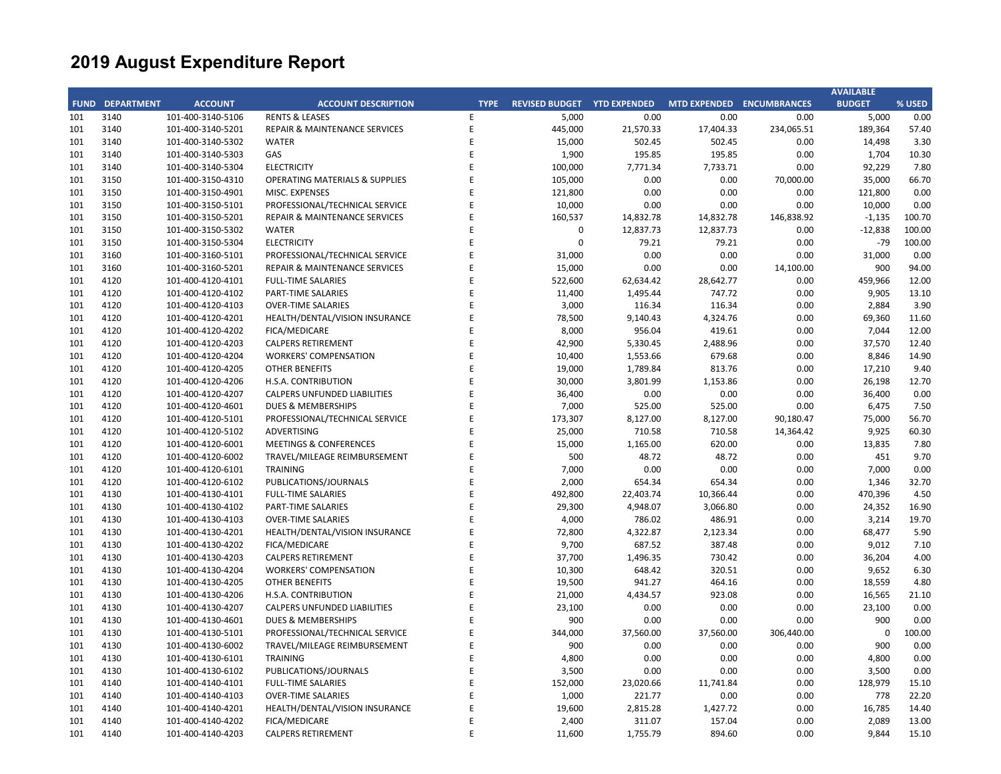|     |                        |                   |                                           |             |                                    |           |           |                                  | <b>AVAILABLE</b> |        |
|-----|------------------------|-------------------|-------------------------------------------|-------------|------------------------------------|-----------|-----------|----------------------------------|------------------|--------|
|     | <b>FUND DEPARTMENT</b> | <b>ACCOUNT</b>    | <b>ACCOUNT DESCRIPTION</b>                | <b>TYPE</b> | <b>REVISED BUDGET YTD EXPENDED</b> |           |           | <b>MTD EXPENDED ENCUMBRANCES</b> | <b>BUDGET</b>    | % USED |
| 101 | 3140                   | 101-400-3140-5106 | <b>RENTS &amp; LEASES</b>                 | E           | 5,000                              | 0.00      | 0.00      | 0.00                             | 5,000            | 0.00   |
| 101 | 3140                   | 101-400-3140-5201 | <b>REPAIR &amp; MAINTENANCE SERVICES</b>  | E           | 445,000                            | 21,570.33 | 17,404.33 | 234,065.51                       | 189,364          | 57.40  |
| 101 | 3140                   | 101-400-3140-5302 | <b>WATER</b>                              | E           | 15,000                             | 502.45    | 502.45    | 0.00                             | 14,498           | 3.30   |
| 101 | 3140                   | 101-400-3140-5303 | GAS                                       | E           | 1,900                              | 195.85    | 195.85    | 0.00                             | 1,704            | 10.30  |
| 101 | 3140                   | 101-400-3140-5304 | <b>ELECTRICITY</b>                        | E           | 100,000                            | 7,771.34  | 7,733.71  | 0.00                             | 92,229           | 7.80   |
| 101 | 3150                   | 101-400-3150-4310 | <b>OPERATING MATERIALS &amp; SUPPLIES</b> | E           | 105,000                            | 0.00      | 0.00      | 70,000.00                        | 35,000           | 66.70  |
| 101 | 3150                   | 101-400-3150-4901 | MISC. EXPENSES                            | F           | 121,800                            | 0.00      | 0.00      | 0.00                             | 121,800          | 0.00   |
| 101 | 3150                   | 101-400-3150-5101 | PROFESSIONAL/TECHNICAL SERVICE            | E           | 10,000                             | 0.00      | 0.00      | 0.00                             | 10,000           | 0.00   |
| 101 | 3150                   | 101-400-3150-5201 | REPAIR & MAINTENANCE SERVICES             | F           | 160,537                            | 14,832.78 | 14,832.78 | 146,838.92                       | $-1,135$         | 100.70 |
| 101 | 3150                   | 101-400-3150-5302 | <b>WATER</b>                              | E           | $\mathbf 0$                        | 12,837.73 | 12,837.73 | 0.00                             | $-12,838$        | 100.00 |
| 101 | 3150                   | 101-400-3150-5304 | <b>ELECTRICITY</b>                        | F           | $\Omega$                           | 79.21     | 79.21     | 0.00                             | $-79$            | 100.00 |
| 101 | 3160                   | 101-400-3160-5101 | PROFESSIONAL/TECHNICAL SERVICE            | E           | 31,000                             | 0.00      | 0.00      | 0.00                             | 31,000           | 0.00   |
| 101 | 3160                   | 101-400-3160-5201 | REPAIR & MAINTENANCE SERVICES             | E           | 15,000                             | 0.00      | 0.00      | 14,100.00                        | 900              | 94.00  |
| 101 | 4120                   | 101-400-4120-4101 | <b>FULL-TIME SALARIES</b>                 | E           | 522,600                            | 62,634.42 | 28,642.77 | 0.00                             | 459,966          | 12.00  |
| 101 | 4120                   | 101-400-4120-4102 | <b>PART-TIME SALARIES</b>                 | E           | 11,400                             | 1,495.44  | 747.72    | 0.00                             | 9,905            | 13.10  |
| 101 | 4120                   | 101-400-4120-4103 | <b>OVER-TIME SALARIES</b>                 | E           | 3,000                              | 116.34    | 116.34    | 0.00                             | 2,884            | 3.90   |
| 101 | 4120                   | 101-400-4120-4201 | HEALTH/DENTAL/VISION INSURANCE            | E           | 78,500                             | 9,140.43  | 4,324.76  | 0.00                             | 69,360           | 11.60  |
| 101 | 4120                   | 101-400-4120-4202 | FICA/MEDICARE                             | F           | 8,000                              | 956.04    | 419.61    | 0.00                             | 7,044            | 12.00  |
| 101 | 4120                   | 101-400-4120-4203 | <b>CALPERS RETIREMENT</b>                 | F           | 42,900                             | 5,330.45  | 2,488.96  | 0.00                             | 37,570           | 12.40  |
| 101 | 4120                   | 101-400-4120-4204 | <b>WORKERS' COMPENSATION</b>              | E           | 10,400                             | 1,553.66  | 679.68    | 0.00                             | 8,846            | 14.90  |
| 101 | 4120                   | 101-400-4120-4205 | <b>OTHER BENEFITS</b>                     | F           | 19,000                             | 1,789.84  | 813.76    | 0.00                             | 17,210           | 9.40   |
| 101 | 4120                   | 101-400-4120-4206 | H.S.A. CONTRIBUTION                       | E           | 30,000                             | 3,801.99  | 1,153.86  | 0.00                             | 26,198           | 12.70  |
| 101 | 4120                   | 101-400-4120-4207 | <b>CALPERS UNFUNDED LIABILITIES</b>       | F           | 36,400                             | 0.00      | 0.00      | 0.00                             | 36,400           | 0.00   |
| 101 | 4120                   | 101-400-4120-4601 | <b>DUES &amp; MEMBERSHIPS</b>             | F           | 7,000                              | 525.00    | 525.00    | 0.00                             | 6,475            | 7.50   |
| 101 | 4120                   | 101-400-4120-5101 | PROFESSIONAL/TECHNICAL SERVICE            | E           | 173,307                            | 8,127.00  | 8,127.00  | 90,180.47                        | 75,000           | 56.70  |
| 101 | 4120                   | 101-400-4120-5102 | ADVERTISING                               | F           | 25,000                             | 710.58    | 710.58    | 14,364.42                        | 9,925            | 60.30  |
| 101 | 4120                   | 101-400-4120-6001 | <b>MEETINGS &amp; CONFERENCES</b>         | E           | 15,000                             | 1,165.00  | 620.00    | 0.00                             | 13,835           | 7.80   |
| 101 | 4120                   | 101-400-4120-6002 | TRAVEL/MILEAGE REIMBURSEMENT              | F           | 500                                | 48.72     | 48.72     | 0.00                             | 451              | 9.70   |
| 101 | 4120                   | 101-400-4120-6101 | <b>TRAINING</b>                           | E           | 7,000                              | 0.00      | 0.00      | 0.00                             | 7,000            | 0.00   |
| 101 | 4120                   | 101-400-4120-6102 | PUBLICATIONS/JOURNALS                     | F           | 2,000                              | 654.34    | 654.34    | 0.00                             | 1,346            | 32.70  |
| 101 | 4130                   | 101-400-4130-4101 | <b>FULL-TIME SALARIES</b>                 | E           | 492,800                            | 22,403.74 | 10,366.44 | 0.00                             | 470,396          | 4.50   |
| 101 | 4130                   |                   | <b>PART-TIME SALARIES</b>                 | F           |                                    |           |           |                                  |                  | 16.90  |
|     |                        | 101-400-4130-4102 |                                           | F           | 29,300                             | 4,948.07  | 3,066.80  | 0.00                             | 24,352           |        |
| 101 | 4130                   | 101-400-4130-4103 | <b>OVER-TIME SALARIES</b>                 | E           | 4,000                              | 786.02    | 486.91    | 0.00                             | 3,214            | 19.70  |
| 101 | 4130                   | 101-400-4130-4201 | HEALTH/DENTAL/VISION INSURANCE            | F           | 72,800                             | 4,322.87  | 2,123.34  | 0.00                             | 68,477           | 5.90   |
| 101 | 4130                   | 101-400-4130-4202 | FICA/MEDICARE                             | F           | 9,700                              | 687.52    | 387.48    | 0.00                             | 9,012            | 7.10   |
| 101 | 4130                   | 101-400-4130-4203 | <b>CALPERS RETIREMENT</b>                 | F           | 37,700                             | 1,496.35  | 730.42    | 0.00                             | 36,204           | 4.00   |
| 101 | 4130                   | 101-400-4130-4204 | <b>WORKERS' COMPENSATION</b>              |             | 10,300                             | 648.42    | 320.51    | 0.00                             | 9,652            | 6.30   |
| 101 | 4130                   | 101-400-4130-4205 | <b>OTHER BENEFITS</b>                     | E           | 19,500                             | 941.27    | 464.16    | 0.00                             | 18,559           | 4.80   |
| 101 | 4130                   | 101-400-4130-4206 | H.S.A. CONTRIBUTION                       | F           | 21,000                             | 4,434.57  | 923.08    | 0.00                             | 16,565           | 21.10  |
| 101 | 4130                   | 101-400-4130-4207 | <b>CALPERS UNFUNDED LIABILITIES</b>       | E           | 23,100                             | 0.00      | 0.00      | 0.00                             | 23,100           | 0.00   |
| 101 | 4130                   | 101-400-4130-4601 | <b>DUES &amp; MEMBERSHIPS</b>             | F           | 900                                | 0.00      | 0.00      | 0.00                             | 900              | 0.00   |
| 101 | 4130                   | 101-400-4130-5101 | PROFESSIONAL/TECHNICAL SERVICE            | E           | 344,000                            | 37,560.00 | 37,560.00 | 306,440.00                       | 0                | 100.00 |
| 101 | 4130                   | 101-400-4130-6002 | TRAVEL/MILEAGE REIMBURSEMENT              | E           | 900                                | 0.00      | 0.00      | 0.00                             | 900              | 0.00   |
| 101 | 4130                   | 101-400-4130-6101 | <b>TRAINING</b>                           | E           | 4,800                              | 0.00      | 0.00      | 0.00                             | 4,800            | 0.00   |
| 101 | 4130                   | 101-400-4130-6102 | PUBLICATIONS/JOURNALS                     | F           | 3,500                              | 0.00      | 0.00      | 0.00                             | 3,500            | 0.00   |
| 101 | 4140                   | 101-400-4140-4101 | <b>FULL-TIME SALARIES</b>                 | E           | 152,000                            | 23,020.66 | 11,741.84 | 0.00                             | 128,979          | 15.10  |
| 101 | 4140                   | 101-400-4140-4103 | <b>OVER-TIME SALARIES</b>                 | E           | 1,000                              | 221.77    | 0.00      | 0.00                             | 778              | 22.20  |
| 101 | 4140                   | 101-400-4140-4201 | HEALTH/DENTAL/VISION INSURANCE            | E           | 19,600                             | 2,815.28  | 1,427.72  | 0.00                             | 16,785           | 14.40  |
| 101 | 4140                   | 101-400-4140-4202 | FICA/MEDICARE                             | F           | 2,400                              | 311.07    | 157.04    | 0.00                             | 2,089            | 13.00  |
| 101 | 4140                   | 101-400-4140-4203 | <b>CALPERS RETIREMENT</b>                 | F           | 11,600                             | 1,755.79  | 894.60    | 0.00                             | 9,844            | 15.10  |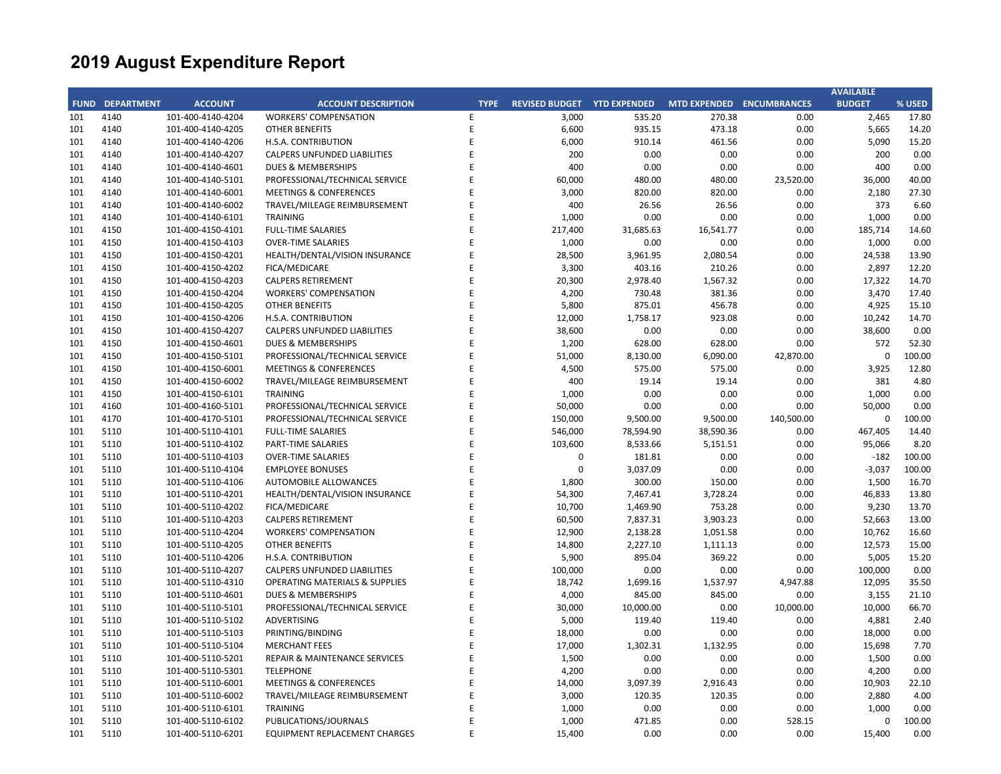|     |                        |                   |                                           |             |                                    |           |           |                           | <b>AVAILABLE</b> |        |
|-----|------------------------|-------------------|-------------------------------------------|-------------|------------------------------------|-----------|-----------|---------------------------|------------------|--------|
|     | <b>FUND DEPARTMENT</b> | <b>ACCOUNT</b>    | <b>ACCOUNT DESCRIPTION</b>                | <b>TYPE</b> | <b>REVISED BUDGET YTD EXPENDED</b> |           |           | MTD EXPENDED ENCUMBRANCES | <b>BUDGET</b>    | % USED |
| 101 | 4140                   | 101-400-4140-4204 | <b>WORKERS' COMPENSATION</b>              | E           | 3,000                              | 535.20    | 270.38    | 0.00                      | 2,465            | 17.80  |
| 101 | 4140                   | 101-400-4140-4205 | <b>OTHER BENEFITS</b>                     | E           | 6,600                              | 935.15    | 473.18    | 0.00                      | 5,665            | 14.20  |
| 101 | 4140                   | 101-400-4140-4206 | H.S.A. CONTRIBUTION                       | E           | 6,000                              | 910.14    | 461.56    | 0.00                      | 5,090            | 15.20  |
| 101 | 4140                   | 101-400-4140-4207 | <b>CALPERS UNFUNDED LIABILITIES</b>       | E           | 200                                | 0.00      | 0.00      | 0.00                      | 200              | 0.00   |
| 101 | 4140                   | 101-400-4140-4601 | <b>DUES &amp; MEMBERSHIPS</b>             | E           | 400                                | 0.00      | 0.00      | 0.00                      | 400              | 0.00   |
| 101 | 4140                   | 101-400-4140-5101 | PROFESSIONAL/TECHNICAL SERVICE            | E           | 60,000                             | 480.00    | 480.00    | 23,520.00                 | 36,000           | 40.00  |
| 101 | 4140                   | 101-400-4140-6001 | <b>MEETINGS &amp; CONFERENCES</b>         | E           | 3,000                              | 820.00    | 820.00    | 0.00                      | 2,180            | 27.30  |
| 101 | 4140                   | 101-400-4140-6002 | TRAVEL/MILEAGE REIMBURSEMENT              | E           | 400                                | 26.56     | 26.56     | 0.00                      | 373              | 6.60   |
| 101 | 4140                   | 101-400-4140-6101 | TRAINING                                  | E           | 1,000                              | 0.00      | 0.00      | 0.00                      | 1,000            | 0.00   |
| 101 | 4150                   | 101-400-4150-4101 | <b>FULL-TIME SALARIES</b>                 | F           | 217,400                            | 31,685.63 | 16,541.77 | 0.00                      | 185,714          | 14.60  |
| 101 | 4150                   | 101-400-4150-4103 | <b>OVER-TIME SALARIES</b>                 | E           | 1,000                              | 0.00      | 0.00      | 0.00                      | 1,000            | 0.00   |
| 101 | 4150                   | 101-400-4150-4201 | HEALTH/DENTAL/VISION INSURANCE            | F           | 28,500                             | 3,961.95  | 2,080.54  | 0.00                      | 24,538           | 13.90  |
| 101 | 4150                   | 101-400-4150-4202 | FICA/MEDICARE                             | E           | 3,300                              | 403.16    | 210.26    | 0.00                      | 2,897            | 12.20  |
| 101 | 4150                   | 101-400-4150-4203 | <b>CALPERS RETIREMENT</b>                 | E           | 20,300                             | 2,978.40  | 1,567.32  | 0.00                      | 17,322           | 14.70  |
| 101 | 4150                   | 101-400-4150-4204 | <b>WORKERS' COMPENSATION</b>              | E           | 4,200                              | 730.48    | 381.36    | 0.00                      | 3,470            | 17.40  |
| 101 | 4150                   | 101-400-4150-4205 | <b>OTHER BENEFITS</b>                     | F           | 5,800                              | 875.01    | 456.78    | 0.00                      | 4,925            | 15.10  |
| 101 | 4150                   | 101-400-4150-4206 | H.S.A. CONTRIBUTION                       | E           | 12,000                             | 1,758.17  | 923.08    | 0.00                      | 10,242           | 14.70  |
| 101 | 4150                   | 101-400-4150-4207 | CALPERS UNFUNDED LIABILITIES              | F           | 38,600                             | 0.00      | 0.00      | 0.00                      | 38,600           | 0.00   |
| 101 | 4150                   | 101-400-4150-4601 | <b>DUES &amp; MEMBERSHIPS</b>             | E           | 1,200                              | 628.00    | 628.00    | 0.00                      | 572              | 52.30  |
| 101 | 4150                   | 101-400-4150-5101 | PROFESSIONAL/TECHNICAL SERVICE            | F           | 51,000                             | 8,130.00  | 6,090.00  | 42,870.00                 | $\mathbf 0$      | 100.00 |
| 101 | 4150                   | 101-400-4150-6001 | <b>MEETINGS &amp; CONFERENCES</b>         | E           | 4,500                              | 575.00    | 575.00    | 0.00                      | 3,925            | 12.80  |
| 101 | 4150                   | 101-400-4150-6002 | TRAVEL/MILEAGE REIMBURSEMENT              | E           | 400                                | 19.14     | 19.14     | 0.00                      | 381              | 4.80   |
| 101 | 4150                   | 101-400-4150-6101 | <b>TRAINING</b>                           | E           | 1,000                              | 0.00      | 0.00      | 0.00                      | 1,000            | 0.00   |
| 101 | 4160                   | 101-400-4160-5101 | PROFESSIONAL/TECHNICAL SERVICE            | E           | 50,000                             | 0.00      | 0.00      | 0.00                      | 50,000           | 0.00   |
| 101 | 4170                   | 101-400-4170-5101 | PROFESSIONAL/TECHNICAL SERVICE            | E           | 150,000                            | 9,500.00  | 9,500.00  | 140,500.00                | $\mathbf 0$      | 100.00 |
| 101 | 5110                   | 101-400-5110-4101 | <b>FULL-TIME SALARIES</b>                 | E           | 546,000                            | 78,594.90 | 38,590.36 | 0.00                      | 467,405          | 14.40  |
| 101 | 5110                   | 101-400-5110-4102 | <b>PART-TIME SALARIES</b>                 | E           | 103,600                            | 8,533.66  | 5,151.51  | 0.00                      | 95,066           | 8.20   |
| 101 | 5110                   | 101-400-5110-4103 | <b>OVER-TIME SALARIES</b>                 | F           | 0                                  | 181.81    | 0.00      | 0.00                      | $-182$           | 100.00 |
| 101 | 5110                   | 101-400-5110-4104 | <b>EMPLOYEE BONUSES</b>                   | E           | $\Omega$                           | 3,037.09  | 0.00      | 0.00                      | $-3,037$         | 100.00 |
| 101 | 5110                   | 101-400-5110-4106 | <b>AUTOMOBILE ALLOWANCES</b>              | E           | 1,800                              | 300.00    | 150.00    | 0.00                      | 1,500            | 16.70  |
| 101 | 5110                   | 101-400-5110-4201 | HEALTH/DENTAL/VISION INSURANCE            | E           | 54,300                             | 7,467.41  | 3,728.24  | 0.00                      | 46,833           | 13.80  |
| 101 | 5110                   | 101-400-5110-4202 | FICA/MEDICARE                             | E           | 10,700                             | 1,469.90  | 753.28    | 0.00                      | 9,230            | 13.70  |
| 101 | 5110                   | 101-400-5110-4203 | <b>CALPERS RETIREMENT</b>                 | E           | 60,500                             | 7,837.31  | 3,903.23  | 0.00                      | 52,663           | 13.00  |
| 101 | 5110                   | 101-400-5110-4204 | <b>WORKERS' COMPENSATION</b>              | E           | 12,900                             | 2,138.28  | 1,051.58  | 0.00                      | 10,762           | 16.60  |
| 101 | 5110                   | 101-400-5110-4205 | OTHER BENEFITS                            | F           | 14,800                             | 2,227.10  | 1,111.13  | 0.00                      | 12,573           | 15.00  |
| 101 | 5110                   | 101-400-5110-4206 | H.S.A. CONTRIBUTION                       | F           | 5,900                              | 895.04    | 369.22    | 0.00                      | 5,005            | 15.20  |
| 101 | 5110                   | 101-400-5110-4207 | <b>CALPERS UNFUNDED LIABILITIES</b>       | F           | 100,000                            | 0.00      | 0.00      | 0.00                      | 100,000          | 0.00   |
| 101 | 5110                   | 101-400-5110-4310 | <b>OPERATING MATERIALS &amp; SUPPLIES</b> | E           | 18,742                             | 1,699.16  | 1,537.97  | 4,947.88                  | 12,095           | 35.50  |
| 101 | 5110                   | 101-400-5110-4601 | <b>DUES &amp; MEMBERSHIPS</b>             | E           | 4,000                              | 845.00    | 845.00    | 0.00                      | 3,155            | 21.10  |
| 101 | 5110                   | 101-400-5110-5101 | PROFESSIONAL/TECHNICAL SERVICE            | E           | 30,000                             | 10,000.00 | 0.00      | 10,000.00                 | 10,000           | 66.70  |
| 101 | 5110                   | 101-400-5110-5102 | ADVERTISING                               | E           | 5,000                              | 119.40    | 119.40    | 0.00                      | 4,881            | 2.40   |
| 101 | 5110                   | 101-400-5110-5103 | PRINTING/BINDING                          | E           | 18,000                             | 0.00      | 0.00      | 0.00                      | 18,000           | 0.00   |
| 101 | 5110                   | 101-400-5110-5104 | <b>MERCHANT FEES</b>                      | E           | 17,000                             | 1,302.31  | 1,132.95  | 0.00                      | 15,698           | 7.70   |
| 101 | 5110                   | 101-400-5110-5201 | REPAIR & MAINTENANCE SERVICES             | E           | 1,500                              | 0.00      | 0.00      | 0.00                      | 1,500            | 0.00   |
| 101 | 5110                   | 101-400-5110-5301 | <b>TELEPHONE</b>                          | E           | 4,200                              | 0.00      | 0.00      | 0.00                      | 4,200            | 0.00   |
| 101 | 5110                   | 101-400-5110-6001 | <b>MEETINGS &amp; CONFERENCES</b>         | E           | 14,000                             | 3,097.39  | 2,916.43  | 0.00                      | 10,903           | 22.10  |
| 101 | 5110                   | 101-400-5110-6002 | TRAVEL/MILEAGE REIMBURSEMENT              | E           | 3,000                              | 120.35    | 120.35    | 0.00                      | 2,880            | 4.00   |
| 101 | 5110                   | 101-400-5110-6101 | <b>TRAINING</b>                           | E           | 1,000                              | 0.00      | 0.00      | 0.00                      | 1,000            | 0.00   |
| 101 | 5110                   | 101-400-5110-6102 | PUBLICATIONS/JOURNALS                     | E           | 1,000                              | 471.85    | 0.00      | 528.15                    | $\Omega$         | 100.00 |
| 101 | 5110                   | 101-400-5110-6201 | <b>EQUIPMENT REPLACEMENT CHARGES</b>      | E           | 15,400                             | 0.00      | 0.00      | 0.00                      | 15,400           | 0.00   |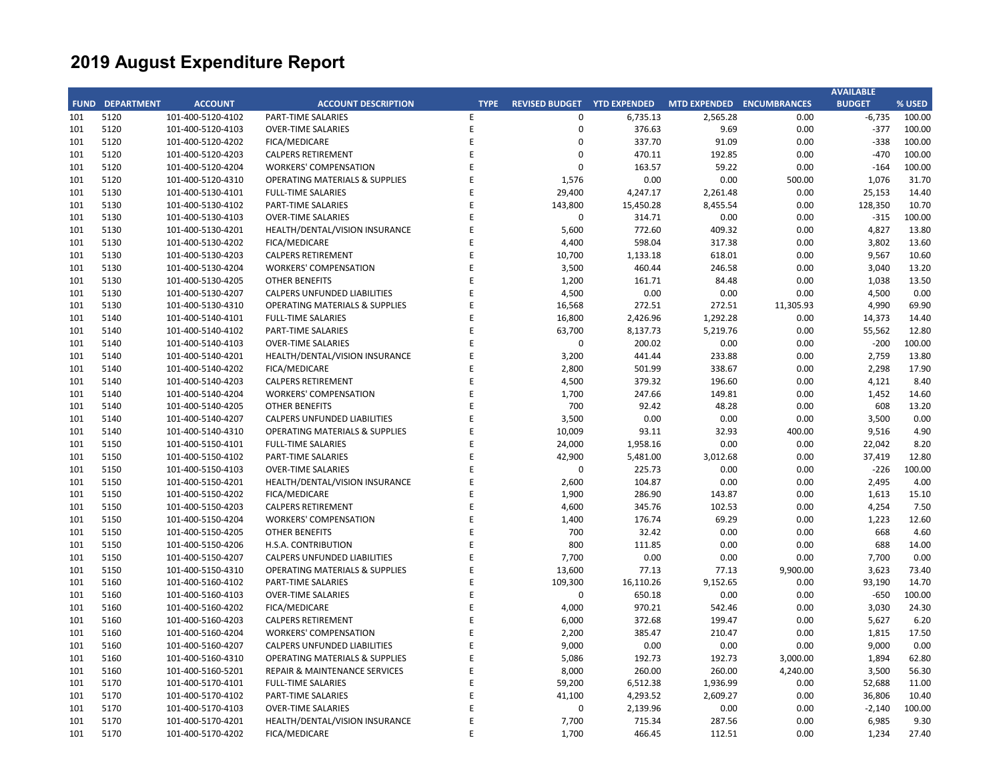|     |                        |                   |                                           |             |                       |                     |                           |           | <b>AVAILABLE</b> |        |
|-----|------------------------|-------------------|-------------------------------------------|-------------|-----------------------|---------------------|---------------------------|-----------|------------------|--------|
|     | <b>FUND DEPARTMENT</b> | <b>ACCOUNT</b>    | <b>ACCOUNT DESCRIPTION</b>                | <b>TYPE</b> | <b>REVISED BUDGET</b> | <b>YTD EXPENDED</b> | MTD EXPENDED ENCUMBRANCES |           | <b>BUDGET</b>    | % USED |
| 101 | 5120                   | 101-400-5120-4102 | <b>PART-TIME SALARIES</b>                 | E           | $\mathbf 0$           | 6,735.13            | 2,565.28                  | 0.00      | $-6,735$         | 100.00 |
| 101 | 5120                   | 101-400-5120-4103 | <b>OVER-TIME SALARIES</b>                 | E           | 0                     | 376.63              | 9.69                      | 0.00      | $-377$           | 100.00 |
| 101 | 5120                   | 101-400-5120-4202 | FICA/MEDICARE                             | E           | $\Omega$              | 337.70              | 91.09                     | 0.00      | $-338$           | 100.00 |
| 101 | 5120                   | 101-400-5120-4203 | <b>CALPERS RETIREMENT</b>                 | E           | $\Omega$              | 470.11              | 192.85                    | 0.00      | $-470$           | 100.00 |
| 101 | 5120                   | 101-400-5120-4204 | <b>WORKERS' COMPENSATION</b>              | E           | $\Omega$              | 163.57              | 59.22                     | 0.00      | $-164$           | 100.00 |
| 101 | 5120                   | 101-400-5120-4310 | <b>OPERATING MATERIALS &amp; SUPPLIES</b> | E           | 1,576                 | 0.00                | 0.00                      | 500.00    | 1,076            | 31.70  |
| 101 | 5130                   | 101-400-5130-4101 | <b>FULL-TIME SALARIES</b>                 | E           | 29,400                | 4,247.17            | 2,261.48                  | 0.00      | 25,153           | 14.40  |
| 101 | 5130                   | 101-400-5130-4102 | PART-TIME SALARIES                        | F           | 143,800               | 15,450.28           | 8,455.54                  | 0.00      | 128,350          | 10.70  |
| 101 | 5130                   | 101-400-5130-4103 | <b>OVER-TIME SALARIES</b>                 | E           | $\mathbf 0$           | 314.71              | 0.00                      | 0.00      | $-315$           | 100.00 |
| 101 | 5130                   | 101-400-5130-4201 | HEALTH/DENTAL/VISION INSURANCE            | F           | 5,600                 | 772.60              | 409.32                    | 0.00      | 4,827            | 13.80  |
| 101 | 5130                   | 101-400-5130-4202 | FICA/MEDICARE                             | E           | 4,400                 | 598.04              | 317.38                    | 0.00      | 3,802            | 13.60  |
| 101 | 5130                   | 101-400-5130-4203 | <b>CALPERS RETIREMENT</b>                 | F           | 10,700                | 1,133.18            | 618.01                    | 0.00      | 9,567            | 10.60  |
| 101 | 5130                   | 101-400-5130-4204 | <b>WORKERS' COMPENSATION</b>              | E           | 3,500                 | 460.44              | 246.58                    | 0.00      | 3,040            | 13.20  |
| 101 | 5130                   | 101-400-5130-4205 | <b>OTHER BENEFITS</b>                     | F           | 1,200                 | 161.71              | 84.48                     | 0.00      | 1,038            | 13.50  |
| 101 | 5130                   | 101-400-5130-4207 | <b>CALPERS UNFUNDED LIABILITIES</b>       | E           | 4,500                 | 0.00                | 0.00                      | 0.00      | 4,500            | 0.00   |
| 101 | 5130                   | 101-400-5130-4310 | <b>OPERATING MATERIALS &amp; SUPPLIES</b> | E           | 16,568                | 272.51              | 272.51                    | 11,305.93 | 4,990            | 69.90  |
| 101 | 5140                   | 101-400-5140-4101 | <b>FULL-TIME SALARIES</b>                 | E           | 16,800                | 2,426.96            | 1,292.28                  | 0.00      | 14,373           | 14.40  |
| 101 | 5140                   | 101-400-5140-4102 | PART-TIME SALARIES                        | F           | 63,700                | 8,137.73            | 5,219.76                  | 0.00      | 55,562           | 12.80  |
| 101 | 5140                   | 101-400-5140-4103 | <b>OVER-TIME SALARIES</b>                 | E           | $\mathbf 0$           | 200.02              | 0.00                      | 0.00      | $-200$           | 100.00 |
| 101 | 5140                   | 101-400-5140-4201 | HEALTH/DENTAL/VISION INSURANCE            | E           | 3,200                 | 441.44              | 233.88                    | 0.00      | 2,759            | 13.80  |
| 101 | 5140                   | 101-400-5140-4202 | FICA/MEDICARE                             | F           | 2,800                 | 501.99              | 338.67                    | 0.00      | 2,298            | 17.90  |
| 101 | 5140                   | 101-400-5140-4203 | <b>CALPERS RETIREMENT</b>                 | E           | 4,500                 | 379.32              | 196.60                    | 0.00      | 4,121            | 8.40   |
| 101 | 5140                   | 101-400-5140-4204 | <b>WORKERS' COMPENSATION</b>              | E           | 1,700                 | 247.66              | 149.81                    | 0.00      | 1,452            | 14.60  |
| 101 | 5140                   | 101-400-5140-4205 | <b>OTHER BENEFITS</b>                     | E           | 700                   | 92.42               | 48.28                     | 0.00      | 608              | 13.20  |
| 101 | 5140                   | 101-400-5140-4207 | CALPERS UNFUNDED LIABILITIES              | E           | 3,500                 | 0.00                | 0.00                      | 0.00      | 3,500            | 0.00   |
| 101 | 5140                   | 101-400-5140-4310 | <b>OPERATING MATERIALS &amp; SUPPLIES</b> | E           | 10,009                | 93.11               | 32.93                     | 400.00    | 9,516            | 4.90   |
| 101 | 5150                   | 101-400-5150-4101 | <b>FULL-TIME SALARIES</b>                 | E           | 24,000                | 1,958.16            | 0.00                      | 0.00      | 22,042           | 8.20   |
| 101 | 5150                   | 101-400-5150-4102 | PART-TIME SALARIES                        | Ë           | 42,900                | 5,481.00            | 3,012.68                  | 0.00      | 37,419           | 12.80  |
| 101 | 5150                   | 101-400-5150-4103 | <b>OVER-TIME SALARIES</b>                 | E           | $\Omega$              | 225.73              | 0.00                      | 0.00      | $-226$           | 100.00 |
| 101 | 5150                   | 101-400-5150-4201 | HEALTH/DENTAL/VISION INSURANCE            | E           | 2,600                 | 104.87              | 0.00                      | 0.00      | 2,495            | 4.00   |
| 101 | 5150                   | 101-400-5150-4202 | FICA/MEDICARE                             | E           | 1,900                 | 286.90              | 143.87                    | 0.00      | 1,613            | 15.10  |
| 101 | 5150                   | 101-400-5150-4203 | <b>CALPERS RETIREMENT</b>                 | E           | 4,600                 | 345.76              | 102.53                    | 0.00      | 4,254            | 7.50   |
| 101 | 5150                   | 101-400-5150-4204 | <b>WORKERS' COMPENSATION</b>              | E           | 1,400                 | 176.74              | 69.29                     | 0.00      | 1,223            | 12.60  |
| 101 | 5150                   | 101-400-5150-4205 | <b>OTHER BENEFITS</b>                     | F           | 700                   | 32.42               | 0.00                      | 0.00      | 668              | 4.60   |
| 101 | 5150                   | 101-400-5150-4206 | H.S.A. CONTRIBUTION                       | F           | 800                   | 111.85              | 0.00                      | 0.00      | 688              | 14.00  |
| 101 | 5150                   | 101-400-5150-4207 | <b>CALPERS UNFUNDED LIABILITIES</b>       | E           | 7,700                 | 0.00                | 0.00                      | 0.00      | 7,700            | 0.00   |
| 101 | 5150                   | 101-400-5150-4310 | <b>OPERATING MATERIALS &amp; SUPPLIES</b> | F           | 13,600                | 77.13               | 77.13                     | 9,900.00  | 3,623            | 73.40  |
| 101 | 5160                   | 101-400-5160-4102 | PART-TIME SALARIES                        | E           | 109,300               | 16,110.26           | 9,152.65                  | 0.00      | 93,190           | 14.70  |
| 101 | 5160                   | 101-400-5160-4103 | <b>OVER-TIME SALARIES</b>                 | F           | $\mathbf 0$           | 650.18              | 0.00                      | 0.00      | $-650$           | 100.00 |
| 101 | 5160                   | 101-400-5160-4202 | FICA/MEDICARE                             | E           | 4,000                 | 970.21              | 542.46                    | 0.00      | 3,030            | 24.30  |
| 101 | 5160                   | 101-400-5160-4203 | <b>CALPERS RETIREMENT</b>                 | F           | 6,000                 | 372.68              | 199.47                    | 0.00      | 5,627            | 6.20   |
| 101 | 5160                   | 101-400-5160-4204 | <b>WORKERS' COMPENSATION</b>              | E           | 2,200                 | 385.47              | 210.47                    | 0.00      | 1,815            | 17.50  |
| 101 | 5160                   | 101-400-5160-4207 | <b>CALPERS UNFUNDED LIABILITIES</b>       | E           | 9,000                 | 0.00                | 0.00                      | 0.00      | 9,000            | 0.00   |
| 101 | 5160                   | 101-400-5160-4310 | <b>OPERATING MATERIALS &amp; SUPPLIES</b> | E           | 5,086                 | 192.73              | 192.73                    | 3,000.00  | 1,894            | 62.80  |
| 101 | 5160                   | 101-400-5160-5201 | REPAIR & MAINTENANCE SERVICES             | E           | 8,000                 | 260.00              | 260.00                    | 4,240.00  | 3,500            | 56.30  |
| 101 | 5170                   | 101-400-5170-4101 | <b>FULL-TIME SALARIES</b>                 | Ë           | 59,200                | 6,512.38            | 1,936.99                  | 0.00      | 52,688           | 11.00  |
| 101 | 5170                   | 101-400-5170-4102 | PART-TIME SALARIES                        | Ë           | 41,100                | 4,293.52            | 2,609.27                  | 0.00      | 36,806           | 10.40  |
| 101 | 5170                   | 101-400-5170-4103 | <b>OVER-TIME SALARIES</b>                 | Ë           | $\Omega$              | 2,139.96            | 0.00                      | 0.00      | $-2,140$         | 100.00 |
| 101 | 5170                   | 101-400-5170-4201 | HEALTH/DENTAL/VISION INSURANCE            | E           | 7,700                 | 715.34              | 287.56                    | 0.00      | 6,985            | 9.30   |
| 101 | 5170                   | 101-400-5170-4202 | FICA/MEDICARE                             | F           | 1,700                 | 466.45              | 112.51                    | 0.00      | 1,234            | 27.40  |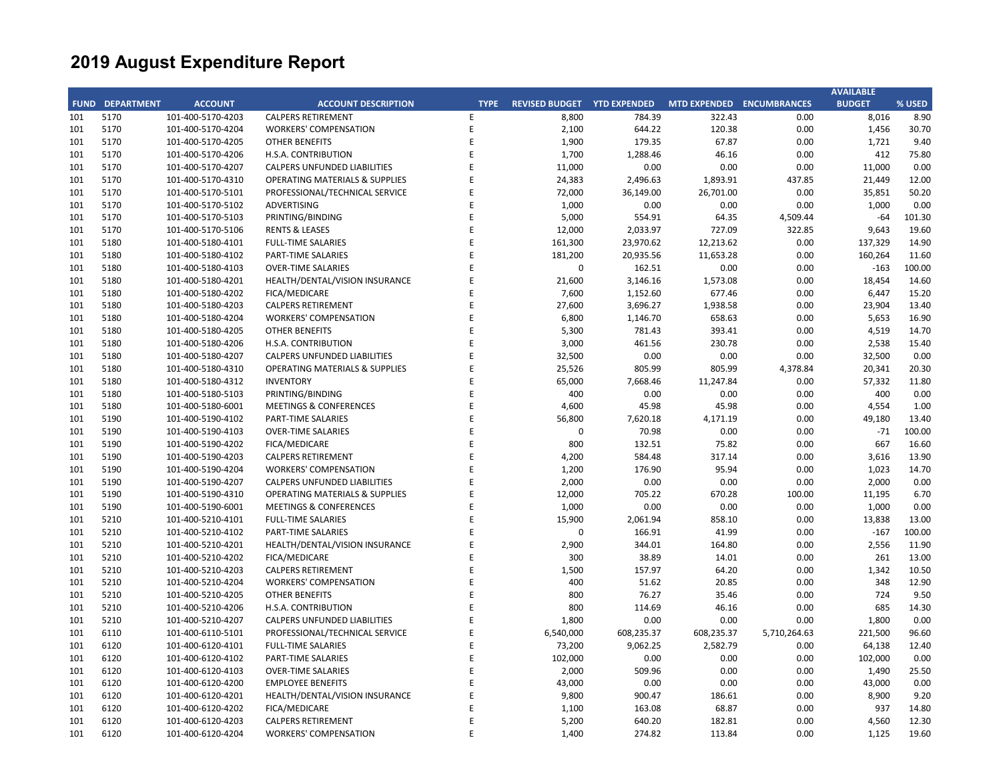|     |                        |                   |                                           |             |                                    |            |            |                           | <b>AVAILABLE</b> |        |
|-----|------------------------|-------------------|-------------------------------------------|-------------|------------------------------------|------------|------------|---------------------------|------------------|--------|
|     | <b>FUND DEPARTMENT</b> | <b>ACCOUNT</b>    | <b>ACCOUNT DESCRIPTION</b>                | <b>TYPE</b> | <b>REVISED BUDGET YTD EXPENDED</b> |            |            | MTD EXPENDED ENCUMBRANCES | <b>BUDGET</b>    | % USED |
| 101 | 5170                   | 101-400-5170-4203 | <b>CALPERS RETIREMENT</b>                 | E           | 8,800                              | 784.39     | 322.43     | 0.00                      | 8,016            | 8.90   |
| 101 | 5170                   | 101-400-5170-4204 | <b>WORKERS' COMPENSATION</b>              | Ε           | 2,100                              | 644.22     | 120.38     | 0.00                      | 1,456            | 30.70  |
| 101 | 5170                   | 101-400-5170-4205 | <b>OTHER BENEFITS</b>                     | F           | 1,900                              | 179.35     | 67.87      | 0.00                      | 1,721            | 9.40   |
| 101 | 5170                   | 101-400-5170-4206 | H.S.A. CONTRIBUTION                       | E           | 1,700                              | 1,288.46   | 46.16      | 0.00                      | 412              | 75.80  |
| 101 | 5170                   | 101-400-5170-4207 | <b>CALPERS UNFUNDED LIABILITIES</b>       | F           | 11,000                             | 0.00       | 0.00       | 0.00                      | 11,000           | 0.00   |
| 101 | 5170                   | 101-400-5170-4310 | <b>OPERATING MATERIALS &amp; SUPPLIES</b> | F           | 24,383                             | 2,496.63   | 1,893.91   | 437.85                    | 21,449           | 12.00  |
| 101 | 5170                   | 101-400-5170-5101 | PROFESSIONAL/TECHNICAL SERVICE            | E           | 72,000                             | 36,149.00  | 26,701.00  | 0.00                      | 35,851           | 50.20  |
| 101 | 5170                   | 101-400-5170-5102 | ADVERTISING                               |             | 1,000                              | 0.00       | 0.00       | 0.00                      | 1,000            | 0.00   |
| 101 | 5170                   | 101-400-5170-5103 | PRINTING/BINDING                          | F           | 5,000                              | 554.91     | 64.35      | 4,509.44                  | $-64$            | 101.30 |
| 101 | 5170                   | 101-400-5170-5106 | <b>RENTS &amp; LEASES</b>                 | F           | 12,000                             | 2,033.97   | 727.09     | 322.85                    | 9,643            | 19.60  |
| 101 | 5180                   | 101-400-5180-4101 | <b>FULL-TIME SALARIES</b>                 | F           | 161,300                            | 23,970.62  | 12,213.62  | 0.00                      | 137,329          | 14.90  |
| 101 | 5180                   | 101-400-5180-4102 | PART-TIME SALARIES                        | E           | 181,200                            | 20,935.56  | 11,653.28  | 0.00                      | 160,264          | 11.60  |
| 101 | 5180                   | 101-400-5180-4103 | <b>OVER-TIME SALARIES</b>                 | E           | $\mathbf 0$                        | 162.51     | 0.00       | 0.00                      | $-163$           | 100.00 |
| 101 | 5180                   | 101-400-5180-4201 | HEALTH/DENTAL/VISION INSURANCE            | E           | 21,600                             | 3,146.16   | 1,573.08   | 0.00                      | 18,454           | 14.60  |
| 101 | 5180                   | 101-400-5180-4202 | FICA/MEDICARE                             | F           | 7,600                              | 1,152.60   | 677.46     | 0.00                      | 6,447            | 15.20  |
| 101 | 5180                   | 101-400-5180-4203 | <b>CALPERS RETIREMENT</b>                 | E           | 27,600                             | 3,696.27   | 1,938.58   | 0.00                      | 23,904           | 13.40  |
| 101 | 5180                   | 101-400-5180-4204 | <b>WORKERS' COMPENSATION</b>              | F           | 6,800                              | 1,146.70   | 658.63     | 0.00                      | 5,653            | 16.90  |
| 101 | 5180                   | 101-400-5180-4205 | <b>OTHER BENEFITS</b>                     | E           | 5,300                              | 781.43     | 393.41     | 0.00                      | 4,519            | 14.70  |
| 101 | 5180                   | 101-400-5180-4206 | H.S.A. CONTRIBUTION                       | F           | 3,000                              | 461.56     | 230.78     | 0.00                      | 2,538            | 15.40  |
| 101 | 5180                   | 101-400-5180-4207 | <b>CALPERS UNFUNDED LIABILITIES</b>       | F           | 32,500                             | 0.00       | 0.00       | 0.00                      | 32,500           | 0.00   |
| 101 | 5180                   | 101-400-5180-4310 | <b>OPERATING MATERIALS &amp; SUPPLIES</b> | F           | 25,526                             | 805.99     | 805.99     | 4,378.84                  | 20,341           | 20.30  |
| 101 | 5180                   | 101-400-5180-4312 | <b>INVENTORY</b>                          | F           | 65,000                             | 7,668.46   | 11,247.84  | 0.00                      | 57,332           | 11.80  |
| 101 | 5180                   | 101-400-5180-5103 | PRINTING/BINDING                          | E           | 400                                | 0.00       | 0.00       | 0.00                      | 400              | 0.00   |
| 101 | 5180                   | 101-400-5180-6001 | <b>MEETINGS &amp; CONFERENCES</b>         | F           | 4,600                              | 45.98      | 45.98      | 0.00                      | 4,554            | 1.00   |
| 101 | 5190                   | 101-400-5190-4102 | <b>PART-TIME SALARIES</b>                 | E           | 56,800                             | 7,620.18   | 4,171.19   | 0.00                      | 49,180           | 13.40  |
| 101 | 5190                   | 101-400-5190-4103 | <b>OVER-TIME SALARIES</b>                 | F           | 0                                  | 70.98      | 0.00       | 0.00                      | $-71$            | 100.00 |
| 101 | 5190                   | 101-400-5190-4202 | FICA/MEDICARE                             | F           | 800                                | 132.51     | 75.82      | 0.00                      | 667              | 16.60  |
| 101 | 5190                   | 101-400-5190-4203 | <b>CALPERS RETIREMENT</b>                 | F           | 4,200                              | 584.48     | 317.14     | 0.00                      | 3,616            | 13.90  |
| 101 | 5190                   | 101-400-5190-4204 | <b>WORKERS' COMPENSATION</b>              | F           | 1,200                              | 176.90     | 95.94      | 0.00                      | 1,023            | 14.70  |
| 101 | 5190                   | 101-400-5190-4207 | <b>CALPERS UNFUNDED LIABILITIES</b>       |             | 2,000                              | 0.00       | 0.00       | 0.00                      | 2,000            | 0.00   |
| 101 | 5190                   | 101-400-5190-4310 | <b>OPERATING MATERIALS &amp; SUPPLIES</b> | E           | 12,000                             | 705.22     | 670.28     | 100.00                    | 11,195           | 6.70   |
| 101 | 5190                   | 101-400-5190-6001 | <b>MEETINGS &amp; CONFERENCES</b>         | F           | 1,000                              | 0.00       | 0.00       | 0.00                      | 1,000            | 0.00   |
| 101 | 5210                   | 101-400-5210-4101 | <b>FULL-TIME SALARIES</b>                 | E           | 15,900                             | 2,061.94   | 858.10     | 0.00                      | 13,838           | 13.00  |
| 101 | 5210                   | 101-400-5210-4102 | PART-TIME SALARIES                        | F           | 0                                  | 166.91     | 41.99      | 0.00                      | $-167$           | 100.00 |
| 101 | 5210                   | 101-400-5210-4201 | HEALTH/DENTAL/VISION INSURANCE            | F           | 2,900                              | 344.01     | 164.80     | 0.00                      | 2,556            | 11.90  |
| 101 | 5210                   | 101-400-5210-4202 | FICA/MEDICARE                             | F           | 300                                | 38.89      | 14.01      | 0.00                      | 261              | 13.00  |
| 101 | 5210                   | 101-400-5210-4203 | <b>CALPERS RETIREMENT</b>                 | F           | 1,500                              | 157.97     | 64.20      | 0.00                      | 1,342            | 10.50  |
| 101 | 5210                   | 101-400-5210-4204 | <b>WORKERS' COMPENSATION</b>              |             | 400                                | 51.62      | 20.85      | 0.00                      | 348              | 12.90  |
| 101 | 5210                   | 101-400-5210-4205 | <b>OTHER BENEFITS</b>                     |             | 800                                | 76.27      | 35.46      | 0.00                      | 724              | 9.50   |
| 101 | 5210                   | 101-400-5210-4206 | H.S.A. CONTRIBUTION                       | F           | 800                                | 114.69     | 46.16      | 0.00                      | 685              | 14.30  |
| 101 | 5210                   | 101-400-5210-4207 | <b>CALPERS UNFUNDED LIABILITIES</b>       | F           | 1,800                              | 0.00       | 0.00       | 0.00                      | 1,800            | 0.00   |
| 101 | 6110                   | 101-400-6110-5101 | PROFESSIONAL/TECHNICAL SERVICE            | E           | 6,540,000                          | 608,235.37 | 608,235.37 | 5,710,264.63              | 221,500          | 96.60  |
| 101 | 6120                   | 101-400-6120-4101 | <b>FULL-TIME SALARIES</b>                 | E           | 73,200                             | 9,062.25   | 2,582.79   | 0.00                      | 64,138           | 12.40  |
| 101 | 6120                   | 101-400-6120-4102 | PART-TIME SALARIES                        | E           | 102,000                            | 0.00       | 0.00       | 0.00                      | 102,000          | 0.00   |
| 101 | 6120                   | 101-400-6120-4103 | <b>OVER-TIME SALARIES</b>                 | F           | 2,000                              | 509.96     | 0.00       | 0.00                      | 1,490            | 25.50  |
| 101 | 6120                   | 101-400-6120-4200 | <b>EMPLOYEE BENEFITS</b>                  | F           | 43,000                             | 0.00       | 0.00       | 0.00                      | 43,000           | 0.00   |
| 101 | 6120                   | 101-400-6120-4201 | HEALTH/DENTAL/VISION INSURANCE            | E           | 9,800                              | 900.47     | 186.61     | 0.00                      | 8,900            | 9.20   |
| 101 | 6120                   | 101-400-6120-4202 | FICA/MEDICARE                             | F           | 1,100                              | 163.08     | 68.87      | 0.00                      | 937              | 14.80  |
| 101 | 6120                   | 101-400-6120-4203 | <b>CALPERS RETIREMENT</b>                 | F           | 5,200                              | 640.20     | 182.81     | 0.00                      | 4,560            | 12.30  |
| 101 | 6120                   | 101-400-6120-4204 | <b>WORKERS' COMPENSATION</b>              | F           | 1,400                              | 274.82     | 113.84     | 0.00                      | 1,125            | 19.60  |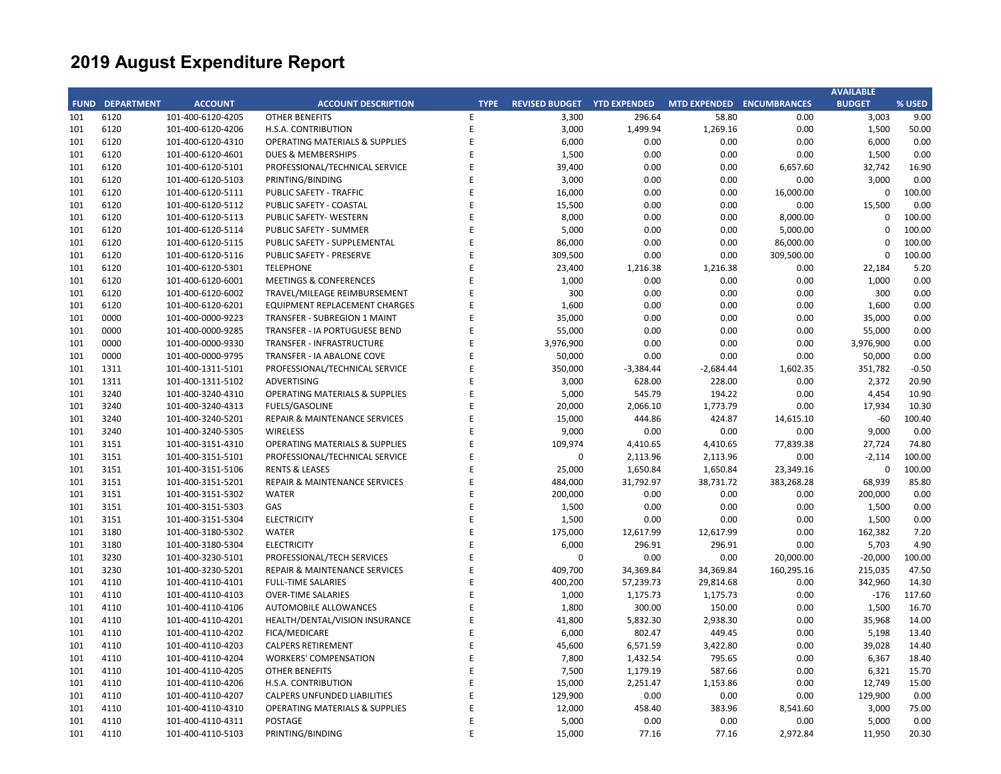|     |                        |                   |                                           |             |                                    |             |                           |            | <b>AVAILABLE</b> |         |
|-----|------------------------|-------------------|-------------------------------------------|-------------|------------------------------------|-------------|---------------------------|------------|------------------|---------|
|     | <b>FUND DEPARTMENT</b> | <b>ACCOUNT</b>    | <b>ACCOUNT DESCRIPTION</b>                | <b>TYPE</b> | <b>REVISED BUDGET YTD EXPENDED</b> |             | MTD EXPENDED ENCUMBRANCES |            | <b>BUDGET</b>    | % USED  |
| 101 | 6120                   | 101-400-6120-4205 | <b>OTHER BENEFITS</b>                     | E           | 3,300                              | 296.64      | 58.80                     | 0.00       | 3,003            | 9.00    |
| 101 | 6120                   | 101-400-6120-4206 | H.S.A. CONTRIBUTION                       | E           | 3,000                              | 1,499.94    | 1,269.16                  | 0.00       | 1,500            | 50.00   |
| 101 | 6120                   | 101-400-6120-4310 | <b>OPERATING MATERIALS &amp; SUPPLIES</b> | E           | 6,000                              | 0.00        | 0.00                      | 0.00       | 6,000            | 0.00    |
| 101 | 6120                   | 101-400-6120-4601 | <b>DUES &amp; MEMBERSHIPS</b>             | E           | 1,500                              | 0.00        | 0.00                      | 0.00       | 1,500            | 0.00    |
| 101 | 6120                   | 101-400-6120-5101 | PROFESSIONAL/TECHNICAL SERVICE            | E           | 39,400                             | 0.00        | 0.00                      | 6,657.60   | 32,742           | 16.90   |
| 101 | 6120                   | 101-400-6120-5103 | PRINTING/BINDING                          | E           | 3,000                              | 0.00        | 0.00                      | 0.00       | 3,000            | 0.00    |
| 101 | 6120                   | 101-400-6120-5111 | PUBLIC SAFETY - TRAFFIC                   | E           | 16,000                             | 0.00        | 0.00                      | 16,000.00  | $\mathbf 0$      | 100.00  |
| 101 | 6120                   | 101-400-6120-5112 | PUBLIC SAFETY - COASTAL                   | E           | 15,500                             | 0.00        | 0.00                      | 0.00       | 15,500           | 0.00    |
| 101 | 6120                   | 101-400-6120-5113 | <b>PUBLIC SAFETY- WESTERN</b>             | E           | 8,000                              | 0.00        | 0.00                      | 8,000.00   | $\Omega$         | 100.00  |
| 101 | 6120                   | 101-400-6120-5114 | PUBLIC SAFETY - SUMMER                    | E           | 5,000                              | 0.00        | 0.00                      | 5,000.00   | $\mathbf 0$      | 100.00  |
| 101 | 6120                   | 101-400-6120-5115 | PUBLIC SAFETY - SUPPLEMENTAL              | E           | 86,000                             | 0.00        | 0.00                      | 86,000.00  | $\Omega$         | 100.00  |
| 101 | 6120                   | 101-400-6120-5116 | PUBLIC SAFETY - PRESERVE                  | F           | 309,500                            | 0.00        | 0.00                      | 309,500.00 | $\Omega$         | 100.00  |
| 101 | 6120                   | 101-400-6120-5301 | <b>TELEPHONE</b>                          | E           | 23,400                             | 1,216.38    | 1,216.38                  | 0.00       | 22,184           | 5.20    |
| 101 | 6120                   | 101-400-6120-6001 | <b>MEETINGS &amp; CONFERENCES</b>         | E           | 1,000                              | 0.00        | 0.00                      | 0.00       | 1,000            | 0.00    |
| 101 | 6120                   | 101-400-6120-6002 | TRAVEL/MILEAGE REIMBURSEMENT              | E           | 300                                | 0.00        | 0.00                      | 0.00       | 300              | 0.00    |
| 101 | 6120                   | 101-400-6120-6201 | <b>EQUIPMENT REPLACEMENT CHARGES</b>      | E           | 1,600                              | 0.00        | 0.00                      | 0.00       | 1,600            | 0.00    |
| 101 | 0000                   | 101-400-0000-9223 | <b>TRANSFER - SUBREGION 1 MAINT</b>       | E           | 35,000                             | 0.00        | 0.00                      | 0.00       | 35,000           | 0.00    |
| 101 | 0000                   | 101-400-0000-9285 | TRANSFER - IA PORTUGUESE BEND             | E           | 55,000                             | 0.00        | 0.00                      | 0.00       | 55,000           | 0.00    |
| 101 | 0000                   | 101-400-0000-9330 | <b>TRANSFER - INFRASTRUCTURE</b>          | F           | 3,976,900                          | 0.00        | 0.00                      | 0.00       | 3,976,900        | 0.00    |
| 101 | 0000                   | 101-400-0000-9795 | TRANSFER - IA ABALONE COVE                | E           | 50,000                             | 0.00        | 0.00                      | 0.00       | 50,000           | 0.00    |
| 101 | 1311                   | 101-400-1311-5101 | PROFESSIONAL/TECHNICAL SERVICE            | F           | 350,000                            | $-3,384.44$ | $-2,684.44$               | 1,602.35   | 351,782          | $-0.50$ |
| 101 | 1311                   | 101-400-1311-5102 | <b>ADVERTISING</b>                        | E           | 3,000                              | 628.00      | 228.00                    | 0.00       | 2,372            | 20.90   |
| 101 | 3240                   | 101-400-3240-4310 | <b>OPERATING MATERIALS &amp; SUPPLIES</b> | E           | 5,000                              | 545.79      | 194.22                    | 0.00       | 4,454            | 10.90   |
| 101 | 3240                   | 101-400-3240-4313 | <b>FUELS/GASOLINE</b>                     | E           | 20,000                             | 2,066.10    | 1,773.79                  | 0.00       | 17,934           | 10.30   |
| 101 | 3240                   | 101-400-3240-5201 | REPAIR & MAINTENANCE SERVICES             | F           | 15,000                             | 444.86      | 424.87                    | 14,615.10  | $-60$            | 100.40  |
| 101 | 3240                   | 101-400-3240-5305 | <b>WIRELESS</b>                           | E           | 9,000                              | 0.00        | 0.00                      | 0.00       | 9,000            | 0.00    |
| 101 | 3151                   | 101-400-3151-4310 | <b>OPERATING MATERIALS &amp; SUPPLIES</b> | F           | 109,974                            | 4,410.65    | 4,410.65                  | 77,839.38  | 27,724           | 74.80   |
| 101 | 3151                   | 101-400-3151-5101 | PROFESSIONAL/TECHNICAL SERVICE            | E           | $\mathbf 0$                        | 2,113.96    | 2,113.96                  | 0.00       | $-2,114$         | 100.00  |
| 101 | 3151                   | 101-400-3151-5106 | <b>RENTS &amp; LEASES</b>                 | F           | 25,000                             | 1,650.84    | 1,650.84                  | 23,349.16  | $\mathbf 0$      | 100.00  |
| 101 | 3151                   | 101-400-3151-5201 | REPAIR & MAINTENANCE SERVICES             | E           | 484,000                            | 31,792.97   | 38,731.72                 | 383,268.28 | 68,939           | 85.80   |
| 101 | 3151                   | 101-400-3151-5302 | <b>WATER</b>                              | E           | 200,000                            | 0.00        | 0.00                      | 0.00       | 200,000          | 0.00    |
| 101 | 3151                   | 101-400-3151-5303 | GAS                                       | E           | 1,500                              | 0.00        | 0.00                      | 0.00       | 1,500            | 0.00    |
| 101 | 3151                   | 101-400-3151-5304 | <b>ELECTRICITY</b>                        | F           | 1,500                              | 0.00        | 0.00                      | 0.00       | 1,500            | 0.00    |
| 101 | 3180                   | 101-400-3180-5302 | <b>WATER</b>                              | E           | 175,000                            | 12,617.99   | 12,617.99                 | 0.00       | 162,382          | 7.20    |
| 101 | 3180                   | 101-400-3180-5304 | <b>ELECTRICITY</b>                        | F           | 6,000                              | 296.91      | 296.91                    | 0.00       | 5,703            | 4.90    |
| 101 | 3230                   | 101-400-3230-5101 | PROFESSIONAL/TECH SERVICES                | E           | $\mathbf 0$                        | 0.00        | 0.00                      | 20,000.00  | $-20,000$        | 100.00  |
| 101 | 3230                   | 101-400-3230-5201 | REPAIR & MAINTENANCE SERVICES             | F           | 409,700                            | 34,369.84   | 34,369.84                 | 160,295.16 | 215,035          | 47.50   |
| 101 | 4110                   | 101-400-4110-4101 | <b>FULL-TIME SALARIES</b>                 | E           | 400,200                            | 57,239.73   | 29,814.68                 | 0.00       | 342,960          | 14.30   |
| 101 | 4110                   | 101-400-4110-4103 | <b>OVER-TIME SALARIES</b>                 | F           | 1,000                              | 1,175.73    | 1,175.73                  | 0.00       | $-176$           | 117.60  |
| 101 | 4110                   | 101-400-4110-4106 | AUTOMOBILE ALLOWANCES                     | E           | 1,800                              | 300.00      | 150.00                    | 0.00       | 1,500            | 16.70   |
| 101 | 4110                   | 101-400-4110-4201 | HEALTH/DENTAL/VISION INSURANCE            | E           | 41,800                             | 5,832.30    | 2,938.30                  | 0.00       | 35,968           | 14.00   |
| 101 | 4110                   | 101-400-4110-4202 | FICA/MEDICARE                             | E           | 6,000                              | 802.47      | 449.45                    | 0.00       | 5,198            | 13.40   |
| 101 | 4110                   | 101-400-4110-4203 | <b>CALPERS RETIREMENT</b>                 | E           | 45,600                             | 6,571.59    | 3,422.80                  | 0.00       | 39.028           | 14.40   |
| 101 | 4110                   | 101-400-4110-4204 | <b>WORKERS' COMPENSATION</b>              | E           | 7,800                              | 1,432.54    | 795.65                    | 0.00       | 6,367            | 18.40   |
| 101 | 4110                   | 101-400-4110-4205 | <b>OTHER BENEFITS</b>                     | E           | 7,500                              | 1,179.19    | 587.66                    | 0.00       | 6,321            | 15.70   |
| 101 | 4110                   | 101-400-4110-4206 | H.S.A. CONTRIBUTION                       | E           | 15,000                             | 2,251.47    | 1,153.86                  | 0.00       | 12,749           | 15.00   |
| 101 | 4110                   | 101-400-4110-4207 | <b>CALPERS UNFUNDED LIABILITIES</b>       | E           | 129,900                            | 0.00        | 0.00                      | 0.00       | 129,900          | 0.00    |
| 101 | 4110                   | 101-400-4110-4310 | <b>OPERATING MATERIALS &amp; SUPPLIES</b> | E           | 12,000                             | 458.40      | 383.96                    | 8,541.60   | 3,000            | 75.00   |
| 101 | 4110                   | 101-400-4110-4311 | POSTAGE                                   | Ε           | 5,000                              | 0.00        | 0.00                      | 0.00       | 5,000            | 0.00    |
| 101 | 4110                   | 101-400-4110-5103 | PRINTING/BINDING                          | F           | 15,000                             | 77.16       | 77.16                     | 2,972.84   | 11,950           | 20.30   |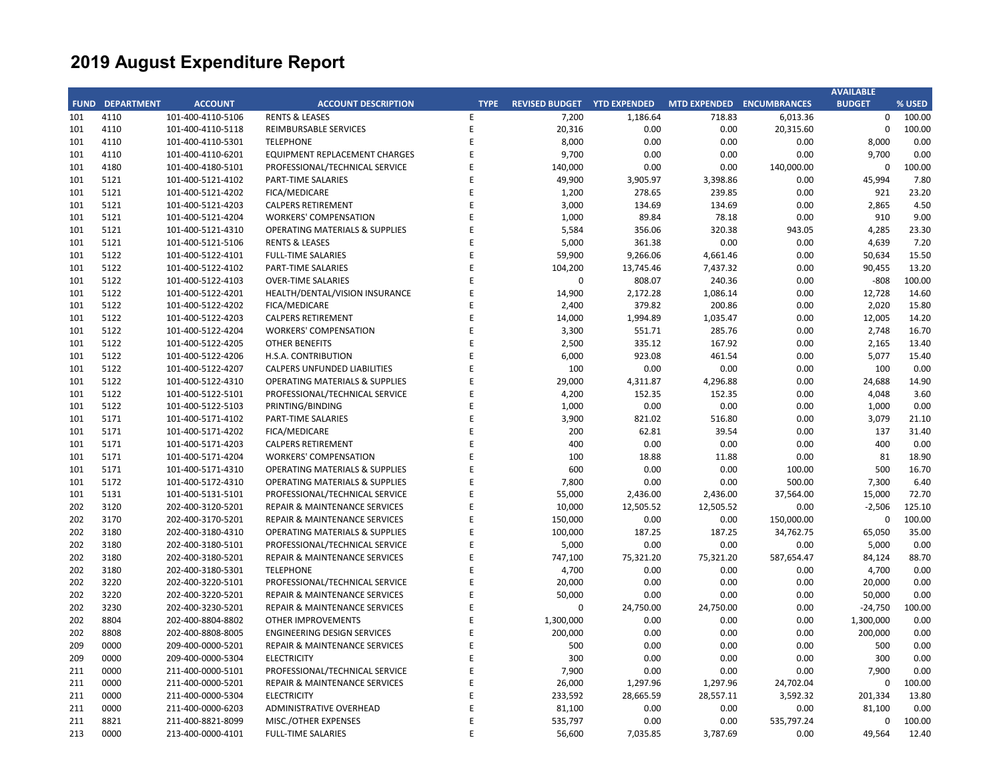|     |                        |                   |                                           |             |                                    |           |                           |            | <b>AVAILABLE</b> |        |
|-----|------------------------|-------------------|-------------------------------------------|-------------|------------------------------------|-----------|---------------------------|------------|------------------|--------|
|     | <b>FUND DEPARTMENT</b> | <b>ACCOUNT</b>    | <b>ACCOUNT DESCRIPTION</b>                | <b>TYPE</b> | <b>REVISED BUDGET YTD EXPENDED</b> |           | MTD EXPENDED ENCUMBRANCES |            | <b>BUDGET</b>    | % USED |
| 101 | 4110                   | 101-400-4110-5106 | <b>RENTS &amp; LEASES</b>                 | E           | 7,200                              | 1,186.64  | 718.83                    | 6,013.36   | $\mathbf 0$      | 100.00 |
| 101 | 4110                   | 101-400-4110-5118 | REIMBURSABLE SERVICES                     | E           | 20,316                             | 0.00      | 0.00                      | 20,315.60  | $\mathbf 0$      | 100.00 |
| 101 | 4110                   | 101-400-4110-5301 | <b>TELEPHONE</b>                          | E           | 8,000                              | 0.00      | 0.00                      | 0.00       | 8,000            | 0.00   |
| 101 | 4110                   | 101-400-4110-6201 | EQUIPMENT REPLACEMENT CHARGES             | E           | 9,700                              | 0.00      | 0.00                      | 0.00       | 9,700            | 0.00   |
| 101 | 4180                   | 101-400-4180-5101 | PROFESSIONAL/TECHNICAL SERVICE            | E           | 140,000                            | 0.00      | 0.00                      | 140,000.00 | $\mathbf 0$      | 100.00 |
| 101 | 5121                   | 101-400-5121-4102 | PART-TIME SALARIES                        | F           | 49,900                             | 3,905.97  | 3,398.86                  | 0.00       | 45,994           | 7.80   |
| 101 | 5121                   | 101-400-5121-4202 | FICA/MEDICARE                             | E           | 1,200                              | 278.65    | 239.85                    | 0.00       | 921              | 23.20  |
| 101 | 5121                   | 101-400-5121-4203 | <b>CALPERS RETIREMENT</b>                 | F           | 3,000                              | 134.69    | 134.69                    | 0.00       | 2,865            | 4.50   |
| 101 | 5121                   | 101-400-5121-4204 | <b>WORKERS' COMPENSATION</b>              | E           | 1,000                              | 89.84     | 78.18                     | 0.00       | 910              | 9.00   |
| 101 | 5121                   | 101-400-5121-4310 | <b>OPERATING MATERIALS &amp; SUPPLIES</b> | F           | 5,584                              | 356.06    | 320.38                    | 943.05     | 4,285            | 23.30  |
| 101 | 5121                   | 101-400-5121-5106 | <b>RENTS &amp; LEASES</b>                 | E           | 5,000                              | 361.38    | 0.00                      | 0.00       | 4,639            | 7.20   |
| 101 | 5122                   | 101-400-5122-4101 | <b>FULL-TIME SALARIES</b>                 | F           | 59,900                             | 9,266.06  | 4,661.46                  | 0.00       | 50,634           | 15.50  |
| 101 | 5122                   | 101-400-5122-4102 | <b>PART-TIME SALARIES</b>                 | E           | 104,200                            | 13,745.46 | 7,437.32                  | 0.00       | 90,455           | 13.20  |
| 101 | 5122                   | 101-400-5122-4103 | <b>OVER-TIME SALARIES</b>                 | E           | 0                                  | 808.07    | 240.36                    | 0.00       | $-808$           | 100.00 |
| 101 | 5122                   | 101-400-5122-4201 | HEALTH/DENTAL/VISION INSURANCE            | E           | 14,900                             | 2,172.28  | 1,086.14                  | 0.00       | 12,728           | 14.60  |
| 101 | 5122                   | 101-400-5122-4202 | FICA/MEDICARE                             | E           | 2,400                              | 379.82    | 200.86                    | 0.00       | 2,020            | 15.80  |
| 101 | 5122                   | 101-400-5122-4203 | <b>CALPERS RETIREMENT</b>                 | E           | 14,000                             | 1,994.89  | 1,035.47                  | 0.00       | 12,005           | 14.20  |
| 101 | 5122                   | 101-400-5122-4204 | <b>WORKERS' COMPENSATION</b>              | F           | 3,300                              | 551.71    | 285.76                    | 0.00       | 2,748            | 16.70  |
| 101 | 5122                   | 101-400-5122-4205 | <b>OTHER BENEFITS</b>                     | F           | 2,500                              | 335.12    | 167.92                    | 0.00       | 2,165            | 13.40  |
| 101 | 5122                   | 101-400-5122-4206 | H.S.A. CONTRIBUTION                       | F           | 6,000                              | 923.08    | 461.54                    | 0.00       | 5,077            | 15.40  |
| 101 | 5122                   | 101-400-5122-4207 | <b>CALPERS UNFUNDED LIABILITIES</b>       | E           | 100                                | 0.00      | 0.00                      | 0.00       | 100              | 0.00   |
| 101 | 5122                   | 101-400-5122-4310 | <b>OPERATING MATERIALS &amp; SUPPLIES</b> | E           | 29,000                             | 4,311.87  | 4,296.88                  | 0.00       | 24,688           | 14.90  |
| 101 | 5122                   | 101-400-5122-5101 | PROFESSIONAL/TECHNICAL SERVICE            | E           | 4,200                              | 152.35    | 152.35                    | 0.00       | 4,048            | 3.60   |
| 101 | 5122                   | 101-400-5122-5103 | PRINTING/BINDING                          | E           | 1,000                              | 0.00      | 0.00                      | 0.00       | 1,000            | 0.00   |
| 101 | 5171                   | 101-400-5171-4102 | PART-TIME SALARIES                        | E           | 3,900                              | 821.02    | 516.80                    | 0.00       | 3,079            | 21.10  |
| 101 | 5171                   | 101-400-5171-4202 | FICA/MEDICARE                             | F           | 200                                | 62.81     | 39.54                     | 0.00       | 137              | 31.40  |
| 101 | 5171                   | 101-400-5171-4203 | <b>CALPERS RETIREMENT</b>                 | F           | 400                                | 0.00      | 0.00                      | 0.00       | 400              | 0.00   |
| 101 | 5171                   | 101-400-5171-4204 | <b>WORKERS' COMPENSATION</b>              | F           | 100                                | 18.88     | 11.88                     | 0.00       | 81               | 18.90  |
| 101 | 5171                   | 101-400-5171-4310 | <b>OPERATING MATERIALS &amp; SUPPLIES</b> | E           | 600                                | 0.00      | 0.00                      | 100.00     | 500              | 16.70  |
| 101 | 5172                   | 101-400-5172-4310 | <b>OPERATING MATERIALS &amp; SUPPLIES</b> | E           | 7,800                              | 0.00      | 0.00                      | 500.00     | 7,300            | 6.40   |
| 101 | 5131                   | 101-400-5131-5101 | PROFESSIONAL/TECHNICAL SERVICE            | E           | 55,000                             | 2,436.00  | 2,436.00                  | 37,564.00  | 15,000           | 72.70  |
| 202 | 3120                   | 202-400-3120-5201 | <b>REPAIR &amp; MAINTENANCE SERVICES</b>  | F           | 10,000                             | 12,505.52 | 12,505.52                 | 0.00       | $-2,506$         | 125.10 |
| 202 | 3170                   | 202-400-3170-5201 | <b>REPAIR &amp; MAINTENANCE SERVICES</b>  | E           | 150,000                            | 0.00      | 0.00                      | 150,000.00 | $\mathbf 0$      | 100.00 |
| 202 | 3180                   | 202-400-3180-4310 | <b>OPERATING MATERIALS &amp; SUPPLIES</b> | F           | 100,000                            | 187.25    | 187.25                    | 34,762.75  | 65,050           | 35.00  |
| 202 | 3180                   | 202-400-3180-5101 | PROFESSIONAL/TECHNICAL SERVICE            | F           | 5,000                              | 0.00      | 0.00                      | 0.00       | 5,000            | 0.00   |
| 202 | 3180                   | 202-400-3180-5201 | <b>REPAIR &amp; MAINTENANCE SERVICES</b>  | F           | 747,100                            | 75,321.20 | 75,321.20                 | 587,654.47 | 84,124           | 88.70  |
| 202 | 3180                   | 202-400-3180-5301 | <b>TELEPHONE</b>                          | E           | 4,700                              | 0.00      | 0.00                      | 0.00       | 4,700            | 0.00   |
| 202 | 3220                   | 202-400-3220-5101 | PROFESSIONAL/TECHNICAL SERVICE            | E           | 20,000                             | 0.00      | 0.00                      | 0.00       | 20,000           | 0.00   |
| 202 | 3220                   | 202-400-3220-5201 | <b>REPAIR &amp; MAINTENANCE SERVICES</b>  | E           | 50,000                             | 0.00      | 0.00                      | 0.00       | 50,000           | 0.00   |
| 202 | 3230                   | 202-400-3230-5201 | <b>REPAIR &amp; MAINTENANCE SERVICES</b>  | F           | 0                                  | 24,750.00 | 24,750.00                 | 0.00       | $-24,750$        | 100.00 |
| 202 | 8804                   | 202-400-8804-8802 | <b>OTHER IMPROVEMENTS</b>                 | E           | 1,300,000                          | 0.00      | 0.00                      | 0.00       | 1,300,000        | 0.00   |
| 202 | 8808                   | 202-400-8808-8005 | <b>ENGINEERING DESIGN SERVICES</b>        | F           | 200,000                            | 0.00      | 0.00                      | 0.00       | 200,000          | 0.00   |
| 209 | 0000                   | 209-400-0000-5201 | <b>REPAIR &amp; MAINTENANCE SERVICES</b>  | E           | 500                                | 0.00      | 0.00                      | 0.00       | 500              | 0.00   |
| 209 | 0000                   | 209-400-0000-5304 | <b>ELECTRICITY</b>                        | F           | 300                                | 0.00      | 0.00                      | 0.00       | 300              | 0.00   |
| 211 | 0000                   | 211-400-0000-5101 | PROFESSIONAL/TECHNICAL SERVICE            | E           | 7,900                              | 0.00      | 0.00                      | 0.00       | 7,900            | 0.00   |
| 211 | 0000                   | 211-400-0000-5201 | REPAIR & MAINTENANCE SERVICES             | F           | 26,000                             | 1,297.96  | 1,297.96                  | 24,702.04  | $\Omega$         | 100.00 |
| 211 | 0000                   | 211-400-0000-5304 | <b>ELECTRICITY</b>                        | E           | 233,592                            | 28,665.59 | 28,557.11                 | 3,592.32   | 201,334          | 13.80  |
| 211 | 0000                   | 211-400-0000-6203 | ADMINISTRATIVE OVERHEAD                   | F           | 81,100                             | 0.00      | 0.00                      | 0.00       | 81,100           | 0.00   |
| 211 | 8821                   | 211-400-8821-8099 | MISC./OTHER EXPENSES                      | E           | 535,797                            | 0.00      | 0.00                      | 535,797.24 | $\Omega$         | 100.00 |
| 213 | 0000                   | 213-400-0000-4101 | <b>FULL-TIME SALARIES</b>                 | E           | 56,600                             | 7,035.85  | 3,787.69                  | 0.00       | 49,564           | 12.40  |
|     |                        |                   |                                           |             |                                    |           |                           |            |                  |        |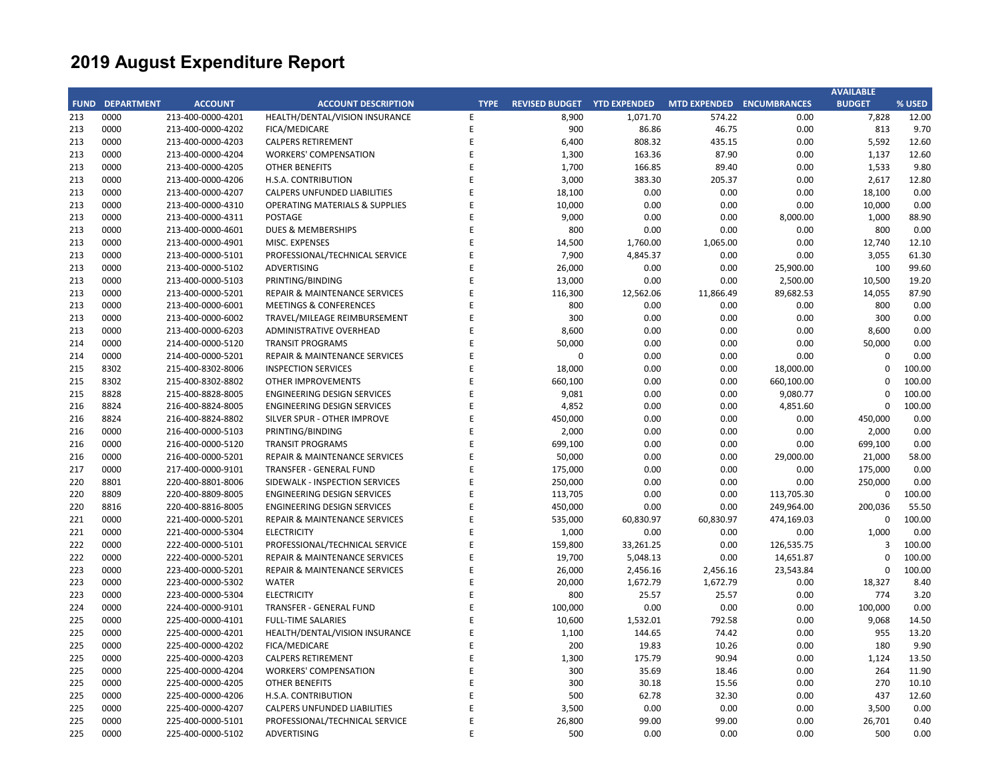|     |                        |                   |                                           |             |                             |           |                           |            | <b>AVAILABLE</b> |        |
|-----|------------------------|-------------------|-------------------------------------------|-------------|-----------------------------|-----------|---------------------------|------------|------------------|--------|
|     | <b>FUND DEPARTMENT</b> | <b>ACCOUNT</b>    | <b>ACCOUNT DESCRIPTION</b>                | <b>TYPE</b> | REVISED BUDGET YTD EXPENDED |           | MTD EXPENDED ENCUMBRANCES |            | <b>BUDGET</b>    | % USED |
| 213 | 0000                   | 213-400-0000-4201 | HEALTH/DENTAL/VISION INSURANCE            | E           | 8,900                       | 1,071.70  | 574.22                    | 0.00       | 7,828            | 12.00  |
| 213 | 0000                   | 213-400-0000-4202 | FICA/MEDICARE                             | Ε           | 900                         | 86.86     | 46.75                     | 0.00       | 813              | 9.70   |
| 213 | 0000                   | 213-400-0000-4203 | <b>CALPERS RETIREMENT</b>                 | F           | 6,400                       | 808.32    | 435.15                    | 0.00       | 5,592            | 12.60  |
| 213 | 0000                   | 213-400-0000-4204 | <b>WORKERS' COMPENSATION</b>              | E           | 1,300                       | 163.36    | 87.90                     | 0.00       | 1,137            | 12.60  |
| 213 | 0000                   | 213-400-0000-4205 | <b>OTHER BENEFITS</b>                     | F           | 1,700                       | 166.85    | 89.40                     | 0.00       | 1,533            | 9.80   |
| 213 | 0000                   | 213-400-0000-4206 | H.S.A. CONTRIBUTION                       | F           | 3,000                       | 383.30    | 205.37                    | 0.00       | 2,617            | 12.80  |
| 213 | 0000                   | 213-400-0000-4207 | <b>CALPERS UNFUNDED LIABILITIES</b>       | F           | 18,100                      | 0.00      | 0.00                      | 0.00       | 18,100           | 0.00   |
| 213 | 0000                   | 213-400-0000-4310 | <b>OPERATING MATERIALS &amp; SUPPLIES</b> |             | 10,000                      | 0.00      | 0.00                      | 0.00       | 10,000           | 0.00   |
| 213 | 0000                   | 213-400-0000-4311 | <b>POSTAGE</b>                            | E           | 9,000                       | 0.00      | 0.00                      | 8,000.00   | 1,000            | 88.90  |
| 213 | 0000                   | 213-400-0000-4601 | DUES & MEMBERSHIPS                        | F           | 800                         | 0.00      | 0.00                      | 0.00       | 800              | 0.00   |
| 213 | 0000                   | 213-400-0000-4901 | <b>MISC. EXPENSES</b>                     | F           | 14,500                      | 1,760.00  | 1,065.00                  | 0.00       | 12,740           | 12.10  |
| 213 | 0000                   | 213-400-0000-5101 | PROFESSIONAL/TECHNICAL SERVICE            | F           | 7,900                       | 4,845.37  | 0.00                      | 0.00       | 3,055            | 61.30  |
| 213 | 0000                   | 213-400-0000-5102 | <b>ADVERTISING</b>                        | F           | 26,000                      | 0.00      | 0.00                      | 25,900.00  | 100              | 99.60  |
| 213 | 0000                   | 213-400-0000-5103 | PRINTING/BINDING                          | F           | 13,000                      | 0.00      | 0.00                      | 2,500.00   | 10,500           | 19.20  |
| 213 | 0000                   | 213-400-0000-5201 | REPAIR & MAINTENANCE SERVICES             | F           | 116,300                     | 12,562.06 | 11,866.49                 | 89,682.53  | 14,055           | 87.90  |
| 213 | 0000                   | 213-400-0000-6001 | <b>MEETINGS &amp; CONFERENCES</b>         | E           | 800                         | 0.00      | 0.00                      | 0.00       | 800              | 0.00   |
| 213 | 0000                   | 213-400-0000-6002 | TRAVEL/MILEAGE REIMBURSEMENT              | F           | 300                         | 0.00      | 0.00                      | 0.00       | 300              | 0.00   |
| 213 | 0000                   | 213-400-0000-6203 | ADMINISTRATIVE OVERHEAD                   | E           | 8,600                       | 0.00      | 0.00                      | 0.00       | 8,600            | 0.00   |
| 214 | 0000                   | 214-400-0000-5120 | <b>TRANSIT PROGRAMS</b>                   | F           | 50,000                      | 0.00      | 0.00                      | 0.00       | 50,000           | 0.00   |
| 214 | 0000                   | 214-400-0000-5201 | <b>REPAIR &amp; MAINTENANCE SERVICES</b>  | F           | 0                           | 0.00      | 0.00                      | 0.00       | $\mathbf 0$      | 0.00   |
| 215 | 8302                   | 215-400-8302-8006 | <b>INSPECTION SERVICES</b>                |             | 18,000                      | 0.00      | 0.00                      | 18,000.00  | $\Omega$         | 100.00 |
| 215 | 8302                   | 215-400-8302-8802 | <b>OTHER IMPROVEMENTS</b>                 | F           | 660,100                     | 0.00      | 0.00                      | 660,100.00 | 0                | 100.00 |
| 215 | 8828                   | 215-400-8828-8005 | <b>ENGINEERING DESIGN SERVICES</b>        | F           | 9,081                       | 0.00      | 0.00                      | 9,080.77   | $\mathbf 0$      | 100.00 |
| 216 | 8824                   | 216-400-8824-8005 | <b>ENGINEERING DESIGN SERVICES</b>        | F           | 4,852                       | 0.00      | 0.00                      | 4,851.60   | $\mathbf 0$      | 100.00 |
| 216 | 8824                   | 216-400-8824-8802 | SILVER SPUR - OTHER IMPROVE               | E           | 450,000                     | 0.00      | 0.00                      | 0.00       | 450,000          | 0.00   |
| 216 | 0000                   | 216-400-0000-5103 | PRINTING/BINDING                          | F           | 2,000                       | 0.00      | 0.00                      | 0.00       | 2,000            | 0.00   |
| 216 | 0000                   | 216-400-0000-5120 | <b>TRANSIT PROGRAMS</b>                   | F           | 699,100                     | 0.00      | 0.00                      | 0.00       | 699,100          | 0.00   |
| 216 | 0000                   | 216-400-0000-5201 | REPAIR & MAINTENANCE SERVICES             | F           | 50,000                      | 0.00      | 0.00                      | 29,000.00  | 21,000           | 58.00  |
| 217 | 0000                   | 217-400-0000-9101 | <b>TRANSFER - GENERAL FUND</b>            | E           | 175,000                     | 0.00      | 0.00                      | 0.00       | 175,000          | 0.00   |
| 220 | 8801                   | 220-400-8801-8006 | SIDEWALK - INSPECTION SERVICES            | E           | 250,000                     | 0.00      | 0.00                      | 0.00       | 250,000          | 0.00   |
| 220 | 8809                   | 220-400-8809-8005 | <b>ENGINEERING DESIGN SERVICES</b>        | E           | 113,705                     | 0.00      | 0.00                      | 113,705.30 | $\mathbf 0$      | 100.00 |
| 220 | 8816                   | 220-400-8816-8005 | <b>ENGINEERING DESIGN SERVICES</b>        | F           | 450,000                     | 0.00      | 0.00                      | 249,964.00 | 200,036          | 55.50  |
| 221 | 0000                   | 221-400-0000-5201 | <b>REPAIR &amp; MAINTENANCE SERVICES</b>  | E           | 535,000                     | 60,830.97 | 60,830.97                 | 474,169.03 | 0                | 100.00 |
| 221 | 0000                   | 221-400-0000-5304 | <b>ELECTRICITY</b>                        |             | 1,000                       | 0.00      | 0.00                      | 0.00       | 1,000            | 0.00   |
| 222 | 0000                   | 222-400-0000-5101 | PROFESSIONAL/TECHNICAL SERVICE            | F           | 159,800                     | 33,261.25 | 0.00                      | 126,535.75 | 3                | 100.00 |
| 222 | 0000                   | 222-400-0000-5201 | REPAIR & MAINTENANCE SERVICES             | F           | 19,700                      | 5,048.13  | 0.00                      | 14,651.87  | $\mathbf 0$      | 100.00 |
| 223 | 0000                   | 223-400-0000-5201 | REPAIR & MAINTENANCE SERVICES             | F           | 26,000                      | 2,456.16  | 2,456.16                  | 23,543.84  | $\Omega$         | 100.00 |
| 223 | 0000                   | 223-400-0000-5302 | <b>WATER</b>                              | F           | 20,000                      | 1,672.79  | 1,672.79                  | 0.00       | 18,327           | 8.40   |
| 223 | 0000                   | 223-400-0000-5304 | <b>ELECTRICITY</b>                        | F           | 800                         | 25.57     | 25.57                     | 0.00       | 774              | 3.20   |
| 224 | 0000                   | 224-400-0000-9101 | TRANSFER - GENERAL FUND                   | F           | 100,000                     | 0.00      | 0.00                      | 0.00       | 100,000          | 0.00   |
| 225 | 0000                   | 225-400-0000-4101 | <b>FULL-TIME SALARIES</b>                 | F           | 10,600                      | 1,532.01  | 792.58                    | 0.00       | 9,068            | 14.50  |
| 225 | 0000                   | 225-400-0000-4201 | HEALTH/DENTAL/VISION INSURANCE            | F           | 1,100                       | 144.65    | 74.42                     | 0.00       | 955              | 13.20  |
| 225 | 0000                   | 225-400-0000-4202 | FICA/MEDICARE                             | F           | 200                         | 19.83     | 10.26                     | 0.00       | 180              | 9.90   |
| 225 | 0000                   | 225-400-0000-4203 | <b>CALPERS RETIREMENT</b>                 | E           | 1,300                       | 175.79    | 90.94                     | 0.00       | 1,124            | 13.50  |
| 225 | 0000                   | 225-400-0000-4204 | <b>WORKERS' COMPENSATION</b>              | F           | 300                         | 35.69     | 18.46                     | 0.00       | 264              | 11.90  |
| 225 | 0000                   | 225-400-0000-4205 | OTHER BENEFITS                            | F           | 300                         | 30.18     | 15.56                     | 0.00       | 270              | 10.10  |
| 225 | 0000                   | 225-400-0000-4206 | H.S.A. CONTRIBUTION                       | F           | 500                         | 62.78     | 32.30                     | 0.00       | 437              | 12.60  |
| 225 | 0000                   | 225-400-0000-4207 | <b>CALPERS UNFUNDED LIABILITIES</b>       |             | 3,500                       | 0.00      | 0.00                      | 0.00       | 3,500            | 0.00   |
| 225 | 0000                   | 225-400-0000-5101 | PROFESSIONAL/TECHNICAL SERVICE            | F           | 26,800                      | 99.00     | 99.00                     | 0.00       | 26,701           | 0.40   |
| 225 | 0000                   | 225-400-0000-5102 | <b>ADVERTISING</b>                        | F           | 500                         | 0.00      | 0.00                      | 0.00       | 500              | 0.00   |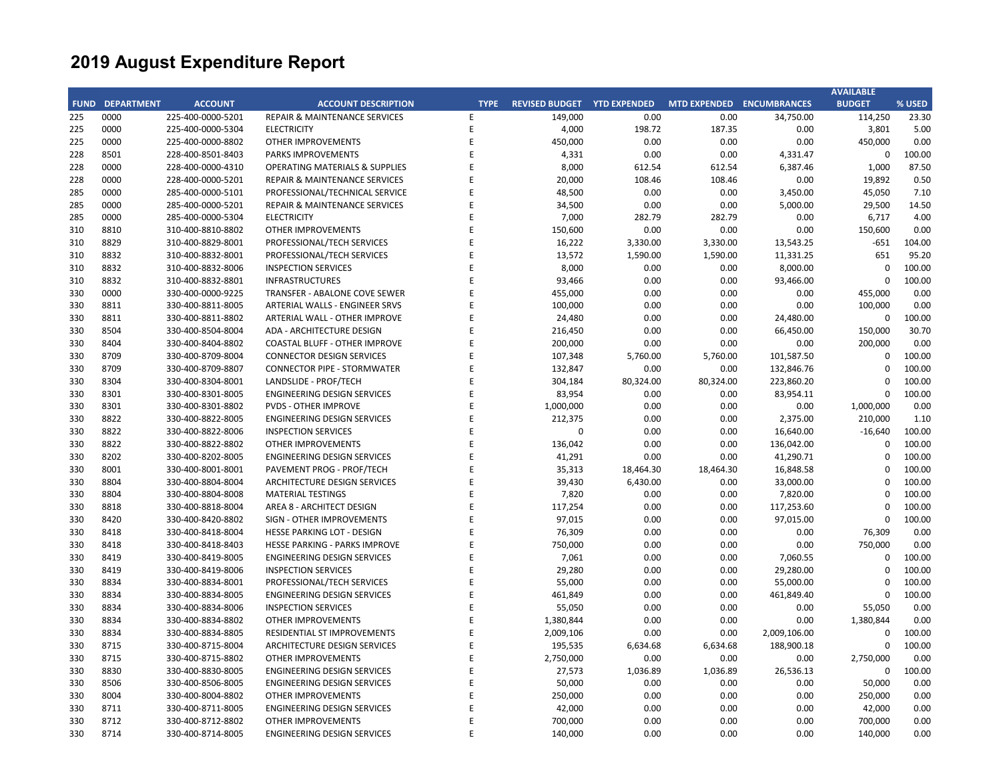| <b>FUND DEPARTMENT</b><br><b>ACCOUNT</b><br><b>ACCOUNT DESCRIPTION</b><br><b>TYPE</b><br>REVISED BUDGET YTD EXPENDED<br>MTD EXPENDED ENCUMBRANCES<br><b>BUDGET</b><br>225<br>0000<br>225-400-0000-5201<br>REPAIR & MAINTENANCE SERVICES<br>149,000<br>0.00<br>0.00<br>34,750.00<br>114,250<br>E<br>225<br>0000<br>225-400-0000-5304<br><b>ELECTRICITY</b><br>Ε<br>4,000<br>198.72<br>187.35<br>0.00<br>3,801<br>F<br>0000<br>450,000<br>0.00<br>0.00<br>450,000<br>225<br>225-400-0000-8802<br><b>OTHER IMPROVEMENTS</b><br>0.00<br>8501<br>E<br>0.00<br>$\mathbf 0$<br>228<br>228-400-8501-8403<br>PARKS IMPROVEMENTS<br>4,331<br>0.00<br>4,331.47<br>0000<br>228-400-0000-4310<br>F<br>8,000<br>612.54<br>612.54<br>6,387.46<br>1,000<br>228<br><b>OPERATING MATERIALS &amp; SUPPLIES</b><br>0000<br>E<br>228<br>228-400-0000-5201<br><b>REPAIR &amp; MAINTENANCE SERVICES</b><br>20,000<br>108.46<br>108.46<br>0.00<br>19,892<br>0000<br>F<br>48,500<br>285<br>285-400-0000-5101<br>PROFESSIONAL/TECHNICAL SERVICE<br>0.00<br>0.00<br>3,450.00<br>45,050<br>E<br>285<br>0000<br>34,500<br>0.00<br>0.00<br>5,000.00<br>29,500<br>285-400-0000-5201<br><b>REPAIR &amp; MAINTENANCE SERVICES</b><br>0000<br><b>ELECTRICITY</b><br>F<br>7,000<br>282.79<br>282.79<br>0.00<br>6,717<br>285<br>285-400-0000-5304<br>8810<br>310-400-8810-8802<br><b>OTHER IMPROVEMENTS</b><br>F<br>150,600<br>0.00<br>0.00<br>0.00<br>150,600<br>310<br>F<br>8829<br>16,222<br>310<br>310-400-8829-8001<br>PROFESSIONAL/TECH SERVICES<br>3,330.00<br>3,330.00<br>13,543.25<br>$-651$<br>8832<br>E<br>651<br>310<br>310-400-8832-8001<br>PROFESSIONAL/TECH SERVICES<br>13,572<br>1,590.00<br>1,590.00<br>11,331.25<br>8832<br>310-400-8832-8006<br><b>INSPECTION SERVICES</b><br>E<br>8,000<br>0.00<br>0.00<br>8,000.00<br>$\Omega$<br>310<br>8832<br>310-400-8832-8801<br><b>INFRASTRUCTURES</b><br>E<br>93,466<br>0.00<br>0.00<br>93,466.00<br>$\mathbf 0$<br>310<br>0000<br>F<br>330<br>330-400-0000-9225<br>TRANSFER - ABALONE COVE SEWER<br>455,000<br>0.00<br>0.00<br>0.00<br>455,000<br>E<br>8811<br>100,000<br>0.00<br>0.00<br>100,000<br>330<br>330-400-8811-8005<br><b>ARTERIAL WALLS - ENGINEER SRVS</b><br>0.00<br>8811<br>F<br>0.00<br>24,480.00<br>$\pmb{0}$<br>330<br>330-400-8811-8802<br>ARTERIAL WALL - OTHER IMPROVE<br>24,480<br>0.00<br>8504<br>E<br>0.00<br>66,450.00<br>330<br>330-400-8504-8004<br>ADA - ARCHITECTURE DESIGN<br>216,450<br>0.00<br>150,000<br>8404<br>330-400-8404-8802<br><b>COASTAL BLUFF - OTHER IMPROVE</b><br>F<br>200,000<br>0.00<br>0.00<br>0.00<br>200,000<br>330<br>E<br>8709<br>330-400-8709-8004<br><b>CONNECTOR DESIGN SERVICES</b><br>107,348<br>5,760.00<br>5,760.00<br>101,587.50<br>$\mathbf 0$<br>330<br>8709<br>F<br>132,847<br>0.00<br>$\mathbf 0$<br>330<br>330-400-8709-8807<br><b>CONNECTOR PIPE - STORMWATER</b><br>0.00<br>132,846.76<br>330<br>8304<br>330-400-8304-8001<br>LANDSLIDE - PROF/TECH<br>E<br>304,184<br>80,324.00<br>80,324.00<br>223,860.20<br>$\mathbf 0$<br>8301<br><b>ENGINEERING DESIGN SERVICES</b><br>F<br>83,954<br>0.00<br>83,954.11<br>330<br>330-400-8301-8005<br>0.00<br>0<br>E<br>8301<br><b>PVDS - OTHER IMPROVE</b><br>1,000,000<br>0.00<br>0.00<br>0.00<br>1,000,000<br>330<br>330-400-8301-8802<br>8822<br>F<br>212,375<br>0.00<br>2,375.00<br>210,000<br>330<br>330-400-8822-8005<br><b>ENGINEERING DESIGN SERVICES</b><br>0.00<br>8822<br>0.00<br>$-16,640$<br>330<br>330-400-8822-8006<br><b>INSPECTION SERVICES</b><br>E<br>$\mathbf 0$<br>0.00<br>16,640.00<br>330<br>8822<br>330-400-8822-8802<br><b>OTHER IMPROVEMENTS</b><br>F<br>136,042<br>0.00<br>0.00<br>136,042.00<br>$\mathbf 0$<br>8202<br>F<br>330<br>330-400-8202-8005<br><b>ENGINEERING DESIGN SERVICES</b><br>41,291<br>0.00<br>0.00<br>41,290.71<br>$\Omega$<br>8001<br>330-400-8001-8001<br>PAVEMENT PROG - PROF/TECH<br>F<br>35,313<br>18,464.30<br>18,464.30<br>16,848.58<br>$\mathbf 0$<br>330<br>8804<br>E<br>39,430<br>6,430.00<br>0.00<br>33,000.00<br>330<br>330-400-8804-8004<br>ARCHITECTURE DESIGN SERVICES<br>$\Omega$<br>8804<br>330-400-8804-8008<br>F<br>7,820<br>0.00<br>0.00<br>7,820.00<br>330<br><b>MATERIAL TESTINGS</b><br>0<br>F<br>330<br>8818<br>330-400-8818-8004<br>AREA 8 - ARCHITECT DESIGN<br>117,254<br>0.00<br>0.00<br>117,253.60<br>$\Omega$<br>8420<br>E<br>97,015<br>0.00<br>97,015.00<br>$\mathbf 0$<br>330<br>330-400-8420-8802<br>SIGN - OTHER IMPROVEMENTS<br>0.00<br>E<br>76,309<br>0.00<br>76,309<br>330<br>8418<br>330-400-8418-8004<br><b>HESSE PARKING LOT - DESIGN</b><br>0.00<br>0.00<br>8418<br>E<br>750,000<br>0.00<br>0.00<br>750,000<br>330<br>330-400-8418-8403<br>HESSE PARKING - PARKS IMPROVE<br>0.00<br>8419<br>F<br>7,061<br>$\Omega$<br>330<br>330-400-8419-8005<br><b>ENGINEERING DESIGN SERVICES</b><br>0.00<br>0.00<br>7,060.55<br>E<br>8419<br><b>INSPECTION SERVICES</b><br>29,280<br>0.00<br>29,280.00<br>$\Omega$<br>330<br>330-400-8419-8006<br>0.00<br>8834<br>330-400-8834-8001<br>E<br>55,000<br>0.00<br>0.00<br>55,000.00<br>330<br>PROFESSIONAL/TECH SERVICES<br>$\mathbf 0$<br>8834<br>330-400-8834-8005<br><b>ENGINEERING DESIGN SERVICES</b><br>E<br>461,849<br>0.00<br>0.00<br>461,849.40<br>330<br>$\Omega$<br>F<br>330<br>8834<br>330-400-8834-8006<br><b>INSPECTION SERVICES</b><br>55,050<br>0.00<br>0.00<br>0.00<br>55,050<br>E<br>8834<br>1,380,844<br>0.00<br>0.00<br>0.00<br>1,380,844<br>330<br>330-400-8834-8802<br><b>OTHER IMPROVEMENTS</b><br>E |     |      |                   |                             |           |      |      |              | <b>AVAILABLE</b> |        |
|--------------------------------------------------------------------------------------------------------------------------------------------------------------------------------------------------------------------------------------------------------------------------------------------------------------------------------------------------------------------------------------------------------------------------------------------------------------------------------------------------------------------------------------------------------------------------------------------------------------------------------------------------------------------------------------------------------------------------------------------------------------------------------------------------------------------------------------------------------------------------------------------------------------------------------------------------------------------------------------------------------------------------------------------------------------------------------------------------------------------------------------------------------------------------------------------------------------------------------------------------------------------------------------------------------------------------------------------------------------------------------------------------------------------------------------------------------------------------------------------------------------------------------------------------------------------------------------------------------------------------------------------------------------------------------------------------------------------------------------------------------------------------------------------------------------------------------------------------------------------------------------------------------------------------------------------------------------------------------------------------------------------------------------------------------------------------------------------------------------------------------------------------------------------------------------------------------------------------------------------------------------------------------------------------------------------------------------------------------------------------------------------------------------------------------------------------------------------------------------------------------------------------------------------------------------------------------------------------------------------------------------------------------------------------------------------------------------------------------------------------------------------------------------------------------------------------------------------------------------------------------------------------------------------------------------------------------------------------------------------------------------------------------------------------------------------------------------------------------------------------------------------------------------------------------------------------------------------------------------------------------------------------------------------------------------------------------------------------------------------------------------------------------------------------------------------------------------------------------------------------------------------------------------------------------------------------------------------------------------------------------------------------------------------------------------------------------------------------------------------------------------------------------------------------------------------------------------------------------------------------------------------------------------------------------------------------------------------------------------------------------------------------------------------------------------------------------------------------------------------------------------------------------------------------------------------------------------------------------------------------------------------------------------------------------------------------------------------------------------------------------------------------------------------------------------------------------------------------------------------------------------------------------------------------------------------------------------------------------------------------------------------------------------------------------------------------------------------------------------------------------------------------------------------------------------------------------------------------------------------------------------------------------------------------------------------------------------------------------------------------------------------------------------------------------------------------------------------------------------------------------------------------------------------------------------------------------------------------------------------------------------------------------------------------------------------------------------------------------------------------------------------------------------------------------------------------------------------------------------|-----|------|-------------------|-----------------------------|-----------|------|------|--------------|------------------|--------|
|                                                                                                                                                                                                                                                                                                                                                                                                                                                                                                                                                                                                                                                                                                                                                                                                                                                                                                                                                                                                                                                                                                                                                                                                                                                                                                                                                                                                                                                                                                                                                                                                                                                                                                                                                                                                                                                                                                                                                                                                                                                                                                                                                                                                                                                                                                                                                                                                                                                                                                                                                                                                                                                                                                                                                                                                                                                                                                                                                                                                                                                                                                                                                                                                                                                                                                                                                                                                                                                                                                                                                                                                                                                                                                                                                                                                                                                                                                                                                                                                                                                                                                                                                                                                                                                                                                                                                                                                                                                                                                                                                                                                                                                                                                                                                                                                                                                                                                                                                                                                                                                                                                                                                                                                                                                                                                                                                                                                                                                                                      |     |      |                   |                             |           |      |      |              |                  | % USED |
|                                                                                                                                                                                                                                                                                                                                                                                                                                                                                                                                                                                                                                                                                                                                                                                                                                                                                                                                                                                                                                                                                                                                                                                                                                                                                                                                                                                                                                                                                                                                                                                                                                                                                                                                                                                                                                                                                                                                                                                                                                                                                                                                                                                                                                                                                                                                                                                                                                                                                                                                                                                                                                                                                                                                                                                                                                                                                                                                                                                                                                                                                                                                                                                                                                                                                                                                                                                                                                                                                                                                                                                                                                                                                                                                                                                                                                                                                                                                                                                                                                                                                                                                                                                                                                                                                                                                                                                                                                                                                                                                                                                                                                                                                                                                                                                                                                                                                                                                                                                                                                                                                                                                                                                                                                                                                                                                                                                                                                                                                      |     |      |                   |                             |           |      |      |              |                  | 23.30  |
|                                                                                                                                                                                                                                                                                                                                                                                                                                                                                                                                                                                                                                                                                                                                                                                                                                                                                                                                                                                                                                                                                                                                                                                                                                                                                                                                                                                                                                                                                                                                                                                                                                                                                                                                                                                                                                                                                                                                                                                                                                                                                                                                                                                                                                                                                                                                                                                                                                                                                                                                                                                                                                                                                                                                                                                                                                                                                                                                                                                                                                                                                                                                                                                                                                                                                                                                                                                                                                                                                                                                                                                                                                                                                                                                                                                                                                                                                                                                                                                                                                                                                                                                                                                                                                                                                                                                                                                                                                                                                                                                                                                                                                                                                                                                                                                                                                                                                                                                                                                                                                                                                                                                                                                                                                                                                                                                                                                                                                                                                      |     |      |                   |                             |           |      |      |              |                  | 5.00   |
|                                                                                                                                                                                                                                                                                                                                                                                                                                                                                                                                                                                                                                                                                                                                                                                                                                                                                                                                                                                                                                                                                                                                                                                                                                                                                                                                                                                                                                                                                                                                                                                                                                                                                                                                                                                                                                                                                                                                                                                                                                                                                                                                                                                                                                                                                                                                                                                                                                                                                                                                                                                                                                                                                                                                                                                                                                                                                                                                                                                                                                                                                                                                                                                                                                                                                                                                                                                                                                                                                                                                                                                                                                                                                                                                                                                                                                                                                                                                                                                                                                                                                                                                                                                                                                                                                                                                                                                                                                                                                                                                                                                                                                                                                                                                                                                                                                                                                                                                                                                                                                                                                                                                                                                                                                                                                                                                                                                                                                                                                      |     |      |                   |                             |           |      |      |              |                  | 0.00   |
|                                                                                                                                                                                                                                                                                                                                                                                                                                                                                                                                                                                                                                                                                                                                                                                                                                                                                                                                                                                                                                                                                                                                                                                                                                                                                                                                                                                                                                                                                                                                                                                                                                                                                                                                                                                                                                                                                                                                                                                                                                                                                                                                                                                                                                                                                                                                                                                                                                                                                                                                                                                                                                                                                                                                                                                                                                                                                                                                                                                                                                                                                                                                                                                                                                                                                                                                                                                                                                                                                                                                                                                                                                                                                                                                                                                                                                                                                                                                                                                                                                                                                                                                                                                                                                                                                                                                                                                                                                                                                                                                                                                                                                                                                                                                                                                                                                                                                                                                                                                                                                                                                                                                                                                                                                                                                                                                                                                                                                                                                      |     |      |                   |                             |           |      |      |              |                  | 100.00 |
|                                                                                                                                                                                                                                                                                                                                                                                                                                                                                                                                                                                                                                                                                                                                                                                                                                                                                                                                                                                                                                                                                                                                                                                                                                                                                                                                                                                                                                                                                                                                                                                                                                                                                                                                                                                                                                                                                                                                                                                                                                                                                                                                                                                                                                                                                                                                                                                                                                                                                                                                                                                                                                                                                                                                                                                                                                                                                                                                                                                                                                                                                                                                                                                                                                                                                                                                                                                                                                                                                                                                                                                                                                                                                                                                                                                                                                                                                                                                                                                                                                                                                                                                                                                                                                                                                                                                                                                                                                                                                                                                                                                                                                                                                                                                                                                                                                                                                                                                                                                                                                                                                                                                                                                                                                                                                                                                                                                                                                                                                      |     |      |                   |                             |           |      |      |              |                  | 87.50  |
|                                                                                                                                                                                                                                                                                                                                                                                                                                                                                                                                                                                                                                                                                                                                                                                                                                                                                                                                                                                                                                                                                                                                                                                                                                                                                                                                                                                                                                                                                                                                                                                                                                                                                                                                                                                                                                                                                                                                                                                                                                                                                                                                                                                                                                                                                                                                                                                                                                                                                                                                                                                                                                                                                                                                                                                                                                                                                                                                                                                                                                                                                                                                                                                                                                                                                                                                                                                                                                                                                                                                                                                                                                                                                                                                                                                                                                                                                                                                                                                                                                                                                                                                                                                                                                                                                                                                                                                                                                                                                                                                                                                                                                                                                                                                                                                                                                                                                                                                                                                                                                                                                                                                                                                                                                                                                                                                                                                                                                                                                      |     |      |                   |                             |           |      |      |              |                  | 0.50   |
|                                                                                                                                                                                                                                                                                                                                                                                                                                                                                                                                                                                                                                                                                                                                                                                                                                                                                                                                                                                                                                                                                                                                                                                                                                                                                                                                                                                                                                                                                                                                                                                                                                                                                                                                                                                                                                                                                                                                                                                                                                                                                                                                                                                                                                                                                                                                                                                                                                                                                                                                                                                                                                                                                                                                                                                                                                                                                                                                                                                                                                                                                                                                                                                                                                                                                                                                                                                                                                                                                                                                                                                                                                                                                                                                                                                                                                                                                                                                                                                                                                                                                                                                                                                                                                                                                                                                                                                                                                                                                                                                                                                                                                                                                                                                                                                                                                                                                                                                                                                                                                                                                                                                                                                                                                                                                                                                                                                                                                                                                      |     |      |                   |                             |           |      |      |              |                  | 7.10   |
|                                                                                                                                                                                                                                                                                                                                                                                                                                                                                                                                                                                                                                                                                                                                                                                                                                                                                                                                                                                                                                                                                                                                                                                                                                                                                                                                                                                                                                                                                                                                                                                                                                                                                                                                                                                                                                                                                                                                                                                                                                                                                                                                                                                                                                                                                                                                                                                                                                                                                                                                                                                                                                                                                                                                                                                                                                                                                                                                                                                                                                                                                                                                                                                                                                                                                                                                                                                                                                                                                                                                                                                                                                                                                                                                                                                                                                                                                                                                                                                                                                                                                                                                                                                                                                                                                                                                                                                                                                                                                                                                                                                                                                                                                                                                                                                                                                                                                                                                                                                                                                                                                                                                                                                                                                                                                                                                                                                                                                                                                      |     |      |                   |                             |           |      |      |              |                  | 14.50  |
|                                                                                                                                                                                                                                                                                                                                                                                                                                                                                                                                                                                                                                                                                                                                                                                                                                                                                                                                                                                                                                                                                                                                                                                                                                                                                                                                                                                                                                                                                                                                                                                                                                                                                                                                                                                                                                                                                                                                                                                                                                                                                                                                                                                                                                                                                                                                                                                                                                                                                                                                                                                                                                                                                                                                                                                                                                                                                                                                                                                                                                                                                                                                                                                                                                                                                                                                                                                                                                                                                                                                                                                                                                                                                                                                                                                                                                                                                                                                                                                                                                                                                                                                                                                                                                                                                                                                                                                                                                                                                                                                                                                                                                                                                                                                                                                                                                                                                                                                                                                                                                                                                                                                                                                                                                                                                                                                                                                                                                                                                      |     |      |                   |                             |           |      |      |              |                  | 4.00   |
|                                                                                                                                                                                                                                                                                                                                                                                                                                                                                                                                                                                                                                                                                                                                                                                                                                                                                                                                                                                                                                                                                                                                                                                                                                                                                                                                                                                                                                                                                                                                                                                                                                                                                                                                                                                                                                                                                                                                                                                                                                                                                                                                                                                                                                                                                                                                                                                                                                                                                                                                                                                                                                                                                                                                                                                                                                                                                                                                                                                                                                                                                                                                                                                                                                                                                                                                                                                                                                                                                                                                                                                                                                                                                                                                                                                                                                                                                                                                                                                                                                                                                                                                                                                                                                                                                                                                                                                                                                                                                                                                                                                                                                                                                                                                                                                                                                                                                                                                                                                                                                                                                                                                                                                                                                                                                                                                                                                                                                                                                      |     |      |                   |                             |           |      |      |              |                  | 0.00   |
|                                                                                                                                                                                                                                                                                                                                                                                                                                                                                                                                                                                                                                                                                                                                                                                                                                                                                                                                                                                                                                                                                                                                                                                                                                                                                                                                                                                                                                                                                                                                                                                                                                                                                                                                                                                                                                                                                                                                                                                                                                                                                                                                                                                                                                                                                                                                                                                                                                                                                                                                                                                                                                                                                                                                                                                                                                                                                                                                                                                                                                                                                                                                                                                                                                                                                                                                                                                                                                                                                                                                                                                                                                                                                                                                                                                                                                                                                                                                                                                                                                                                                                                                                                                                                                                                                                                                                                                                                                                                                                                                                                                                                                                                                                                                                                                                                                                                                                                                                                                                                                                                                                                                                                                                                                                                                                                                                                                                                                                                                      |     |      |                   |                             |           |      |      |              |                  | 104.00 |
|                                                                                                                                                                                                                                                                                                                                                                                                                                                                                                                                                                                                                                                                                                                                                                                                                                                                                                                                                                                                                                                                                                                                                                                                                                                                                                                                                                                                                                                                                                                                                                                                                                                                                                                                                                                                                                                                                                                                                                                                                                                                                                                                                                                                                                                                                                                                                                                                                                                                                                                                                                                                                                                                                                                                                                                                                                                                                                                                                                                                                                                                                                                                                                                                                                                                                                                                                                                                                                                                                                                                                                                                                                                                                                                                                                                                                                                                                                                                                                                                                                                                                                                                                                                                                                                                                                                                                                                                                                                                                                                                                                                                                                                                                                                                                                                                                                                                                                                                                                                                                                                                                                                                                                                                                                                                                                                                                                                                                                                                                      |     |      |                   |                             |           |      |      |              |                  | 95.20  |
|                                                                                                                                                                                                                                                                                                                                                                                                                                                                                                                                                                                                                                                                                                                                                                                                                                                                                                                                                                                                                                                                                                                                                                                                                                                                                                                                                                                                                                                                                                                                                                                                                                                                                                                                                                                                                                                                                                                                                                                                                                                                                                                                                                                                                                                                                                                                                                                                                                                                                                                                                                                                                                                                                                                                                                                                                                                                                                                                                                                                                                                                                                                                                                                                                                                                                                                                                                                                                                                                                                                                                                                                                                                                                                                                                                                                                                                                                                                                                                                                                                                                                                                                                                                                                                                                                                                                                                                                                                                                                                                                                                                                                                                                                                                                                                                                                                                                                                                                                                                                                                                                                                                                                                                                                                                                                                                                                                                                                                                                                      |     |      |                   |                             |           |      |      |              |                  | 100.00 |
|                                                                                                                                                                                                                                                                                                                                                                                                                                                                                                                                                                                                                                                                                                                                                                                                                                                                                                                                                                                                                                                                                                                                                                                                                                                                                                                                                                                                                                                                                                                                                                                                                                                                                                                                                                                                                                                                                                                                                                                                                                                                                                                                                                                                                                                                                                                                                                                                                                                                                                                                                                                                                                                                                                                                                                                                                                                                                                                                                                                                                                                                                                                                                                                                                                                                                                                                                                                                                                                                                                                                                                                                                                                                                                                                                                                                                                                                                                                                                                                                                                                                                                                                                                                                                                                                                                                                                                                                                                                                                                                                                                                                                                                                                                                                                                                                                                                                                                                                                                                                                                                                                                                                                                                                                                                                                                                                                                                                                                                                                      |     |      |                   |                             |           |      |      |              |                  | 100.00 |
|                                                                                                                                                                                                                                                                                                                                                                                                                                                                                                                                                                                                                                                                                                                                                                                                                                                                                                                                                                                                                                                                                                                                                                                                                                                                                                                                                                                                                                                                                                                                                                                                                                                                                                                                                                                                                                                                                                                                                                                                                                                                                                                                                                                                                                                                                                                                                                                                                                                                                                                                                                                                                                                                                                                                                                                                                                                                                                                                                                                                                                                                                                                                                                                                                                                                                                                                                                                                                                                                                                                                                                                                                                                                                                                                                                                                                                                                                                                                                                                                                                                                                                                                                                                                                                                                                                                                                                                                                                                                                                                                                                                                                                                                                                                                                                                                                                                                                                                                                                                                                                                                                                                                                                                                                                                                                                                                                                                                                                                                                      |     |      |                   |                             |           |      |      |              |                  | 0.00   |
|                                                                                                                                                                                                                                                                                                                                                                                                                                                                                                                                                                                                                                                                                                                                                                                                                                                                                                                                                                                                                                                                                                                                                                                                                                                                                                                                                                                                                                                                                                                                                                                                                                                                                                                                                                                                                                                                                                                                                                                                                                                                                                                                                                                                                                                                                                                                                                                                                                                                                                                                                                                                                                                                                                                                                                                                                                                                                                                                                                                                                                                                                                                                                                                                                                                                                                                                                                                                                                                                                                                                                                                                                                                                                                                                                                                                                                                                                                                                                                                                                                                                                                                                                                                                                                                                                                                                                                                                                                                                                                                                                                                                                                                                                                                                                                                                                                                                                                                                                                                                                                                                                                                                                                                                                                                                                                                                                                                                                                                                                      |     |      |                   |                             |           |      |      |              |                  | 0.00   |
|                                                                                                                                                                                                                                                                                                                                                                                                                                                                                                                                                                                                                                                                                                                                                                                                                                                                                                                                                                                                                                                                                                                                                                                                                                                                                                                                                                                                                                                                                                                                                                                                                                                                                                                                                                                                                                                                                                                                                                                                                                                                                                                                                                                                                                                                                                                                                                                                                                                                                                                                                                                                                                                                                                                                                                                                                                                                                                                                                                                                                                                                                                                                                                                                                                                                                                                                                                                                                                                                                                                                                                                                                                                                                                                                                                                                                                                                                                                                                                                                                                                                                                                                                                                                                                                                                                                                                                                                                                                                                                                                                                                                                                                                                                                                                                                                                                                                                                                                                                                                                                                                                                                                                                                                                                                                                                                                                                                                                                                                                      |     |      |                   |                             |           |      |      |              |                  | 100.00 |
|                                                                                                                                                                                                                                                                                                                                                                                                                                                                                                                                                                                                                                                                                                                                                                                                                                                                                                                                                                                                                                                                                                                                                                                                                                                                                                                                                                                                                                                                                                                                                                                                                                                                                                                                                                                                                                                                                                                                                                                                                                                                                                                                                                                                                                                                                                                                                                                                                                                                                                                                                                                                                                                                                                                                                                                                                                                                                                                                                                                                                                                                                                                                                                                                                                                                                                                                                                                                                                                                                                                                                                                                                                                                                                                                                                                                                                                                                                                                                                                                                                                                                                                                                                                                                                                                                                                                                                                                                                                                                                                                                                                                                                                                                                                                                                                                                                                                                                                                                                                                                                                                                                                                                                                                                                                                                                                                                                                                                                                                                      |     |      |                   |                             |           |      |      |              |                  | 30.70  |
|                                                                                                                                                                                                                                                                                                                                                                                                                                                                                                                                                                                                                                                                                                                                                                                                                                                                                                                                                                                                                                                                                                                                                                                                                                                                                                                                                                                                                                                                                                                                                                                                                                                                                                                                                                                                                                                                                                                                                                                                                                                                                                                                                                                                                                                                                                                                                                                                                                                                                                                                                                                                                                                                                                                                                                                                                                                                                                                                                                                                                                                                                                                                                                                                                                                                                                                                                                                                                                                                                                                                                                                                                                                                                                                                                                                                                                                                                                                                                                                                                                                                                                                                                                                                                                                                                                                                                                                                                                                                                                                                                                                                                                                                                                                                                                                                                                                                                                                                                                                                                                                                                                                                                                                                                                                                                                                                                                                                                                                                                      |     |      |                   |                             |           |      |      |              |                  | 0.00   |
|                                                                                                                                                                                                                                                                                                                                                                                                                                                                                                                                                                                                                                                                                                                                                                                                                                                                                                                                                                                                                                                                                                                                                                                                                                                                                                                                                                                                                                                                                                                                                                                                                                                                                                                                                                                                                                                                                                                                                                                                                                                                                                                                                                                                                                                                                                                                                                                                                                                                                                                                                                                                                                                                                                                                                                                                                                                                                                                                                                                                                                                                                                                                                                                                                                                                                                                                                                                                                                                                                                                                                                                                                                                                                                                                                                                                                                                                                                                                                                                                                                                                                                                                                                                                                                                                                                                                                                                                                                                                                                                                                                                                                                                                                                                                                                                                                                                                                                                                                                                                                                                                                                                                                                                                                                                                                                                                                                                                                                                                                      |     |      |                   |                             |           |      |      |              |                  | 100.00 |
|                                                                                                                                                                                                                                                                                                                                                                                                                                                                                                                                                                                                                                                                                                                                                                                                                                                                                                                                                                                                                                                                                                                                                                                                                                                                                                                                                                                                                                                                                                                                                                                                                                                                                                                                                                                                                                                                                                                                                                                                                                                                                                                                                                                                                                                                                                                                                                                                                                                                                                                                                                                                                                                                                                                                                                                                                                                                                                                                                                                                                                                                                                                                                                                                                                                                                                                                                                                                                                                                                                                                                                                                                                                                                                                                                                                                                                                                                                                                                                                                                                                                                                                                                                                                                                                                                                                                                                                                                                                                                                                                                                                                                                                                                                                                                                                                                                                                                                                                                                                                                                                                                                                                                                                                                                                                                                                                                                                                                                                                                      |     |      |                   |                             |           |      |      |              |                  | 100.00 |
|                                                                                                                                                                                                                                                                                                                                                                                                                                                                                                                                                                                                                                                                                                                                                                                                                                                                                                                                                                                                                                                                                                                                                                                                                                                                                                                                                                                                                                                                                                                                                                                                                                                                                                                                                                                                                                                                                                                                                                                                                                                                                                                                                                                                                                                                                                                                                                                                                                                                                                                                                                                                                                                                                                                                                                                                                                                                                                                                                                                                                                                                                                                                                                                                                                                                                                                                                                                                                                                                                                                                                                                                                                                                                                                                                                                                                                                                                                                                                                                                                                                                                                                                                                                                                                                                                                                                                                                                                                                                                                                                                                                                                                                                                                                                                                                                                                                                                                                                                                                                                                                                                                                                                                                                                                                                                                                                                                                                                                                                                      |     |      |                   |                             |           |      |      |              |                  | 100.00 |
|                                                                                                                                                                                                                                                                                                                                                                                                                                                                                                                                                                                                                                                                                                                                                                                                                                                                                                                                                                                                                                                                                                                                                                                                                                                                                                                                                                                                                                                                                                                                                                                                                                                                                                                                                                                                                                                                                                                                                                                                                                                                                                                                                                                                                                                                                                                                                                                                                                                                                                                                                                                                                                                                                                                                                                                                                                                                                                                                                                                                                                                                                                                                                                                                                                                                                                                                                                                                                                                                                                                                                                                                                                                                                                                                                                                                                                                                                                                                                                                                                                                                                                                                                                                                                                                                                                                                                                                                                                                                                                                                                                                                                                                                                                                                                                                                                                                                                                                                                                                                                                                                                                                                                                                                                                                                                                                                                                                                                                                                                      |     |      |                   |                             |           |      |      |              |                  | 100.00 |
|                                                                                                                                                                                                                                                                                                                                                                                                                                                                                                                                                                                                                                                                                                                                                                                                                                                                                                                                                                                                                                                                                                                                                                                                                                                                                                                                                                                                                                                                                                                                                                                                                                                                                                                                                                                                                                                                                                                                                                                                                                                                                                                                                                                                                                                                                                                                                                                                                                                                                                                                                                                                                                                                                                                                                                                                                                                                                                                                                                                                                                                                                                                                                                                                                                                                                                                                                                                                                                                                                                                                                                                                                                                                                                                                                                                                                                                                                                                                                                                                                                                                                                                                                                                                                                                                                                                                                                                                                                                                                                                                                                                                                                                                                                                                                                                                                                                                                                                                                                                                                                                                                                                                                                                                                                                                                                                                                                                                                                                                                      |     |      |                   |                             |           |      |      |              |                  | 0.00   |
|                                                                                                                                                                                                                                                                                                                                                                                                                                                                                                                                                                                                                                                                                                                                                                                                                                                                                                                                                                                                                                                                                                                                                                                                                                                                                                                                                                                                                                                                                                                                                                                                                                                                                                                                                                                                                                                                                                                                                                                                                                                                                                                                                                                                                                                                                                                                                                                                                                                                                                                                                                                                                                                                                                                                                                                                                                                                                                                                                                                                                                                                                                                                                                                                                                                                                                                                                                                                                                                                                                                                                                                                                                                                                                                                                                                                                                                                                                                                                                                                                                                                                                                                                                                                                                                                                                                                                                                                                                                                                                                                                                                                                                                                                                                                                                                                                                                                                                                                                                                                                                                                                                                                                                                                                                                                                                                                                                                                                                                                                      |     |      |                   |                             |           |      |      |              |                  | 1.10   |
|                                                                                                                                                                                                                                                                                                                                                                                                                                                                                                                                                                                                                                                                                                                                                                                                                                                                                                                                                                                                                                                                                                                                                                                                                                                                                                                                                                                                                                                                                                                                                                                                                                                                                                                                                                                                                                                                                                                                                                                                                                                                                                                                                                                                                                                                                                                                                                                                                                                                                                                                                                                                                                                                                                                                                                                                                                                                                                                                                                                                                                                                                                                                                                                                                                                                                                                                                                                                                                                                                                                                                                                                                                                                                                                                                                                                                                                                                                                                                                                                                                                                                                                                                                                                                                                                                                                                                                                                                                                                                                                                                                                                                                                                                                                                                                                                                                                                                                                                                                                                                                                                                                                                                                                                                                                                                                                                                                                                                                                                                      |     |      |                   |                             |           |      |      |              |                  | 100.00 |
|                                                                                                                                                                                                                                                                                                                                                                                                                                                                                                                                                                                                                                                                                                                                                                                                                                                                                                                                                                                                                                                                                                                                                                                                                                                                                                                                                                                                                                                                                                                                                                                                                                                                                                                                                                                                                                                                                                                                                                                                                                                                                                                                                                                                                                                                                                                                                                                                                                                                                                                                                                                                                                                                                                                                                                                                                                                                                                                                                                                                                                                                                                                                                                                                                                                                                                                                                                                                                                                                                                                                                                                                                                                                                                                                                                                                                                                                                                                                                                                                                                                                                                                                                                                                                                                                                                                                                                                                                                                                                                                                                                                                                                                                                                                                                                                                                                                                                                                                                                                                                                                                                                                                                                                                                                                                                                                                                                                                                                                                                      |     |      |                   |                             |           |      |      |              |                  | 100.00 |
|                                                                                                                                                                                                                                                                                                                                                                                                                                                                                                                                                                                                                                                                                                                                                                                                                                                                                                                                                                                                                                                                                                                                                                                                                                                                                                                                                                                                                                                                                                                                                                                                                                                                                                                                                                                                                                                                                                                                                                                                                                                                                                                                                                                                                                                                                                                                                                                                                                                                                                                                                                                                                                                                                                                                                                                                                                                                                                                                                                                                                                                                                                                                                                                                                                                                                                                                                                                                                                                                                                                                                                                                                                                                                                                                                                                                                                                                                                                                                                                                                                                                                                                                                                                                                                                                                                                                                                                                                                                                                                                                                                                                                                                                                                                                                                                                                                                                                                                                                                                                                                                                                                                                                                                                                                                                                                                                                                                                                                                                                      |     |      |                   |                             |           |      |      |              |                  | 100.00 |
|                                                                                                                                                                                                                                                                                                                                                                                                                                                                                                                                                                                                                                                                                                                                                                                                                                                                                                                                                                                                                                                                                                                                                                                                                                                                                                                                                                                                                                                                                                                                                                                                                                                                                                                                                                                                                                                                                                                                                                                                                                                                                                                                                                                                                                                                                                                                                                                                                                                                                                                                                                                                                                                                                                                                                                                                                                                                                                                                                                                                                                                                                                                                                                                                                                                                                                                                                                                                                                                                                                                                                                                                                                                                                                                                                                                                                                                                                                                                                                                                                                                                                                                                                                                                                                                                                                                                                                                                                                                                                                                                                                                                                                                                                                                                                                                                                                                                                                                                                                                                                                                                                                                                                                                                                                                                                                                                                                                                                                                                                      |     |      |                   |                             |           |      |      |              |                  | 100.00 |
|                                                                                                                                                                                                                                                                                                                                                                                                                                                                                                                                                                                                                                                                                                                                                                                                                                                                                                                                                                                                                                                                                                                                                                                                                                                                                                                                                                                                                                                                                                                                                                                                                                                                                                                                                                                                                                                                                                                                                                                                                                                                                                                                                                                                                                                                                                                                                                                                                                                                                                                                                                                                                                                                                                                                                                                                                                                                                                                                                                                                                                                                                                                                                                                                                                                                                                                                                                                                                                                                                                                                                                                                                                                                                                                                                                                                                                                                                                                                                                                                                                                                                                                                                                                                                                                                                                                                                                                                                                                                                                                                                                                                                                                                                                                                                                                                                                                                                                                                                                                                                                                                                                                                                                                                                                                                                                                                                                                                                                                                                      |     |      |                   |                             |           |      |      |              |                  | 100.00 |
|                                                                                                                                                                                                                                                                                                                                                                                                                                                                                                                                                                                                                                                                                                                                                                                                                                                                                                                                                                                                                                                                                                                                                                                                                                                                                                                                                                                                                                                                                                                                                                                                                                                                                                                                                                                                                                                                                                                                                                                                                                                                                                                                                                                                                                                                                                                                                                                                                                                                                                                                                                                                                                                                                                                                                                                                                                                                                                                                                                                                                                                                                                                                                                                                                                                                                                                                                                                                                                                                                                                                                                                                                                                                                                                                                                                                                                                                                                                                                                                                                                                                                                                                                                                                                                                                                                                                                                                                                                                                                                                                                                                                                                                                                                                                                                                                                                                                                                                                                                                                                                                                                                                                                                                                                                                                                                                                                                                                                                                                                      |     |      |                   |                             |           |      |      |              |                  | 100.00 |
|                                                                                                                                                                                                                                                                                                                                                                                                                                                                                                                                                                                                                                                                                                                                                                                                                                                                                                                                                                                                                                                                                                                                                                                                                                                                                                                                                                                                                                                                                                                                                                                                                                                                                                                                                                                                                                                                                                                                                                                                                                                                                                                                                                                                                                                                                                                                                                                                                                                                                                                                                                                                                                                                                                                                                                                                                                                                                                                                                                                                                                                                                                                                                                                                                                                                                                                                                                                                                                                                                                                                                                                                                                                                                                                                                                                                                                                                                                                                                                                                                                                                                                                                                                                                                                                                                                                                                                                                                                                                                                                                                                                                                                                                                                                                                                                                                                                                                                                                                                                                                                                                                                                                                                                                                                                                                                                                                                                                                                                                                      |     |      |                   |                             |           |      |      |              |                  | 100.00 |
|                                                                                                                                                                                                                                                                                                                                                                                                                                                                                                                                                                                                                                                                                                                                                                                                                                                                                                                                                                                                                                                                                                                                                                                                                                                                                                                                                                                                                                                                                                                                                                                                                                                                                                                                                                                                                                                                                                                                                                                                                                                                                                                                                                                                                                                                                                                                                                                                                                                                                                                                                                                                                                                                                                                                                                                                                                                                                                                                                                                                                                                                                                                                                                                                                                                                                                                                                                                                                                                                                                                                                                                                                                                                                                                                                                                                                                                                                                                                                                                                                                                                                                                                                                                                                                                                                                                                                                                                                                                                                                                                                                                                                                                                                                                                                                                                                                                                                                                                                                                                                                                                                                                                                                                                                                                                                                                                                                                                                                                                                      |     |      |                   |                             |           |      |      |              |                  | 100.00 |
|                                                                                                                                                                                                                                                                                                                                                                                                                                                                                                                                                                                                                                                                                                                                                                                                                                                                                                                                                                                                                                                                                                                                                                                                                                                                                                                                                                                                                                                                                                                                                                                                                                                                                                                                                                                                                                                                                                                                                                                                                                                                                                                                                                                                                                                                                                                                                                                                                                                                                                                                                                                                                                                                                                                                                                                                                                                                                                                                                                                                                                                                                                                                                                                                                                                                                                                                                                                                                                                                                                                                                                                                                                                                                                                                                                                                                                                                                                                                                                                                                                                                                                                                                                                                                                                                                                                                                                                                                                                                                                                                                                                                                                                                                                                                                                                                                                                                                                                                                                                                                                                                                                                                                                                                                                                                                                                                                                                                                                                                                      |     |      |                   |                             |           |      |      |              |                  | 0.00   |
|                                                                                                                                                                                                                                                                                                                                                                                                                                                                                                                                                                                                                                                                                                                                                                                                                                                                                                                                                                                                                                                                                                                                                                                                                                                                                                                                                                                                                                                                                                                                                                                                                                                                                                                                                                                                                                                                                                                                                                                                                                                                                                                                                                                                                                                                                                                                                                                                                                                                                                                                                                                                                                                                                                                                                                                                                                                                                                                                                                                                                                                                                                                                                                                                                                                                                                                                                                                                                                                                                                                                                                                                                                                                                                                                                                                                                                                                                                                                                                                                                                                                                                                                                                                                                                                                                                                                                                                                                                                                                                                                                                                                                                                                                                                                                                                                                                                                                                                                                                                                                                                                                                                                                                                                                                                                                                                                                                                                                                                                                      |     |      |                   |                             |           |      |      |              |                  | 0.00   |
|                                                                                                                                                                                                                                                                                                                                                                                                                                                                                                                                                                                                                                                                                                                                                                                                                                                                                                                                                                                                                                                                                                                                                                                                                                                                                                                                                                                                                                                                                                                                                                                                                                                                                                                                                                                                                                                                                                                                                                                                                                                                                                                                                                                                                                                                                                                                                                                                                                                                                                                                                                                                                                                                                                                                                                                                                                                                                                                                                                                                                                                                                                                                                                                                                                                                                                                                                                                                                                                                                                                                                                                                                                                                                                                                                                                                                                                                                                                                                                                                                                                                                                                                                                                                                                                                                                                                                                                                                                                                                                                                                                                                                                                                                                                                                                                                                                                                                                                                                                                                                                                                                                                                                                                                                                                                                                                                                                                                                                                                                      |     |      |                   |                             |           |      |      |              |                  | 100.00 |
|                                                                                                                                                                                                                                                                                                                                                                                                                                                                                                                                                                                                                                                                                                                                                                                                                                                                                                                                                                                                                                                                                                                                                                                                                                                                                                                                                                                                                                                                                                                                                                                                                                                                                                                                                                                                                                                                                                                                                                                                                                                                                                                                                                                                                                                                                                                                                                                                                                                                                                                                                                                                                                                                                                                                                                                                                                                                                                                                                                                                                                                                                                                                                                                                                                                                                                                                                                                                                                                                                                                                                                                                                                                                                                                                                                                                                                                                                                                                                                                                                                                                                                                                                                                                                                                                                                                                                                                                                                                                                                                                                                                                                                                                                                                                                                                                                                                                                                                                                                                                                                                                                                                                                                                                                                                                                                                                                                                                                                                                                      |     |      |                   |                             |           |      |      |              |                  | 100.00 |
|                                                                                                                                                                                                                                                                                                                                                                                                                                                                                                                                                                                                                                                                                                                                                                                                                                                                                                                                                                                                                                                                                                                                                                                                                                                                                                                                                                                                                                                                                                                                                                                                                                                                                                                                                                                                                                                                                                                                                                                                                                                                                                                                                                                                                                                                                                                                                                                                                                                                                                                                                                                                                                                                                                                                                                                                                                                                                                                                                                                                                                                                                                                                                                                                                                                                                                                                                                                                                                                                                                                                                                                                                                                                                                                                                                                                                                                                                                                                                                                                                                                                                                                                                                                                                                                                                                                                                                                                                                                                                                                                                                                                                                                                                                                                                                                                                                                                                                                                                                                                                                                                                                                                                                                                                                                                                                                                                                                                                                                                                      |     |      |                   |                             |           |      |      |              |                  | 100.00 |
|                                                                                                                                                                                                                                                                                                                                                                                                                                                                                                                                                                                                                                                                                                                                                                                                                                                                                                                                                                                                                                                                                                                                                                                                                                                                                                                                                                                                                                                                                                                                                                                                                                                                                                                                                                                                                                                                                                                                                                                                                                                                                                                                                                                                                                                                                                                                                                                                                                                                                                                                                                                                                                                                                                                                                                                                                                                                                                                                                                                                                                                                                                                                                                                                                                                                                                                                                                                                                                                                                                                                                                                                                                                                                                                                                                                                                                                                                                                                                                                                                                                                                                                                                                                                                                                                                                                                                                                                                                                                                                                                                                                                                                                                                                                                                                                                                                                                                                                                                                                                                                                                                                                                                                                                                                                                                                                                                                                                                                                                                      |     |      |                   |                             |           |      |      |              |                  | 100.00 |
|                                                                                                                                                                                                                                                                                                                                                                                                                                                                                                                                                                                                                                                                                                                                                                                                                                                                                                                                                                                                                                                                                                                                                                                                                                                                                                                                                                                                                                                                                                                                                                                                                                                                                                                                                                                                                                                                                                                                                                                                                                                                                                                                                                                                                                                                                                                                                                                                                                                                                                                                                                                                                                                                                                                                                                                                                                                                                                                                                                                                                                                                                                                                                                                                                                                                                                                                                                                                                                                                                                                                                                                                                                                                                                                                                                                                                                                                                                                                                                                                                                                                                                                                                                                                                                                                                                                                                                                                                                                                                                                                                                                                                                                                                                                                                                                                                                                                                                                                                                                                                                                                                                                                                                                                                                                                                                                                                                                                                                                                                      |     |      |                   |                             |           |      |      |              |                  | 0.00   |
|                                                                                                                                                                                                                                                                                                                                                                                                                                                                                                                                                                                                                                                                                                                                                                                                                                                                                                                                                                                                                                                                                                                                                                                                                                                                                                                                                                                                                                                                                                                                                                                                                                                                                                                                                                                                                                                                                                                                                                                                                                                                                                                                                                                                                                                                                                                                                                                                                                                                                                                                                                                                                                                                                                                                                                                                                                                                                                                                                                                                                                                                                                                                                                                                                                                                                                                                                                                                                                                                                                                                                                                                                                                                                                                                                                                                                                                                                                                                                                                                                                                                                                                                                                                                                                                                                                                                                                                                                                                                                                                                                                                                                                                                                                                                                                                                                                                                                                                                                                                                                                                                                                                                                                                                                                                                                                                                                                                                                                                                                      |     |      |                   |                             |           |      |      |              |                  | 0.00   |
|                                                                                                                                                                                                                                                                                                                                                                                                                                                                                                                                                                                                                                                                                                                                                                                                                                                                                                                                                                                                                                                                                                                                                                                                                                                                                                                                                                                                                                                                                                                                                                                                                                                                                                                                                                                                                                                                                                                                                                                                                                                                                                                                                                                                                                                                                                                                                                                                                                                                                                                                                                                                                                                                                                                                                                                                                                                                                                                                                                                                                                                                                                                                                                                                                                                                                                                                                                                                                                                                                                                                                                                                                                                                                                                                                                                                                                                                                                                                                                                                                                                                                                                                                                                                                                                                                                                                                                                                                                                                                                                                                                                                                                                                                                                                                                                                                                                                                                                                                                                                                                                                                                                                                                                                                                                                                                                                                                                                                                                                                      | 330 | 8834 | 330-400-8834-8805 | RESIDENTIAL ST IMPROVEMENTS | 2,009,106 | 0.00 | 0.00 | 2,009,106.00 | $\mathbf 0$      | 100.00 |
| E<br>330<br>8715<br>330-400-8715-8004<br>ARCHITECTURE DESIGN SERVICES<br>195,535<br>6,634.68<br>6,634.68<br>188,900.18<br>$\mathbf 0$                                                                                                                                                                                                                                                                                                                                                                                                                                                                                                                                                                                                                                                                                                                                                                                                                                                                                                                                                                                                                                                                                                                                                                                                                                                                                                                                                                                                                                                                                                                                                                                                                                                                                                                                                                                                                                                                                                                                                                                                                                                                                                                                                                                                                                                                                                                                                                                                                                                                                                                                                                                                                                                                                                                                                                                                                                                                                                                                                                                                                                                                                                                                                                                                                                                                                                                                                                                                                                                                                                                                                                                                                                                                                                                                                                                                                                                                                                                                                                                                                                                                                                                                                                                                                                                                                                                                                                                                                                                                                                                                                                                                                                                                                                                                                                                                                                                                                                                                                                                                                                                                                                                                                                                                                                                                                                                                                |     |      |                   |                             |           |      |      |              |                  | 100.00 |
| 8715<br>2,750,000<br>2,750,000<br>330<br>330-400-8715-8802<br><b>OTHER IMPROVEMENTS</b><br>E<br>0.00<br>0.00<br>0.00                                                                                                                                                                                                                                                                                                                                                                                                                                                                                                                                                                                                                                                                                                                                                                                                                                                                                                                                                                                                                                                                                                                                                                                                                                                                                                                                                                                                                                                                                                                                                                                                                                                                                                                                                                                                                                                                                                                                                                                                                                                                                                                                                                                                                                                                                                                                                                                                                                                                                                                                                                                                                                                                                                                                                                                                                                                                                                                                                                                                                                                                                                                                                                                                                                                                                                                                                                                                                                                                                                                                                                                                                                                                                                                                                                                                                                                                                                                                                                                                                                                                                                                                                                                                                                                                                                                                                                                                                                                                                                                                                                                                                                                                                                                                                                                                                                                                                                                                                                                                                                                                                                                                                                                                                                                                                                                                                                 |     |      |                   |                             |           |      |      |              |                  | 0.00   |
| E<br>8830<br>27,573<br>1,036.89<br>26,536.13<br>$\mathbf 0$<br>330<br>330-400-8830-8005<br><b>ENGINEERING DESIGN SERVICES</b><br>1,036.89                                                                                                                                                                                                                                                                                                                                                                                                                                                                                                                                                                                                                                                                                                                                                                                                                                                                                                                                                                                                                                                                                                                                                                                                                                                                                                                                                                                                                                                                                                                                                                                                                                                                                                                                                                                                                                                                                                                                                                                                                                                                                                                                                                                                                                                                                                                                                                                                                                                                                                                                                                                                                                                                                                                                                                                                                                                                                                                                                                                                                                                                                                                                                                                                                                                                                                                                                                                                                                                                                                                                                                                                                                                                                                                                                                                                                                                                                                                                                                                                                                                                                                                                                                                                                                                                                                                                                                                                                                                                                                                                                                                                                                                                                                                                                                                                                                                                                                                                                                                                                                                                                                                                                                                                                                                                                                                                            |     |      |                   |                             |           |      |      |              |                  | 100.00 |
| 8506<br>E<br>50,000<br>0.00<br>330<br>330-400-8506-8005<br><b>ENGINEERING DESIGN SERVICES</b><br>0.00<br>0.00<br>50,000                                                                                                                                                                                                                                                                                                                                                                                                                                                                                                                                                                                                                                                                                                                                                                                                                                                                                                                                                                                                                                                                                                                                                                                                                                                                                                                                                                                                                                                                                                                                                                                                                                                                                                                                                                                                                                                                                                                                                                                                                                                                                                                                                                                                                                                                                                                                                                                                                                                                                                                                                                                                                                                                                                                                                                                                                                                                                                                                                                                                                                                                                                                                                                                                                                                                                                                                                                                                                                                                                                                                                                                                                                                                                                                                                                                                                                                                                                                                                                                                                                                                                                                                                                                                                                                                                                                                                                                                                                                                                                                                                                                                                                                                                                                                                                                                                                                                                                                                                                                                                                                                                                                                                                                                                                                                                                                                                              |     |      |                   |                             |           |      |      |              |                  | 0.00   |
| 8004<br>330-400-8004-8802<br><b>OTHER IMPROVEMENTS</b><br>E<br>250,000<br>0.00<br>0.00<br>0.00<br>250,000<br>330                                                                                                                                                                                                                                                                                                                                                                                                                                                                                                                                                                                                                                                                                                                                                                                                                                                                                                                                                                                                                                                                                                                                                                                                                                                                                                                                                                                                                                                                                                                                                                                                                                                                                                                                                                                                                                                                                                                                                                                                                                                                                                                                                                                                                                                                                                                                                                                                                                                                                                                                                                                                                                                                                                                                                                                                                                                                                                                                                                                                                                                                                                                                                                                                                                                                                                                                                                                                                                                                                                                                                                                                                                                                                                                                                                                                                                                                                                                                                                                                                                                                                                                                                                                                                                                                                                                                                                                                                                                                                                                                                                                                                                                                                                                                                                                                                                                                                                                                                                                                                                                                                                                                                                                                                                                                                                                                                                     |     |      |                   |                             |           |      |      |              |                  | 0.00   |
| 8711<br>42,000<br>0.00<br>42,000<br>330<br>330-400-8711-8005<br><b>ENGINEERING DESIGN SERVICES</b><br>F<br>0.00<br>0.00                                                                                                                                                                                                                                                                                                                                                                                                                                                                                                                                                                                                                                                                                                                                                                                                                                                                                                                                                                                                                                                                                                                                                                                                                                                                                                                                                                                                                                                                                                                                                                                                                                                                                                                                                                                                                                                                                                                                                                                                                                                                                                                                                                                                                                                                                                                                                                                                                                                                                                                                                                                                                                                                                                                                                                                                                                                                                                                                                                                                                                                                                                                                                                                                                                                                                                                                                                                                                                                                                                                                                                                                                                                                                                                                                                                                                                                                                                                                                                                                                                                                                                                                                                                                                                                                                                                                                                                                                                                                                                                                                                                                                                                                                                                                                                                                                                                                                                                                                                                                                                                                                                                                                                                                                                                                                                                                                              |     |      |                   |                             |           |      |      |              |                  | 0.00   |
| 8712<br>E<br>700,000<br>0.00<br>700,000<br>330<br>330-400-8712-8802<br><b>OTHER IMPROVEMENTS</b><br>0.00<br>0.00                                                                                                                                                                                                                                                                                                                                                                                                                                                                                                                                                                                                                                                                                                                                                                                                                                                                                                                                                                                                                                                                                                                                                                                                                                                                                                                                                                                                                                                                                                                                                                                                                                                                                                                                                                                                                                                                                                                                                                                                                                                                                                                                                                                                                                                                                                                                                                                                                                                                                                                                                                                                                                                                                                                                                                                                                                                                                                                                                                                                                                                                                                                                                                                                                                                                                                                                                                                                                                                                                                                                                                                                                                                                                                                                                                                                                                                                                                                                                                                                                                                                                                                                                                                                                                                                                                                                                                                                                                                                                                                                                                                                                                                                                                                                                                                                                                                                                                                                                                                                                                                                                                                                                                                                                                                                                                                                                                     |     |      |                   |                             |           |      |      |              |                  | 0.00   |
| 330<br>8714<br>E<br>140,000<br>0.00<br>0.00<br>0.00<br>140,000<br>330-400-8714-8005<br><b>ENGINEERING DESIGN SERVICES</b>                                                                                                                                                                                                                                                                                                                                                                                                                                                                                                                                                                                                                                                                                                                                                                                                                                                                                                                                                                                                                                                                                                                                                                                                                                                                                                                                                                                                                                                                                                                                                                                                                                                                                                                                                                                                                                                                                                                                                                                                                                                                                                                                                                                                                                                                                                                                                                                                                                                                                                                                                                                                                                                                                                                                                                                                                                                                                                                                                                                                                                                                                                                                                                                                                                                                                                                                                                                                                                                                                                                                                                                                                                                                                                                                                                                                                                                                                                                                                                                                                                                                                                                                                                                                                                                                                                                                                                                                                                                                                                                                                                                                                                                                                                                                                                                                                                                                                                                                                                                                                                                                                                                                                                                                                                                                                                                                                            |     |      |                   |                             |           |      |      |              |                  | 0.00   |